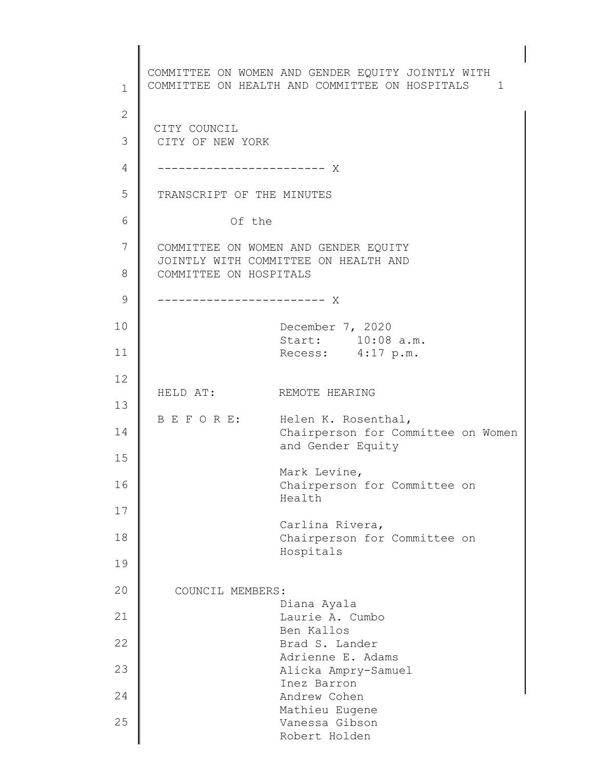1 2 3 4 5 6 7 8 9 10 11 12 13 14 15 16 17 18 19 20 21 22 23 24 25 COMMITTEE ON WOMEN AND GENDER EQUITY JOINTLY WITH COMMITTEE ON HEALTH AND COMMITTEE ON HOSPITALS 1 d ------------------------ X CITY COUNCIL CITY OF NEW YORK TRANSCRIPT OF THE MINUTES Of the COMMITTEE ON WOMEN AND GENDER EQUITY JOINTLY WITH COMMITTEE ON HEALTH AND COMMITTEE ON HOSPITALS ------------------------ X December 7, 2020 Start: 10:08 a.m. Recess: 4:17 p.m. HELD AT: REMOTE HEARING B E F O R E: Helen K. Rosenthal, Chairperson for Committee on Women and Gender Equity Mark Levine, Chairperson for Committee on Health Carlina Rivera, Chairperson for Committee on Hospitals COUNCIL MEMBERS: Diana Ayala Laurie A. Cumbo Ben Kallos Brad S. Lander Adrienne E. Adams Alicka Ampry-Samuel Inez Barron Andrew Cohen Mathieu Eugene Vanessa Gibson Robert Holden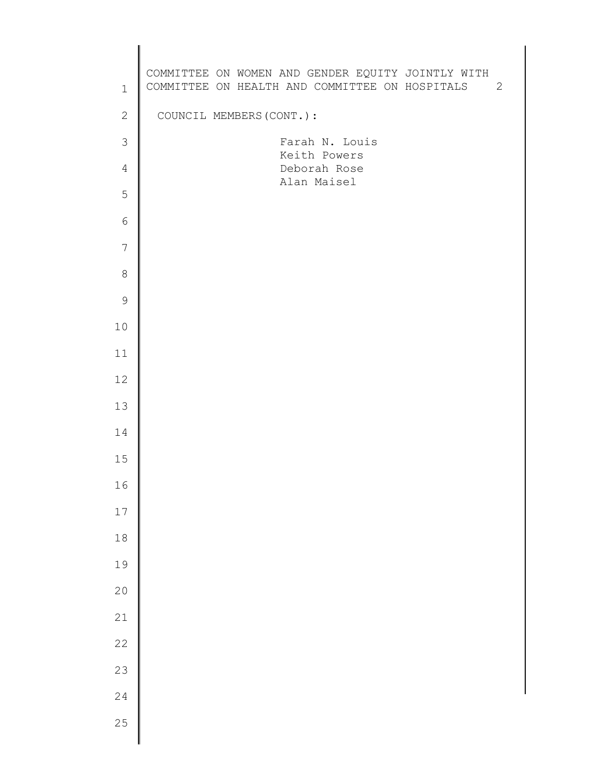| $\mathbf{1}$   | COMMITTEE ON WOMEN AND GENDER EQUITY JOINTLY WITH<br>COMMITTEE ON HEALTH AND COMMITTEE ON HOSPITALS<br>2 |  |
|----------------|----------------------------------------------------------------------------------------------------------|--|
| $\mathbf{2}$   | COUNCIL MEMBERS (CONT.) :                                                                                |  |
| 3              | Farah N. Louis<br>Keith Powers                                                                           |  |
| $\overline{4}$ | Deborah Rose<br>Alan Maisel                                                                              |  |
| 5              |                                                                                                          |  |
| $\sqrt{6}$     |                                                                                                          |  |
| 7              |                                                                                                          |  |
| $\,8\,$        |                                                                                                          |  |
| $\mathsf 9$    |                                                                                                          |  |
| 10             |                                                                                                          |  |
| 11             |                                                                                                          |  |
| 12             |                                                                                                          |  |
| 13             |                                                                                                          |  |
| 14             |                                                                                                          |  |
| 15             |                                                                                                          |  |
| 16             |                                                                                                          |  |
| $17\,$         |                                                                                                          |  |
| $18\,$         |                                                                                                          |  |
| 19             |                                                                                                          |  |
| $20$           |                                                                                                          |  |
| 21             |                                                                                                          |  |
| $2\sqrt{2}$    |                                                                                                          |  |
| 23             |                                                                                                          |  |
| 24             |                                                                                                          |  |
| 25             |                                                                                                          |  |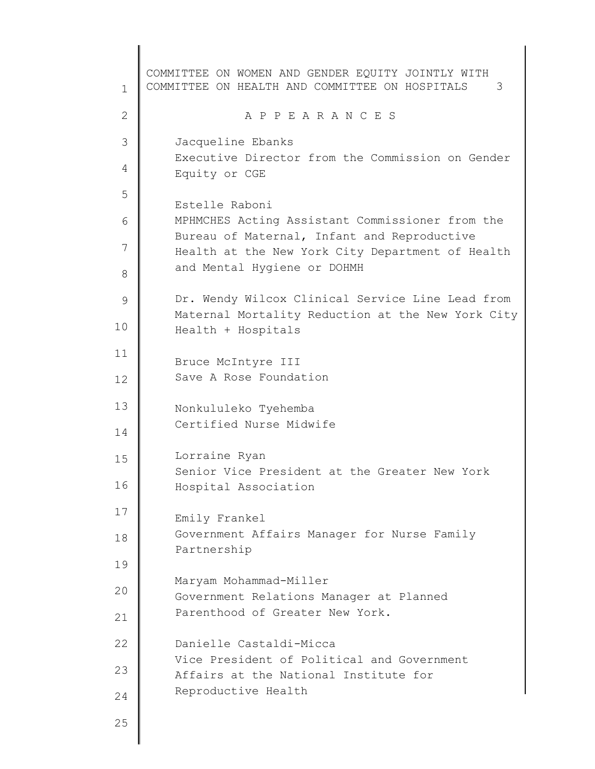1 2 3 4 5 6 7 8 9 10 11 12 13 14 15 16 17 18 19 20 21 22 23 24 25 COMMITTEE ON WOMEN AND GENDER EQUITY JOINTLY WITH COMMITTEE ON HEALTH AND COMMITTEE ON HOSPITALS 3 A P P E A R A N C E S Jacqueline Ebanks Executive Director from the Commission on Gender Equity or CGE Estelle Raboni MPHMCHES Acting Assistant Commissioner from the Bureau of Maternal, Infant and Reproductive Health at the New York City Department of Health and Mental Hygiene or DOHMH Dr. Wendy Wilcox Clinical Service Line Lead from Maternal Mortality Reduction at the New York City Health + Hospitals Bruce McIntyre III Save A Rose Foundation Nonkululeko Tyehemba Certified Nurse Midwife Lorraine Ryan Senior Vice President at the Greater New York Hospital Association Emily Frankel Government Affairs Manager for Nurse Family Partnership Maryam Mohammad-Miller Government Relations Manager at Planned Parenthood of Greater New York. Danielle Castaldi-Micca Vice President of Political and Government Affairs at the National Institute for Reproductive Health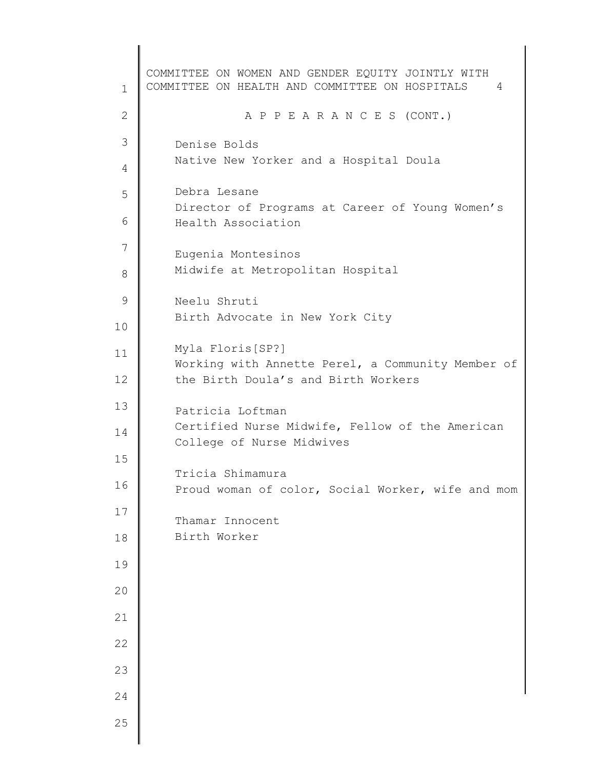1 2 3 4 5 6 7 8 9 10 11 12 13 14 15 16 17 18 19 20 21 22 23 24 25 COMMITTEE ON WOMEN AND GENDER EQUITY JOINTLY WITH COMMITTEE ON HEALTH AND COMMITTEE ON HOSPITALS 4 A P P E A R A N C E S (CONT.) Denise Bolds Native New Yorker and a Hospital Doula Debra Lesane Director of Programs at Career of Young Women's Health Association Eugenia Montesinos Midwife at Metropolitan Hospital Neelu Shruti Birth Advocate in New York City Myla Floris[SP?] Working with Annette Perel, a Community Member of the Birth Doula's and Birth Workers Patricia Loftman Certified Nurse Midwife, Fellow of the American College of Nurse Midwives Tricia Shimamura Proud woman of color, Social Worker, wife and mom Thamar Innocent Birth Worker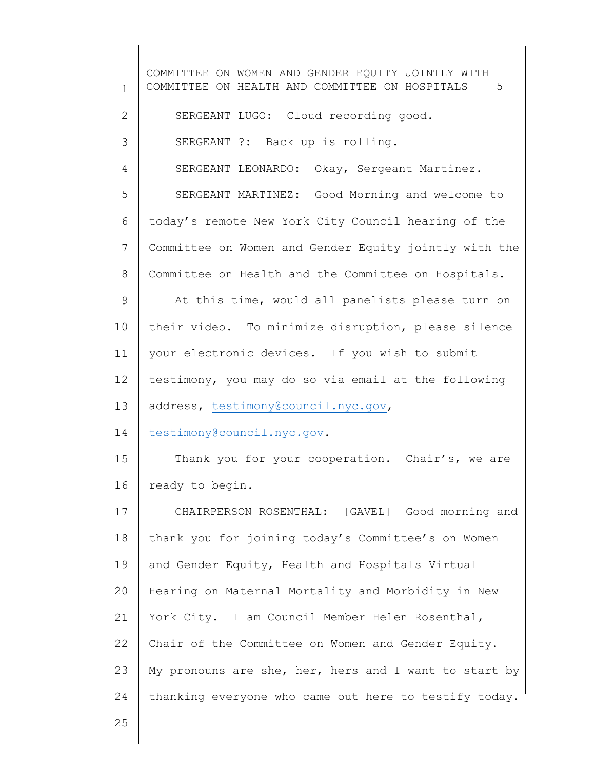1 2 3 4 5 6 7 8 9 10 11 12 13 14 15 16 17 18 19 20 21 22 23 24 25 COMMITTEE ON WOMEN AND GENDER EQUITY JOINTLY WITH COMMITTEE ON HEALTH AND COMMITTEE ON HOSPITALS 5 SERGEANT LUGO: Cloud recording good. SERGEANT ?: Back up is rolling. SERGEANT LEONARDO: Okay, Sergeant Martinez. SERGEANT MARTINEZ: Good Morning and welcome to today's remote New York City Council hearing of the Committee on Women and Gender Equity jointly with the Committee on Health and the Committee on Hospitals. At this time, would all panelists please turn on their video. To minimize disruption, please silence your electronic devices. If you wish to submit testimony, you may do so via email at the following address, [testimony@council.nyc.gov,](mailto:testimony@council.nyc.gov) [testimony@council.nyc.gov.](mailto:testimony@council.nyc.gov) Thank you for your cooperation. Chair's, we are ready to begin. CHAIRPERSON ROSENTHAL: [GAVEL] Good morning and thank you for joining today's Committee's on Women and Gender Equity, Health and Hospitals Virtual Hearing on Maternal Mortality and Morbidity in New York City. I am Council Member Helen Rosenthal, Chair of the Committee on Women and Gender Equity. My pronouns are she, her, hers and I want to start by thanking everyone who came out here to testify today.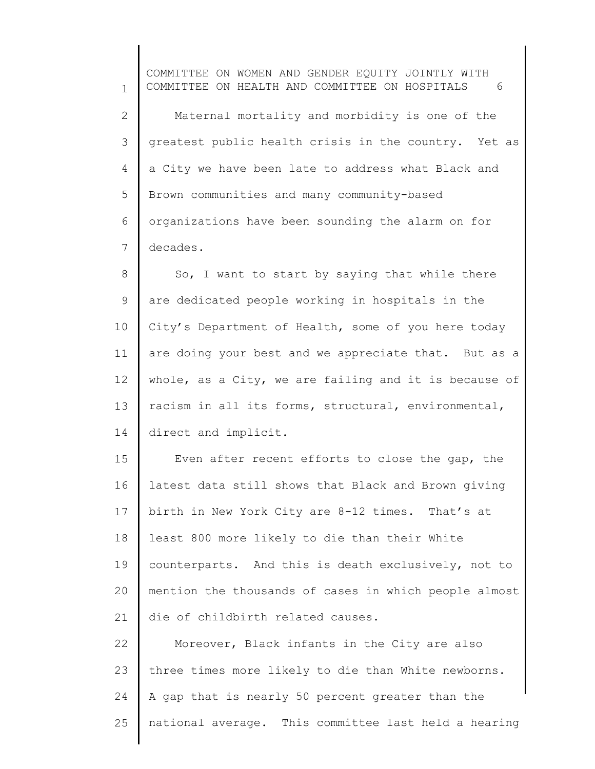1 2 3 4 5 6 7 COMMITTEE ON WOMEN AND GENDER EQUITY JOINTLY WITH COMMITTEE ON HEALTH AND COMMITTEE ON HOSPITALS 6 Maternal mortality and morbidity is one of the greatest public health crisis in the country. Yet as a City we have been late to address what Black and Brown communities and many community-based organizations have been sounding the alarm on for decades.

8 9 10 11 12 13 14 So, I want to start by saying that while there are dedicated people working in hospitals in the City's Department of Health, some of you here today are doing your best and we appreciate that. But as a whole, as a City, we are failing and it is because of racism in all its forms, structural, environmental, direct and implicit.

15 16 17 18 19 20 21 Even after recent efforts to close the gap, the latest data still shows that Black and Brown giving birth in New York City are 8-12 times. That's at least 800 more likely to die than their White counterparts. And this is death exclusively, not to mention the thousands of cases in which people almost die of childbirth related causes.

22 23 24 25 Moreover, Black infants in the City are also three times more likely to die than White newborns. A gap that is nearly 50 percent greater than the national average. This committee last held a hearing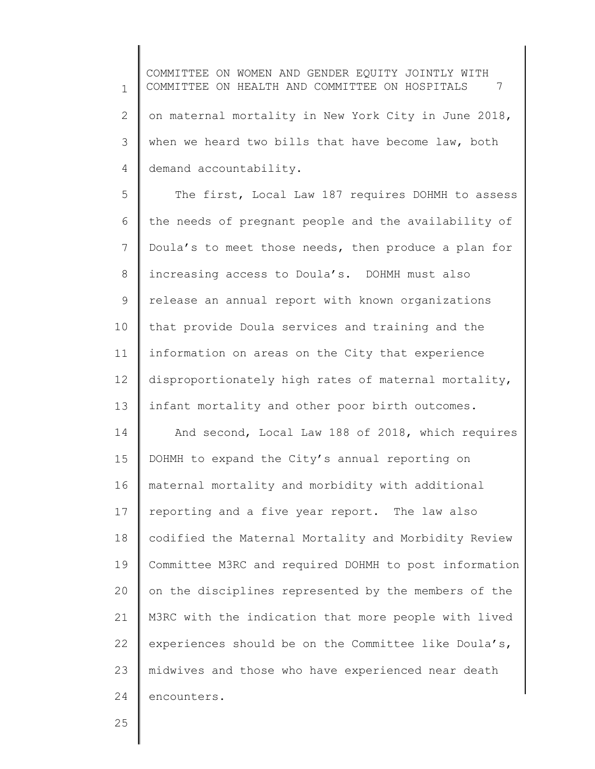1 2 3 4 COMMITTEE ON WOMEN AND GENDER EQUITY JOINTLY WITH COMMITTEE ON HEALTH AND COMMITTEE ON HOSPITALS 7 on maternal mortality in New York City in June 2018, when we heard two bills that have become law, both demand accountability.

5 6 7 8 9 10 11 12 13 14 15 16 17 The first, Local Law 187 requires DOHMH to assess the needs of pregnant people and the availability of Doula's to meet those needs, then produce a plan for increasing access to Doula's. DOHMH must also release an annual report with known organizations that provide Doula services and training and the information on areas on the City that experience disproportionately high rates of maternal mortality, infant mortality and other poor birth outcomes. And second, Local Law 188 of 2018, which requires DOHMH to expand the City's annual reporting on maternal mortality and morbidity with additional reporting and a five year report. The law also

18 19 20 21 22 23 24 codified the Maternal Mortality and Morbidity Review Committee M3RC and required DOHMH to post information on the disciplines represented by the members of the M3RC with the indication that more people with lived experiences should be on the Committee like Doula's, midwives and those who have experienced near death encounters.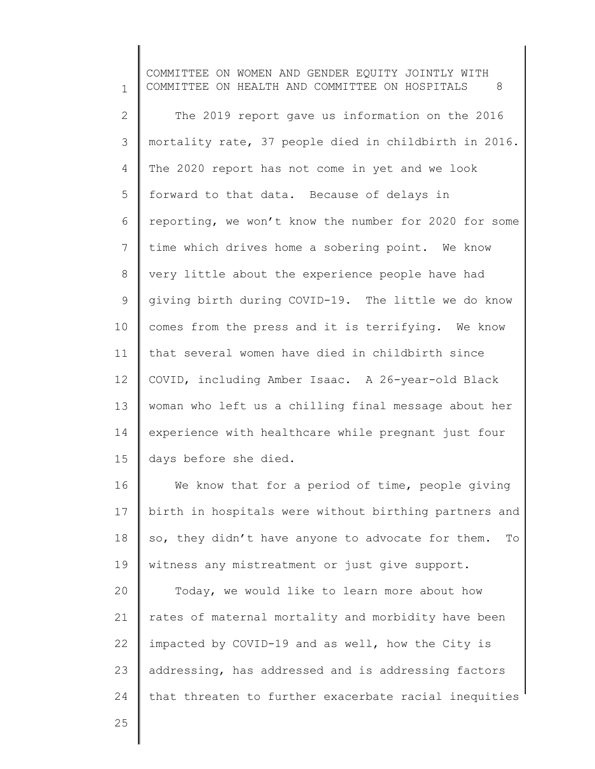1 2 3 4 5 6 7 8 9 10 11 12 13 14 15 COMMITTEE ON WOMEN AND GENDER EQUITY JOINTLY WITH COMMITTEE ON HEALTH AND COMMITTEE ON HOSPITALS 8 The 2019 report gave us information on the 2016 mortality rate, 37 people died in childbirth in 2016. The 2020 report has not come in yet and we look forward to that data. Because of delays in reporting, we won't know the number for 2020 for some time which drives home a sobering point. We know very little about the experience people have had giving birth during COVID-19. The little we do know comes from the press and it is terrifying. We know that several women have died in childbirth since COVID, including Amber Isaac. A 26-year-old Black woman who left us a chilling final message about her experience with healthcare while pregnant just four days before she died.

16 17 18 19 We know that for a period of time, people giving birth in hospitals were without birthing partners and so, they didn't have anyone to advocate for them. To witness any mistreatment or just give support.

20 21 22 23 24 Today, we would like to learn more about how rates of maternal mortality and morbidity have been impacted by COVID-19 and as well, how the City is addressing, has addressed and is addressing factors that threaten to further exacerbate racial inequities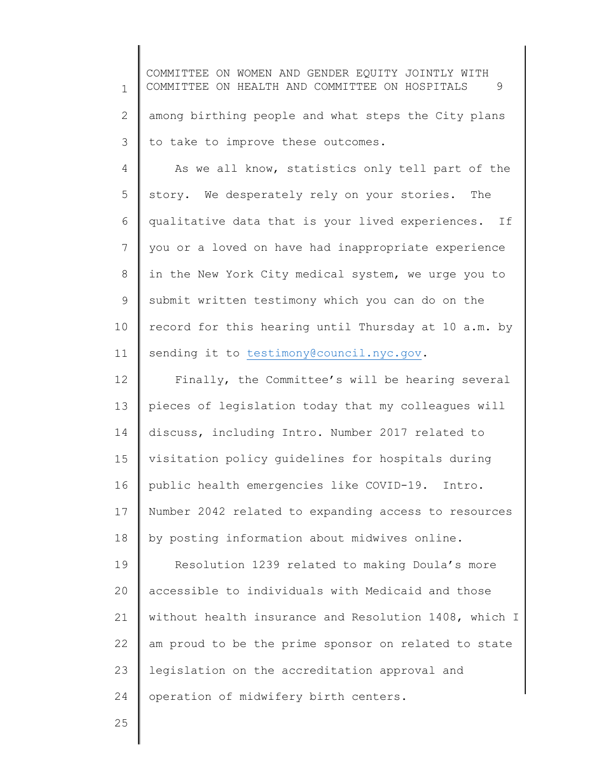1 2 3 COMMITTEE ON WOMEN AND GENDER EQUITY JOINTLY WITH COMMITTEE ON HEALTH AND COMMITTEE ON HOSPITALS 9 among birthing people and what steps the City plans to take to improve these outcomes.

4 5 6 7 8 9 10 11 As we all know, statistics only tell part of the story. We desperately rely on your stories. The qualitative data that is your lived experiences. If you or a loved on have had inappropriate experience in the New York City medical system, we urge you to submit written testimony which you can do on the record for this hearing until Thursday at 10 a.m. by sending it to [testimony@council.nyc.gov.](mailto:testimony@council.nyc.gov)

12 13 14 15 16 17 18 Finally, the Committee's will be hearing several pieces of legislation today that my colleagues will discuss, including Intro. Number 2017 related to visitation policy guidelines for hospitals during public health emergencies like COVID-19. Intro. Number 2042 related to expanding access to resources by posting information about midwives online.

19 20 21 22 23 24 Resolution 1239 related to making Doula's more accessible to individuals with Medicaid and those without health insurance and Resolution 1408, which I am proud to be the prime sponsor on related to state legislation on the accreditation approval and operation of midwifery birth centers.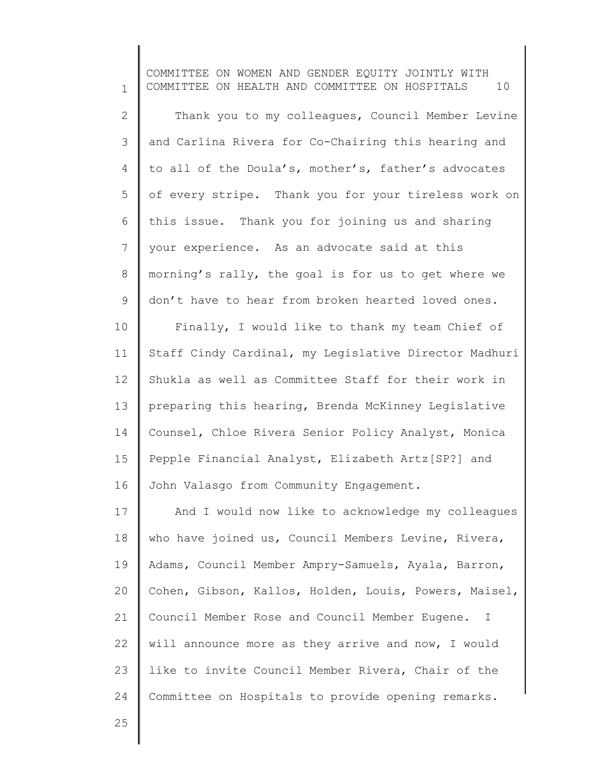1 2 3 4 5 6 7 8 9 10 11 12 13 14 15 16 17 18 19 20 21 22 23 COMMITTEE ON WOMEN AND GENDER EQUITY JOINTLY WITH COMMITTEE ON HEALTH AND COMMITTEE ON HOSPITALS 10 Thank you to my colleagues, Council Member Levine and Carlina Rivera for Co-Chairing this hearing and to all of the Doula's, mother's, father's advocates of every stripe. Thank you for your tireless work on this issue. Thank you for joining us and sharing your experience. As an advocate said at this morning's rally, the goal is for us to get where we don't have to hear from broken hearted loved ones. Finally, I would like to thank my team Chief of Staff Cindy Cardinal, my Legislative Director Madhuri Shukla as well as Committee Staff for their work in preparing this hearing, Brenda McKinney Legislative Counsel, Chloe Rivera Senior Policy Analyst, Monica Pepple Financial Analyst, Elizabeth Artz[SP?] and John Valasgo from Community Engagement. And I would now like to acknowledge my colleagues who have joined us, Council Members Levine, Rivera, Adams, Council Member Ampry-Samuels, Ayala, Barron, Cohen, Gibson, Kallos, Holden, Louis, Powers, Maisel, Council Member Rose and Council Member Eugene. I will announce more as they arrive and now, I would like to invite Council Member Rivera, Chair of the

Committee on Hospitals to provide opening remarks.

25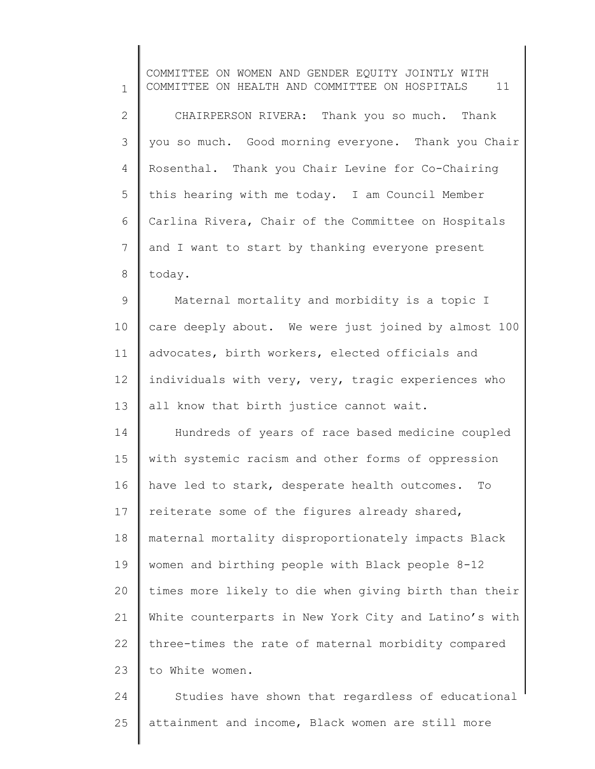1 2 3 4 5 6 7 8 9 10 11 12 13 14 15 16 17 18 19 20 21 22 23 24 COMMITTEE ON WOMEN AND GENDER EQUITY JOINTLY WITH COMMITTEE ON HEALTH AND COMMITTEE ON HOSPITALS 11 CHAIRPERSON RIVERA: Thank you so much. Thank you so much. Good morning everyone. Thank you Chair Rosenthal. Thank you Chair Levine for Co-Chairing this hearing with me today. I am Council Member Carlina Rivera, Chair of the Committee on Hospitals and I want to start by thanking everyone present today. Maternal mortality and morbidity is a topic I care deeply about. We were just joined by almost 100 advocates, birth workers, elected officials and individuals with very, very, tragic experiences who all know that birth justice cannot wait. Hundreds of years of race based medicine coupled with systemic racism and other forms of oppression have led to stark, desperate health outcomes. To reiterate some of the figures already shared, maternal mortality disproportionately impacts Black women and birthing people with Black people 8-12 times more likely to die when giving birth than their White counterparts in New York City and Latino's with three-times the rate of maternal morbidity compared to White women. Studies have shown that regardless of educational

25 attainment and income, Black women are still more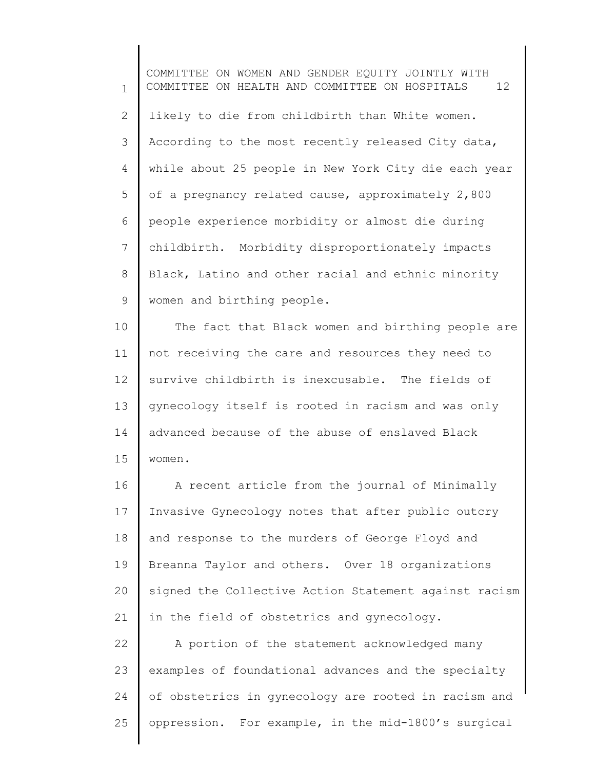1 2 3 4 5 6 7 8 9 COMMITTEE ON WOMEN AND GENDER EQUITY JOINTLY WITH COMMITTEE ON HEALTH AND COMMITTEE ON HOSPITALS 12 likely to die from childbirth than White women. According to the most recently released City data, while about 25 people in New York City die each year of a pregnancy related cause, approximately 2,800 people experience morbidity or almost die during childbirth. Morbidity disproportionately impacts Black, Latino and other racial and ethnic minority women and birthing people.

10 11 12 13 14 15 The fact that Black women and birthing people are not receiving the care and resources they need to survive childbirth is inexcusable. The fields of gynecology itself is rooted in racism and was only advanced because of the abuse of enslaved Black women.

16 17 18 19 20 21 A recent article from the journal of Minimally Invasive Gynecology notes that after public outcry and response to the murders of George Floyd and Breanna Taylor and others. Over 18 organizations signed the Collective Action Statement against racism in the field of obstetrics and gynecology.

22 23 24 25 A portion of the statement acknowledged many examples of foundational advances and the specialty of obstetrics in gynecology are rooted in racism and oppression. For example, in the mid-1800's surgical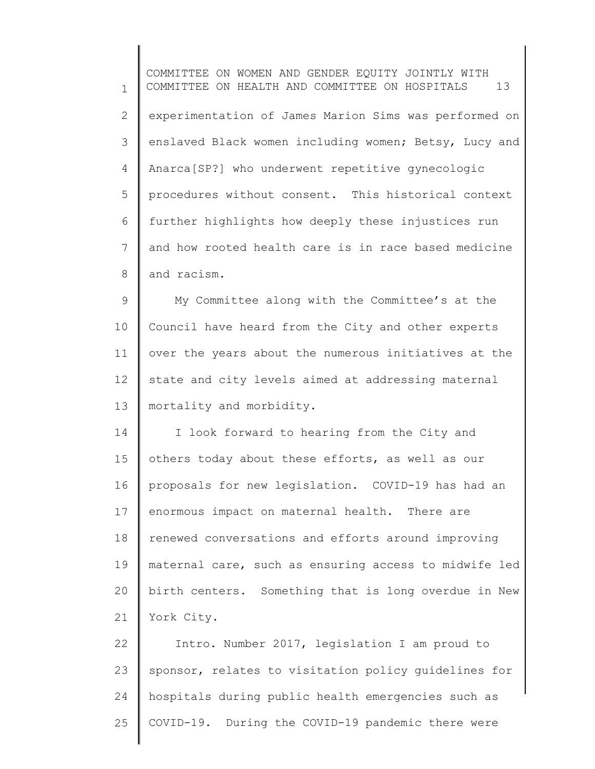1 2 3 4 5 6 7 8 9 COMMITTEE ON WOMEN AND GENDER EQUITY JOINTLY WITH COMMITTEE ON HEALTH AND COMMITTEE ON HOSPITALS 13 experimentation of James Marion Sims was performed on enslaved Black women including women; Betsy, Lucy and Anarca[SP?] who underwent repetitive gynecologic procedures without consent. This historical context further highlights how deeply these injustices run and how rooted health care is in race based medicine and racism. My Committee along with the Committee's at the

10 11 12 13 Council have heard from the City and other experts over the years about the numerous initiatives at the state and city levels aimed at addressing maternal mortality and morbidity.

14 15 16 17 18 19 20 21 I look forward to hearing from the City and others today about these efforts, as well as our proposals for new legislation. COVID-19 has had an enormous impact on maternal health. There are renewed conversations and efforts around improving maternal care, such as ensuring access to midwife led birth centers. Something that is long overdue in New York City.

22 23 24 25 Intro. Number 2017, legislation I am proud to sponsor, relates to visitation policy guidelines for hospitals during public health emergencies such as COVID-19. During the COVID-19 pandemic there were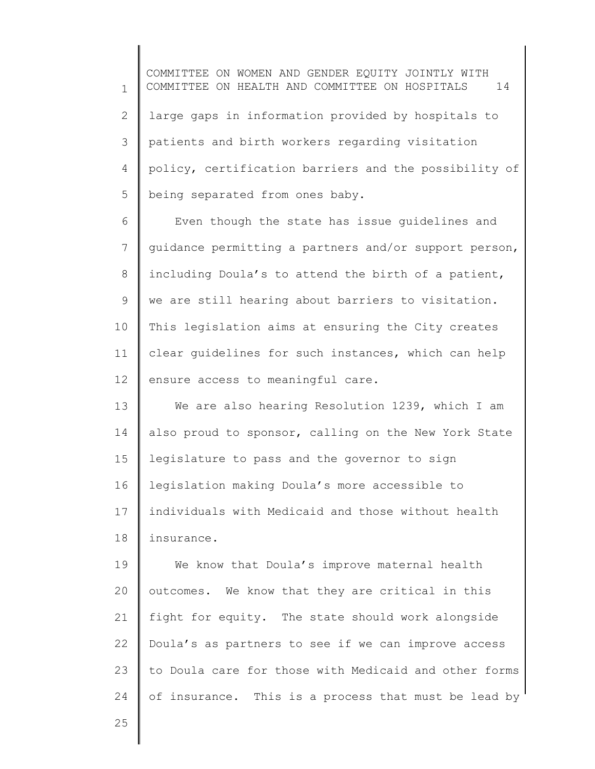1 2 3 4 5 COMMITTEE ON WOMEN AND GENDER EQUITY JOINTLY WITH COMMITTEE ON HEALTH AND COMMITTEE ON HOSPITALS 14 large gaps in information provided by hospitals to patients and birth workers regarding visitation policy, certification barriers and the possibility of being separated from ones baby.

6 7 8 9 10 11 12 Even though the state has issue guidelines and guidance permitting a partners and/or support person, including Doula's to attend the birth of a patient, we are still hearing about barriers to visitation. This legislation aims at ensuring the City creates clear guidelines for such instances, which can help ensure access to meaningful care.

13 14 15 16 17 18 We are also hearing Resolution 1239, which I am also proud to sponsor, calling on the New York State legislature to pass and the governor to sign legislation making Doula's more accessible to individuals with Medicaid and those without health insurance.

19 20 21 22 23 24 We know that Doula's improve maternal health outcomes. We know that they are critical in this fight for equity. The state should work alongside Doula's as partners to see if we can improve access to Doula care for those with Medicaid and other forms of insurance. This is a process that must be lead by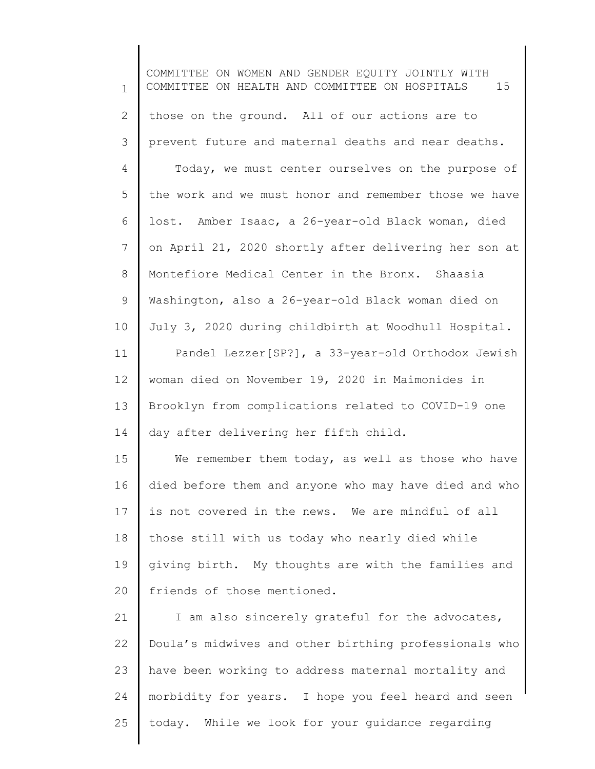1 2 3 4 5 6 7 8 9 10 11 12 13 14 15 16 17 18 19 20 21 22 23 24 25 COMMITTEE ON WOMEN AND GENDER EQUITY JOINTLY WITH COMMITTEE ON HEALTH AND COMMITTEE ON HOSPITALS 15 those on the ground. All of our actions are to prevent future and maternal deaths and near deaths. Today, we must center ourselves on the purpose of the work and we must honor and remember those we have lost. Amber Isaac, a 26-year-old Black woman, died on April 21, 2020 shortly after delivering her son at Montefiore Medical Center in the Bronx. Shaasia Washington, also a 26-year-old Black woman died on July 3, 2020 during childbirth at Woodhull Hospital. Pandel Lezzer[SP?], a 33-year-old Orthodox Jewish woman died on November 19, 2020 in Maimonides in Brooklyn from complications related to COVID-19 one day after delivering her fifth child. We remember them today, as well as those who have died before them and anyone who may have died and who is not covered in the news. We are mindful of all those still with us today who nearly died while giving birth. My thoughts are with the families and friends of those mentioned. I am also sincerely grateful for the advocates, Doula's midwives and other birthing professionals who have been working to address maternal mortality and morbidity for years. I hope you feel heard and seen today. While we look for your guidance regarding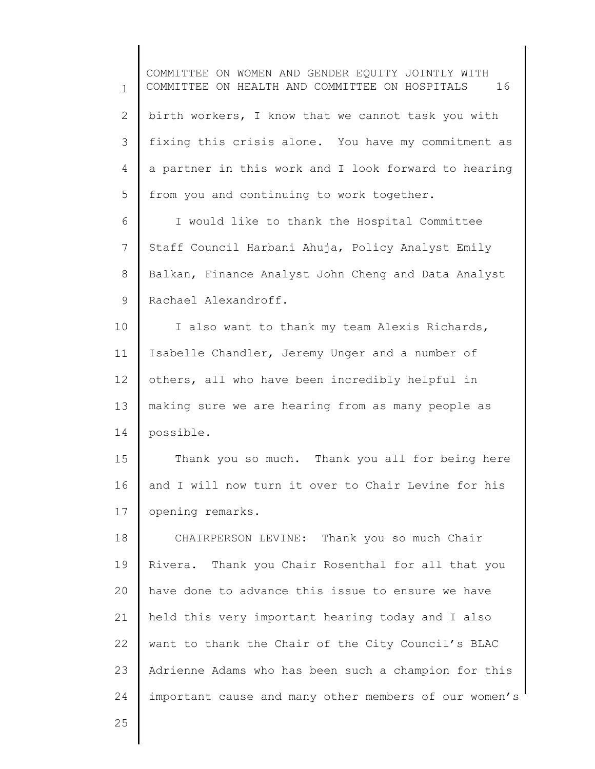1 2 3 4 5 6 7 8 9 10 11 12 13 14 15 16 17 18 19 20 21 22 23 COMMITTEE ON WOMEN AND GENDER EQUITY JOINTLY WITH COMMITTEE ON HEALTH AND COMMITTEE ON HOSPITALS 16 birth workers, I know that we cannot task you with fixing this crisis alone. You have my commitment as a partner in this work and I look forward to hearing from you and continuing to work together. I would like to thank the Hospital Committee Staff Council Harbani Ahuja, Policy Analyst Emily Balkan, Finance Analyst John Cheng and Data Analyst Rachael Alexandroff. I also want to thank my team Alexis Richards, Isabelle Chandler, Jeremy Unger and a number of others, all who have been incredibly helpful in making sure we are hearing from as many people as possible. Thank you so much. Thank you all for being here and I will now turn it over to Chair Levine for his opening remarks. CHAIRPERSON LEVINE: Thank you so much Chair Rivera. Thank you Chair Rosenthal for all that you have done to advance this issue to ensure we have held this very important hearing today and I also want to thank the Chair of the City Council's BLAC Adrienne Adams who has been such a champion for this

important cause and many other members of our women's

25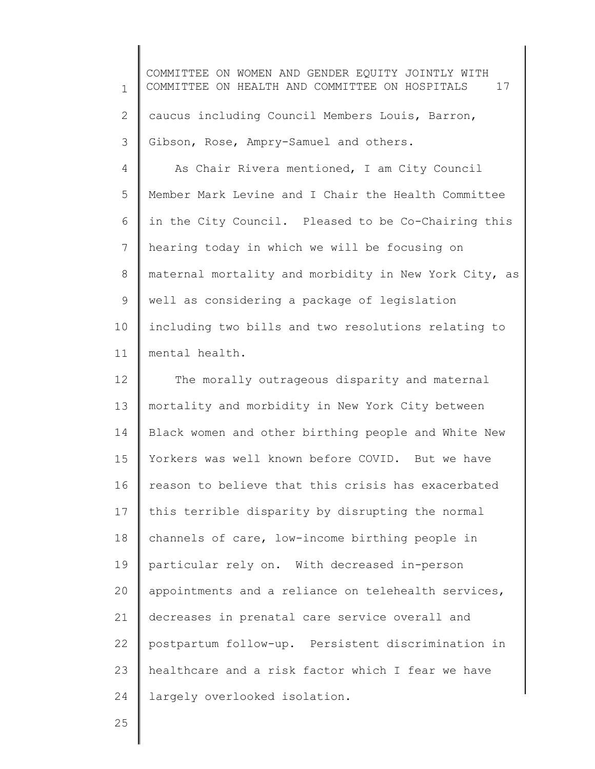1 2 3 COMMITTEE ON WOMEN AND GENDER EQUITY JOINTLY WITH COMMITTEE ON HEALTH AND COMMITTEE ON HOSPITALS 17 caucus including Council Members Louis, Barron, Gibson, Rose, Ampry-Samuel and others.

4 5 6 7 8 9 10 11 As Chair Rivera mentioned, I am City Council Member Mark Levine and I Chair the Health Committee in the City Council. Pleased to be Co-Chairing this hearing today in which we will be focusing on maternal mortality and morbidity in New York City, as well as considering a package of legislation including two bills and two resolutions relating to mental health.

12 13 14 15 16 17 18 19 20 21 22 23 24 The morally outrageous disparity and maternal mortality and morbidity in New York City between Black women and other birthing people and White New Yorkers was well known before COVID. But we have reason to believe that this crisis has exacerbated this terrible disparity by disrupting the normal channels of care, low-income birthing people in particular rely on. With decreased in-person appointments and a reliance on telehealth services, decreases in prenatal care service overall and postpartum follow-up. Persistent discrimination in healthcare and a risk factor which I fear we have largely overlooked isolation.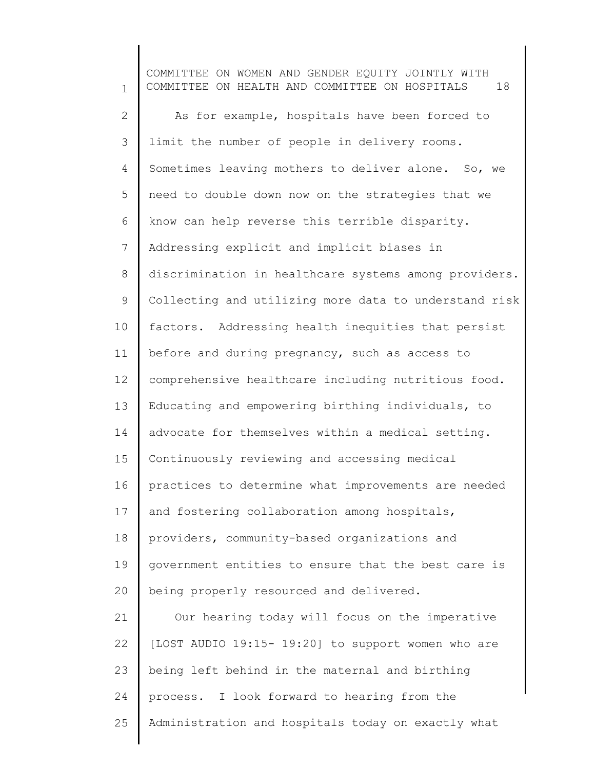1 2 3 4 5 6 7 8 9 10 11 12 13 14 15 16 17 18 19 20 21 22 23 24 25 COMMITTEE ON WOMEN AND GENDER EQUITY JOINTLY WITH COMMITTEE ON HEALTH AND COMMITTEE ON HOSPITALS 18 As for example, hospitals have been forced to limit the number of people in delivery rooms. Sometimes leaving mothers to deliver alone. So, we need to double down now on the strategies that we know can help reverse this terrible disparity. Addressing explicit and implicit biases in discrimination in healthcare systems among providers. Collecting and utilizing more data to understand risk factors. Addressing health inequities that persist before and during pregnancy, such as access to comprehensive healthcare including nutritious food. Educating and empowering birthing individuals, to advocate for themselves within a medical setting. Continuously reviewing and accessing medical practices to determine what improvements are needed and fostering collaboration among hospitals, providers, community-based organizations and government entities to ensure that the best care is being properly resourced and delivered. Our hearing today will focus on the imperative [LOST AUDIO 19:15- 19:20] to support women who are being left behind in the maternal and birthing process. I look forward to hearing from the Administration and hospitals today on exactly what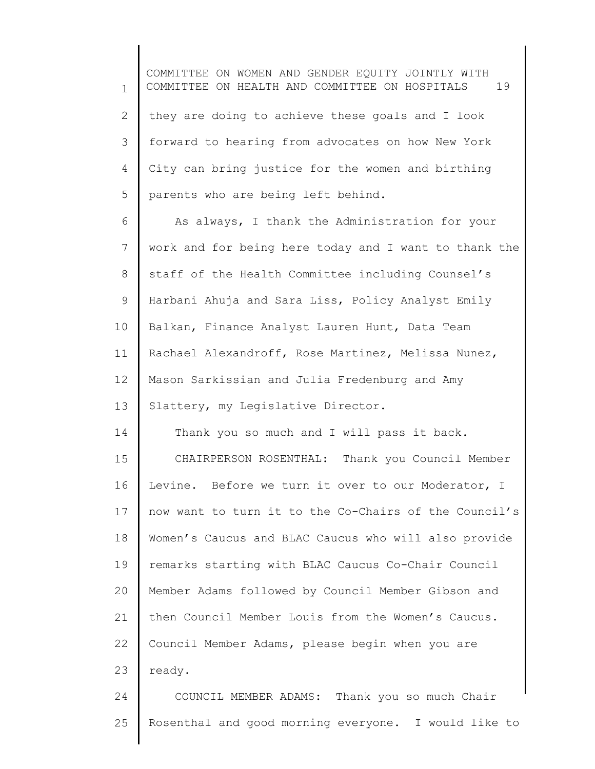1 2 3 4 5 6 7 8 9 10 COMMITTEE ON WOMEN AND GENDER EQUITY JOINTLY WITH COMMITTEE ON HEALTH AND COMMITTEE ON HOSPITALS 19 they are doing to achieve these goals and I look forward to hearing from advocates on how New York City can bring justice for the women and birthing parents who are being left behind. As always, I thank the Administration for your work and for being here today and I want to thank the staff of the Health Committee including Counsel's Harbani Ahuja and Sara Liss, Policy Analyst Emily Balkan, Finance Analyst Lauren Hunt, Data Team

Rachael Alexandroff, Rose Martinez, Melissa Nunez,

12 13 Mason Sarkissian and Julia Fredenburg and Amy Slattery, my Legislative Director.

11

14 15 16 17 18 19 20 21 22 23 Thank you so much and I will pass it back. CHAIRPERSON ROSENTHAL: Thank you Council Member Levine. Before we turn it over to our Moderator, I now want to turn it to the Co-Chairs of the Council's Women's Caucus and BLAC Caucus who will also provide remarks starting with BLAC Caucus Co-Chair Council Member Adams followed by Council Member Gibson and then Council Member Louis from the Women's Caucus. Council Member Adams, please begin when you are ready.

24 25 COUNCIL MEMBER ADAMS: Thank you so much Chair Rosenthal and good morning everyone. I would like to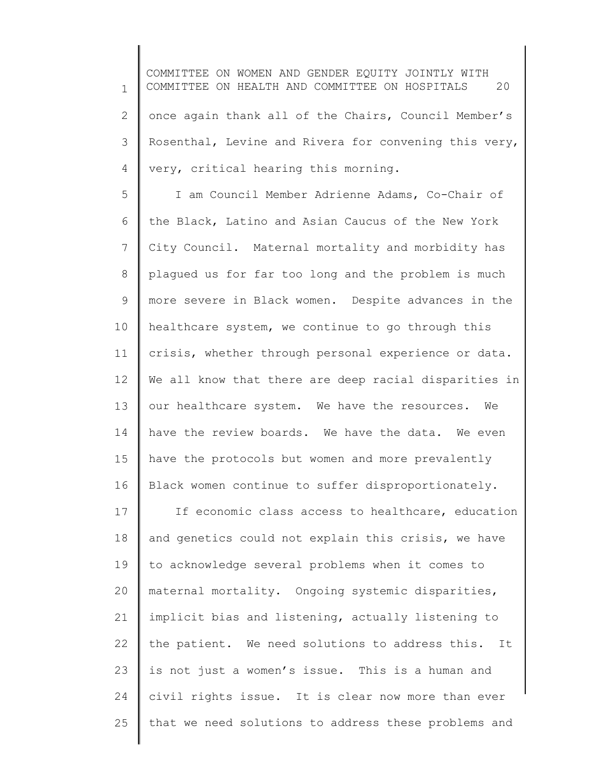1 2 3 4 COMMITTEE ON WOMEN AND GENDER EQUITY JOINTLY WITH COMMITTEE ON HEALTH AND COMMITTEE ON HOSPITALS 20 once again thank all of the Chairs, Council Member's Rosenthal, Levine and Rivera for convening this very, very, critical hearing this morning.

5 6 7 8 9 10 11 12 13 14 15 16 I am Council Member Adrienne Adams, Co-Chair of the Black, Latino and Asian Caucus of the New York City Council. Maternal mortality and morbidity has plagued us for far too long and the problem is much more severe in Black women. Despite advances in the healthcare system, we continue to go through this crisis, whether through personal experience or data. We all know that there are deep racial disparities in our healthcare system. We have the resources. We have the review boards. We have the data. We even have the protocols but women and more prevalently Black women continue to suffer disproportionately.

17 18 19 20 21 22 23 24 25 If economic class access to healthcare, education and genetics could not explain this crisis, we have to acknowledge several problems when it comes to maternal mortality. Ongoing systemic disparities, implicit bias and listening, actually listening to the patient. We need solutions to address this. It is not just a women's issue. This is a human and civil rights issue. It is clear now more than ever that we need solutions to address these problems and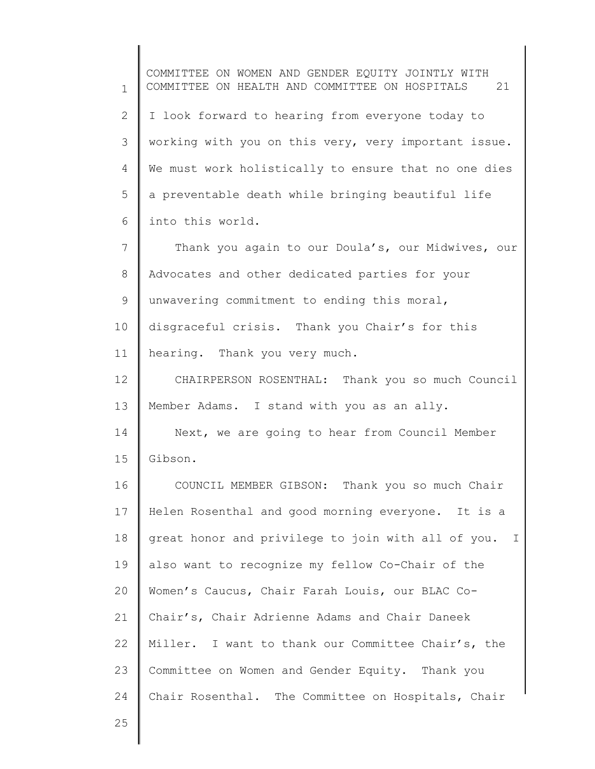1 2 3 4 5 6 7 8 9 10 11 12 13 14 15 16 17 18 19 20 21 22 23 24 COMMITTEE ON WOMEN AND GENDER EQUITY JOINTLY WITH COMMITTEE ON HEALTH AND COMMITTEE ON HOSPITALS 21 I look forward to hearing from everyone today to working with you on this very, very important issue. We must work holistically to ensure that no one dies a preventable death while bringing beautiful life into this world. Thank you again to our Doula's, our Midwives, our Advocates and other dedicated parties for your unwavering commitment to ending this moral, disgraceful crisis. Thank you Chair's for this hearing. Thank you very much. CHAIRPERSON ROSENTHAL: Thank you so much Council Member Adams. I stand with you as an ally. Next, we are going to hear from Council Member Gibson. COUNCIL MEMBER GIBSON: Thank you so much Chair Helen Rosenthal and good morning everyone. It is a great honor and privilege to join with all of you. I also want to recognize my fellow Co-Chair of the Women's Caucus, Chair Farah Louis, our BLAC Co-Chair's, Chair Adrienne Adams and Chair Daneek Miller. I want to thank our Committee Chair's, the Committee on Women and Gender Equity. Thank you Chair Rosenthal. The Committee on Hospitals, Chair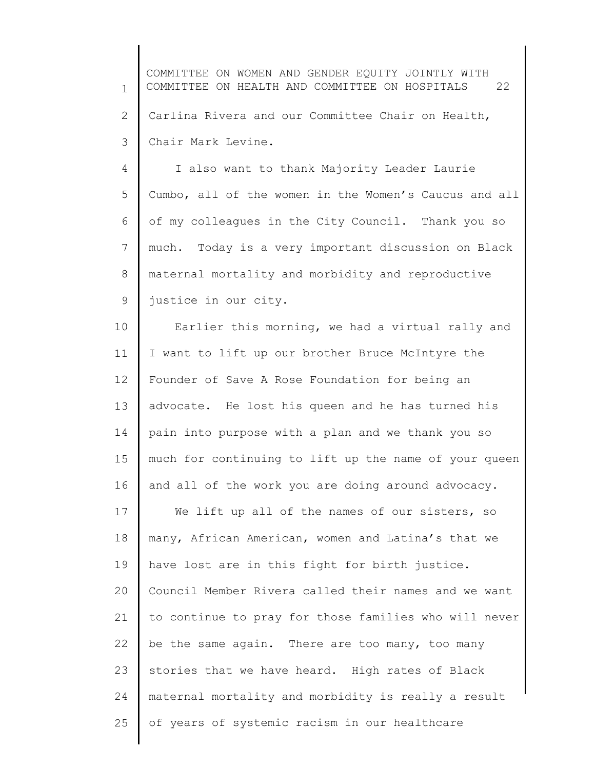1 2 3 COMMITTEE ON WOMEN AND GENDER EQUITY JOINTLY WITH COMMITTEE ON HEALTH AND COMMITTEE ON HOSPITALS 22 Carlina Rivera and our Committee Chair on Health, Chair Mark Levine.

4 5 6 7 8 9 I also want to thank Majority Leader Laurie Cumbo, all of the women in the Women's Caucus and all of my colleagues in the City Council. Thank you so much. Today is a very important discussion on Black maternal mortality and morbidity and reproductive justice in our city.

10 11 12 13 14 15 16 17 18 19 20 21 22 23 24 Earlier this morning, we had a virtual rally and I want to lift up our brother Bruce McIntyre the Founder of Save A Rose Foundation for being an advocate. He lost his queen and he has turned his pain into purpose with a plan and we thank you so much for continuing to lift up the name of your queen and all of the work you are doing around advocacy. We lift up all of the names of our sisters, so many, African American, women and Latina's that we have lost are in this fight for birth justice. Council Member Rivera called their names and we want to continue to pray for those families who will never be the same again. There are too many, too many stories that we have heard. High rates of Black maternal mortality and morbidity is really a result

of years of systemic racism in our healthcare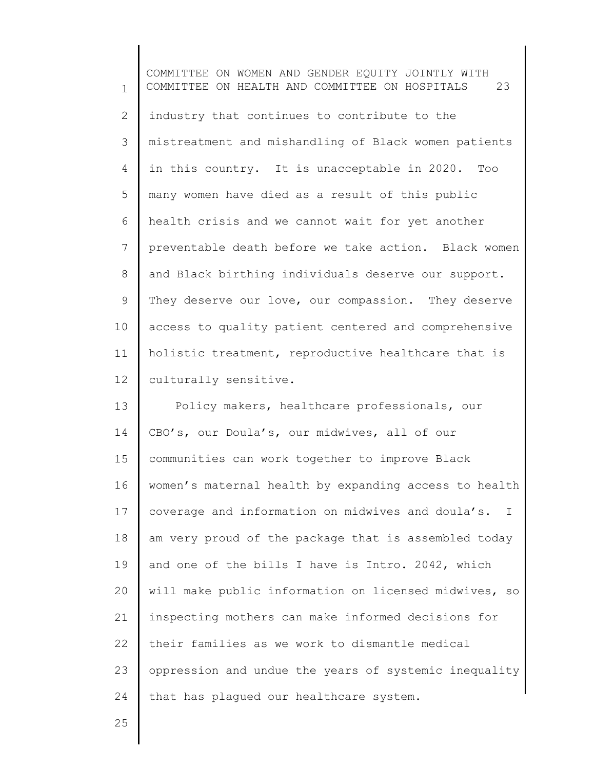1 2 3 4 5 6 7 8 9 10 11 12 COMMITTEE ON WOMEN AND GENDER EQUITY JOINTLY WITH COMMITTEE ON HEALTH AND COMMITTEE ON HOSPITALS 23 industry that continues to contribute to the mistreatment and mishandling of Black women patients in this country. It is unacceptable in 2020. Too many women have died as a result of this public health crisis and we cannot wait for yet another preventable death before we take action. Black women and Black birthing individuals deserve our support. They deserve our love, our compassion. They deserve access to quality patient centered and comprehensive holistic treatment, reproductive healthcare that is culturally sensitive.

13 14 15 16 17 18 19 20 21 22 23 24 Policy makers, healthcare professionals, our CBO's, our Doula's, our midwives, all of our communities can work together to improve Black women's maternal health by expanding access to health coverage and information on midwives and doula's. I am very proud of the package that is assembled today and one of the bills I have is Intro. 2042, which will make public information on licensed midwives, so inspecting mothers can make informed decisions for their families as we work to dismantle medical oppression and undue the years of systemic inequality that has plagued our healthcare system.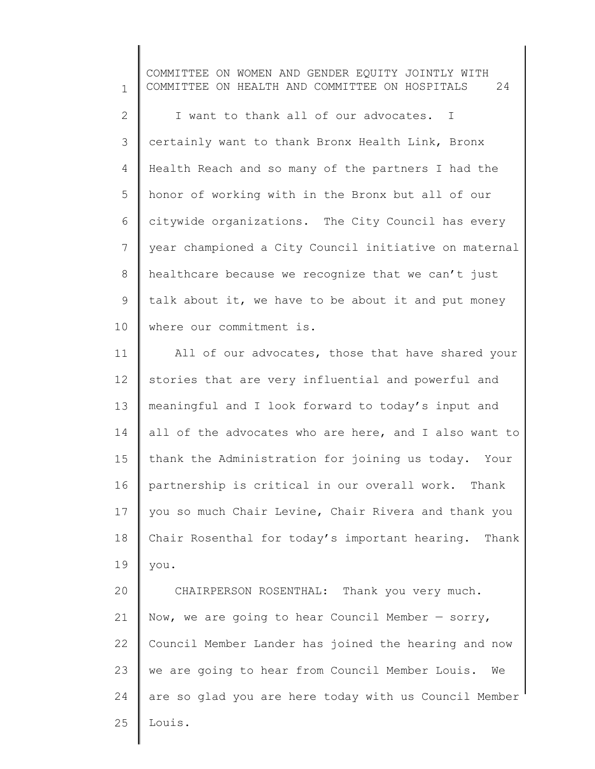1 2 3 4 5 6 7 8 9 10 COMMITTEE ON WOMEN AND GENDER EQUITY JOINTLY WITH COMMITTEE ON HEALTH AND COMMITTEE ON HOSPITALS 24 I want to thank all of our advocates. I certainly want to thank Bronx Health Link, Bronx Health Reach and so many of the partners I had the honor of working with in the Bronx but all of our citywide organizations. The City Council has every year championed a City Council initiative on maternal healthcare because we recognize that we can't just talk about it, we have to be about it and put money where our commitment is.

11 12 13 14 15 16 17 18 19 All of our advocates, those that have shared your stories that are very influential and powerful and meaningful and I look forward to today's input and all of the advocates who are here, and I also want to thank the Administration for joining us today. Your partnership is critical in our overall work. Thank you so much Chair Levine, Chair Rivera and thank you Chair Rosenthal for today's important hearing. Thank you.

20 21 22 23 24 25 CHAIRPERSON ROSENTHAL: Thank you very much. Now, we are going to hear Council Member  $-$  sorry, Council Member Lander has joined the hearing and now we are going to hear from Council Member Louis. We are so glad you are here today with us Council Member Louis.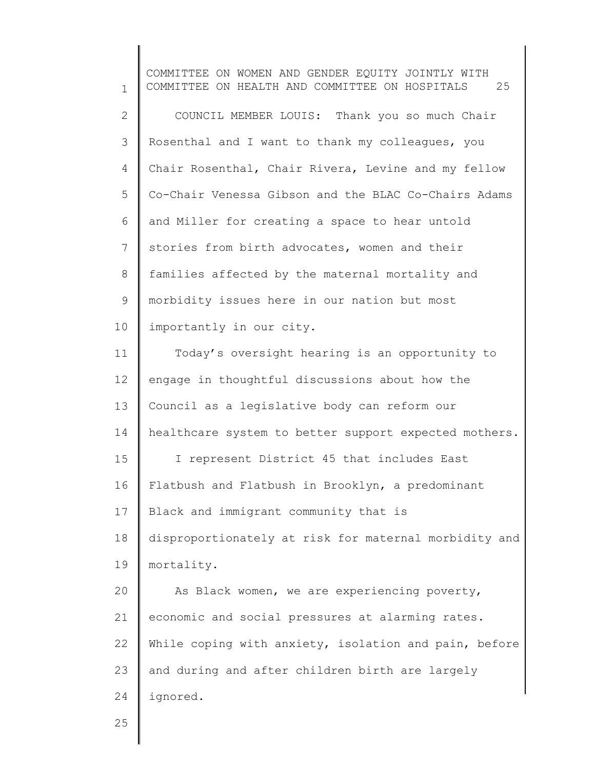1 2 3 4 5 6 7 8 9 10 11 12 13 14 15 16 17 18 19 20 21 22 23 24 25 COMMITTEE ON WOMEN AND GENDER EQUITY JOINTLY WITH COMMITTEE ON HEALTH AND COMMITTEE ON HOSPITALS 25 COUNCIL MEMBER LOUIS: Thank you so much Chair Rosenthal and I want to thank my colleagues, you Chair Rosenthal, Chair Rivera, Levine and my fellow Co-Chair Venessa Gibson and the BLAC Co-Chairs Adams and Miller for creating a space to hear untold stories from birth advocates, women and their families affected by the maternal mortality and morbidity issues here in our nation but most importantly in our city. Today's oversight hearing is an opportunity to engage in thoughtful discussions about how the Council as a legislative body can reform our healthcare system to better support expected mothers. I represent District 45 that includes East Flatbush and Flatbush in Brooklyn, a predominant Black and immigrant community that is disproportionately at risk for maternal morbidity and mortality. As Black women, we are experiencing poverty, economic and social pressures at alarming rates. While coping with anxiety, isolation and pain, before and during and after children birth are largely ignored.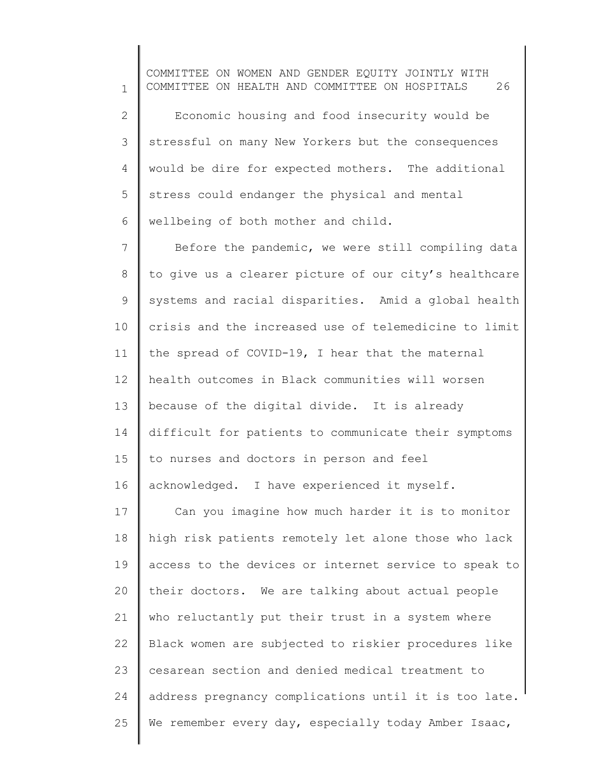1 2 3 4 5 6 COMMITTEE ON WOMEN AND GENDER EQUITY JOINTLY WITH COMMITTEE ON HEALTH AND COMMITTEE ON HOSPITALS 26 Economic housing and food insecurity would be stressful on many New Yorkers but the consequences would be dire for expected mothers. The additional stress could endanger the physical and mental wellbeing of both mother and child.

7 8 9 10 11 12 13 14 15 16 Before the pandemic, we were still compiling data to give us a clearer picture of our city's healthcare systems and racial disparities. Amid a global health crisis and the increased use of telemedicine to limit the spread of COVID-19, I hear that the maternal health outcomes in Black communities will worsen because of the digital divide. It is already difficult for patients to communicate their symptoms to nurses and doctors in person and feel acknowledged. I have experienced it myself.

17 18 19 20 21 22 23 24 25 Can you imagine how much harder it is to monitor high risk patients remotely let alone those who lack access to the devices or internet service to speak to their doctors. We are talking about actual people who reluctantly put their trust in a system where Black women are subjected to riskier procedures like cesarean section and denied medical treatment to address pregnancy complications until it is too late. We remember every day, especially today Amber Isaac,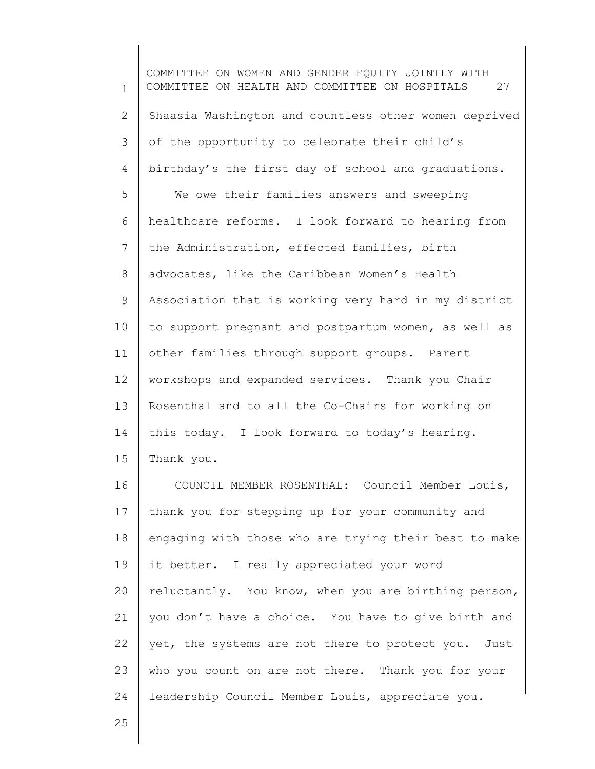1 2 3 4 5 6 7 8 9 10 11 12 13 14 15 16 COMMITTEE ON WOMEN AND GENDER EQUITY JOINTLY WITH COMMITTEE ON HEALTH AND COMMITTEE ON HOSPITALS 27 Shaasia Washington and countless other women deprived of the opportunity to celebrate their child's birthday's the first day of school and graduations. We owe their families answers and sweeping healthcare reforms. I look forward to hearing from the Administration, effected families, birth advocates, like the Caribbean Women's Health Association that is working very hard in my district to support pregnant and postpartum women, as well as other families through support groups. Parent workshops and expanded services. Thank you Chair Rosenthal and to all the Co-Chairs for working on this today. I look forward to today's hearing. Thank you. COUNCIL MEMBER ROSENTHAL: Council Member Louis,

17 18 19 20 21 22 23 24 thank you for stepping up for your community and engaging with those who are trying their best to make it better. I really appreciated your word reluctantly. You know, when you are birthing person, you don't have a choice. You have to give birth and yet, the systems are not there to protect you. Just who you count on are not there. Thank you for your leadership Council Member Louis, appreciate you.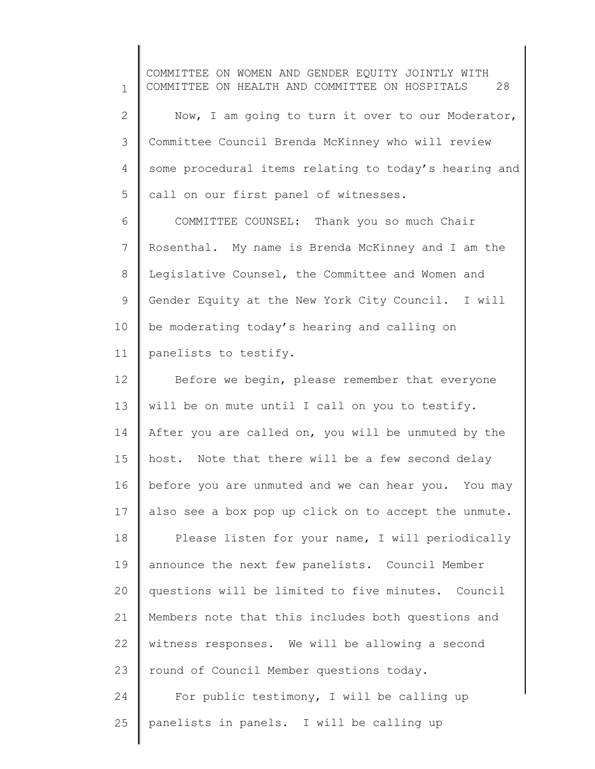1 2 3 4 5 6 7 COMMITTEE ON WOMEN AND GENDER EQUITY JOINTLY WITH COMMITTEE ON HEALTH AND COMMITTEE ON HOSPITALS 28 Now, I am going to turn it over to our Moderator, Committee Council Brenda McKinney who will review some procedural items relating to today's hearing and call on our first panel of witnesses. COMMITTEE COUNSEL: Thank you so much Chair Rosenthal. My name is Brenda McKinney and I am the

9 10 11 Gender Equity at the New York City Council. I will be moderating today's hearing and calling on panelists to testify.

Legislative Counsel, the Committee and Women and

8

12 13 14 15 16 17 18 19 20 21 22 Before we begin, please remember that everyone will be on mute until I call on you to testify. After you are called on, you will be unmuted by the host. Note that there will be a few second delay before you are unmuted and we can hear you. You may also see a box pop up click on to accept the unmute. Please listen for your name, I will periodically announce the next few panelists. Council Member questions will be limited to five minutes. Council Members note that this includes both questions and

23 witness responses. We will be allowing a second round of Council Member questions today.

24 25 For public testimony, I will be calling up panelists in panels. I will be calling up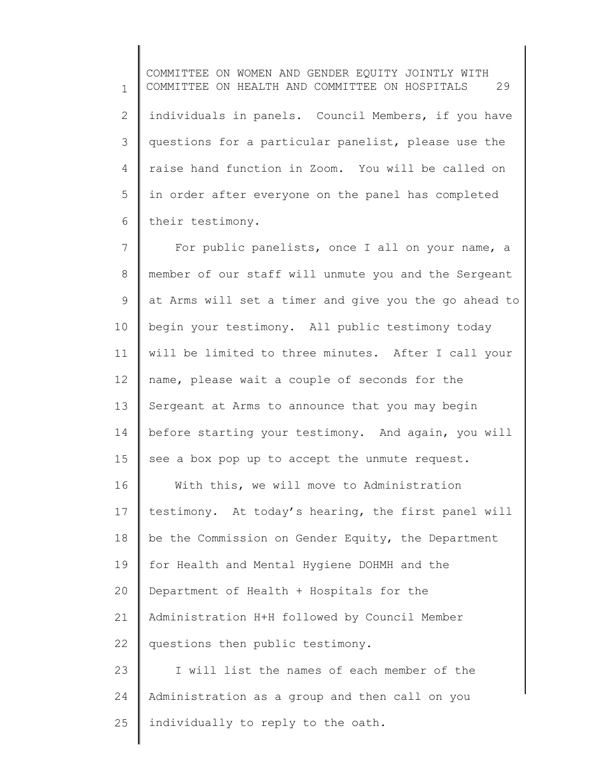1 2 3 4 5 6 COMMITTEE ON WOMEN AND GENDER EQUITY JOINTLY WITH COMMITTEE ON HEALTH AND COMMITTEE ON HOSPITALS 29 individuals in panels. Council Members, if you have questions for a particular panelist, please use the raise hand function in Zoom. You will be called on in order after everyone on the panel has completed their testimony.

7 8 9 10 11 12 13 14 15 16 17 18 19 20 21 22 23 24 For public panelists, once I all on your name, a member of our staff will unmute you and the Sergeant at Arms will set a timer and give you the go ahead to begin your testimony. All public testimony today will be limited to three minutes. After I call your name, please wait a couple of seconds for the Sergeant at Arms to announce that you may begin before starting your testimony. And again, you will see a box pop up to accept the unmute request. With this, we will move to Administration testimony. At today's hearing, the first panel will be the Commission on Gender Equity, the Department for Health and Mental Hygiene DOHMH and the Department of Health + Hospitals for the Administration H+H followed by Council Member questions then public testimony. I will list the names of each member of the Administration as a group and then call on you

25 individually to reply to the oath.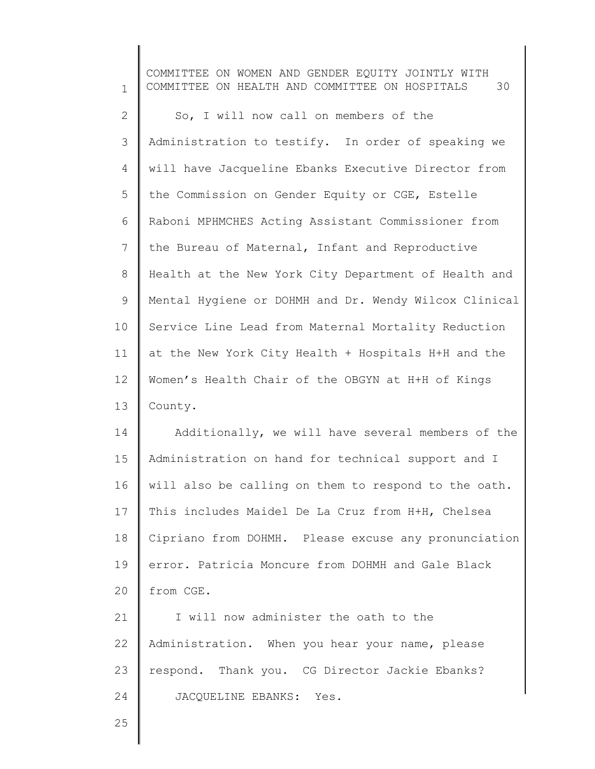1 2 3 4 5 6 7 8 9 10 11 12 13 14 15 16 17 18 19 20 21 22 23 24 COMMITTEE ON WOMEN AND GENDER EQUITY JOINTLY WITH COMMITTEE ON HEALTH AND COMMITTEE ON HOSPITALS 30 So, I will now call on members of the Administration to testify. In order of speaking we will have Jacqueline Ebanks Executive Director from the Commission on Gender Equity or CGE, Estelle Raboni MPHMCHES Acting Assistant Commissioner from the Bureau of Maternal, Infant and Reproductive Health at the New York City Department of Health and Mental Hygiene or DOHMH and Dr. Wendy Wilcox Clinical Service Line Lead from Maternal Mortality Reduction at the New York City Health + Hospitals H+H and the Women's Health Chair of the OBGYN at H+H of Kings County. Additionally, we will have several members of the Administration on hand for technical support and I will also be calling on them to respond to the oath. This includes Maidel De La Cruz from H+H, Chelsea Cipriano from DOHMH. Please excuse any pronunciation error. Patricia Moncure from DOHMH and Gale Black from CGE. I will now administer the oath to the Administration. When you hear your name, please respond. Thank you. CG Director Jackie Ebanks? JACQUELINE EBANKS: Yes.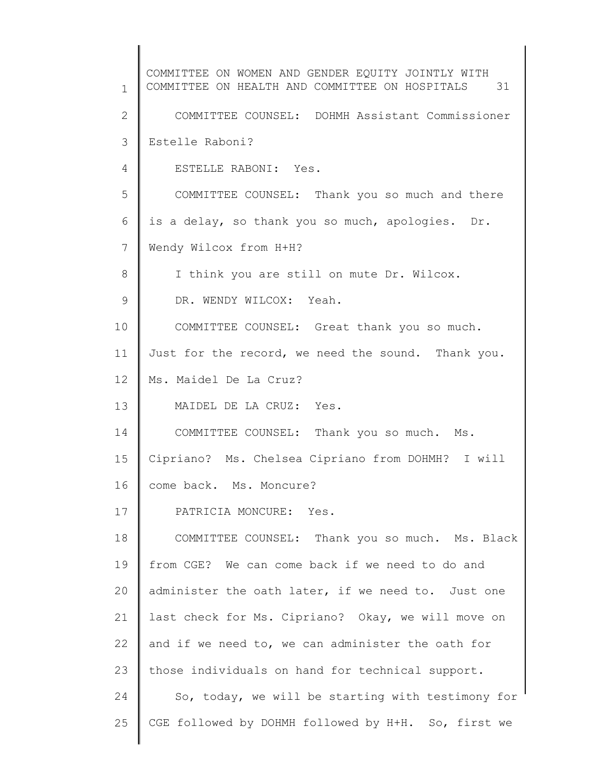1 2 3 4 5 6 7 8 9 10 11 12 13 14 15 16 17 18 19 20 21 22 23 24 25 COMMITTEE ON WOMEN AND GENDER EQUITY JOINTLY WITH COMMITTEE ON HEALTH AND COMMITTEE ON HOSPITALS 31 COMMITTEE COUNSEL: DOHMH Assistant Commissioner Estelle Raboni? ESTELLE RABONI: Yes. COMMITTEE COUNSEL: Thank you so much and there is a delay, so thank you so much, apologies. Dr. Wendy Wilcox from H+H? I think you are still on mute Dr. Wilcox. DR. WENDY WILCOX: Yeah. COMMITTEE COUNSEL: Great thank you so much. Just for the record, we need the sound. Thank you. Ms. Maidel De La Cruz? MAIDEL DE LA CRUZ: Yes. COMMITTEE COUNSEL: Thank you so much. Ms. Cipriano? Ms. Chelsea Cipriano from DOHMH? I will come back. Ms. Moncure? PATRICIA MONCURE: Yes. COMMITTEE COUNSEL: Thank you so much. Ms. Black from CGE? We can come back if we need to do and administer the oath later, if we need to. Just one last check for Ms. Cipriano? Okay, we will move on and if we need to, we can administer the oath for those individuals on hand for technical support. So, today, we will be starting with testimony for CGE followed by DOHMH followed by H+H. So, first we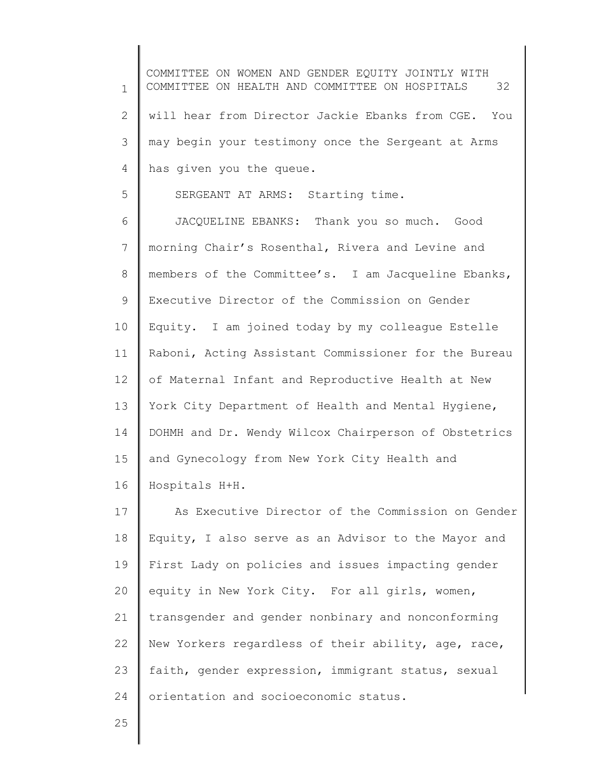1 2 3 4 5 6 7 8 9 10 11 12 13 14 15 16 17 18 19 20 21 22 23 24 COMMITTEE ON WOMEN AND GENDER EQUITY JOINTLY WITH COMMITTEE ON HEALTH AND COMMITTEE ON HOSPITALS 32 will hear from Director Jackie Ebanks from CGE. You may begin your testimony once the Sergeant at Arms has given you the queue. SERGEANT AT ARMS: Starting time. JACQUELINE EBANKS: Thank you so much. Good morning Chair's Rosenthal, Rivera and Levine and members of the Committee's. I am Jacqueline Ebanks, Executive Director of the Commission on Gender Equity. I am joined today by my colleague Estelle Raboni, Acting Assistant Commissioner for the Bureau of Maternal Infant and Reproductive Health at New York City Department of Health and Mental Hygiene, DOHMH and Dr. Wendy Wilcox Chairperson of Obstetrics and Gynecology from New York City Health and Hospitals H+H. As Executive Director of the Commission on Gender Equity, I also serve as an Advisor to the Mayor and First Lady on policies and issues impacting gender equity in New York City. For all girls, women, transgender and gender nonbinary and nonconforming New Yorkers regardless of their ability, age, race, faith, gender expression, immigrant status, sexual orientation and socioeconomic status.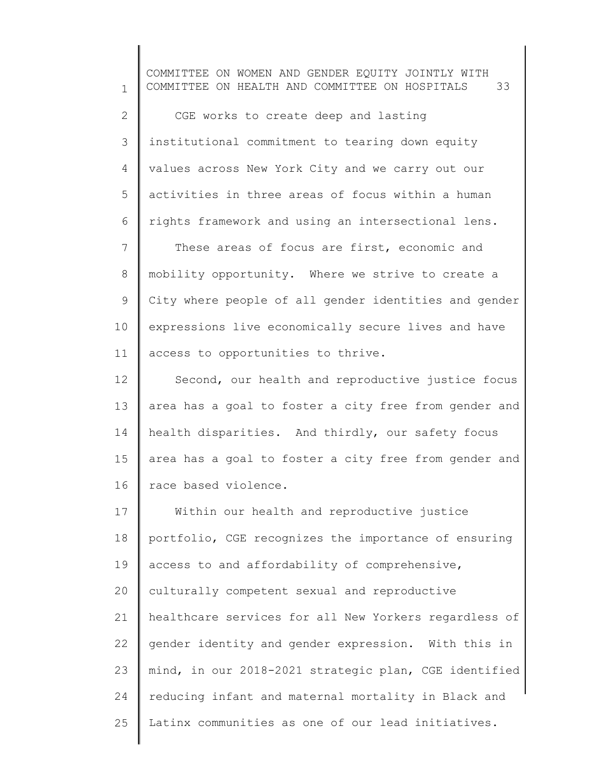1 2 3 4 5 6 7 8 9 10 11 12 13 14 15 16 17 18 19 20 21 22 23 24 25 COMMITTEE ON WOMEN AND GENDER EQUITY JOINTLY WITH COMMITTEE ON HEALTH AND COMMITTEE ON HOSPITALS 33 CGE works to create deep and lasting institutional commitment to tearing down equity values across New York City and we carry out our activities in three areas of focus within a human rights framework and using an intersectional lens. These areas of focus are first, economic and mobility opportunity. Where we strive to create a City where people of all gender identities and gender expressions live economically secure lives and have access to opportunities to thrive. Second, our health and reproductive justice focus area has a goal to foster a city free from gender and health disparities. And thirdly, our safety focus area has a goal to foster a city free from gender and race based violence. Within our health and reproductive justice portfolio, CGE recognizes the importance of ensuring access to and affordability of comprehensive, culturally competent sexual and reproductive healthcare services for all New Yorkers regardless of gender identity and gender expression. With this in mind, in our 2018-2021 strategic plan, CGE identified reducing infant and maternal mortality in Black and Latinx communities as one of our lead initiatives.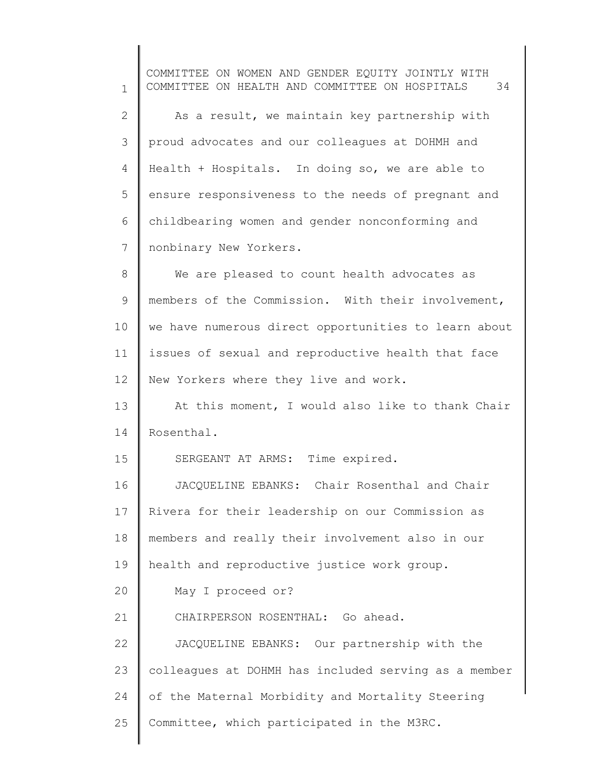1 2 3 4 5 6 7 8 9 10 11 12 13 14 15 16 17 18 19 20 21 22 23 24 25 COMMITTEE ON WOMEN AND GENDER EQUITY JOINTLY WITH COMMITTEE ON HEALTH AND COMMITTEE ON HOSPITALS 34 As a result, we maintain key partnership with proud advocates and our colleagues at DOHMH and Health + Hospitals. In doing so, we are able to ensure responsiveness to the needs of pregnant and childbearing women and gender nonconforming and nonbinary New Yorkers. We are pleased to count health advocates as members of the Commission. With their involvement, we have numerous direct opportunities to learn about issues of sexual and reproductive health that face New Yorkers where they live and work. At this moment, I would also like to thank Chair Rosenthal. SERGEANT AT ARMS: Time expired. JACQUELINE EBANKS: Chair Rosenthal and Chair Rivera for their leadership on our Commission as members and really their involvement also in our health and reproductive justice work group. May I proceed or? CHAIRPERSON ROSENTHAL: Go ahead. JACQUELINE EBANKS: Our partnership with the colleagues at DOHMH has included serving as a member of the Maternal Morbidity and Mortality Steering Committee, which participated in the M3RC.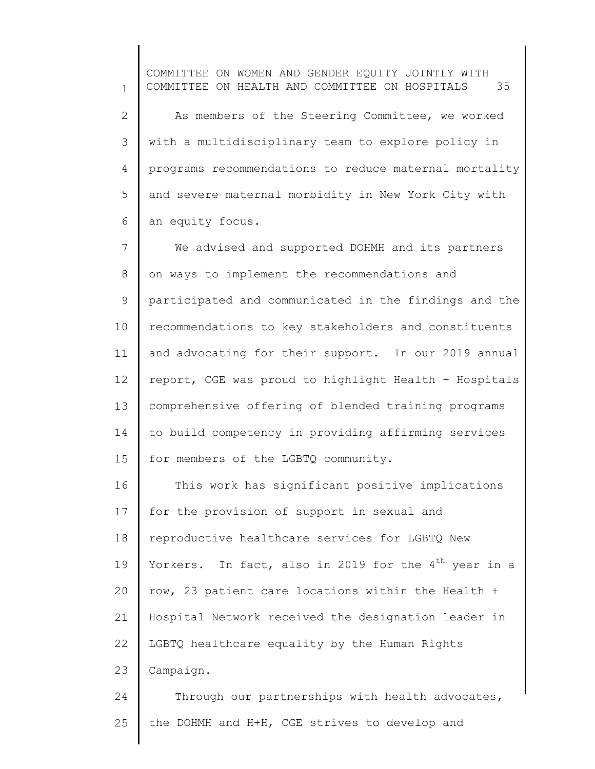1 2 3 4 5 6 COMMITTEE ON WOMEN AND GENDER EQUITY JOINTLY WITH COMMITTEE ON HEALTH AND COMMITTEE ON HOSPITALS 35 As members of the Steering Committee, we worked with a multidisciplinary team to explore policy in programs recommendations to reduce maternal mortality and severe maternal morbidity in New York City with an equity focus.

7 8 9 10 11 12 13 14 15 We advised and supported DOHMH and its partners on ways to implement the recommendations and participated and communicated in the findings and the recommendations to key stakeholders and constituents and advocating for their support. In our 2019 annual report, CGE was proud to highlight Health + Hospitals comprehensive offering of blended training programs to build competency in providing affirming services for members of the LGBTQ community.

16 17 18 19 20 21 22 23 This work has significant positive implications for the provision of support in sexual and reproductive healthcare services for LGBTQ New Yorkers. In fact, also in 2019 for the  $4<sup>th</sup>$  year in a row, 23 patient care locations within the Health + Hospital Network received the designation leader in LGBTQ healthcare equality by the Human Rights Campaign.

24 25 Through our partnerships with health advocates, the DOHMH and H+H, CGE strives to develop and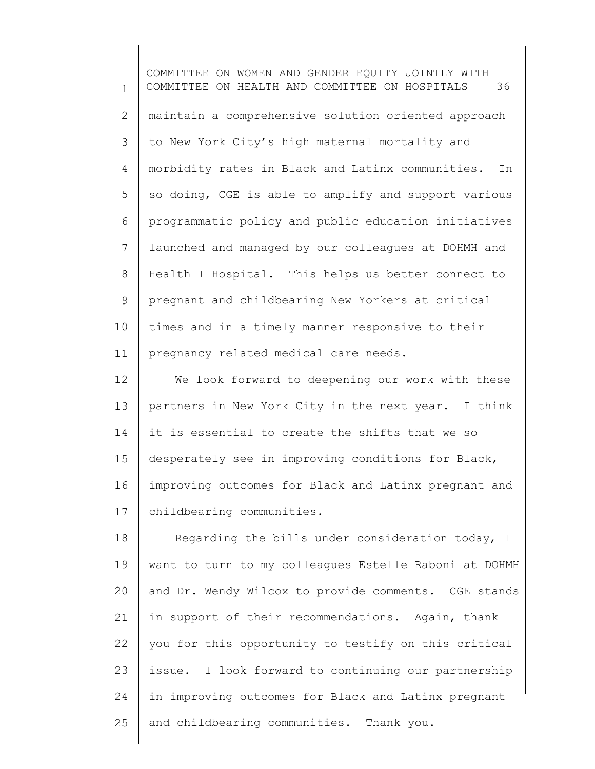1 2 3 4 5 6 7 8 9 10 11 COMMITTEE ON WOMEN AND GENDER EQUITY JOINTLY WITH COMMITTEE ON HEALTH AND COMMITTEE ON HOSPITALS 36 maintain a comprehensive solution oriented approach to New York City's high maternal mortality and morbidity rates in Black and Latinx communities. In so doing, CGE is able to amplify and support various programmatic policy and public education initiatives launched and managed by our colleagues at DOHMH and Health + Hospital. This helps us better connect to pregnant and childbearing New Yorkers at critical times and in a timely manner responsive to their pregnancy related medical care needs.

12 13 14 15 16 17 We look forward to deepening our work with these partners in New York City in the next year. I think it is essential to create the shifts that we so desperately see in improving conditions for Black, improving outcomes for Black and Latinx pregnant and childbearing communities.

18 19 20 21 22 23 24 25 Regarding the bills under consideration today, I want to turn to my colleagues Estelle Raboni at DOHMH and Dr. Wendy Wilcox to provide comments. CGE stands in support of their recommendations. Again, thank you for this opportunity to testify on this critical issue. I look forward to continuing our partnership in improving outcomes for Black and Latinx pregnant and childbearing communities. Thank you.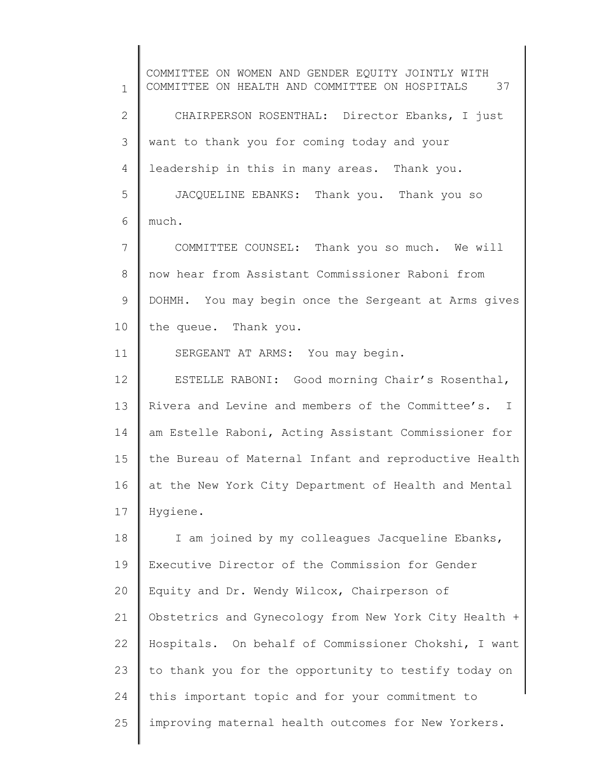1 2 3 4 5 6 7 8 9 10 11 12 13 14 15 16 17 18 19 20 21 22 23 24 25 COMMITTEE ON WOMEN AND GENDER EQUITY JOINTLY WITH COMMITTEE ON HEALTH AND COMMITTEE ON HOSPITALS 37 CHAIRPERSON ROSENTHAL: Director Ebanks, I just want to thank you for coming today and your leadership in this in many areas. Thank you. JACQUELINE EBANKS: Thank you. Thank you so much. COMMITTEE COUNSEL: Thank you so much. We will now hear from Assistant Commissioner Raboni from DOHMH. You may begin once the Sergeant at Arms gives the queue. Thank you. SERGEANT AT ARMS: You may begin. ESTELLE RABONI: Good morning Chair's Rosenthal, Rivera and Levine and members of the Committee's. I am Estelle Raboni, Acting Assistant Commissioner for the Bureau of Maternal Infant and reproductive Health at the New York City Department of Health and Mental Hygiene. I am joined by my colleagues Jacqueline Ebanks, Executive Director of the Commission for Gender Equity and Dr. Wendy Wilcox, Chairperson of Obstetrics and Gynecology from New York City Health + Hospitals. On behalf of Commissioner Chokshi, I want to thank you for the opportunity to testify today on this important topic and for your commitment to improving maternal health outcomes for New Yorkers.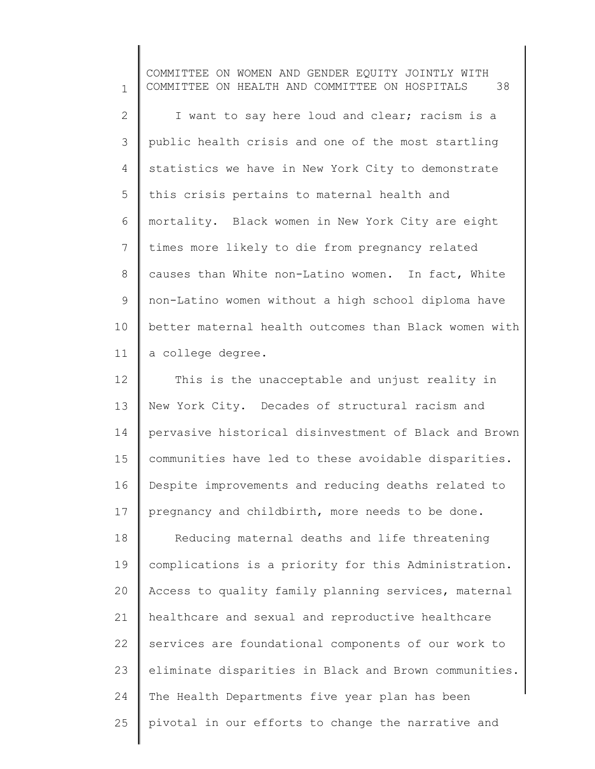1 2 3 4 5 6 7 8 9 10 11 COMMITTEE ON WOMEN AND GENDER EQUITY JOINTLY WITH COMMITTEE ON HEALTH AND COMMITTEE ON HOSPITALS 38 I want to say here loud and clear; racism is a public health crisis and one of the most startling statistics we have in New York City to demonstrate this crisis pertains to maternal health and mortality. Black women in New York City are eight times more likely to die from pregnancy related causes than White non-Latino women. In fact, White non-Latino women without a high school diploma have better maternal health outcomes than Black women with a college degree.

12 13 14 15 16 17 18 19 20 21 22 23 24 This is the unacceptable and unjust reality in New York City. Decades of structural racism and pervasive historical disinvestment of Black and Brown communities have led to these avoidable disparities. Despite improvements and reducing deaths related to pregnancy and childbirth, more needs to be done. Reducing maternal deaths and life threatening complications is a priority for this Administration. Access to quality family planning services, maternal healthcare and sexual and reproductive healthcare services are foundational components of our work to eliminate disparities in Black and Brown communities. The Health Departments five year plan has been

pivotal in our efforts to change the narrative and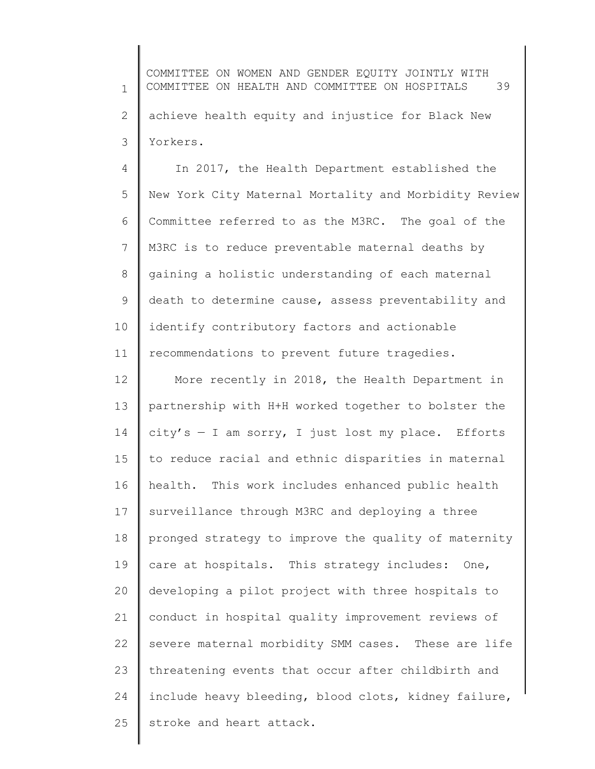1 2 3 COMMITTEE ON WOMEN AND GENDER EQUITY JOINTLY WITH COMMITTEE ON HEALTH AND COMMITTEE ON HOSPITALS 39 achieve health equity and injustice for Black New Yorkers.

4 5 6 7 8 9 10 11 In 2017, the Health Department established the New York City Maternal Mortality and Morbidity Review Committee referred to as the M3RC. The goal of the M3RC is to reduce preventable maternal deaths by gaining a holistic understanding of each maternal death to determine cause, assess preventability and identify contributory factors and actionable recommendations to prevent future tragedies.

12 13 14 15 16 17 18 19 20 21 22 23 24 25 More recently in 2018, the Health Department in partnership with H+H worked together to bolster the  $city's - I$  am sorry, I just lost my place. Efforts to reduce racial and ethnic disparities in maternal health. This work includes enhanced public health surveillance through M3RC and deploying a three pronged strategy to improve the quality of maternity care at hospitals. This strategy includes: One, developing a pilot project with three hospitals to conduct in hospital quality improvement reviews of severe maternal morbidity SMM cases. These are life threatening events that occur after childbirth and include heavy bleeding, blood clots, kidney failure, stroke and heart attack.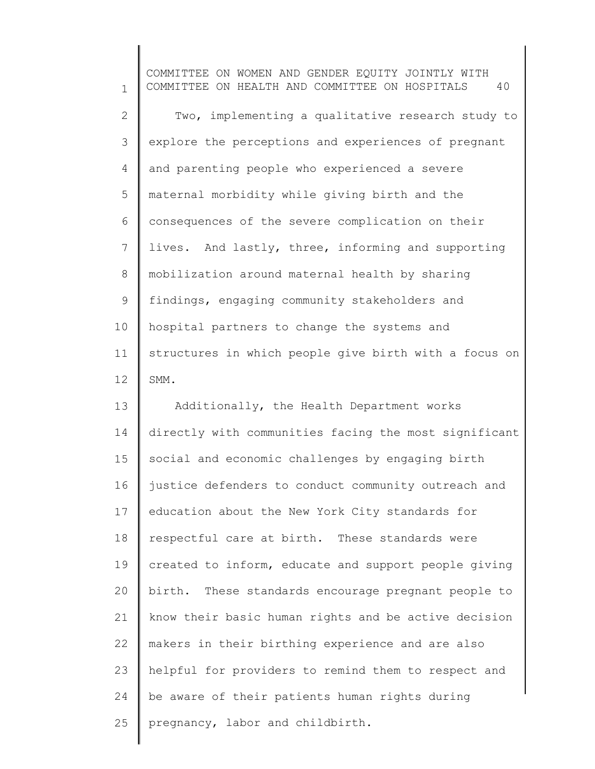1 2 3 4 5 6 7 8 9 10 11 12 COMMITTEE ON WOMEN AND GENDER EQUITY JOINTLY WITH COMMITTEE ON HEALTH AND COMMITTEE ON HOSPITALS 40 Two, implementing a qualitative research study to explore the perceptions and experiences of pregnant and parenting people who experienced a severe maternal morbidity while giving birth and the consequences of the severe complication on their lives. And lastly, three, informing and supporting mobilization around maternal health by sharing findings, engaging community stakeholders and hospital partners to change the systems and structures in which people give birth with a focus on SMM.

13 14 15 16 17 18 19 20 21 22 23 24 25 Additionally, the Health Department works directly with communities facing the most significant social and economic challenges by engaging birth justice defenders to conduct community outreach and education about the New York City standards for respectful care at birth. These standards were created to inform, educate and support people giving birth. These standards encourage pregnant people to know their basic human rights and be active decision makers in their birthing experience and are also helpful for providers to remind them to respect and be aware of their patients human rights during pregnancy, labor and childbirth.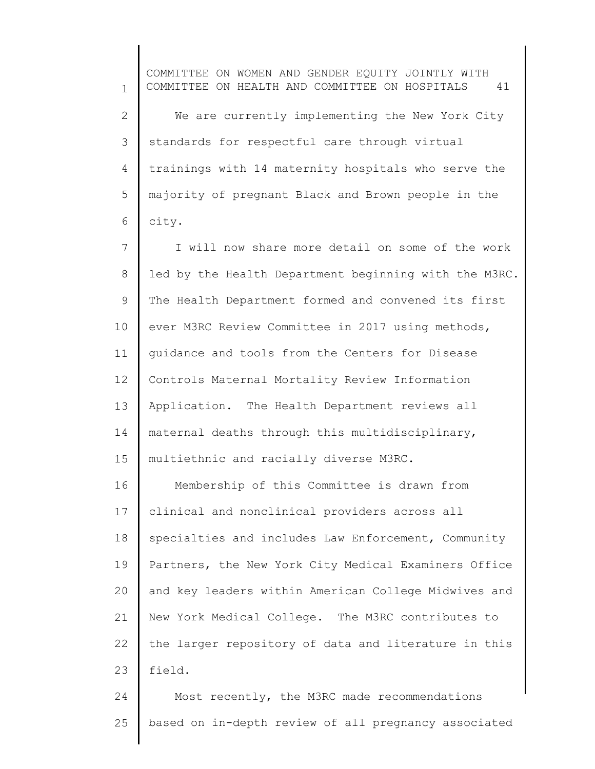1 2 3 4 5 6 COMMITTEE ON WOMEN AND GENDER EQUITY JOINTLY WITH COMMITTEE ON HEALTH AND COMMITTEE ON HOSPITALS 41 We are currently implementing the New York City standards for respectful care through virtual trainings with 14 maternity hospitals who serve the majority of pregnant Black and Brown people in the city.

7 8 9 10 11 12 13 14 15 I will now share more detail on some of the work led by the Health Department beginning with the M3RC. The Health Department formed and convened its first ever M3RC Review Committee in 2017 using methods, guidance and tools from the Centers for Disease Controls Maternal Mortality Review Information Application. The Health Department reviews all maternal deaths through this multidisciplinary, multiethnic and racially diverse M3RC.

16 17 18 19 20 21 22 23 Membership of this Committee is drawn from clinical and nonclinical providers across all specialties and includes Law Enforcement, Community Partners, the New York City Medical Examiners Office and key leaders within American College Midwives and New York Medical College. The M3RC contributes to the larger repository of data and literature in this field.

24 25 Most recently, the M3RC made recommendations based on in-depth review of all pregnancy associated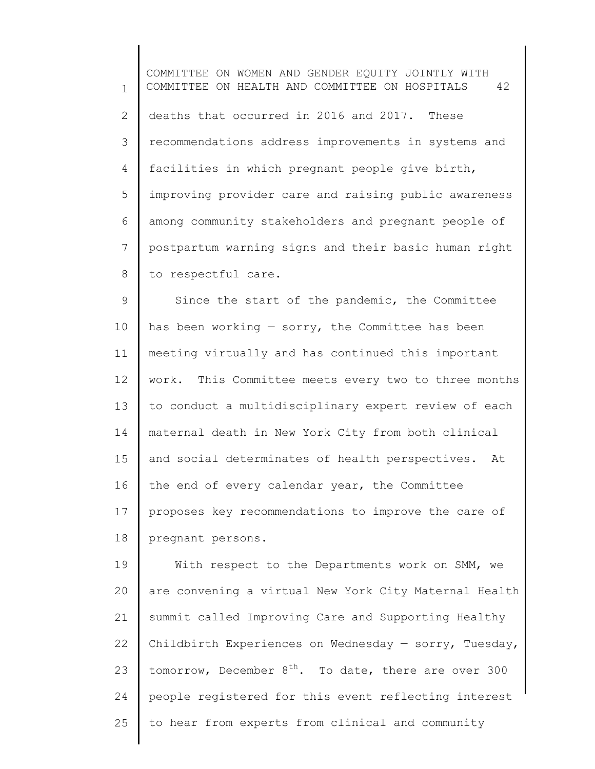1 2 3 4 5 6 7 8 COMMITTEE ON WOMEN AND GENDER EQUITY JOINTLY WITH COMMITTEE ON HEALTH AND COMMITTEE ON HOSPITALS 42 deaths that occurred in 2016 and 2017. These recommendations address improvements in systems and facilities in which pregnant people give birth, improving provider care and raising public awareness among community stakeholders and pregnant people of postpartum warning signs and their basic human right to respectful care.

9 10 11 12 13 14 15 16 17 18 Since the start of the pandemic, the Committee has been working  $-$  sorry, the Committee has been meeting virtually and has continued this important work. This Committee meets every two to three months to conduct a multidisciplinary expert review of each maternal death in New York City from both clinical and social determinates of health perspectives. At the end of every calendar year, the Committee proposes key recommendations to improve the care of pregnant persons.

19 20 21 22 23 24 25 With respect to the Departments work on SMM, we are convening a virtual New York City Maternal Health summit called Improving Care and Supporting Healthy Childbirth Experiences on Wednesday  $-$  sorry, Tuesday, tomorrow, December  $8<sup>th</sup>$ . To date, there are over 300 people registered for this event reflecting interest to hear from experts from clinical and community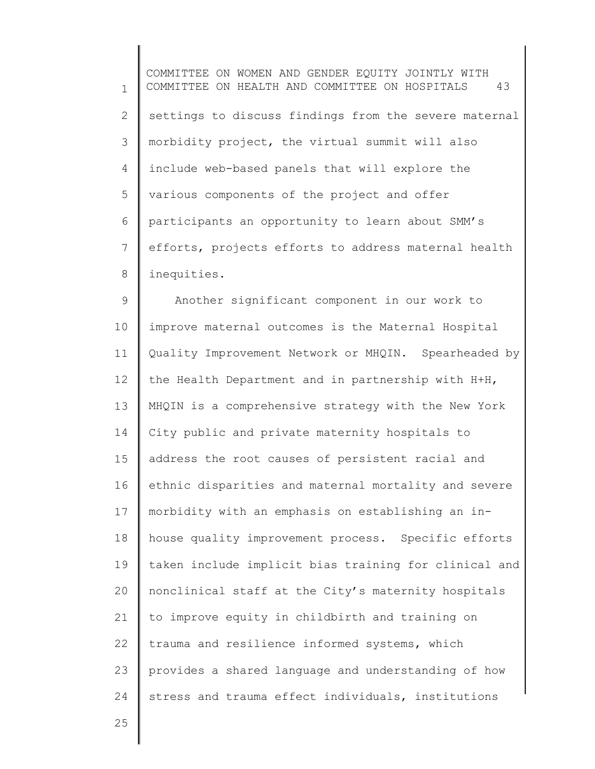1 2 3 4 5 6 7 8 COMMITTEE ON WOMEN AND GENDER EQUITY JOINTLY WITH COMMITTEE ON HEALTH AND COMMITTEE ON HOSPITALS 43 settings to discuss findings from the severe maternal morbidity project, the virtual summit will also include web-based panels that will explore the various components of the project and offer participants an opportunity to learn about SMM's efforts, projects efforts to address maternal health inequities.

9 10 11 12 13 14 15 16 17 18 19 20 21 22 23 24 Another significant component in our work to improve maternal outcomes is the Maternal Hospital Quality Improvement Network or MHQIN. Spearheaded by the Health Department and in partnership with H+H, MHQIN is a comprehensive strategy with the New York City public and private maternity hospitals to address the root causes of persistent racial and ethnic disparities and maternal mortality and severe morbidity with an emphasis on establishing an inhouse quality improvement process. Specific efforts taken include implicit bias training for clinical and nonclinical staff at the City's maternity hospitals to improve equity in childbirth and training on trauma and resilience informed systems, which provides a shared language and understanding of how stress and trauma effect individuals, institutions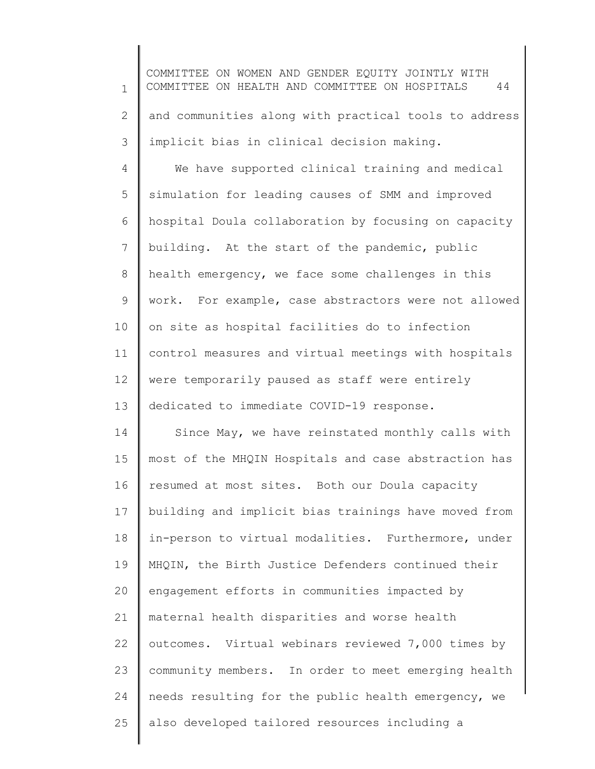1 2 3 4 5 6 7 8 9 10 11 12 13 14 15 16 17 18 19 20 21 22 23 24 25 COMMITTEE ON WOMEN AND GENDER EQUITY JOINTLY WITH COMMITTEE ON HEALTH AND COMMITTEE ON HOSPITALS 44 and communities along with practical tools to address implicit bias in clinical decision making. We have supported clinical training and medical simulation for leading causes of SMM and improved hospital Doula collaboration by focusing on capacity building. At the start of the pandemic, public health emergency, we face some challenges in this work. For example, case abstractors were not allowed on site as hospital facilities do to infection control measures and virtual meetings with hospitals were temporarily paused as staff were entirely dedicated to immediate COVID-19 response. Since May, we have reinstated monthly calls with most of the MHQIN Hospitals and case abstraction has resumed at most sites. Both our Doula capacity building and implicit bias trainings have moved from in-person to virtual modalities. Furthermore, under MHQIN, the Birth Justice Defenders continued their engagement efforts in communities impacted by maternal health disparities and worse health outcomes. Virtual webinars reviewed 7,000 times by community members. In order to meet emerging health needs resulting for the public health emergency, we also developed tailored resources including a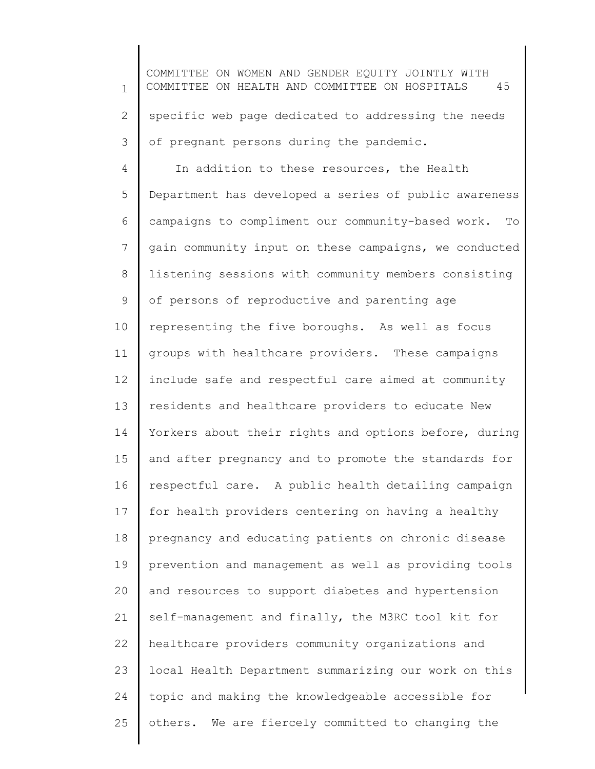1 2 3 4 5 6 7 8 9 10 11 12 13 14 15 16 17 18 19 20 21 22 23 24 COMMITTEE ON WOMEN AND GENDER EQUITY JOINTLY WITH COMMITTEE ON HEALTH AND COMMITTEE ON HOSPITALS 45 specific web page dedicated to addressing the needs of pregnant persons during the pandemic. In addition to these resources, the Health Department has developed a series of public awareness campaigns to compliment our community-based work. To gain community input on these campaigns, we conducted listening sessions with community members consisting of persons of reproductive and parenting age representing the five boroughs. As well as focus groups with healthcare providers. These campaigns include safe and respectful care aimed at community residents and healthcare providers to educate New Yorkers about their rights and options before, during and after pregnancy and to promote the standards for respectful care. A public health detailing campaign for health providers centering on having a healthy pregnancy and educating patients on chronic disease prevention and management as well as providing tools and resources to support diabetes and hypertension self-management and finally, the M3RC tool kit for healthcare providers community organizations and local Health Department summarizing our work on this topic and making the knowledgeable accessible for

others. We are fiercely committed to changing the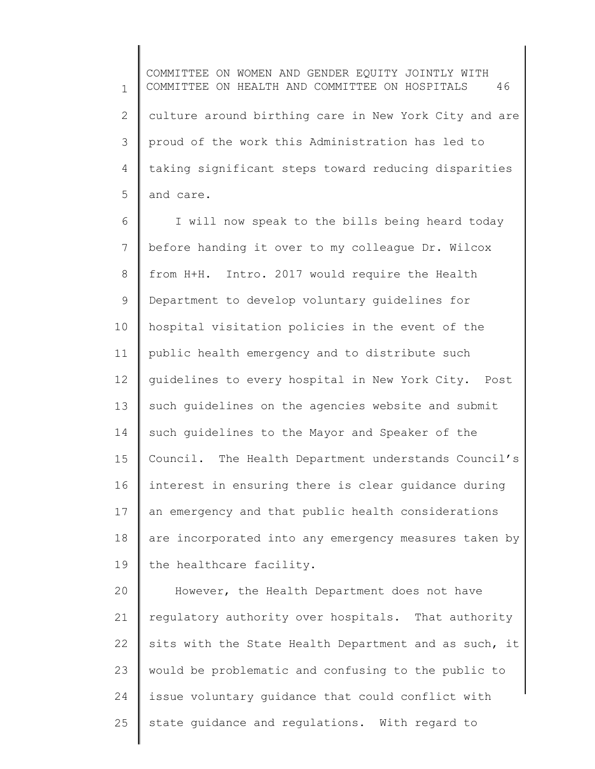1 2 3 4 5 COMMITTEE ON WOMEN AND GENDER EQUITY JOINTLY WITH COMMITTEE ON HEALTH AND COMMITTEE ON HOSPITALS 46 culture around birthing care in New York City and are proud of the work this Administration has led to taking significant steps toward reducing disparities and care.

6 7 8 9 10 11 12 13 14 15 16 17 18 19 I will now speak to the bills being heard today before handing it over to my colleague Dr. Wilcox from H+H. Intro. 2017 would require the Health Department to develop voluntary guidelines for hospital visitation policies in the event of the public health emergency and to distribute such guidelines to every hospital in New York City. Post such guidelines on the agencies website and submit such guidelines to the Mayor and Speaker of the Council. The Health Department understands Council's interest in ensuring there is clear guidance during an emergency and that public health considerations are incorporated into any emergency measures taken by the healthcare facility.

20 21 22 23 24 25 However, the Health Department does not have regulatory authority over hospitals. That authority sits with the State Health Department and as such, it would be problematic and confusing to the public to issue voluntary guidance that could conflict with state guidance and regulations. With regard to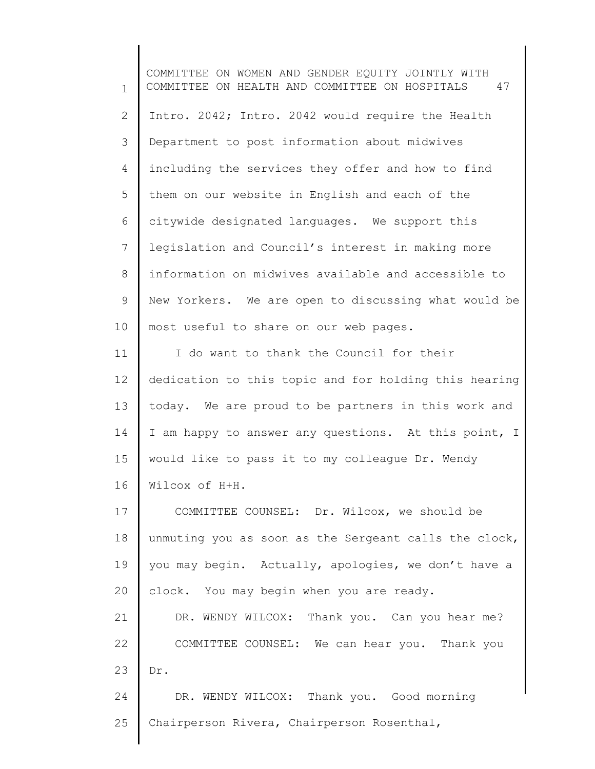1 2 3 4 5 6 7 8 9 10 11 12 13 14 15 16 17 18 19 20 21 22 23 24 25 COMMITTEE ON WOMEN AND GENDER EQUITY JOINTLY WITH COMMITTEE ON HEALTH AND COMMITTEE ON HOSPITALS 47 Intro. 2042; Intro. 2042 would require the Health Department to post information about midwives including the services they offer and how to find them on our website in English and each of the citywide designated languages. We support this legislation and Council's interest in making more information on midwives available and accessible to New Yorkers. We are open to discussing what would be most useful to share on our web pages. I do want to thank the Council for their dedication to this topic and for holding this hearing today. We are proud to be partners in this work and I am happy to answer any questions. At this point, I would like to pass it to my colleague Dr. Wendy Wilcox of H+H. COMMITTEE COUNSEL: Dr. Wilcox, we should be unmuting you as soon as the Sergeant calls the clock, you may begin. Actually, apologies, we don't have a clock. You may begin when you are ready. DR. WENDY WILCOX: Thank you. Can you hear me? COMMITTEE COUNSEL: We can hear you. Thank you Dr. DR. WENDY WILCOX: Thank you. Good morning Chairperson Rivera, Chairperson Rosenthal,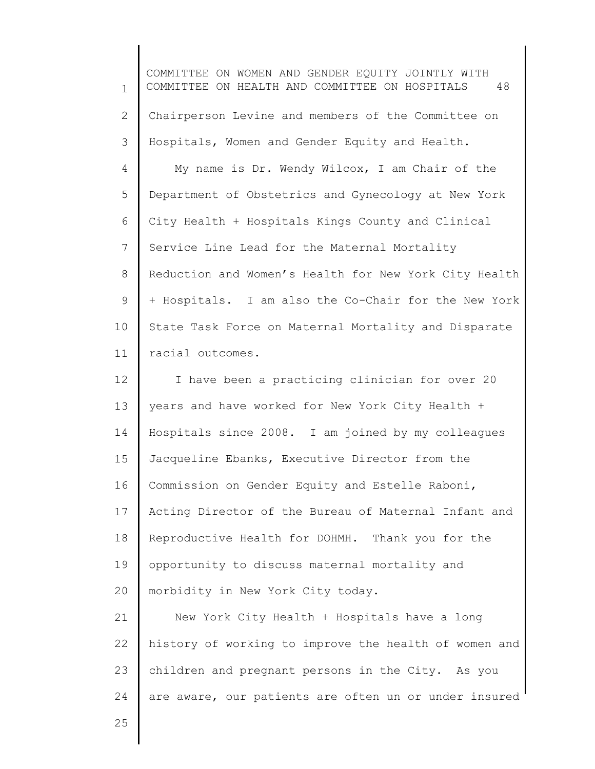1 2 3 4 5 6 7 8 9 10 11 12 COMMITTEE ON WOMEN AND GENDER EQUITY JOINTLY WITH COMMITTEE ON HEALTH AND COMMITTEE ON HOSPITALS 48 Chairperson Levine and members of the Committee on Hospitals, Women and Gender Equity and Health. My name is Dr. Wendy Wilcox, I am Chair of the Department of Obstetrics and Gynecology at New York City Health + Hospitals Kings County and Clinical Service Line Lead for the Maternal Mortality Reduction and Women's Health for New York City Health + Hospitals. I am also the Co-Chair for the New York State Task Force on Maternal Mortality and Disparate racial outcomes. I have been a practicing clinician for over 20

13 14 15 16 17 18 19 20 years and have worked for New York City Health + Hospitals since 2008. I am joined by my colleagues Jacqueline Ebanks, Executive Director from the Commission on Gender Equity and Estelle Raboni, Acting Director of the Bureau of Maternal Infant and Reproductive Health for DOHMH. Thank you for the opportunity to discuss maternal mortality and morbidity in New York City today.

21 22 23 24 New York City Health + Hospitals have a long history of working to improve the health of women and children and pregnant persons in the City. As you are aware, our patients are often un or under insured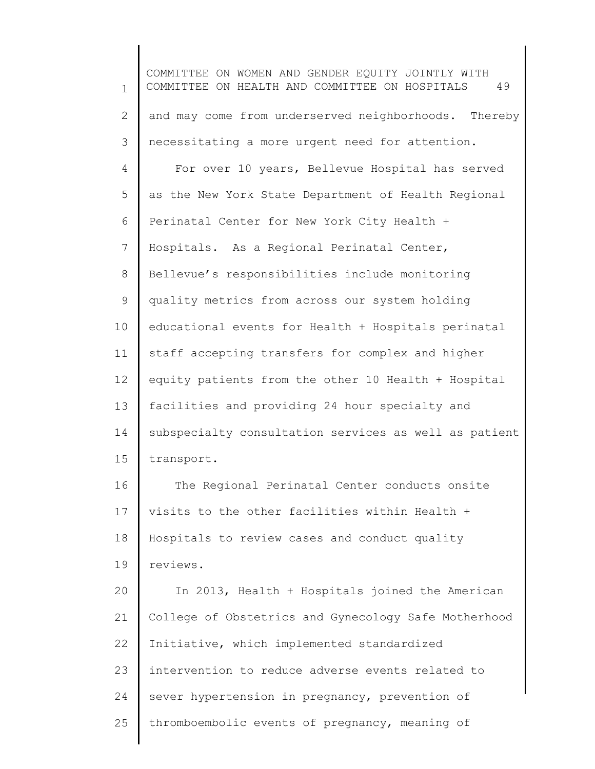1 2 3 4 5 6 7 8 9 10 11 12 13 14 15 16 17 18 19 20 21 22 23 24 25 COMMITTEE ON WOMEN AND GENDER EQUITY JOINTLY WITH COMMITTEE ON HEALTH AND COMMITTEE ON HOSPITALS 49 and may come from underserved neighborhoods. Thereby necessitating a more urgent need for attention. For over 10 years, Bellevue Hospital has served as the New York State Department of Health Regional Perinatal Center for New York City Health + Hospitals. As a Regional Perinatal Center, Bellevue's responsibilities include monitoring quality metrics from across our system holding educational events for Health + Hospitals perinatal staff accepting transfers for complex and higher equity patients from the other 10 Health + Hospital facilities and providing 24 hour specialty and subspecialty consultation services as well as patient transport. The Regional Perinatal Center conducts onsite visits to the other facilities within Health + Hospitals to review cases and conduct quality reviews. In 2013, Health + Hospitals joined the American College of Obstetrics and Gynecology Safe Motherhood Initiative, which implemented standardized intervention to reduce adverse events related to sever hypertension in pregnancy, prevention of thromboembolic events of pregnancy, meaning of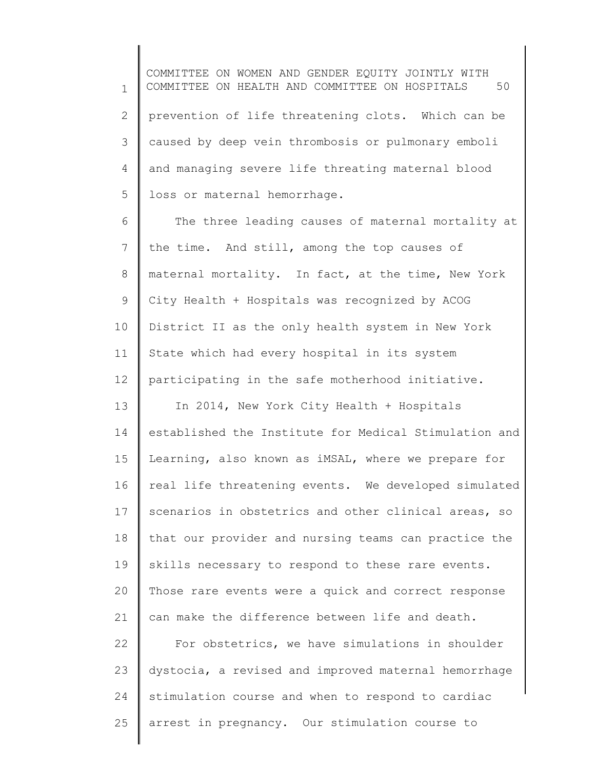1 2 3 4 5 COMMITTEE ON WOMEN AND GENDER EQUITY JOINTLY WITH COMMITTEE ON HEALTH AND COMMITTEE ON HOSPITALS 50 prevention of life threatening clots. Which can be caused by deep vein thrombosis or pulmonary emboli and managing severe life threating maternal blood loss or maternal hemorrhage.

6 7 8 9 10 11 12 The three leading causes of maternal mortality at the time. And still, among the top causes of maternal mortality. In fact, at the time, New York City Health + Hospitals was recognized by ACOG District II as the only health system in New York State which had every hospital in its system participating in the safe motherhood initiative.

13 14 15 16 17 18 19 20 21 22 In 2014, New York City Health + Hospitals established the Institute for Medical Stimulation and Learning, also known as iMSAL, where we prepare for real life threatening events. We developed simulated scenarios in obstetrics and other clinical areas, so that our provider and nursing teams can practice the skills necessary to respond to these rare events. Those rare events were a quick and correct response can make the difference between life and death. For obstetrics, we have simulations in shoulder

23 24 25 dystocia, a revised and improved maternal hemorrhage stimulation course and when to respond to cardiac arrest in pregnancy. Our stimulation course to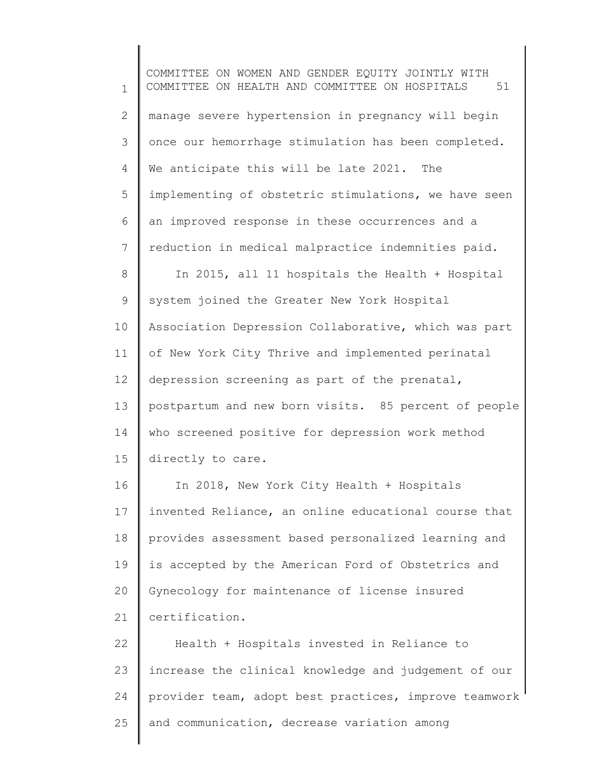1 2 3 4 5 6 7 8 9 10 11 12 13 14 15 16 17 18 19 20 21 22 23 24 25 COMMITTEE ON WOMEN AND GENDER EQUITY JOINTLY WITH COMMITTEE ON HEALTH AND COMMITTEE ON HOSPITALS 51 manage severe hypertension in pregnancy will begin once our hemorrhage stimulation has been completed. We anticipate this will be late 2021. The implementing of obstetric stimulations, we have seen an improved response in these occurrences and a reduction in medical malpractice indemnities paid. In 2015, all 11 hospitals the Health + Hospital system joined the Greater New York Hospital Association Depression Collaborative, which was part of New York City Thrive and implemented perinatal depression screening as part of the prenatal, postpartum and new born visits. 85 percent of people who screened positive for depression work method directly to care. In 2018, New York City Health + Hospitals invented Reliance, an online educational course that provides assessment based personalized learning and is accepted by the American Ford of Obstetrics and Gynecology for maintenance of license insured certification. Health + Hospitals invested in Reliance to increase the clinical knowledge and judgement of our provider team, adopt best practices, improve teamwork and communication, decrease variation among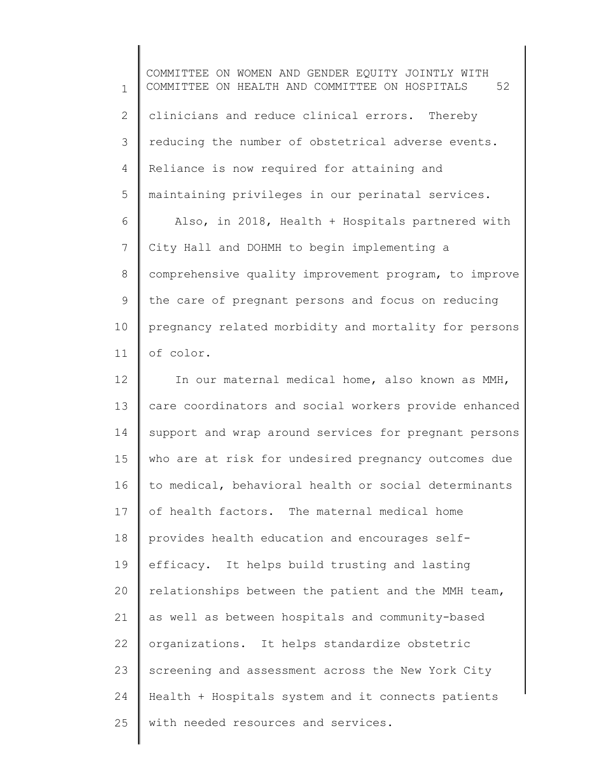1 2 3 4 5 6 7 8 9 10 11 12 13 14 15 16 17 18 19 20 21 22 COMMITTEE ON WOMEN AND GENDER EQUITY JOINTLY WITH COMMITTEE ON HEALTH AND COMMITTEE ON HOSPITALS 52 clinicians and reduce clinical errors. Thereby reducing the number of obstetrical adverse events. Reliance is now required for attaining and maintaining privileges in our perinatal services. Also, in 2018, Health + Hospitals partnered with City Hall and DOHMH to begin implementing a comprehensive quality improvement program, to improve the care of pregnant persons and focus on reducing pregnancy related morbidity and mortality for persons of color. In our maternal medical home, also known as MMH, care coordinators and social workers provide enhanced support and wrap around services for pregnant persons who are at risk for undesired pregnancy outcomes due to medical, behavioral health or social determinants of health factors. The maternal medical home provides health education and encourages selfefficacy. It helps build trusting and lasting relationships between the patient and the MMH team, as well as between hospitals and community-based organizations. It helps standardize obstetric

24 25 Health + Hospitals system and it connects patients with needed resources and services.

screening and assessment across the New York City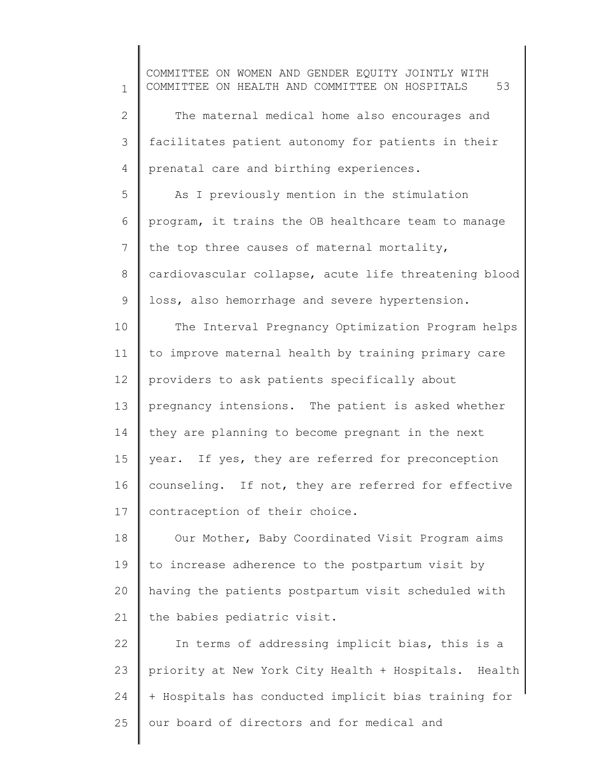1 2 3 4 5 6 7 8 9 10 11 12 13 14 15 16 17 18 19 20 21 22 23 24 25 COMMITTEE ON WOMEN AND GENDER EQUITY JOINTLY WITH COMMITTEE ON HEALTH AND COMMITTEE ON HOSPITALS 53 The maternal medical home also encourages and facilitates patient autonomy for patients in their prenatal care and birthing experiences. As I previously mention in the stimulation program, it trains the OB healthcare team to manage the top three causes of maternal mortality, cardiovascular collapse, acute life threatening blood loss, also hemorrhage and severe hypertension. The Interval Pregnancy Optimization Program helps to improve maternal health by training primary care providers to ask patients specifically about pregnancy intensions. The patient is asked whether they are planning to become pregnant in the next year. If yes, they are referred for preconception counseling. If not, they are referred for effective contraception of their choice. Our Mother, Baby Coordinated Visit Program aims to increase adherence to the postpartum visit by having the patients postpartum visit scheduled with the babies pediatric visit. In terms of addressing implicit bias, this is a priority at New York City Health + Hospitals. Health + Hospitals has conducted implicit bias training for our board of directors and for medical and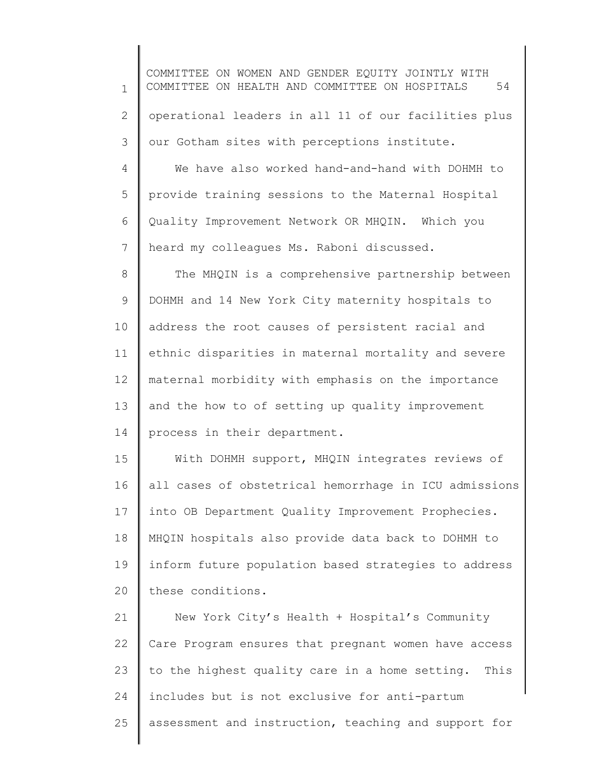1 2 3 4 5 6 7 8 9 10 11 12 13 14 15 16 17 COMMITTEE ON WOMEN AND GENDER EQUITY JOINTLY WITH COMMITTEE ON HEALTH AND COMMITTEE ON HOSPITALS 54 operational leaders in all 11 of our facilities plus our Gotham sites with perceptions institute. We have also worked hand-and-hand with DOHMH to provide training sessions to the Maternal Hospital Quality Improvement Network OR MHQIN. Which you heard my colleagues Ms. Raboni discussed. The MHQIN is a comprehensive partnership between DOHMH and 14 New York City maternity hospitals to address the root causes of persistent racial and ethnic disparities in maternal mortality and severe maternal morbidity with emphasis on the importance and the how to of setting up quality improvement process in their department. With DOHMH support, MHQIN integrates reviews of all cases of obstetrical hemorrhage in ICU admissions into OB Department Quality Improvement Prophecies.

18 19 20 MHQIN hospitals also provide data back to DOHMH to inform future population based strategies to address these conditions.

21 22 23 24 25 New York City's Health + Hospital's Community Care Program ensures that pregnant women have access to the highest quality care in a home setting. This includes but is not exclusive for anti-partum assessment and instruction, teaching and support for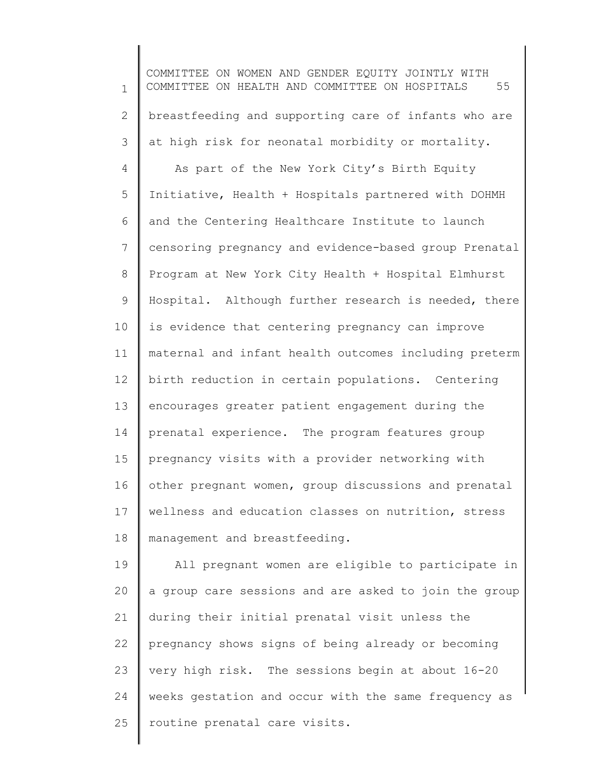1 2 3 4 5 6 7 8 9 10 11 12 13 14 15 16 17 18 COMMITTEE ON WOMEN AND GENDER EQUITY JOINTLY WITH COMMITTEE ON HEALTH AND COMMITTEE ON HOSPITALS 55 breastfeeding and supporting care of infants who are at high risk for neonatal morbidity or mortality. As part of the New York City's Birth Equity Initiative, Health + Hospitals partnered with DOHMH and the Centering Healthcare Institute to launch censoring pregnancy and evidence-based group Prenatal Program at New York City Health + Hospital Elmhurst Hospital. Although further research is needed, there is evidence that centering pregnancy can improve maternal and infant health outcomes including preterm birth reduction in certain populations. Centering encourages greater patient engagement during the prenatal experience. The program features group pregnancy visits with a provider networking with other pregnant women, group discussions and prenatal wellness and education classes on nutrition, stress management and breastfeeding.

19 20 21 22 23 24 25 All pregnant women are eligible to participate in a group care sessions and are asked to join the group during their initial prenatal visit unless the pregnancy shows signs of being already or becoming very high risk. The sessions begin at about 16-20 weeks gestation and occur with the same frequency as routine prenatal care visits.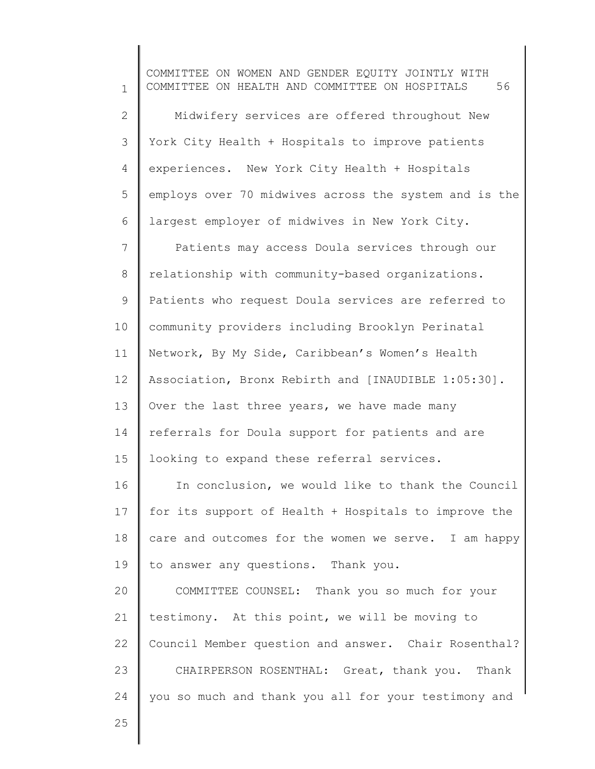1 2 3 4 5 6 7 8 9 10 11 12 13 14 15 16 17 18 19 20 21 22 23 24 COMMITTEE ON WOMEN AND GENDER EQUITY JOINTLY WITH COMMITTEE ON HEALTH AND COMMITTEE ON HOSPITALS 56 Midwifery services are offered throughout New York City Health + Hospitals to improve patients experiences. New York City Health + Hospitals employs over 70 midwives across the system and is the largest employer of midwives in New York City. Patients may access Doula services through our relationship with community-based organizations. Patients who request Doula services are referred to community providers including Brooklyn Perinatal Network, By My Side, Caribbean's Women's Health Association, Bronx Rebirth and [INAUDIBLE 1:05:30]. Over the last three years, we have made many referrals for Doula support for patients and are looking to expand these referral services. In conclusion, we would like to thank the Council for its support of Health + Hospitals to improve the care and outcomes for the women we serve. I am happy to answer any questions. Thank you. COMMITTEE COUNSEL: Thank you so much for your testimony. At this point, we will be moving to Council Member question and answer. Chair Rosenthal? CHAIRPERSON ROSENTHAL: Great, thank you. Thank you so much and thank you all for your testimony and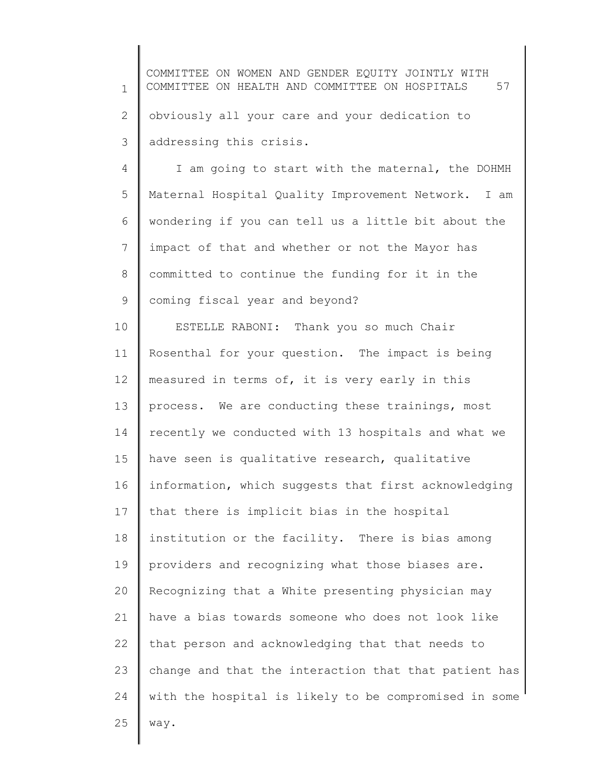1 2 3 COMMITTEE ON WOMEN AND GENDER EQUITY JOINTLY WITH COMMITTEE ON HEALTH AND COMMITTEE ON HOSPITALS 57 obviously all your care and your dedication to addressing this crisis.

4 5 6 7 8 9 I am going to start with the maternal, the DOHMH Maternal Hospital Quality Improvement Network. I am wondering if you can tell us a little bit about the impact of that and whether or not the Mayor has committed to continue the funding for it in the coming fiscal year and beyond?

10 11 12 13 14 15 16 17 18 19 20 21 22 23 24 25 ESTELLE RABONI: Thank you so much Chair Rosenthal for your question. The impact is being measured in terms of, it is very early in this process. We are conducting these trainings, most recently we conducted with 13 hospitals and what we have seen is qualitative research, qualitative information, which suggests that first acknowledging that there is implicit bias in the hospital institution or the facility. There is bias among providers and recognizing what those biases are. Recognizing that a White presenting physician may have a bias towards someone who does not look like that person and acknowledging that that needs to change and that the interaction that that patient has with the hospital is likely to be compromised in some way.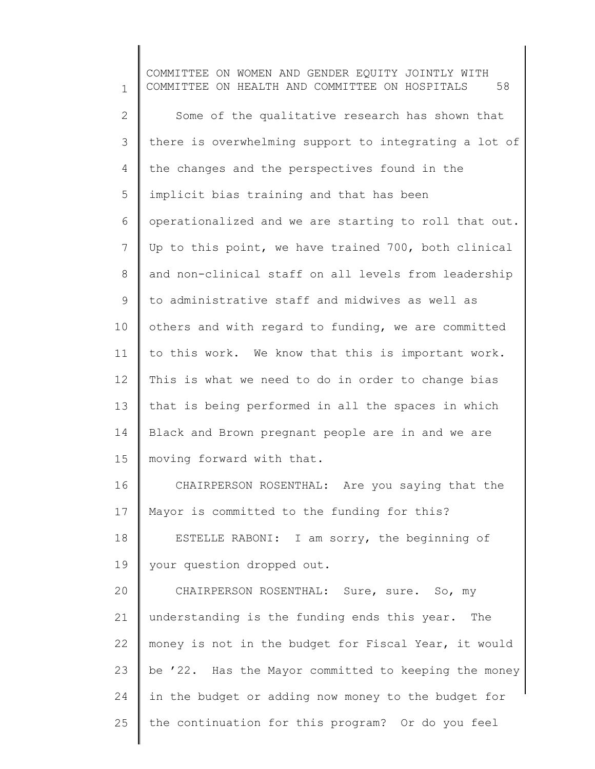1 2 3 4 5 6 7 8 9 10 11 12 13 14 15 16 17 18 19 20 21 22 23 24 25 COMMITTEE ON WOMEN AND GENDER EQUITY JOINTLY WITH COMMITTEE ON HEALTH AND COMMITTEE ON HOSPITALS 58 Some of the qualitative research has shown that there is overwhelming support to integrating a lot of the changes and the perspectives found in the implicit bias training and that has been operationalized and we are starting to roll that out. Up to this point, we have trained 700, both clinical and non-clinical staff on all levels from leadership to administrative staff and midwives as well as others and with regard to funding, we are committed to this work. We know that this is important work. This is what we need to do in order to change bias that is being performed in all the spaces in which Black and Brown pregnant people are in and we are moving forward with that. CHAIRPERSON ROSENTHAL: Are you saying that the Mayor is committed to the funding for this? ESTELLE RABONI: I am sorry, the beginning of your question dropped out. CHAIRPERSON ROSENTHAL: Sure, sure. So, my understanding is the funding ends this year. The money is not in the budget for Fiscal Year, it would be '22. Has the Mayor committed to keeping the money in the budget or adding now money to the budget for the continuation for this program? Or do you feel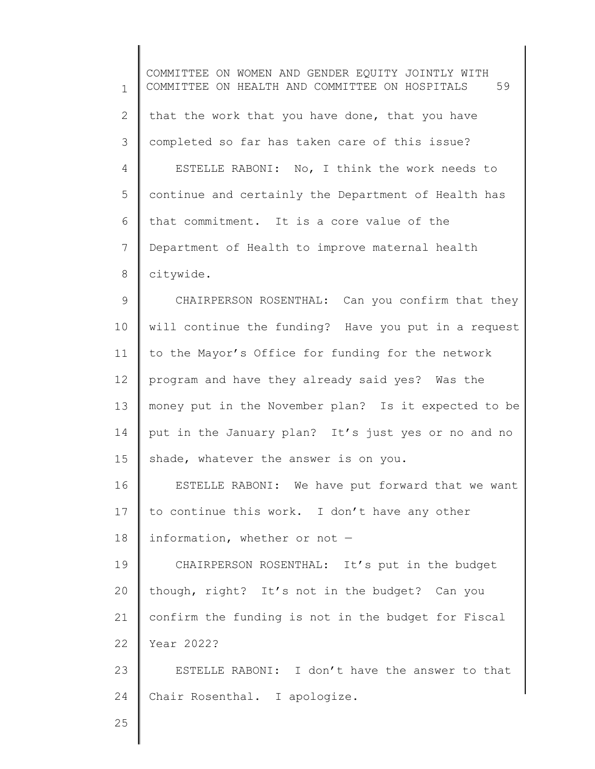1 2 3 4 5 6 7 8 9 10 11 12 13 14 15 16 17 18 19 20 21 22 23 24 25 COMMITTEE ON WOMEN AND GENDER EQUITY JOINTLY WITH COMMITTEE ON HEALTH AND COMMITTEE ON HOSPITALS 59 that the work that you have done, that you have completed so far has taken care of this issue? ESTELLE RABONI: No, I think the work needs to continue and certainly the Department of Health has that commitment. It is a core value of the Department of Health to improve maternal health citywide. CHAIRPERSON ROSENTHAL: Can you confirm that they will continue the funding? Have you put in a request to the Mayor's Office for funding for the network program and have they already said yes? Was the money put in the November plan? Is it expected to be put in the January plan? It's just yes or no and no shade, whatever the answer is on you. ESTELLE RABONI: We have put forward that we want to continue this work. I don't have any other information, whether or not — CHAIRPERSON ROSENTHAL: It's put in the budget though, right? It's not in the budget? Can you confirm the funding is not in the budget for Fiscal Year 2022? ESTELLE RABONI: I don't have the answer to that Chair Rosenthal. I apologize.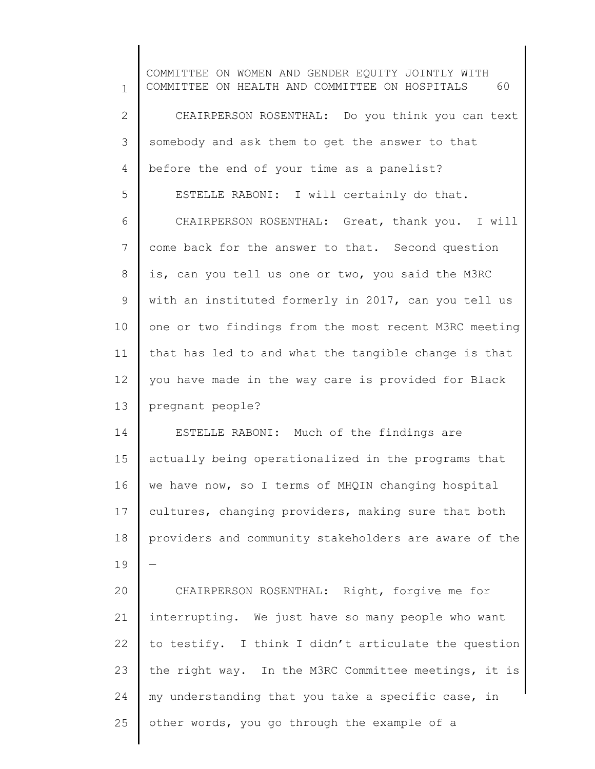1 2 3 4 5 6 7 8 9 10 11 12 13 14 15 16 17 18 19 20 21 22 23 24 25 COMMITTEE ON WOMEN AND GENDER EQUITY JOINTLY WITH COMMITTEE ON HEALTH AND COMMITTEE ON HOSPITALS 60 CHAIRPERSON ROSENTHAL: Do you think you can text somebody and ask them to get the answer to that before the end of your time as a panelist? ESTELLE RABONI: I will certainly do that. CHAIRPERSON ROSENTHAL: Great, thank you. I will come back for the answer to that. Second question is, can you tell us one or two, you said the M3RC with an instituted formerly in 2017, can you tell us one or two findings from the most recent M3RC meeting that has led to and what the tangible change is that you have made in the way care is provided for Black pregnant people? ESTELLE RABONI: Much of the findings are actually being operationalized in the programs that we have now, so I terms of MHQIN changing hospital cultures, changing providers, making sure that both providers and community stakeholders are aware of the — CHAIRPERSON ROSENTHAL: Right, forgive me for interrupting. We just have so many people who want to testify. I think I didn't articulate the question the right way. In the M3RC Committee meetings, it is my understanding that you take a specific case, in other words, you go through the example of a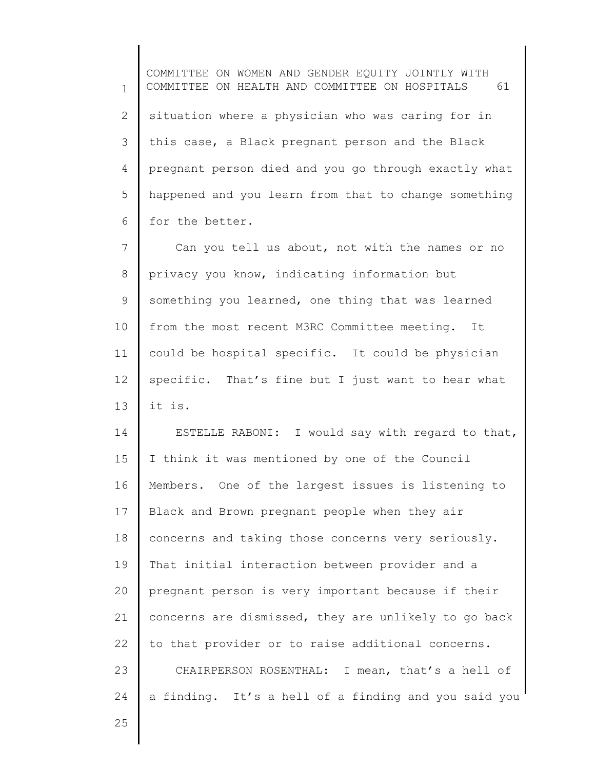1 2 3 4 5 6 COMMITTEE ON WOMEN AND GENDER EQUITY JOINTLY WITH COMMITTEE ON HEALTH AND COMMITTEE ON HOSPITALS 61 situation where a physician who was caring for in this case, a Black pregnant person and the Black pregnant person died and you go through exactly what happened and you learn from that to change something for the better.

7 8 9 10 11 12 13 Can you tell us about, not with the names or no privacy you know, indicating information but something you learned, one thing that was learned from the most recent M3RC Committee meeting. It could be hospital specific. It could be physician specific. That's fine but I just want to hear what it is.

14 15 16 17 18 19 20 21 22 23 24 ESTELLE RABONI: I would say with regard to that, I think it was mentioned by one of the Council Members. One of the largest issues is listening to Black and Brown pregnant people when they air concerns and taking those concerns very seriously. That initial interaction between provider and a pregnant person is very important because if their concerns are dismissed, they are unlikely to go back to that provider or to raise additional concerns. CHAIRPERSON ROSENTHAL: I mean, that's a hell of a finding. It's a hell of a finding and you said you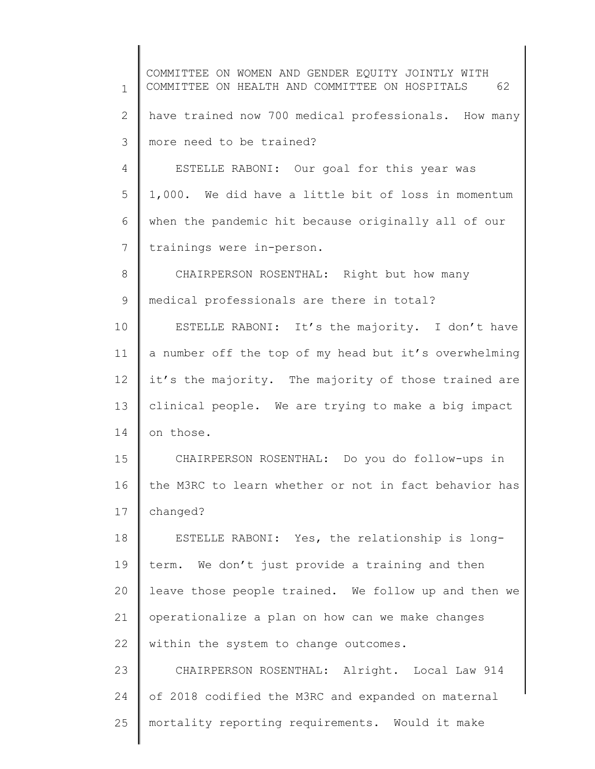1 2 3 4 5 6 7 8 9 10 11 12 13 14 15 16 17 18 19 20 21 22 23 24 25 COMMITTEE ON WOMEN AND GENDER EQUITY JOINTLY WITH COMMITTEE ON HEALTH AND COMMITTEE ON HOSPITALS 62 have trained now 700 medical professionals. How many more need to be trained? ESTELLE RABONI: Our goal for this year was 1,000. We did have a little bit of loss in momentum when the pandemic hit because originally all of our trainings were in-person. CHAIRPERSON ROSENTHAL: Right but how many medical professionals are there in total? ESTELLE RABONI: It's the majority. I don't have a number off the top of my head but it's overwhelming it's the majority. The majority of those trained are clinical people. We are trying to make a big impact on those. CHAIRPERSON ROSENTHAL: Do you do follow-ups in the M3RC to learn whether or not in fact behavior has changed? ESTELLE RABONI: Yes, the relationship is longterm. We don't just provide a training and then leave those people trained. We follow up and then we operationalize a plan on how can we make changes within the system to change outcomes. CHAIRPERSON ROSENTHAL: Alright. Local Law 914 of 2018 codified the M3RC and expanded on maternal mortality reporting requirements. Would it make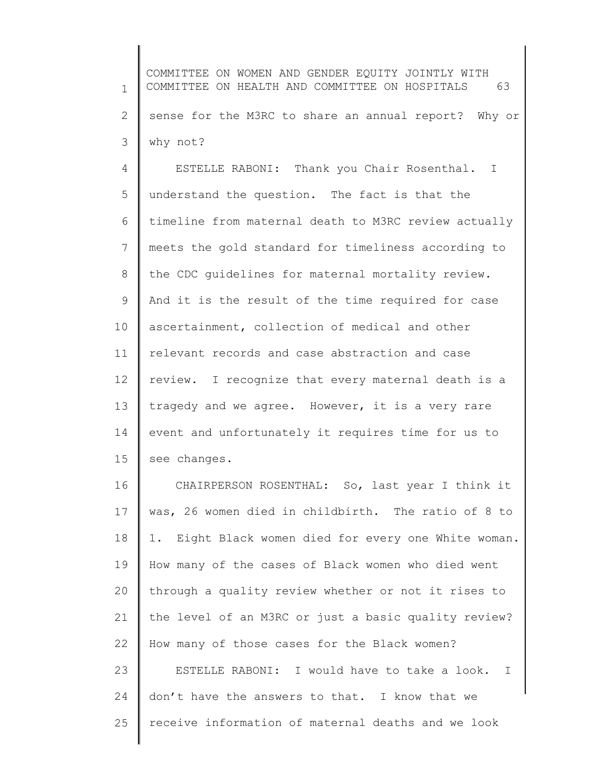1 2 3 COMMITTEE ON WOMEN AND GENDER EQUITY JOINTLY WITH COMMITTEE ON HEALTH AND COMMITTEE ON HOSPITALS 63 sense for the M3RC to share an annual report? Why or why not?

4 5 6 7 8 9 10 11 12 13 14 15 ESTELLE RABONI: Thank you Chair Rosenthal. I understand the question. The fact is that the timeline from maternal death to M3RC review actually meets the gold standard for timeliness according to the CDC guidelines for maternal mortality review. And it is the result of the time required for case ascertainment, collection of medical and other relevant records and case abstraction and case review. I recognize that every maternal death is a tragedy and we agree. However, it is a very rare event and unfortunately it requires time for us to see changes.

16 17 18 19 20 21 22 23 24 25 CHAIRPERSON ROSENTHAL: So, last year I think it was, 26 women died in childbirth. The ratio of 8 to 1. Eight Black women died for every one White woman. How many of the cases of Black women who died went through a quality review whether or not it rises to the level of an M3RC or just a basic quality review? How many of those cases for the Black women? ESTELLE RABONI: I would have to take a look. I don't have the answers to that. I know that we receive information of maternal deaths and we look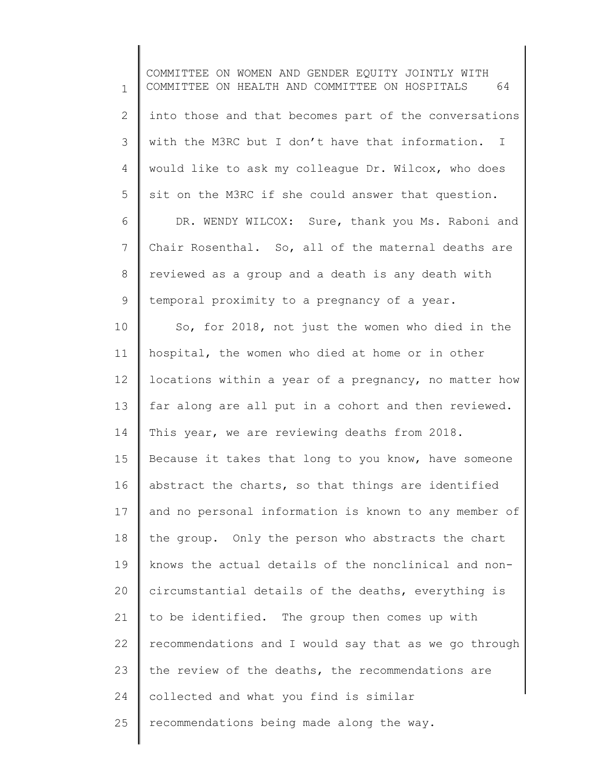1 2 3 4 5 6 7 8 9 10 11 12 13 14 15 16 17 18 19 20 21 22 23 24 COMMITTEE ON WOMEN AND GENDER EQUITY JOINTLY WITH COMMITTEE ON HEALTH AND COMMITTEE ON HOSPITALS 64 into those and that becomes part of the conversations with the M3RC but I don't have that information. I would like to ask my colleague Dr. Wilcox, who does sit on the M3RC if she could answer that question. DR. WENDY WILCOX: Sure, thank you Ms. Raboni and Chair Rosenthal. So, all of the maternal deaths are reviewed as a group and a death is any death with temporal proximity to a pregnancy of a year. So, for 2018, not just the women who died in the hospital, the women who died at home or in other locations within a year of a pregnancy, no matter how far along are all put in a cohort and then reviewed. This year, we are reviewing deaths from 2018. Because it takes that long to you know, have someone abstract the charts, so that things are identified and no personal information is known to any member of the group. Only the person who abstracts the chart knows the actual details of the nonclinical and noncircumstantial details of the deaths, everything is to be identified. The group then comes up with recommendations and I would say that as we go through the review of the deaths, the recommendations are collected and what you find is similar

25 recommendations being made along the way.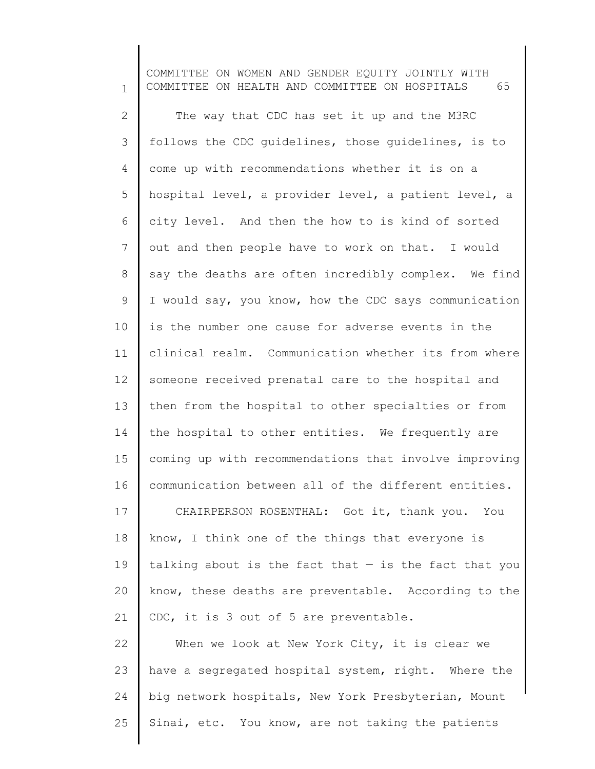1 2 3 4 5 6 7 8 9 10 11 12 13 14 15 16 17 18 19 20 21 22 23 24 25 COMMITTEE ON WOMEN AND GENDER EQUITY JOINTLY WITH COMMITTEE ON HEALTH AND COMMITTEE ON HOSPITALS 65 The way that CDC has set it up and the M3RC follows the CDC guidelines, those guidelines, is to come up with recommendations whether it is on a hospital level, a provider level, a patient level, a city level. And then the how to is kind of sorted out and then people have to work on that. I would say the deaths are often incredibly complex. We find I would say, you know, how the CDC says communication is the number one cause for adverse events in the clinical realm. Communication whether its from where someone received prenatal care to the hospital and then from the hospital to other specialties or from the hospital to other entities. We frequently are coming up with recommendations that involve improving communication between all of the different entities. CHAIRPERSON ROSENTHAL: Got it, thank you. You know, I think one of the things that everyone is talking about is the fact that  $-$  is the fact that you know, these deaths are preventable. According to the CDC, it is 3 out of 5 are preventable. When we look at New York City, it is clear we have a segregated hospital system, right. Where the big network hospitals, New York Presbyterian, Mount Sinai, etc. You know, are not taking the patients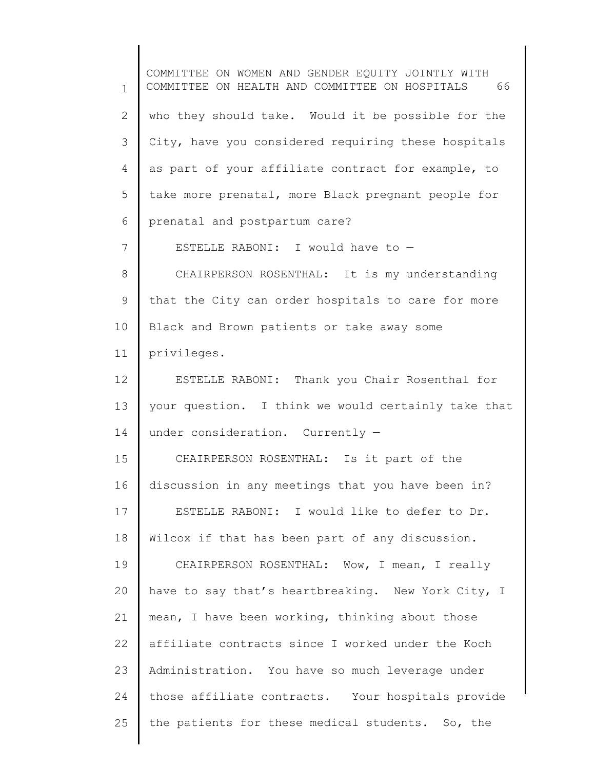1 2 3 4 5 6 7 8 9 10 11 12 13 14 15 16 17 18 19 20 21 22 23 24 25 COMMITTEE ON WOMEN AND GENDER EQUITY JOINTLY WITH COMMITTEE ON HEALTH AND COMMITTEE ON HOSPITALS 66 who they should take. Would it be possible for the City, have you considered requiring these hospitals as part of your affiliate contract for example, to take more prenatal, more Black pregnant people for prenatal and postpartum care? ESTELLE RABONI: I would have to — CHAIRPERSON ROSENTHAL: It is my understanding that the City can order hospitals to care for more Black and Brown patients or take away some privileges. ESTELLE RABONI: Thank you Chair Rosenthal for your question. I think we would certainly take that under consideration. Currently — CHAIRPERSON ROSENTHAL: Is it part of the discussion in any meetings that you have been in? ESTELLE RABONI: I would like to defer to Dr. Wilcox if that has been part of any discussion. CHAIRPERSON ROSENTHAL: Wow, I mean, I really have to say that's heartbreaking. New York City, I mean, I have been working, thinking about those affiliate contracts since I worked under the Koch Administration. You have so much leverage under those affiliate contracts. Your hospitals provide the patients for these medical students. So, the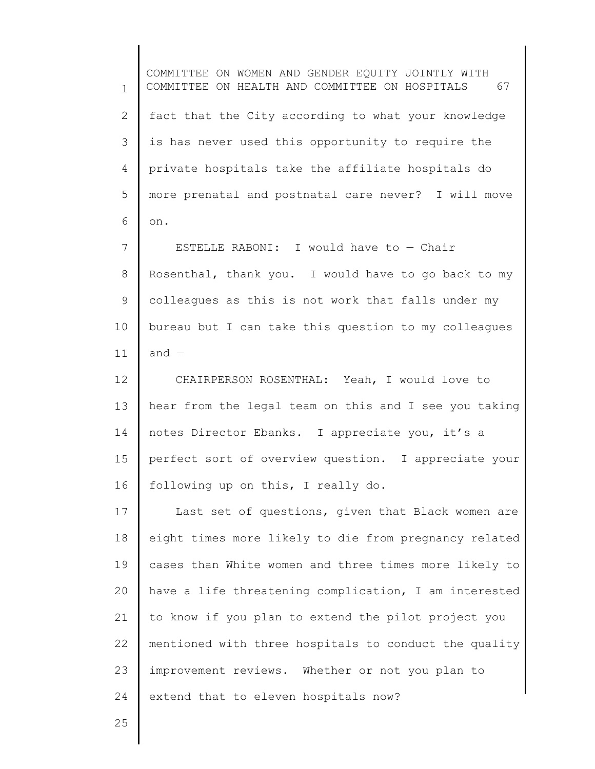1 2 3 4 5 6 7 8 9 10 11 12 13 14 15 16 17 18 19 20 21 22 23 24 COMMITTEE ON WOMEN AND GENDER EQUITY JOINTLY WITH COMMITTEE ON HEALTH AND COMMITTEE ON HOSPITALS 67 fact that the City according to what your knowledge is has never used this opportunity to require the private hospitals take the affiliate hospitals do more prenatal and postnatal care never? I will move on. ESTELLE RABONI: I would have to  $-$  Chair Rosenthal, thank you. I would have to go back to my colleagues as this is not work that falls under my bureau but I can take this question to my colleagues and — CHAIRPERSON ROSENTHAL: Yeah, I would love to hear from the legal team on this and I see you taking notes Director Ebanks. I appreciate you, it's a perfect sort of overview question. I appreciate your following up on this, I really do. Last set of questions, given that Black women are eight times more likely to die from pregnancy related cases than White women and three times more likely to have a life threatening complication, I am interested to know if you plan to extend the pilot project you mentioned with three hospitals to conduct the quality improvement reviews. Whether or not you plan to extend that to eleven hospitals now?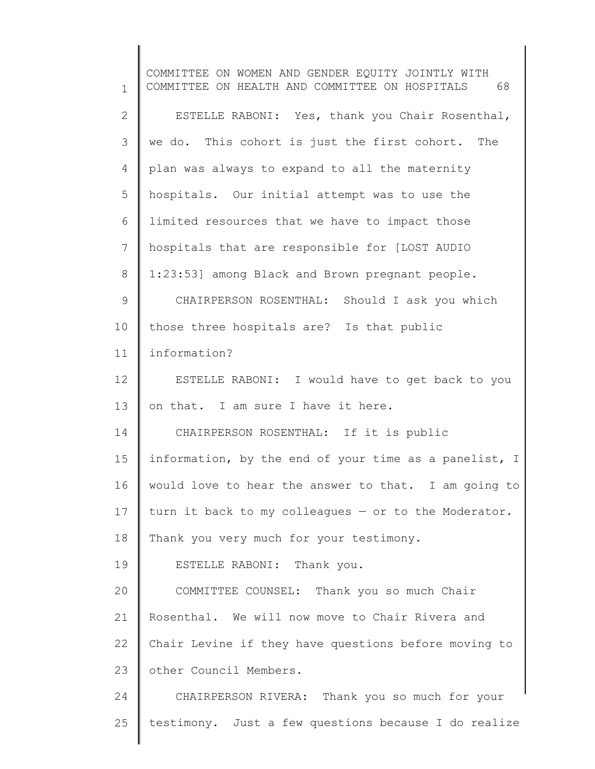1 2 3 4 5 6 7 8 9 10 11 12 13 14 15 16 17 18 19 20 21 22 23 24 25 COMMITTEE ON WOMEN AND GENDER EQUITY JOINTLY WITH COMMITTEE ON HEALTH AND COMMITTEE ON HOSPITALS 68 ESTELLE RABONI: Yes, thank you Chair Rosenthal, we do. This cohort is just the first cohort. The plan was always to expand to all the maternity hospitals. Our initial attempt was to use the limited resources that we have to impact those hospitals that are responsible for [LOST AUDIO 1:23:53] among Black and Brown pregnant people. CHAIRPERSON ROSENTHAL: Should I ask you which those three hospitals are? Is that public information? ESTELLE RABONI: I would have to get back to you on that. I am sure I have it here. CHAIRPERSON ROSENTHAL: If it is public information, by the end of your time as a panelist, I would love to hear the answer to that. I am going to turn it back to my colleagues — or to the Moderator. Thank you very much for your testimony. ESTELLE RABONI: Thank you. COMMITTEE COUNSEL: Thank you so much Chair Rosenthal. We will now move to Chair Rivera and Chair Levine if they have questions before moving to other Council Members. CHAIRPERSON RIVERA: Thank you so much for your testimony. Just a few questions because I do realize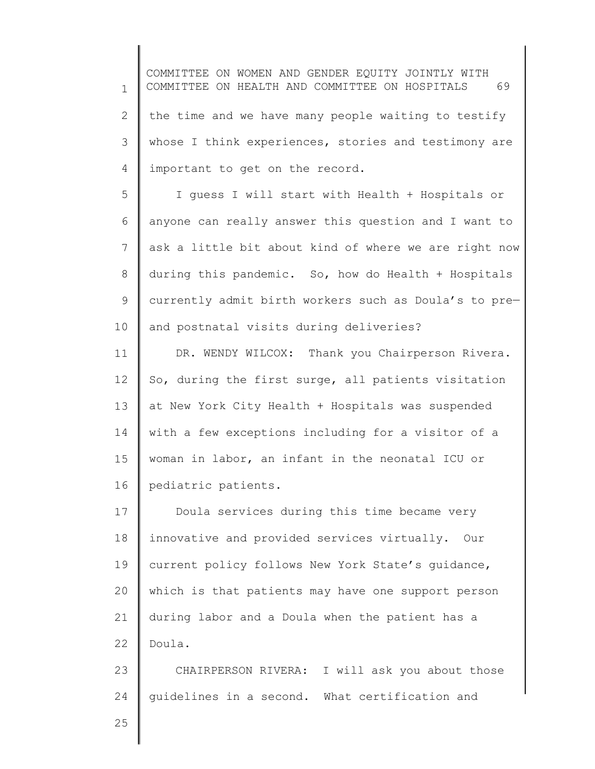1 2 3 4 COMMITTEE ON WOMEN AND GENDER EQUITY JOINTLY WITH COMMITTEE ON HEALTH AND COMMITTEE ON HOSPITALS 69 the time and we have many people waiting to testify whose I think experiences, stories and testimony are important to get on the record.

5 6 7 8 9 10 I guess I will start with Health + Hospitals or anyone can really answer this question and I want to ask a little bit about kind of where we are right now during this pandemic. So, how do Health + Hospitals currently admit birth workers such as Doula's to pre and postnatal visits during deliveries?

11 12 13 14 15 16 DR. WENDY WILCOX: Thank you Chairperson Rivera. So, during the first surge, all patients visitation at New York City Health + Hospitals was suspended with a few exceptions including for a visitor of a woman in labor, an infant in the neonatal ICU or pediatric patients.

17 18 19 20 21 22 Doula services during this time became very innovative and provided services virtually. Our current policy follows New York State's guidance, which is that patients may have one support person during labor and a Doula when the patient has a Doula.

23 24 CHAIRPERSON RIVERA: I will ask you about those guidelines in a second. What certification and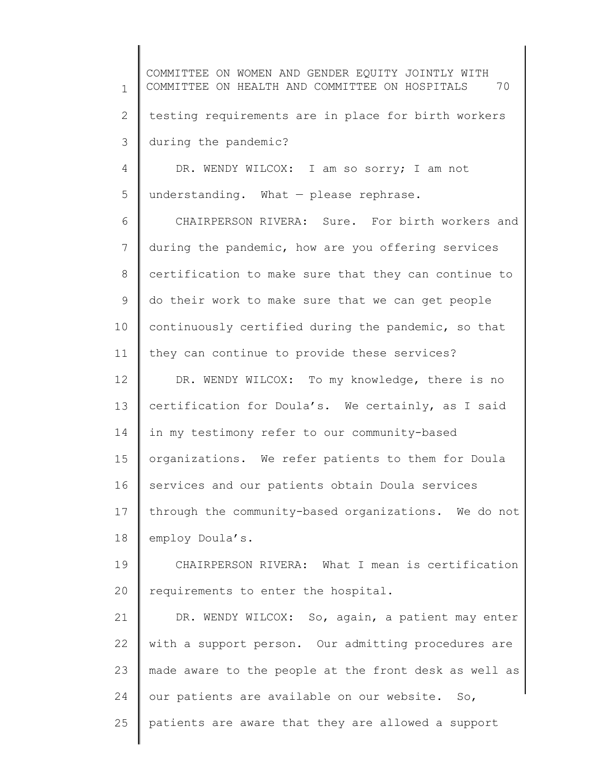1 2 3 4 COMMITTEE ON WOMEN AND GENDER EQUITY JOINTLY WITH COMMITTEE ON HEALTH AND COMMITTEE ON HOSPITALS 70 testing requirements are in place for birth workers during the pandemic? DR. WENDY WILCOX: I am so sorry; I am not

5 understanding. What — please rephrase.

6 7 8 9 10 11 CHAIRPERSON RIVERA: Sure. For birth workers and during the pandemic, how are you offering services certification to make sure that they can continue to do their work to make sure that we can get people continuously certified during the pandemic, so that they can continue to provide these services?

12 13 14 15 16 17 18 DR. WENDY WILCOX: To my knowledge, there is no certification for Doula's. We certainly, as I said in my testimony refer to our community-based organizations. We refer patients to them for Doula services and our patients obtain Doula services through the community-based organizations. We do not employ Doula's.

19 20 CHAIRPERSON RIVERA: What I mean is certification requirements to enter the hospital.

21 22 23 24 25 DR. WENDY WILCOX: So, again, a patient may enter with a support person. Our admitting procedures are made aware to the people at the front desk as well as our patients are available on our website. So, patients are aware that they are allowed a support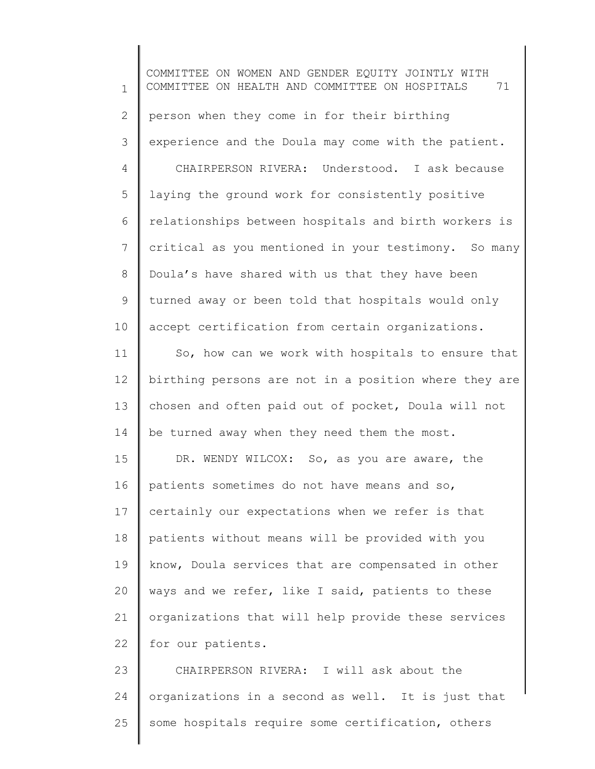1 2 3 4 5 6 7 8 9 10 11 12 13 14 15 16 17 18 19 20 21 22 23 COMMITTEE ON WOMEN AND GENDER EQUITY JOINTLY WITH COMMITTEE ON HEALTH AND COMMITTEE ON HOSPITALS 71 person when they come in for their birthing experience and the Doula may come with the patient. CHAIRPERSON RIVERA: Understood. I ask because laying the ground work for consistently positive relationships between hospitals and birth workers is critical as you mentioned in your testimony. So many Doula's have shared with us that they have been turned away or been told that hospitals would only accept certification from certain organizations. So, how can we work with hospitals to ensure that birthing persons are not in a position where they are chosen and often paid out of pocket, Doula will not be turned away when they need them the most. DR. WENDY WILCOX: So, as you are aware, the patients sometimes do not have means and so, certainly our expectations when we refer is that patients without means will be provided with you know, Doula services that are compensated in other ways and we refer, like I said, patients to these organizations that will help provide these services for our patients. CHAIRPERSON RIVERA: I will ask about the

25 some hospitals require some certification, others

organizations in a second as well. It is just that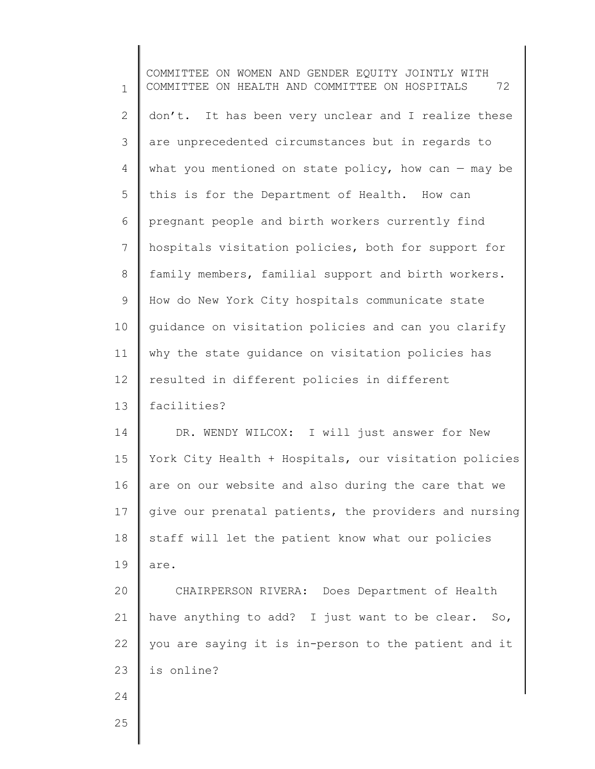1 2 3 4 5 6 7 8 9 10 11 12 13 14 15 16 17 18 19 20 21 22 23 24 25 COMMITTEE ON WOMEN AND GENDER EQUITY JOINTLY WITH COMMITTEE ON HEALTH AND COMMITTEE ON HOSPITALS 72 don't. It has been very unclear and I realize these are unprecedented circumstances but in regards to what you mentioned on state policy, how can  $-$  may be this is for the Department of Health. How can pregnant people and birth workers currently find hospitals visitation policies, both for support for family members, familial support and birth workers. How do New York City hospitals communicate state guidance on visitation policies and can you clarify why the state guidance on visitation policies has resulted in different policies in different facilities? DR. WENDY WILCOX: I will just answer for New York City Health + Hospitals, our visitation policies are on our website and also during the care that we give our prenatal patients, the providers and nursing staff will let the patient know what our policies are. CHAIRPERSON RIVERA: Does Department of Health have anything to add? I just want to be clear. So, you are saying it is in-person to the patient and it is online?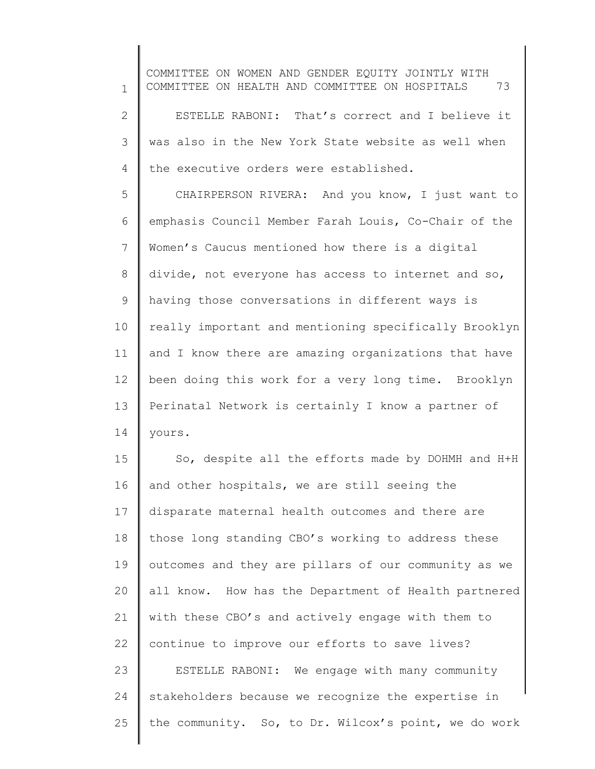1 2 3 4 5 6 7 8 9 10 11 12 13 14 15 16 17 18 19 20 21 22 23 24 25 COMMITTEE ON WOMEN AND GENDER EQUITY JOINTLY WITH COMMITTEE ON HEALTH AND COMMITTEE ON HOSPITALS 73 ESTELLE RABONI: That's correct and I believe it was also in the New York State website as well when the executive orders were established. CHAIRPERSON RIVERA: And you know, I just want to emphasis Council Member Farah Louis, Co-Chair of the Women's Caucus mentioned how there is a digital divide, not everyone has access to internet and so, having those conversations in different ways is really important and mentioning specifically Brooklyn and I know there are amazing organizations that have been doing this work for a very long time. Brooklyn Perinatal Network is certainly I know a partner of yours. So, despite all the efforts made by DOHMH and H+H and other hospitals, we are still seeing the disparate maternal health outcomes and there are those long standing CBO's working to address these outcomes and they are pillars of our community as we all know. How has the Department of Health partnered with these CBO's and actively engage with them to continue to improve our efforts to save lives? ESTELLE RABONI: We engage with many community stakeholders because we recognize the expertise in the community. So, to Dr. Wilcox's point, we do work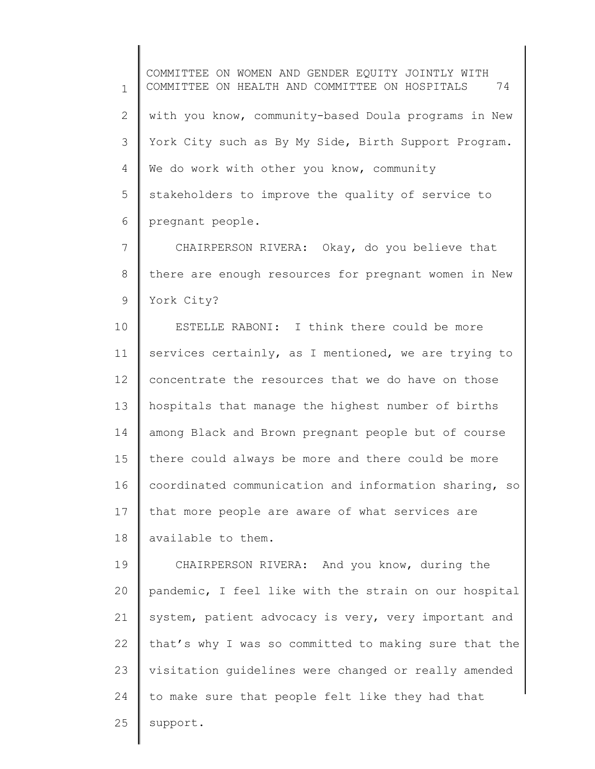1 2 3 4 5 6 COMMITTEE ON WOMEN AND GENDER EQUITY JOINTLY WITH COMMITTEE ON HEALTH AND COMMITTEE ON HOSPITALS 74 with you know, community-based Doula programs in New York City such as By My Side, Birth Support Program. We do work with other you know, community stakeholders to improve the quality of service to pregnant people.

7 8 9 CHAIRPERSON RIVERA: Okay, do you believe that there are enough resources for pregnant women in New York City?

10 11 12 13 14 15 16 17 18 ESTELLE RABONI: I think there could be more services certainly, as I mentioned, we are trying to concentrate the resources that we do have on those hospitals that manage the highest number of births among Black and Brown pregnant people but of course there could always be more and there could be more coordinated communication and information sharing, so that more people are aware of what services are available to them.

19 20 21 22 23 24 25 CHAIRPERSON RIVERA: And you know, during the pandemic, I feel like with the strain on our hospital system, patient advocacy is very, very important and that's why I was so committed to making sure that the visitation guidelines were changed or really amended to make sure that people felt like they had that support.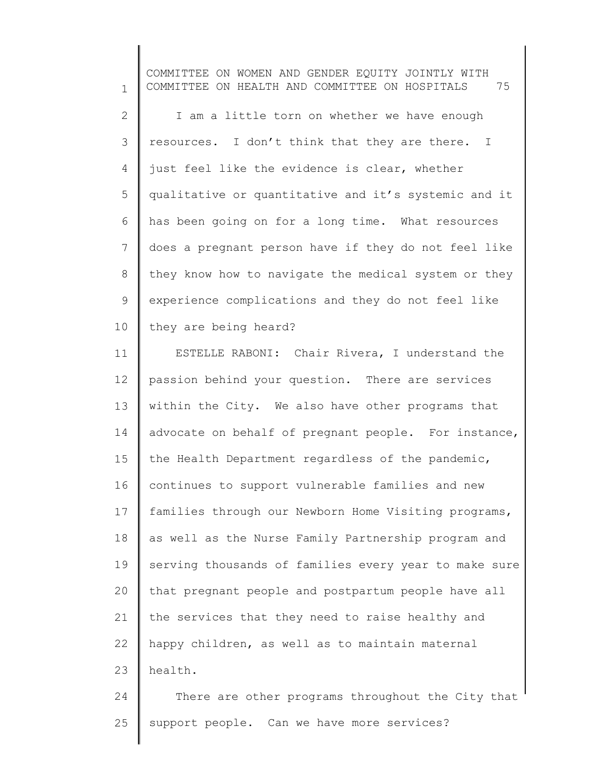1 2 3 4 5 6 7 8 9 10 COMMITTEE ON WOMEN AND GENDER EQUITY JOINTLY WITH COMMITTEE ON HEALTH AND COMMITTEE ON HOSPITALS 75 I am a little torn on whether we have enough resources. I don't think that they are there. I just feel like the evidence is clear, whether qualitative or quantitative and it's systemic and it has been going on for a long time. What resources does a pregnant person have if they do not feel like they know how to navigate the medical system or they experience complications and they do not feel like they are being heard?

11 12 13 14 15 16 17 18 19 20 21 22 23 ESTELLE RABONI: Chair Rivera, I understand the passion behind your question. There are services within the City. We also have other programs that advocate on behalf of pregnant people. For instance, the Health Department regardless of the pandemic, continues to support vulnerable families and new families through our Newborn Home Visiting programs, as well as the Nurse Family Partnership program and serving thousands of families every year to make sure that pregnant people and postpartum people have all the services that they need to raise healthy and happy children, as well as to maintain maternal health.

24 25 There are other programs throughout the City that support people. Can we have more services?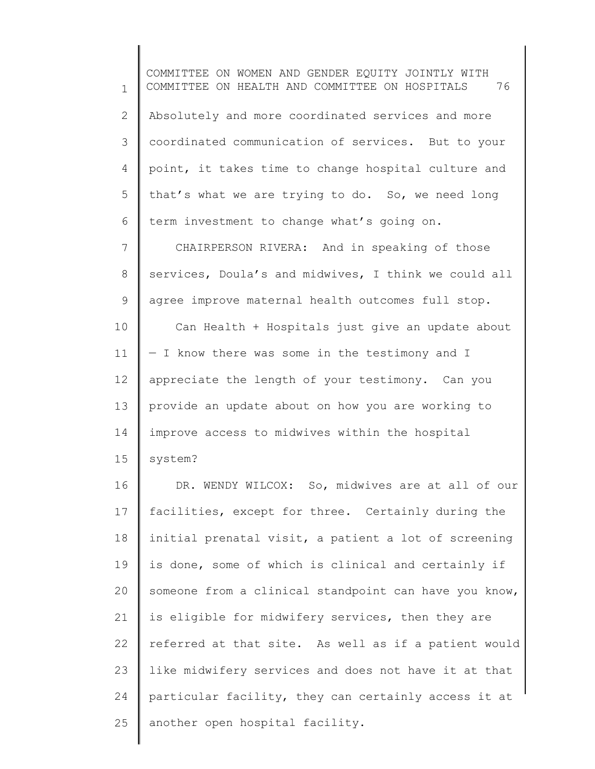1 2 3 4 5 6 COMMITTEE ON WOMEN AND GENDER EQUITY JOINTLY WITH COMMITTEE ON HEALTH AND COMMITTEE ON HOSPITALS 76 Absolutely and more coordinated services and more coordinated communication of services. But to your point, it takes time to change hospital culture and that's what we are trying to do. So, we need long term investment to change what's going on.

7 8 9 CHAIRPERSON RIVERA: And in speaking of those services, Doula's and midwives, I think we could all agree improve maternal health outcomes full stop.

10 11 12 13 14 15 Can Health + Hospitals just give an update about — I know there was some in the testimony and I appreciate the length of your testimony. Can you provide an update about on how you are working to improve access to midwives within the hospital system?

16 17 18 19 20 21 22 23 24 25 DR. WENDY WILCOX: So, midwives are at all of our facilities, except for three. Certainly during the initial prenatal visit, a patient a lot of screening is done, some of which is clinical and certainly if someone from a clinical standpoint can have you know, is eligible for midwifery services, then they are referred at that site. As well as if a patient would like midwifery services and does not have it at that particular facility, they can certainly access it at another open hospital facility.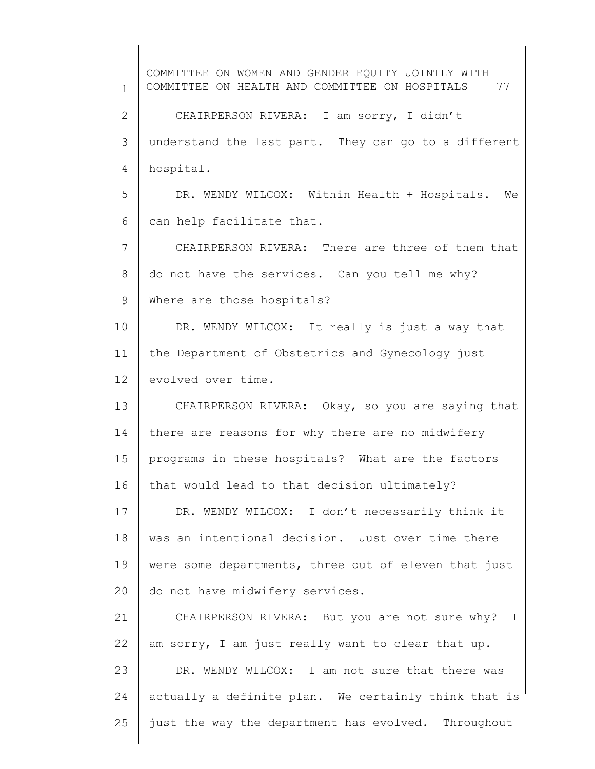1 2 3 4 5 6 7 8 9 10 11 12 13 14 15 16 17 18 19 20 21 22 23 24 25 COMMITTEE ON WOMEN AND GENDER EQUITY JOINTLY WITH COMMITTEE ON HEALTH AND COMMITTEE ON HOSPITALS 77 CHAIRPERSON RIVERA: I am sorry, I didn't understand the last part. They can go to a different hospital. DR. WENDY WILCOX: Within Health + Hospitals. We can help facilitate that. CHAIRPERSON RIVERA: There are three of them that do not have the services. Can you tell me why? Where are those hospitals? DR. WENDY WILCOX: It really is just a way that the Department of Obstetrics and Gynecology just evolved over time. CHAIRPERSON RIVERA: Okay, so you are saying that there are reasons for why there are no midwifery programs in these hospitals? What are the factors that would lead to that decision ultimately? DR. WENDY WILCOX: I don't necessarily think it was an intentional decision. Just over time there were some departments, three out of eleven that just do not have midwifery services. CHAIRPERSON RIVERA: But you are not sure why? I am sorry, I am just really want to clear that up. DR. WENDY WILCOX: I am not sure that there was actually a definite plan. We certainly think that is just the way the department has evolved. Throughout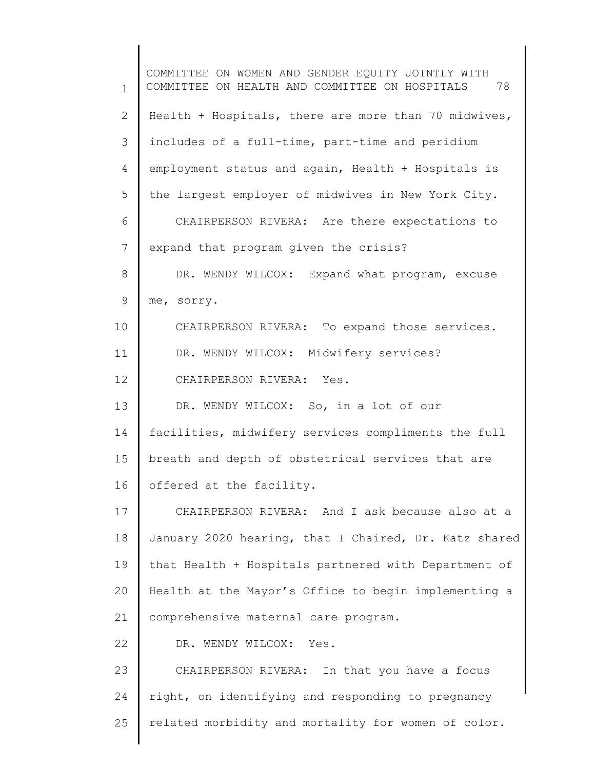1 2 3 4 5 6 7 8 9 10 11 12 13 14 15 16 17 18 19 20 21 22 23 24 25 COMMITTEE ON WOMEN AND GENDER EQUITY JOINTLY WITH COMMITTEE ON HEALTH AND COMMITTEE ON HOSPITALS 78 Health + Hospitals, there are more than 70 midwives, includes of a full-time, part-time and peridium employment status and again, Health + Hospitals is the largest employer of midwives in New York City. CHAIRPERSON RIVERA: Are there expectations to expand that program given the crisis? DR. WENDY WILCOX: Expand what program, excuse me, sorry. CHAIRPERSON RIVERA: To expand those services. DR. WENDY WILCOX: Midwifery services? CHAIRPERSON RIVERA: Yes. DR. WENDY WILCOX: So, in a lot of our facilities, midwifery services compliments the full breath and depth of obstetrical services that are offered at the facility. CHAIRPERSON RIVERA: And I ask because also at a January 2020 hearing, that I Chaired, Dr. Katz shared that Health + Hospitals partnered with Department of Health at the Mayor's Office to begin implementing a comprehensive maternal care program. DR. WENDY WILCOX: Yes. CHAIRPERSON RIVERA: In that you have a focus right, on identifying and responding to pregnancy related morbidity and mortality for women of color.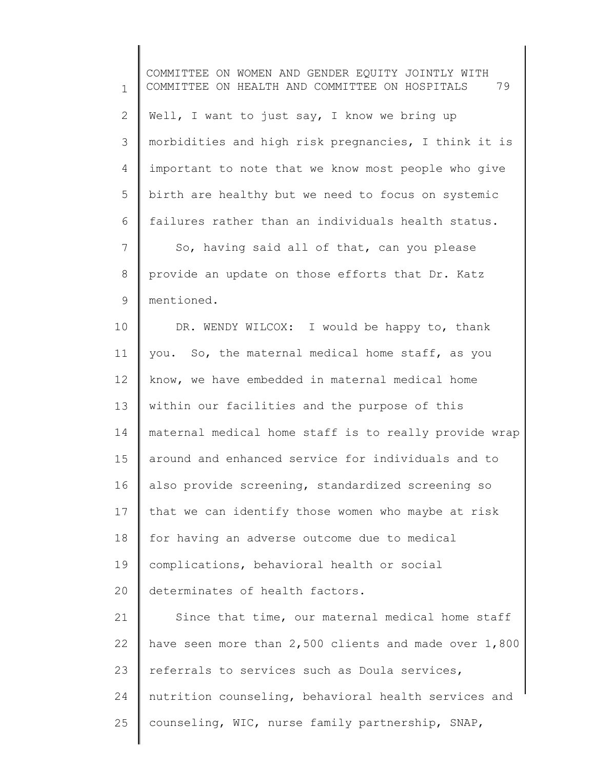1 2 3 4 5 6 7 8 9 10 11 12 13 14 15 16 17 18 19 20 21 22 23 24 25 COMMITTEE ON WOMEN AND GENDER EQUITY JOINTLY WITH COMMITTEE ON HEALTH AND COMMITTEE ON HOSPITALS 79 Well, I want to just say, I know we bring up morbidities and high risk pregnancies, I think it is important to note that we know most people who give birth are healthy but we need to focus on systemic failures rather than an individuals health status. So, having said all of that, can you please provide an update on those efforts that Dr. Katz mentioned. DR. WENDY WILCOX: I would be happy to, thank you. So, the maternal medical home staff, as you know, we have embedded in maternal medical home within our facilities and the purpose of this maternal medical home staff is to really provide wrap around and enhanced service for individuals and to also provide screening, standardized screening so that we can identify those women who maybe at risk for having an adverse outcome due to medical complications, behavioral health or social determinates of health factors. Since that time, our maternal medical home staff have seen more than 2,500 clients and made over 1,800 referrals to services such as Doula services, nutrition counseling, behavioral health services and counseling, WIC, nurse family partnership, SNAP,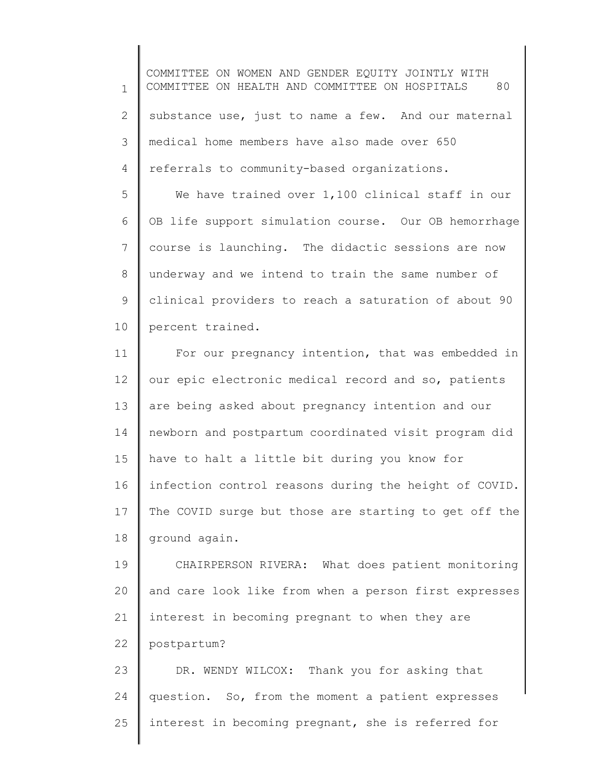1 2 3 4 COMMITTEE ON WOMEN AND GENDER EQUITY JOINTLY WITH COMMITTEE ON HEALTH AND COMMITTEE ON HOSPITALS 80 substance use, just to name a few. And our maternal medical home members have also made over 650 referrals to community-based organizations.

5 6 7 8 9 10 We have trained over 1,100 clinical staff in our OB life support simulation course. Our OB hemorrhage course is launching. The didactic sessions are now underway and we intend to train the same number of clinical providers to reach a saturation of about 90 percent trained.

11 12 13 14 15 16 17 18 For our pregnancy intention, that was embedded in our epic electronic medical record and so, patients are being asked about pregnancy intention and our newborn and postpartum coordinated visit program did have to halt a little bit during you know for infection control reasons during the height of COVID. The COVID surge but those are starting to get off the ground again.

19 20 21 22 CHAIRPERSON RIVERA: What does patient monitoring and care look like from when a person first expresses interest in becoming pregnant to when they are postpartum?

23 24 25 DR. WENDY WILCOX: Thank you for asking that question. So, from the moment a patient expresses interest in becoming pregnant, she is referred for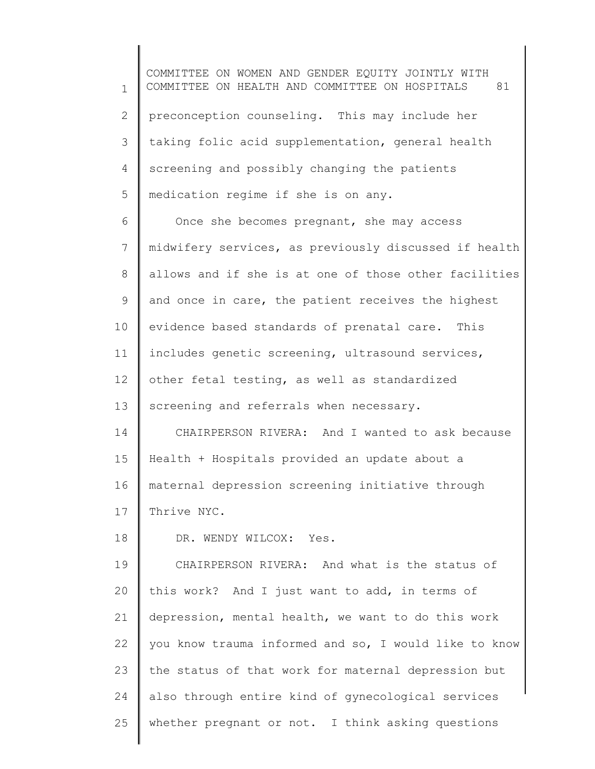1 2 3 4 5 COMMITTEE ON WOMEN AND GENDER EQUITY JOINTLY WITH COMMITTEE ON HEALTH AND COMMITTEE ON HOSPITALS 81 preconception counseling. This may include her taking folic acid supplementation, general health screening and possibly changing the patients medication regime if she is on any.

6 7 8 9 10 11 12 13 14 15 Once she becomes pregnant, she may access midwifery services, as previously discussed if health allows and if she is at one of those other facilities and once in care, the patient receives the highest evidence based standards of prenatal care. This includes genetic screening, ultrasound services, other fetal testing, as well as standardized screening and referrals when necessary. CHAIRPERSON RIVERA: And I wanted to ask because Health + Hospitals provided an update about a

16 maternal depression screening initiative through

17 Thrive NYC.

18

DR. WENDY WILCOX: Yes.

19 20 21 22 23 24 25 CHAIRPERSON RIVERA: And what is the status of this work? And I just want to add, in terms of depression, mental health, we want to do this work you know trauma informed and so, I would like to know the status of that work for maternal depression but also through entire kind of gynecological services whether pregnant or not. I think asking questions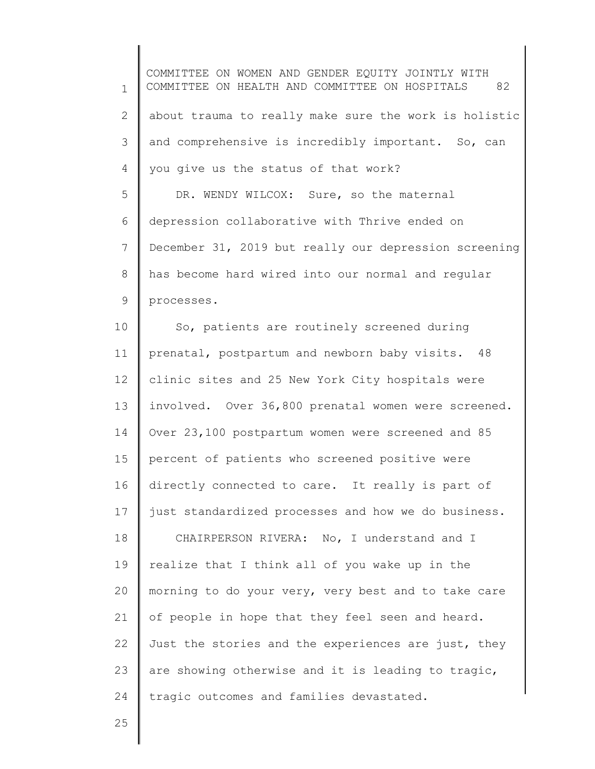1 2 3 4 5 6 7 8 9 10 11 12 13 14 15 16 17 18 19 20 21 22 23 24 COMMITTEE ON WOMEN AND GENDER EQUITY JOINTLY WITH COMMITTEE ON HEALTH AND COMMITTEE ON HOSPITALS 82 about trauma to really make sure the work is holistic and comprehensive is incredibly important. So, can you give us the status of that work? DR. WENDY WILCOX: Sure, so the maternal depression collaborative with Thrive ended on December 31, 2019 but really our depression screening has become hard wired into our normal and regular processes. So, patients are routinely screened during prenatal, postpartum and newborn baby visits. 48 clinic sites and 25 New York City hospitals were involved. Over 36,800 prenatal women were screened. Over 23,100 postpartum women were screened and 85 percent of patients who screened positive were directly connected to care. It really is part of just standardized processes and how we do business. CHAIRPERSON RIVERA: No, I understand and I realize that I think all of you wake up in the morning to do your very, very best and to take care of people in hope that they feel seen and heard. Just the stories and the experiences are just, they are showing otherwise and it is leading to tragic, tragic outcomes and families devastated.

25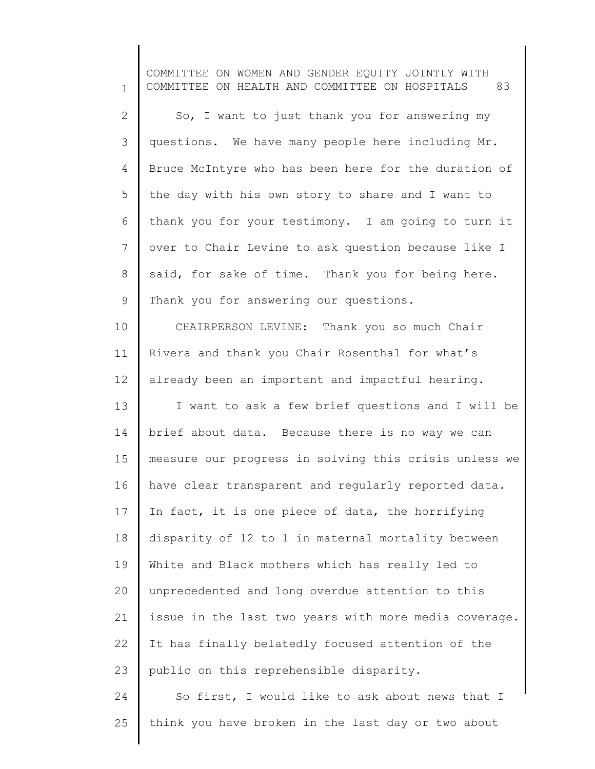1 2 3 4 5 6 7 8 9 10 11 12 13 14 15 16 17 18 19 20 21 22 23 24 25 COMMITTEE ON WOMEN AND GENDER EQUITY JOINTLY WITH COMMITTEE ON HEALTH AND COMMITTEE ON HOSPITALS 83 So, I want to just thank you for answering my questions. We have many people here including Mr. Bruce McIntyre who has been here for the duration of the day with his own story to share and I want to thank you for your testimony. I am going to turn it over to Chair Levine to ask question because like I said, for sake of time. Thank you for being here. Thank you for answering our questions. CHAIRPERSON LEVINE: Thank you so much Chair Rivera and thank you Chair Rosenthal for what's already been an important and impactful hearing. I want to ask a few brief questions and I will be brief about data. Because there is no way we can measure our progress in solving this crisis unless we have clear transparent and regularly reported data. In fact, it is one piece of data, the horrifying disparity of 12 to 1 in maternal mortality between White and Black mothers which has really led to unprecedented and long overdue attention to this issue in the last two years with more media coverage. It has finally belatedly focused attention of the public on this reprehensible disparity. So first, I would like to ask about news that I think you have broken in the last day or two about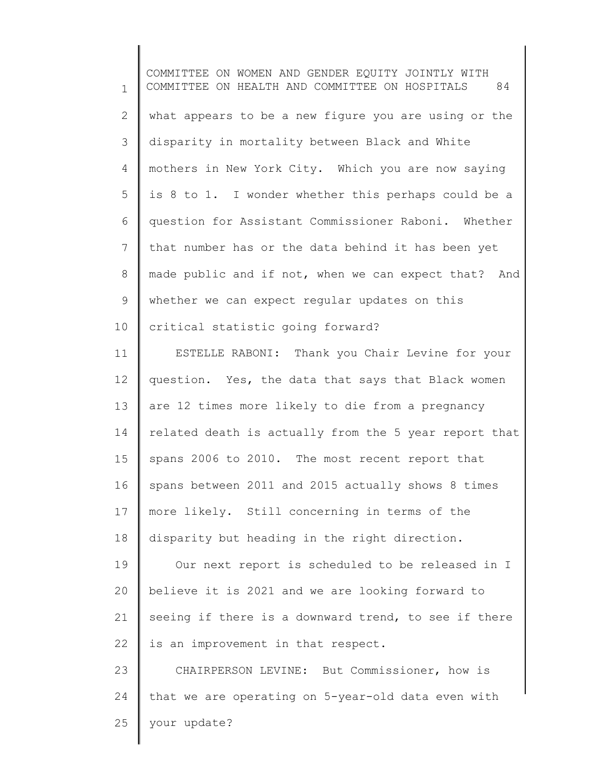1 2 3 4 5 6 7 8 9 10 11 12 13 14 15 16 17 18 COMMITTEE ON WOMEN AND GENDER EQUITY JOINTLY WITH COMMITTEE ON HEALTH AND COMMITTEE ON HOSPITALS 84 what appears to be a new figure you are using or the disparity in mortality between Black and White mothers in New York City. Which you are now saying is 8 to 1. I wonder whether this perhaps could be a question for Assistant Commissioner Raboni. Whether that number has or the data behind it has been yet made public and if not, when we can expect that? And whether we can expect regular updates on this critical statistic going forward? ESTELLE RABONI: Thank you Chair Levine for your question. Yes, the data that says that Black women are 12 times more likely to die from a pregnancy related death is actually from the 5 year report that spans 2006 to 2010. The most recent report that spans between 2011 and 2015 actually shows 8 times more likely. Still concerning in terms of the disparity but heading in the right direction.

19 20 21 22 Our next report is scheduled to be released in I believe it is 2021 and we are looking forward to seeing if there is a downward trend, to see if there is an improvement in that respect.

23 24 25 CHAIRPERSON LEVINE: But Commissioner, how is that we are operating on 5-year-old data even with your update?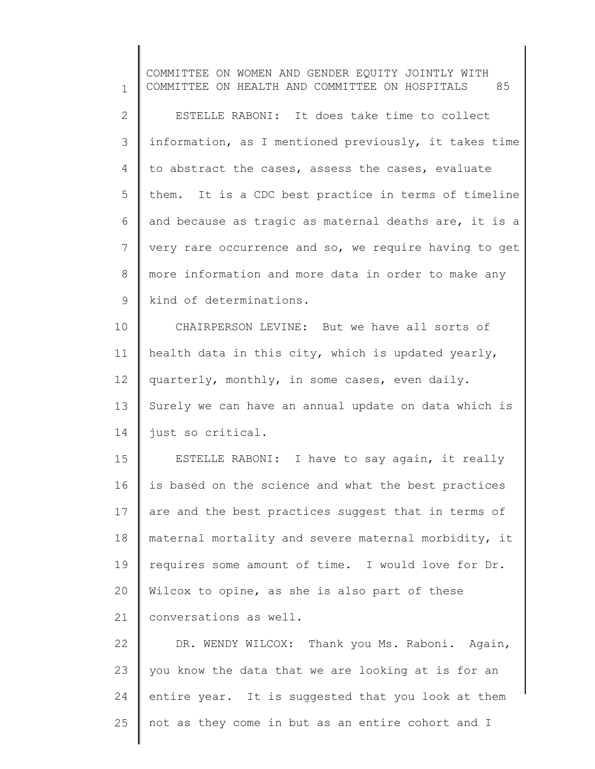1 2 3 4 5 6 7 8 9 10 11 12 13 14 15 16 17 18 19 20 21 22 23 24 25 COMMITTEE ON WOMEN AND GENDER EQUITY JOINTLY WITH COMMITTEE ON HEALTH AND COMMITTEE ON HOSPITALS 85 ESTELLE RABONI: It does take time to collect information, as I mentioned previously, it takes time to abstract the cases, assess the cases, evaluate them. It is a CDC best practice in terms of timeline and because as tragic as maternal deaths are, it is a very rare occurrence and so, we require having to get more information and more data in order to make any kind of determinations. CHAIRPERSON LEVINE: But we have all sorts of health data in this city, which is updated yearly, quarterly, monthly, in some cases, even daily. Surely we can have an annual update on data which is just so critical. ESTELLE RABONI: I have to say again, it really is based on the science and what the best practices are and the best practices suggest that in terms of maternal mortality and severe maternal morbidity, it requires some amount of time. I would love for Dr. Wilcox to opine, as she is also part of these conversations as well. DR. WENDY WILCOX: Thank you Ms. Raboni. Again, you know the data that we are looking at is for an entire year. It is suggested that you look at them not as they come in but as an entire cohort and I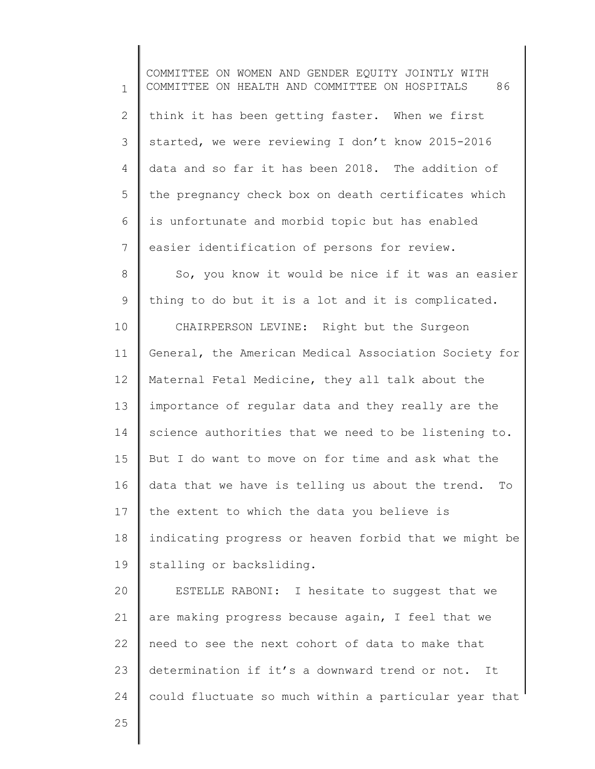1 2 3 4 5 6 7 8 9 10 11 12 13 14 15 16 17 18 19 20 21 22 23 24 25 COMMITTEE ON WOMEN AND GENDER EQUITY JOINTLY WITH COMMITTEE ON HEALTH AND COMMITTEE ON HOSPITALS 86 think it has been getting faster. When we first started, we were reviewing I don't know 2015-2016 data and so far it has been 2018. The addition of the pregnancy check box on death certificates which is unfortunate and morbid topic but has enabled easier identification of persons for review. So, you know it would be nice if it was an easier thing to do but it is a lot and it is complicated. CHAIRPERSON LEVINE: Right but the Surgeon General, the American Medical Association Society for Maternal Fetal Medicine, they all talk about the importance of regular data and they really are the science authorities that we need to be listening to. But I do want to move on for time and ask what the data that we have is telling us about the trend. To the extent to which the data you believe is indicating progress or heaven forbid that we might be stalling or backsliding. ESTELLE RABONI: I hesitate to suggest that we are making progress because again, I feel that we need to see the next cohort of data to make that determination if it's a downward trend or not. It could fluctuate so much within a particular year that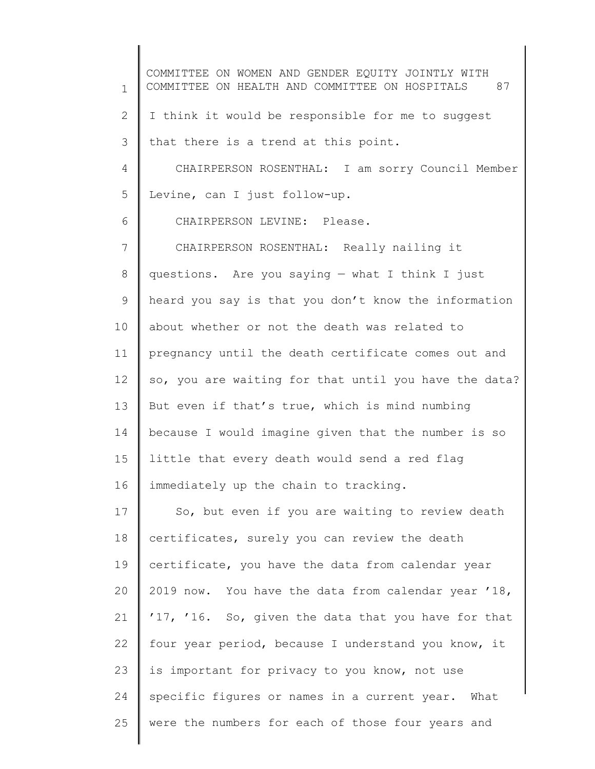1 2 3 4 5 6 7 8 9 10 11 12 13 14 15 16 17 18 19 20 21 22 23 24 25 COMMITTEE ON WOMEN AND GENDER EQUITY JOINTLY WITH COMMITTEE ON HEALTH AND COMMITTEE ON HOSPITALS 87 I think it would be responsible for me to suggest that there is a trend at this point. CHAIRPERSON ROSENTHAL: I am sorry Council Member Levine, can I just follow-up. CHAIRPERSON LEVINE: Please. CHAIRPERSON ROSENTHAL: Really nailing it questions. Are you saying — what I think I just heard you say is that you don't know the information about whether or not the death was related to pregnancy until the death certificate comes out and so, you are waiting for that until you have the data? But even if that's true, which is mind numbing because I would imagine given that the number is so little that every death would send a red flag immediately up the chain to tracking. So, but even if you are waiting to review death certificates, surely you can review the death certificate, you have the data from calendar year 2019 now. You have the data from calendar year '18, '17, '16. So, given the data that you have for that four year period, because I understand you know, it is important for privacy to you know, not use specific figures or names in a current year. What were the numbers for each of those four years and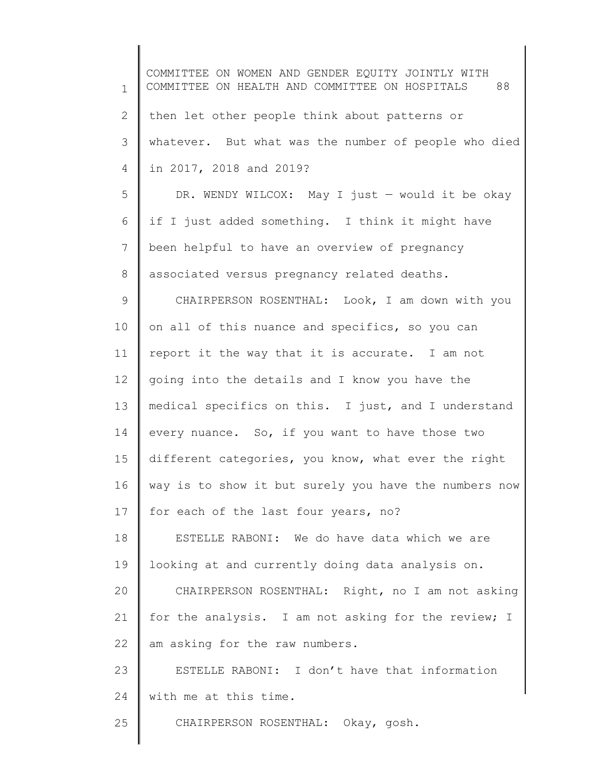1 2 3 4 5 6 7 8 9 10 11 12 13 14 15 16 17 18 19 20 21 22 23 24 25 COMMITTEE ON WOMEN AND GENDER EQUITY JOINTLY WITH COMMITTEE ON HEALTH AND COMMITTEE ON HOSPITALS 88 then let other people think about patterns or whatever. But what was the number of people who died in 2017, 2018 and 2019? DR. WENDY WILCOX: May I just — would it be okay if I just added something. I think it might have been helpful to have an overview of pregnancy associated versus pregnancy related deaths. CHAIRPERSON ROSENTHAL: Look, I am down with you on all of this nuance and specifics, so you can report it the way that it is accurate. I am not going into the details and I know you have the medical specifics on this. I just, and I understand every nuance. So, if you want to have those two different categories, you know, what ever the right way is to show it but surely you have the numbers now for each of the last four years, no? ESTELLE RABONI: We do have data which we are looking at and currently doing data analysis on. CHAIRPERSON ROSENTHAL: Right, no I am not asking for the analysis. I am not asking for the review; I am asking for the raw numbers. ESTELLE RABONI: I don't have that information with me at this time. CHAIRPERSON ROSENTHAL: Okay, gosh.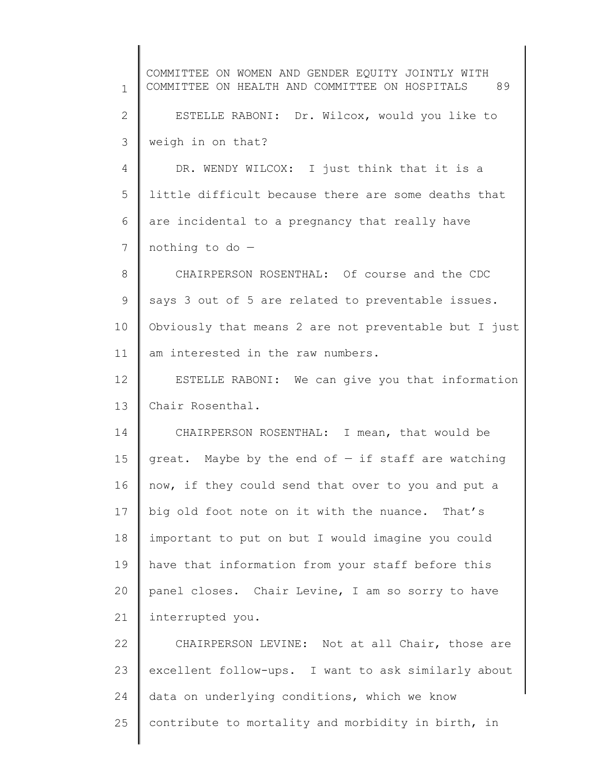1 2 3 4 5 6 7 8 9 10 11 12 13 14 15 16 17 18 19 20 21 22 23 24 25 COMMITTEE ON WOMEN AND GENDER EQUITY JOINTLY WITH COMMITTEE ON HEALTH AND COMMITTEE ON HOSPITALS 89 ESTELLE RABONI: Dr. Wilcox, would you like to weigh in on that? DR. WENDY WILCOX: I just think that it is a little difficult because there are some deaths that are incidental to a pregnancy that really have nothing to do — CHAIRPERSON ROSENTHAL: Of course and the CDC says 3 out of 5 are related to preventable issues. Obviously that means 2 are not preventable but I just am interested in the raw numbers. ESTELLE RABONI: We can give you that information Chair Rosenthal. CHAIRPERSON ROSENTHAL: I mean, that would be great. Maybe by the end of  $-$  if staff are watching now, if they could send that over to you and put a big old foot note on it with the nuance. That's important to put on but I would imagine you could have that information from your staff before this panel closes. Chair Levine, I am so sorry to have interrupted you. CHAIRPERSON LEVINE: Not at all Chair, those are excellent follow-ups. I want to ask similarly about data on underlying conditions, which we know contribute to mortality and morbidity in birth, in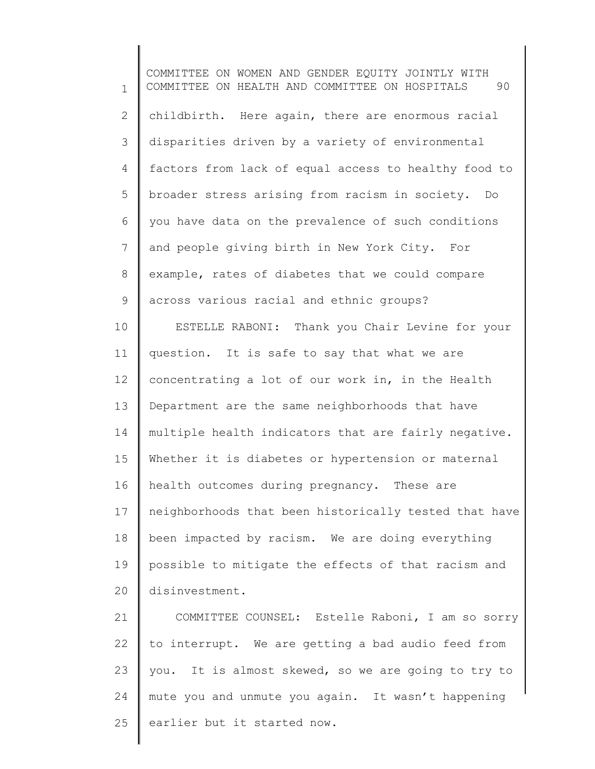1 2 3 4 5 6 7 8 9 10 11 12 13 14 15 16 17 18 19 20 COMMITTEE ON WOMEN AND GENDER EQUITY JOINTLY WITH COMMITTEE ON HEALTH AND COMMITTEE ON HOSPITALS 90 childbirth. Here again, there are enormous racial disparities driven by a variety of environmental factors from lack of equal access to healthy food to broader stress arising from racism in society. Do you have data on the prevalence of such conditions and people giving birth in New York City. For example, rates of diabetes that we could compare across various racial and ethnic groups? ESTELLE RABONI: Thank you Chair Levine for your question. It is safe to say that what we are concentrating a lot of our work in, in the Health Department are the same neighborhoods that have multiple health indicators that are fairly negative. Whether it is diabetes or hypertension or maternal health outcomes during pregnancy. These are neighborhoods that been historically tested that have been impacted by racism. We are doing everything possible to mitigate the effects of that racism and disinvestment.

21 22 23 24 25 COMMITTEE COUNSEL: Estelle Raboni, I am so sorry to interrupt. We are getting a bad audio feed from you. It is almost skewed, so we are going to try to mute you and unmute you again. It wasn't happening earlier but it started now.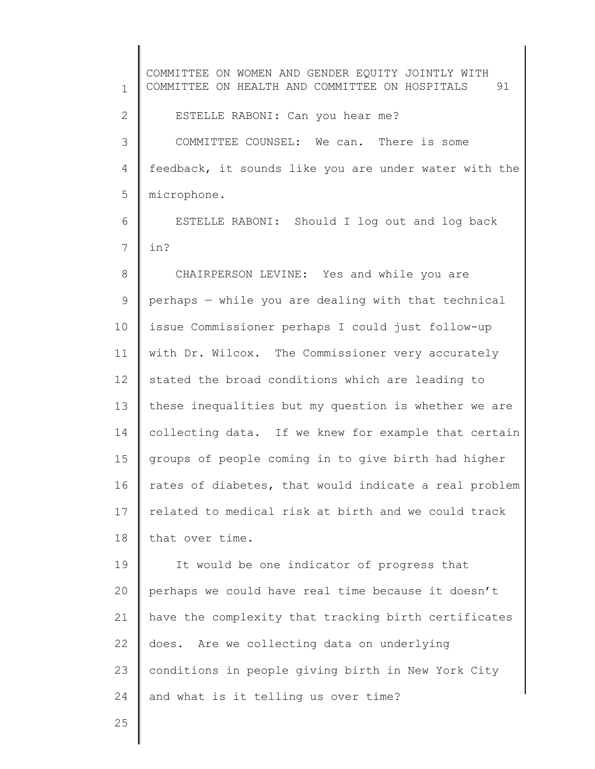1 2 3 4 5 6 7 8 9 10 11 12 13 14 15 16 17 18 19 20 21 22 23 24 COMMITTEE ON WOMEN AND GENDER EQUITY JOINTLY WITH COMMITTEE ON HEALTH AND COMMITTEE ON HOSPITALS 91 ESTELLE RABONI: Can you hear me? COMMITTEE COUNSEL: We can. There is some feedback, it sounds like you are under water with the microphone. ESTELLE RABONI: Should I log out and log back in? CHAIRPERSON LEVINE: Yes and while you are perhaps — while you are dealing with that technical issue Commissioner perhaps I could just follow-up with Dr. Wilcox. The Commissioner very accurately stated the broad conditions which are leading to these inequalities but my question is whether we are collecting data. If we knew for example that certain groups of people coming in to give birth had higher rates of diabetes, that would indicate a real problem related to medical risk at birth and we could track that over time. It would be one indicator of progress that perhaps we could have real time because it doesn't have the complexity that tracking birth certificates does. Are we collecting data on underlying conditions in people giving birth in New York City and what is it telling us over time?

25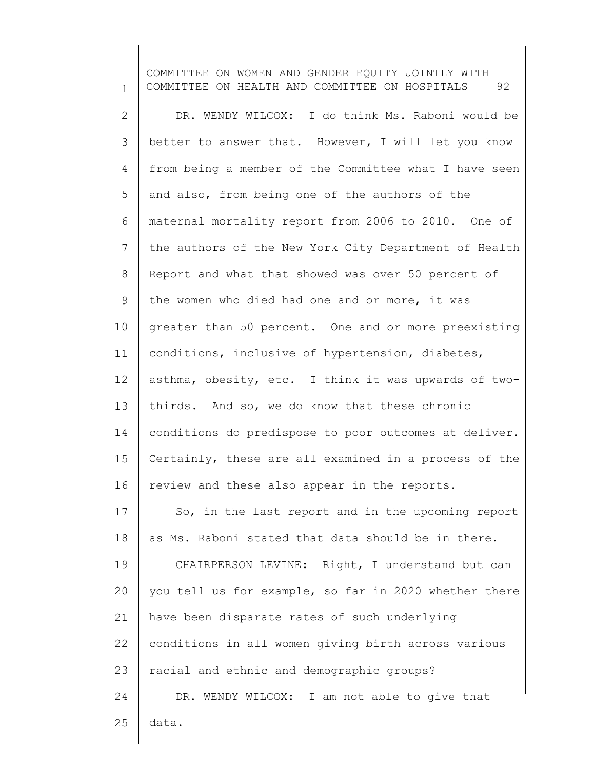1 2 3 4 5 6 7 8 9 10 11 12 13 14 15 16 17 18 19 20 21 22 23 24 25 COMMITTEE ON WOMEN AND GENDER EQUITY JOINTLY WITH COMMITTEE ON HEALTH AND COMMITTEE ON HOSPITALS 92 DR. WENDY WILCOX: I do think Ms. Raboni would be better to answer that. However, I will let you know from being a member of the Committee what I have seen and also, from being one of the authors of the maternal mortality report from 2006 to 2010. One of the authors of the New York City Department of Health Report and what that showed was over 50 percent of the women who died had one and or more, it was greater than 50 percent. One and or more preexisting conditions, inclusive of hypertension, diabetes, asthma, obesity, etc. I think it was upwards of twothirds. And so, we do know that these chronic conditions do predispose to poor outcomes at deliver. Certainly, these are all examined in a process of the review and these also appear in the reports. So, in the last report and in the upcoming report as Ms. Raboni stated that data should be in there. CHAIRPERSON LEVINE: Right, I understand but can you tell us for example, so far in 2020 whether there have been disparate rates of such underlying conditions in all women giving birth across various racial and ethnic and demographic groups? DR. WENDY WILCOX: I am not able to give that data.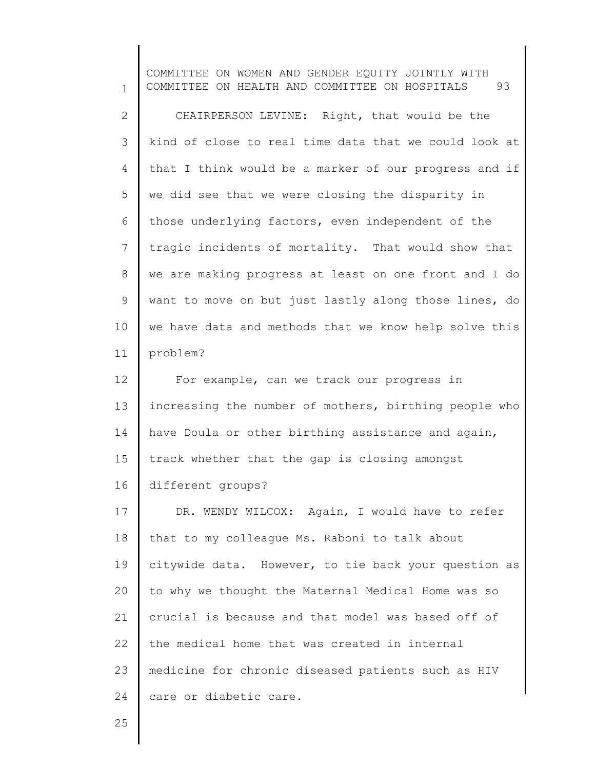1 2 3 4 5 6 7 8 9 10 11 12 13 14 15 16 17 18 19 20 21 22 23 24 COMMITTEE ON WOMEN AND GENDER EQUITY JOINTLY WITH COMMITTEE ON HEALTH AND COMMITTEE ON HOSPITALS 93 CHAIRPERSON LEVINE: Right, that would be the kind of close to real time data that we could look at that I think would be a marker of our progress and if we did see that we were closing the disparity in those underlying factors, even independent of the tragic incidents of mortality. That would show that we are making progress at least on one front and I do want to move on but just lastly along those lines, do we have data and methods that we know help solve this problem? For example, can we track our progress in increasing the number of mothers, birthing people who have Doula or other birthing assistance and again, track whether that the gap is closing amongst different groups? DR. WENDY WILCOX: Again, I would have to refer that to my colleague Ms. Raboni to talk about citywide data. However, to tie back your question as to why we thought the Maternal Medical Home was so crucial is because and that model was based off of the medical home that was created in internal medicine for chronic diseased patients such as HIV care or diabetic care.

25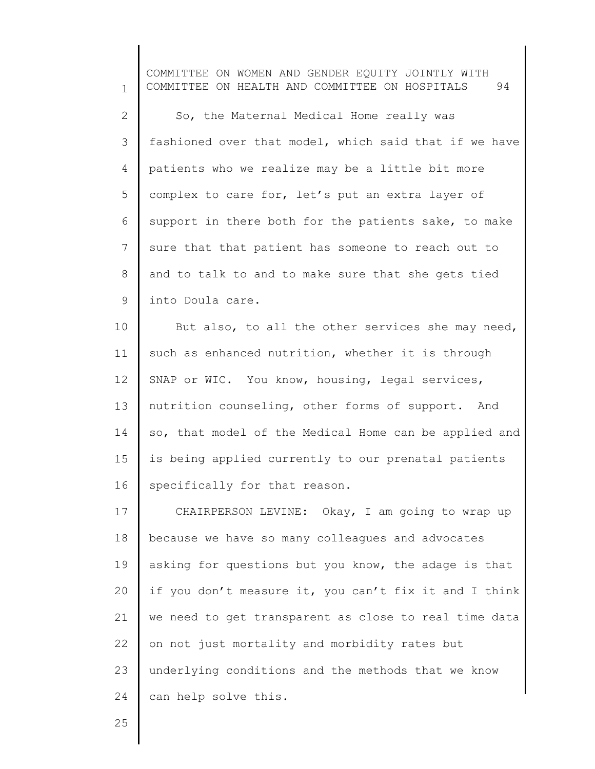1 2 3 4 5 6 7 8 9 COMMITTEE ON WOMEN AND GENDER EQUITY JOINTLY WITH COMMITTEE ON HEALTH AND COMMITTEE ON HOSPITALS 94 So, the Maternal Medical Home really was fashioned over that model, which said that if we have patients who we realize may be a little bit more complex to care for, let's put an extra layer of support in there both for the patients sake, to make sure that that patient has someone to reach out to and to talk to and to make sure that she gets tied into Doula care.

10 11 12 13 14 15 16 But also, to all the other services she may need, such as enhanced nutrition, whether it is through SNAP or WIC. You know, housing, legal services, nutrition counseling, other forms of support. And so, that model of the Medical Home can be applied and is being applied currently to our prenatal patients specifically for that reason.

17 18 19 20 21 22 23 24 CHAIRPERSON LEVINE: Okay, I am going to wrap up because we have so many colleagues and advocates asking for questions but you know, the adage is that if you don't measure it, you can't fix it and I think we need to get transparent as close to real time data on not just mortality and morbidity rates but underlying conditions and the methods that we know can help solve this.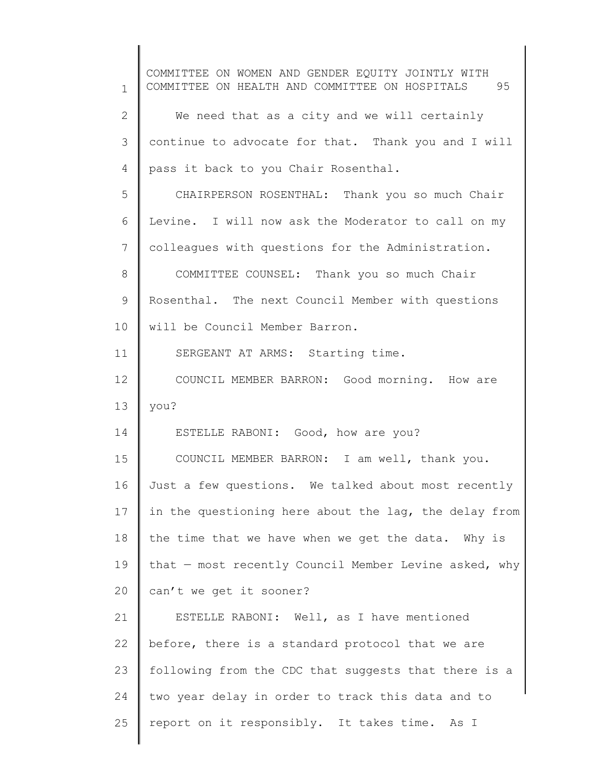1 2 3 4 5 6 7 8 9 10 11 12 13 14 15 16 17 18 19 20 21 22 23 24 25 COMMITTEE ON WOMEN AND GENDER EQUITY JOINTLY WITH COMMITTEE ON HEALTH AND COMMITTEE ON HOSPITALS 95 We need that as a city and we will certainly continue to advocate for that. Thank you and I will pass it back to you Chair Rosenthal. CHAIRPERSON ROSENTHAL: Thank you so much Chair Levine. I will now ask the Moderator to call on my colleagues with questions for the Administration. COMMITTEE COUNSEL: Thank you so much Chair Rosenthal. The next Council Member with questions will be Council Member Barron. SERGEANT AT ARMS: Starting time. COUNCIL MEMBER BARRON: Good morning. How are you? ESTELLE RABONI: Good, how are you? COUNCIL MEMBER BARRON: I am well, thank you. Just a few questions. We talked about most recently in the questioning here about the lag, the delay from the time that we have when we get the data. Why is that — most recently Council Member Levine asked, why can't we get it sooner? ESTELLE RABONI: Well, as I have mentioned before, there is a standard protocol that we are following from the CDC that suggests that there is a two year delay in order to track this data and to report on it responsibly. It takes time. As I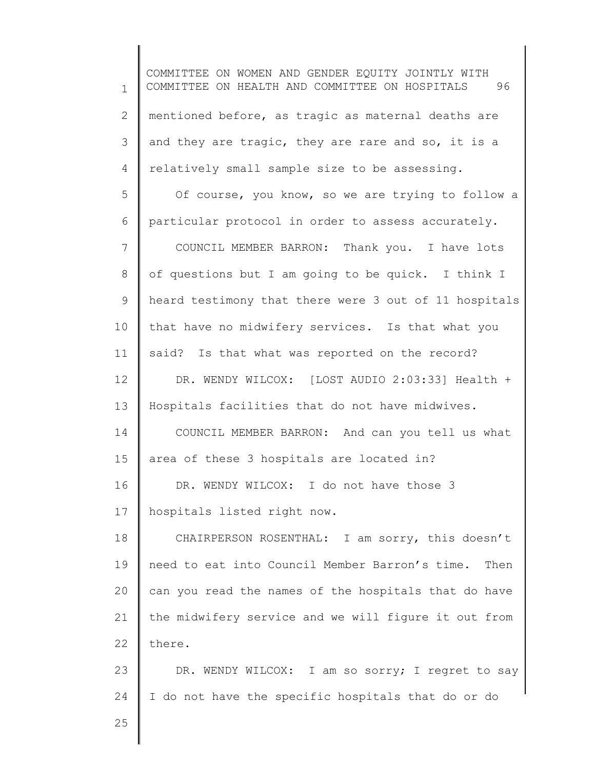1 2 3 4 5 6 7 8 9 10 11 12 13 14 15 16 17 18 19 20 21 22 23 24 25 COMMITTEE ON WOMEN AND GENDER EQUITY JOINTLY WITH COMMITTEE ON HEALTH AND COMMITTEE ON HOSPITALS 96 mentioned before, as tragic as maternal deaths are and they are tragic, they are rare and so, it is a relatively small sample size to be assessing. Of course, you know, so we are trying to follow a particular protocol in order to assess accurately. COUNCIL MEMBER BARRON: Thank you. I have lots of questions but I am going to be quick. I think I heard testimony that there were 3 out of 11 hospitals that have no midwifery services. Is that what you said? Is that what was reported on the record? DR. WENDY WILCOX: [LOST AUDIO 2:03:33] Health + Hospitals facilities that do not have midwives. COUNCIL MEMBER BARRON: And can you tell us what area of these 3 hospitals are located in? DR. WENDY WILCOX: I do not have those 3 hospitals listed right now. CHAIRPERSON ROSENTHAL: I am sorry, this doesn't need to eat into Council Member Barron's time. Then can you read the names of the hospitals that do have the midwifery service and we will figure it out from there. DR. WENDY WILCOX: I am so sorry; I regret to say I do not have the specific hospitals that do or do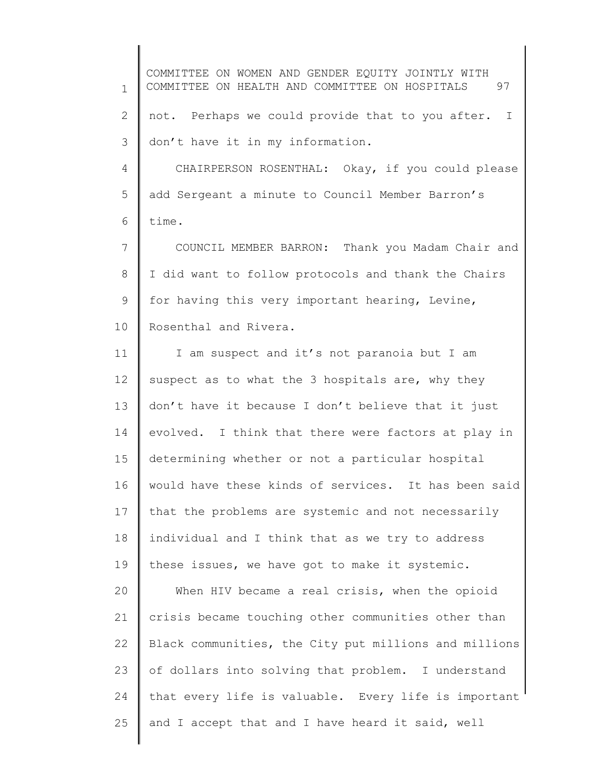1 2 3 4 5 6 7 8 9 10 11 12 13 14 15 16 17 18 19 COMMITTEE ON WOMEN AND GENDER EQUITY JOINTLY WITH COMMITTEE ON HEALTH AND COMMITTEE ON HOSPITALS 97 not. Perhaps we could provide that to you after. I don't have it in my information. CHAIRPERSON ROSENTHAL: Okay, if you could please add Sergeant a minute to Council Member Barron's time. COUNCIL MEMBER BARRON: Thank you Madam Chair and I did want to follow protocols and thank the Chairs for having this very important hearing, Levine, Rosenthal and Rivera. I am suspect and it's not paranoia but I am suspect as to what the 3 hospitals are, why they don't have it because I don't believe that it just evolved. I think that there were factors at play in determining whether or not a particular hospital would have these kinds of services. It has been said that the problems are systemic and not necessarily individual and I think that as we try to address these issues, we have got to make it systemic.

20 21 22 23 24 25 When HIV became a real crisis, when the opioid crisis became touching other communities other than Black communities, the City put millions and millions of dollars into solving that problem. I understand that every life is valuable. Every life is important and I accept that and I have heard it said, well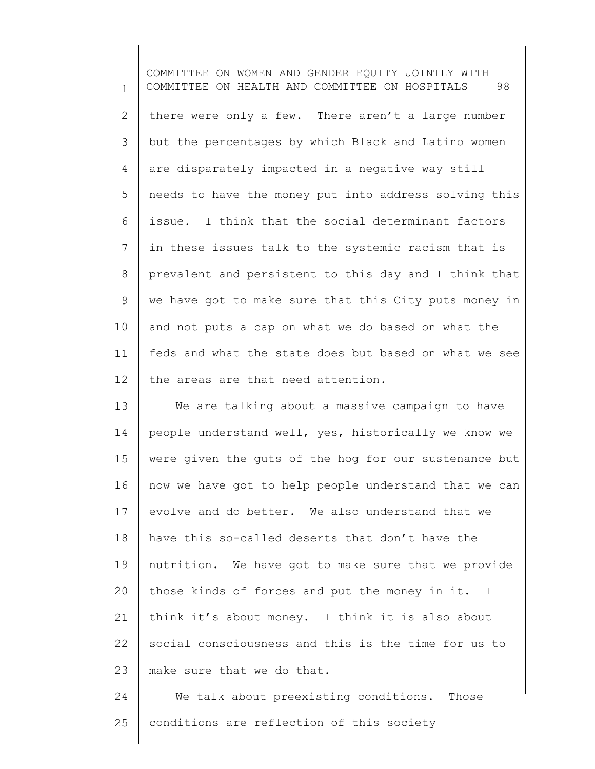1 2 3 4 5 6 7 8 9 10 11 12 COMMITTEE ON WOMEN AND GENDER EQUITY JOINTLY WITH COMMITTEE ON HEALTH AND COMMITTEE ON HOSPITALS 98 there were only a few. There aren't a large number but the percentages by which Black and Latino women are disparately impacted in a negative way still needs to have the money put into address solving this issue. I think that the social determinant factors in these issues talk to the systemic racism that is prevalent and persistent to this day and I think that we have got to make sure that this City puts money in and not puts a cap on what we do based on what the feds and what the state does but based on what we see the areas are that need attention.

13 14 15 16 17 18 19 20 21 22 23 We are talking about a massive campaign to have people understand well, yes, historically we know we were given the guts of the hog for our sustenance but now we have got to help people understand that we can evolve and do better. We also understand that we have this so-called deserts that don't have the nutrition. We have got to make sure that we provide those kinds of forces and put the money in it. I think it's about money. I think it is also about social consciousness and this is the time for us to make sure that we do that.

24 25 We talk about preexisting conditions. Those conditions are reflection of this society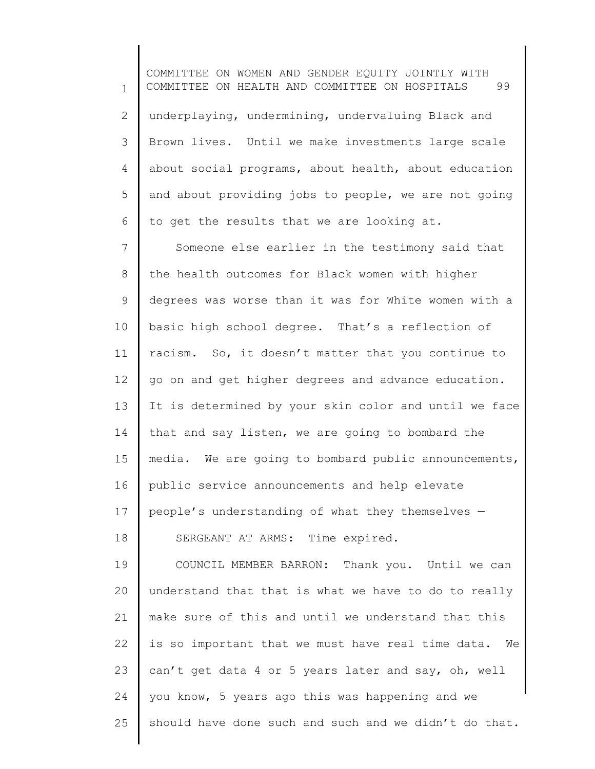1 2 3 4 5 6 7 8 9 10 11 12 13 14 15 16 17 18 19 20 21 22 23 24 25 COMMITTEE ON WOMEN AND GENDER EQUITY JOINTLY WITH COMMITTEE ON HEALTH AND COMMITTEE ON HOSPITALS 99 underplaying, undermining, undervaluing Black and Brown lives. Until we make investments large scale about social programs, about health, about education and about providing jobs to people, we are not going to get the results that we are looking at. Someone else earlier in the testimony said that the health outcomes for Black women with higher degrees was worse than it was for White women with a basic high school degree. That's a reflection of racism. So, it doesn't matter that you continue to go on and get higher degrees and advance education. It is determined by your skin color and until we face that and say listen, we are going to bombard the media. We are going to bombard public announcements, public service announcements and help elevate people's understanding of what they themselves — SERGEANT AT ARMS: Time expired. COUNCIL MEMBER BARRON: Thank you. Until we can understand that that is what we have to do to really make sure of this and until we understand that this is so important that we must have real time data. We can't get data 4 or 5 years later and say, oh, well you know, 5 years ago this was happening and we should have done such and such and we didn't do that.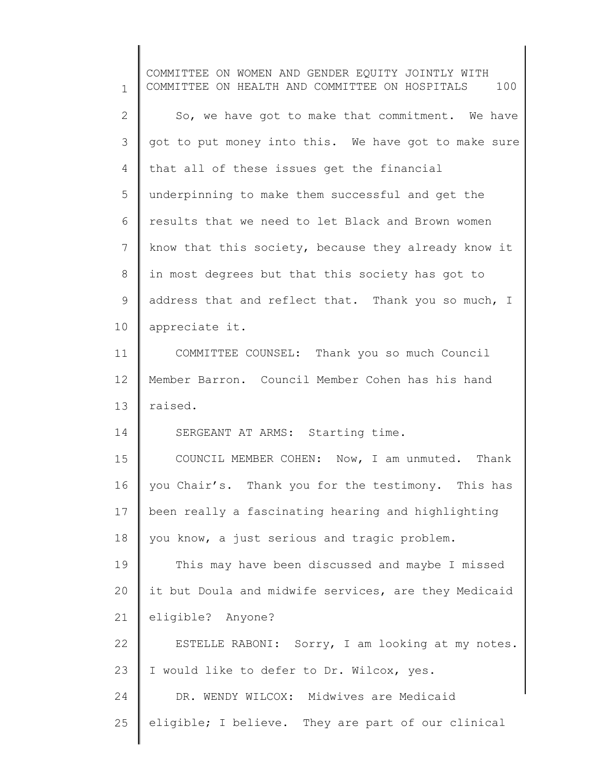1 2 3 4 5 6 7 8 9 10 11 12 13 14 15 16 17 18 19 20 21 22 23 24 25 COMMITTEE ON WOMEN AND GENDER EQUITY JOINTLY WITH COMMITTEE ON HEALTH AND COMMITTEE ON HOSPITALS 100 So, we have got to make that commitment. We have got to put money into this. We have got to make sure that all of these issues get the financial underpinning to make them successful and get the results that we need to let Black and Brown women know that this society, because they already know it in most degrees but that this society has got to address that and reflect that. Thank you so much, I appreciate it. COMMITTEE COUNSEL: Thank you so much Council Member Barron. Council Member Cohen has his hand raised. SERGEANT AT ARMS: Starting time. COUNCIL MEMBER COHEN: Now, I am unmuted. Thank you Chair's. Thank you for the testimony. This has been really a fascinating hearing and highlighting you know, a just serious and tragic problem. This may have been discussed and maybe I missed it but Doula and midwife services, are they Medicaid eligible? Anyone? ESTELLE RABONI: Sorry, I am looking at my notes. I would like to defer to Dr. Wilcox, yes. DR. WENDY WILCOX: Midwives are Medicaid eligible; I believe. They are part of our clinical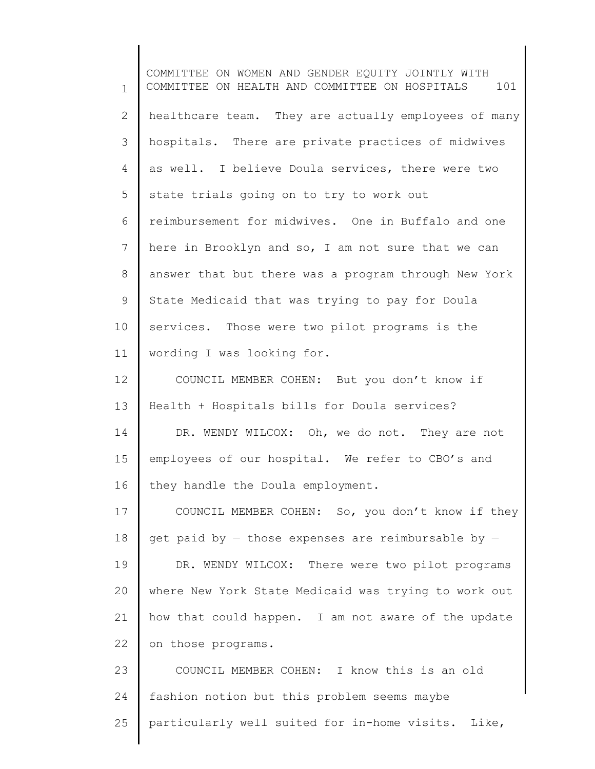1 2 3 4 5 6 7 8 9 10 11 12 13 14 15 16 17 18 19 20 21 22 23 24 25 COMMITTEE ON WOMEN AND GENDER EQUITY JOINTLY WITH COMMITTEE ON HEALTH AND COMMITTEE ON HOSPITALS 101 healthcare team. They are actually employees of many hospitals. There are private practices of midwives as well. I believe Doula services, there were two state trials going on to try to work out reimbursement for midwives. One in Buffalo and one here in Brooklyn and so, I am not sure that we can answer that but there was a program through New York State Medicaid that was trying to pay for Doula services. Those were two pilot programs is the wording I was looking for. COUNCIL MEMBER COHEN: But you don't know if Health + Hospitals bills for Doula services? DR. WENDY WILCOX: Oh, we do not. They are not employees of our hospital. We refer to CBO's and they handle the Doula employment. COUNCIL MEMBER COHEN: So, you don't know if they get paid by  $-$  those expenses are reimbursable by  $-$ DR. WENDY WILCOX: There were two pilot programs where New York State Medicaid was trying to work out how that could happen. I am not aware of the update on those programs. COUNCIL MEMBER COHEN: I know this is an old fashion notion but this problem seems maybe particularly well suited for in-home visits. Like,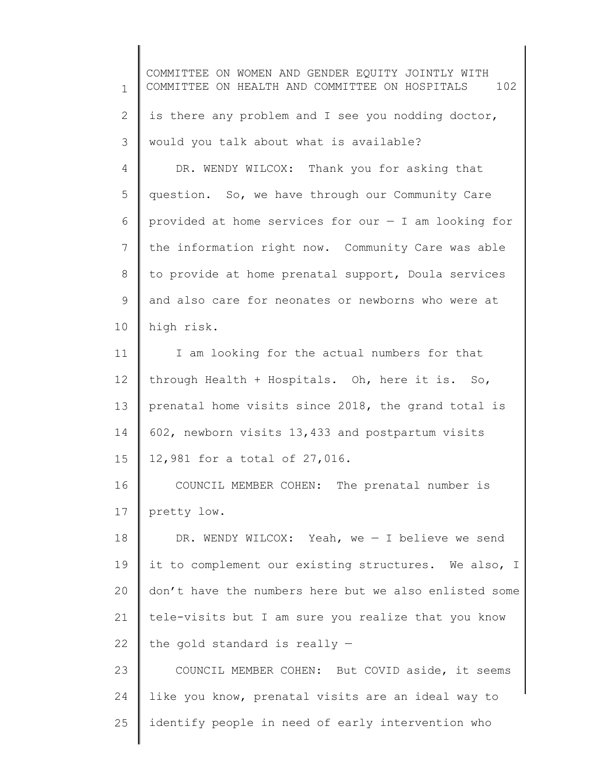1 2 3 4 5 6 7 8 9 10 11 12 13 14 15 16 17 18 19 20 21 22 23 24 25 COMMITTEE ON WOMEN AND GENDER EQUITY JOINTLY WITH COMMITTEE ON HEALTH AND COMMITTEE ON HOSPITALS 102 is there any problem and I see you nodding doctor, would you talk about what is available? DR. WENDY WILCOX: Thank you for asking that question. So, we have through our Community Care provided at home services for our — I am looking for the information right now. Community Care was able to provide at home prenatal support, Doula services and also care for neonates or newborns who were at high risk. I am looking for the actual numbers for that through Health + Hospitals. Oh, here it is. So, prenatal home visits since 2018, the grand total is 602, newborn visits 13,433 and postpartum visits 12,981 for a total of 27,016. COUNCIL MEMBER COHEN: The prenatal number is pretty low. DR. WENDY WILCOX: Yeah, we — I believe we send it to complement our existing structures. We also, I don't have the numbers here but we also enlisted some tele-visits but I am sure you realize that you know the gold standard is really — COUNCIL MEMBER COHEN: But COVID aside, it seems like you know, prenatal visits are an ideal way to identify people in need of early intervention who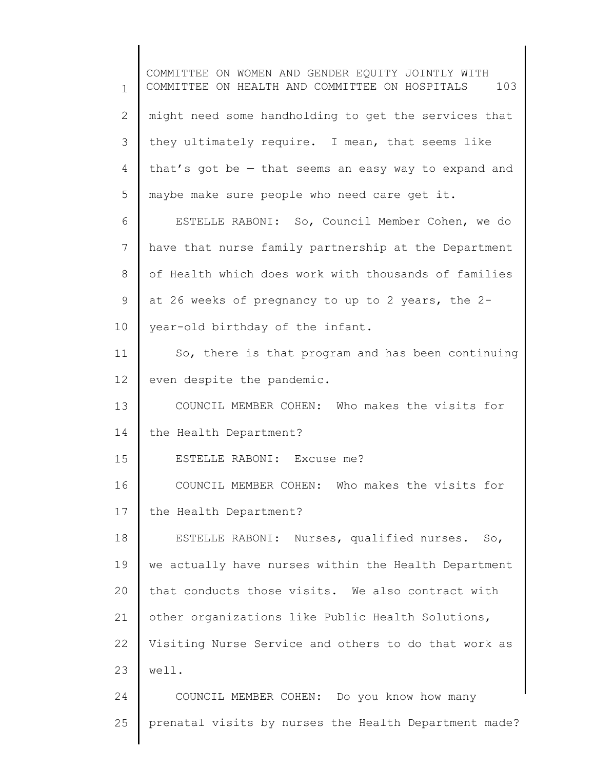1 2 3 4 5 6 7 8 9 10 11 12 13 14 15 16 17 18 19 20 21 22 23 24 25 COMMITTEE ON WOMEN AND GENDER EQUITY JOINTLY WITH COMMITTEE ON HEALTH AND COMMITTEE ON HOSPITALS 103 might need some handholding to get the services that they ultimately require. I mean, that seems like that's got be — that seems an easy way to expand and maybe make sure people who need care get it. ESTELLE RABONI: So, Council Member Cohen, we do have that nurse family partnership at the Department of Health which does work with thousands of families at 26 weeks of pregnancy to up to 2 years, the 2 year-old birthday of the infant. So, there is that program and has been continuing even despite the pandemic. COUNCIL MEMBER COHEN: Who makes the visits for the Health Department? ESTELLE RABONI: Excuse me? COUNCIL MEMBER COHEN: Who makes the visits for the Health Department? ESTELLE RABONI: Nurses, qualified nurses. So, we actually have nurses within the Health Department that conducts those visits. We also contract with other organizations like Public Health Solutions, Visiting Nurse Service and others to do that work as well. COUNCIL MEMBER COHEN: Do you know how many prenatal visits by nurses the Health Department made?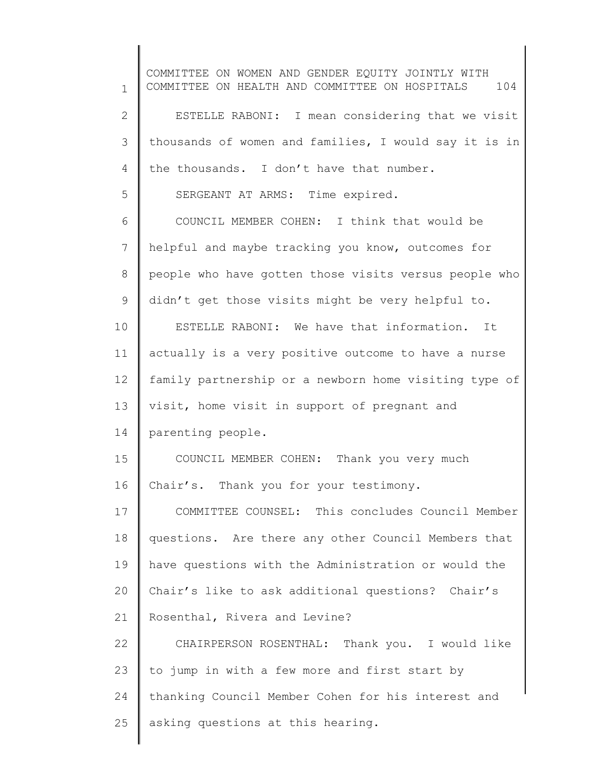1 2 3 4 5 6 7 8 9 10 11 12 13 14 15 16 17 18 19 20 21 22 23 24 25 COMMITTEE ON WOMEN AND GENDER EQUITY JOINTLY WITH COMMITTEE ON HEALTH AND COMMITTEE ON HOSPITALS 104 ESTELLE RABONI: I mean considering that we visit thousands of women and families, I would say it is in the thousands. I don't have that number. SERGEANT AT ARMS: Time expired. COUNCIL MEMBER COHEN: I think that would be helpful and maybe tracking you know, outcomes for people who have gotten those visits versus people who didn't get those visits might be very helpful to. ESTELLE RABONI: We have that information. It actually is a very positive outcome to have a nurse family partnership or a newborn home visiting type of visit, home visit in support of pregnant and parenting people. COUNCIL MEMBER COHEN: Thank you very much Chair's. Thank you for your testimony. COMMITTEE COUNSEL: This concludes Council Member questions. Are there any other Council Members that have questions with the Administration or would the Chair's like to ask additional questions? Chair's Rosenthal, Rivera and Levine? CHAIRPERSON ROSENTHAL: Thank you. I would like to jump in with a few more and first start by thanking Council Member Cohen for his interest and asking questions at this hearing.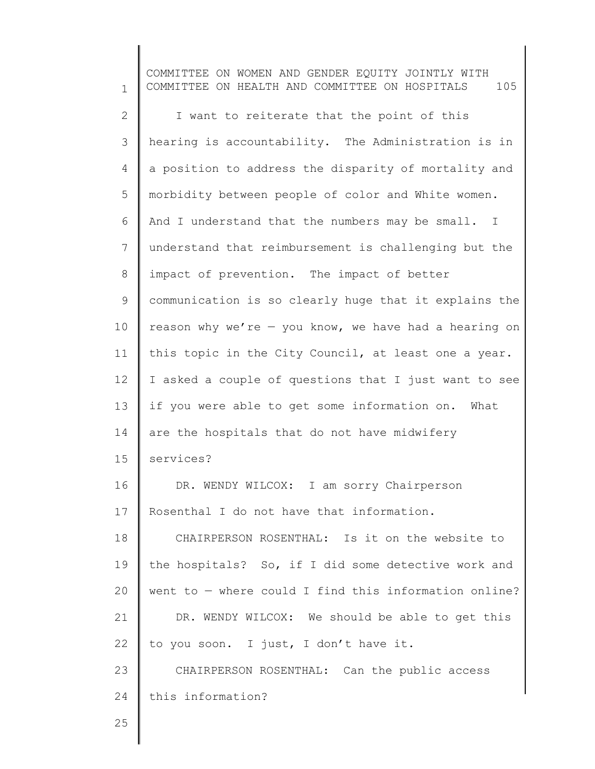1 2 3 4 5 6 7 8 9 10 11 12 13 14 15 16 17 18 19 20 21 22 23 24 COMMITTEE ON WOMEN AND GENDER EQUITY JOINTLY WITH COMMITTEE ON HEALTH AND COMMITTEE ON HOSPITALS 105 I want to reiterate that the point of this hearing is accountability. The Administration is in a position to address the disparity of mortality and morbidity between people of color and White women. And I understand that the numbers may be small. I understand that reimbursement is challenging but the impact of prevention. The impact of better communication is so clearly huge that it explains the reason why we're  $-$  you know, we have had a hearing on this topic in the City Council, at least one a year. I asked a couple of questions that I just want to see if you were able to get some information on. What are the hospitals that do not have midwifery services? DR. WENDY WILCOX: I am sorry Chairperson Rosenthal I do not have that information. CHAIRPERSON ROSENTHAL: Is it on the website to the hospitals? So, if I did some detective work and went to — where could I find this information online? DR. WENDY WILCOX: We should be able to get this to you soon. I just, I don't have it. CHAIRPERSON ROSENTHAL: Can the public access this information?

25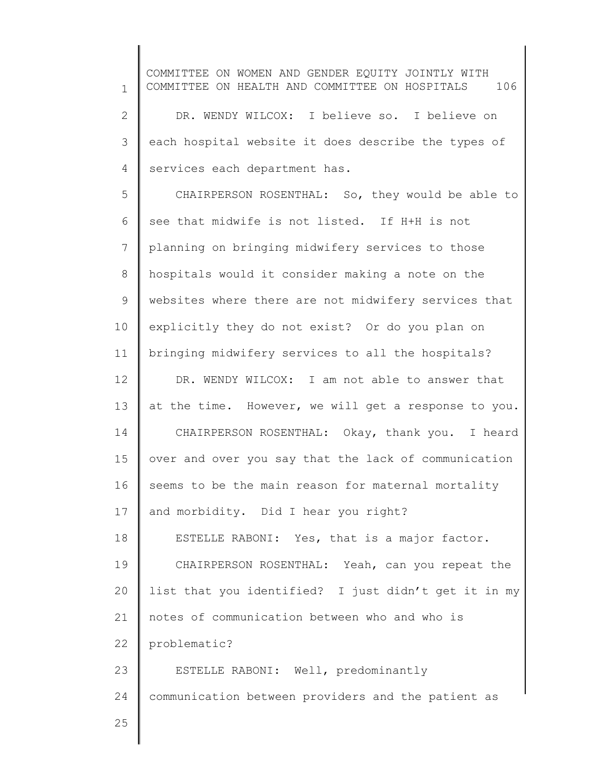1 2 3 4 5 6 7 8 9 10 11 12 13 14 15 16 17 18 19 20 21 22 23 24 25 COMMITTEE ON WOMEN AND GENDER EQUITY JOINTLY WITH COMMITTEE ON HEALTH AND COMMITTEE ON HOSPITALS 106 DR. WENDY WILCOX: I believe so. I believe on each hospital website it does describe the types of services each department has. CHAIRPERSON ROSENTHAL: So, they would be able to see that midwife is not listed. If H+H is not planning on bringing midwifery services to those hospitals would it consider making a note on the websites where there are not midwifery services that explicitly they do not exist? Or do you plan on bringing midwifery services to all the hospitals? DR. WENDY WILCOX: I am not able to answer that at the time. However, we will get a response to you. CHAIRPERSON ROSENTHAL: Okay, thank you. I heard over and over you say that the lack of communication seems to be the main reason for maternal mortality and morbidity. Did I hear you right? ESTELLE RABONI: Yes, that is a major factor. CHAIRPERSON ROSENTHAL: Yeah, can you repeat the list that you identified? I just didn't get it in my notes of communication between who and who is problematic? ESTELLE RABONI: Well, predominantly communication between providers and the patient as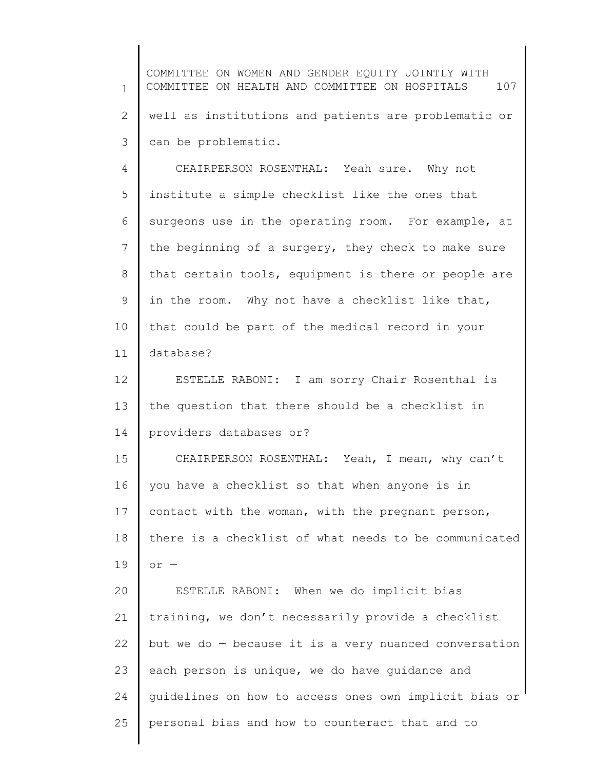1 2 3 4 5 6 7 8 9 10 11 12 13 14 15 16 17 18 19 20 21 22 23 24 25 COMMITTEE ON WOMEN AND GENDER EQUITY JOINTLY WITH COMMITTEE ON HEALTH AND COMMITTEE ON HOSPITALS 107 well as institutions and patients are problematic or can be problematic. CHAIRPERSON ROSENTHAL: Yeah sure. Why not institute a simple checklist like the ones that surgeons use in the operating room. For example, at the beginning of a surgery, they check to make sure that certain tools, equipment is there or people are in the room. Why not have a checklist like that, that could be part of the medical record in your database? ESTELLE RABONI: I am sorry Chair Rosenthal is the question that there should be a checklist in providers databases or? CHAIRPERSON ROSENTHAL: Yeah, I mean, why can't you have a checklist so that when anyone is in contact with the woman, with the pregnant person, there is a checklist of what needs to be communicated or — ESTELLE RABONI: When we do implicit bias training, we don't necessarily provide a checklist but we do — because it is a very nuanced conversation each person is unique, we do have guidance and guidelines on how to access ones own implicit bias or personal bias and how to counteract that and to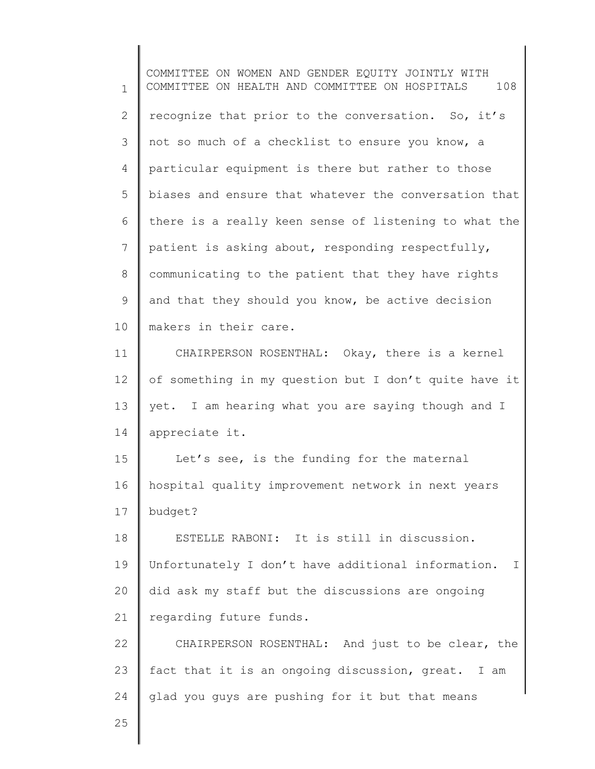1 2 3 4 5 6 7 8 9 10 11 12 13 14 15 16 17 18 19 20 21 22 23 24 25 COMMITTEE ON WOMEN AND GENDER EQUITY JOINTLY WITH COMMITTEE ON HEALTH AND COMMITTEE ON HOSPITALS 108 recognize that prior to the conversation. So, it's not so much of a checklist to ensure you know, a particular equipment is there but rather to those biases and ensure that whatever the conversation that there is a really keen sense of listening to what the patient is asking about, responding respectfully, communicating to the patient that they have rights and that they should you know, be active decision makers in their care. CHAIRPERSON ROSENTHAL: Okay, there is a kernel of something in my question but I don't quite have it yet. I am hearing what you are saying though and I appreciate it. Let's see, is the funding for the maternal hospital quality improvement network in next years budget? ESTELLE RABONI: It is still in discussion. Unfortunately I don't have additional information. I did ask my staff but the discussions are ongoing regarding future funds. CHAIRPERSON ROSENTHAL: And just to be clear, the fact that it is an ongoing discussion, great. I am glad you guys are pushing for it but that means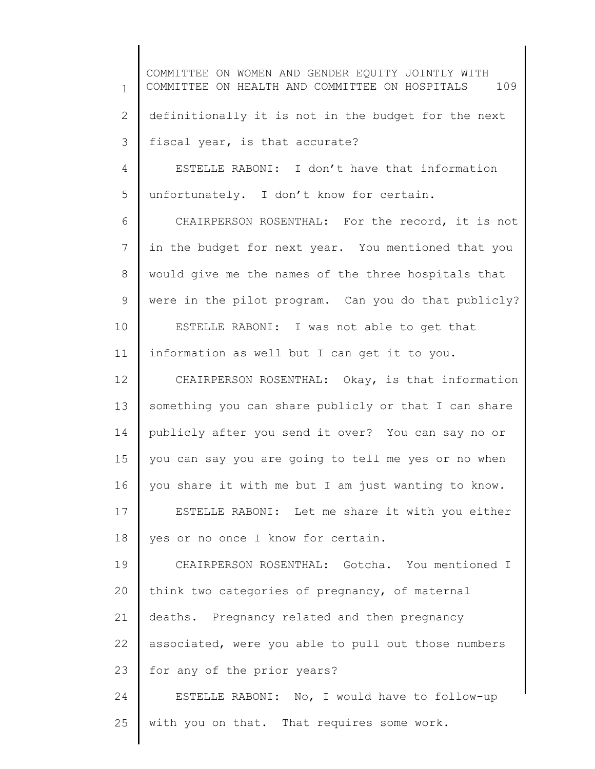1 2 3 4 5 6 7 8 9 10 11 12 13 14 15 16 17 18 19 20 21 22 COMMITTEE ON WOMEN AND GENDER EQUITY JOINTLY WITH COMMITTEE ON HEALTH AND COMMITTEE ON HOSPITALS 109 definitionally it is not in the budget for the next fiscal year, is that accurate? ESTELLE RABONI: I don't have that information unfortunately. I don't know for certain. CHAIRPERSON ROSENTHAL: For the record, it is not in the budget for next year. You mentioned that you would give me the names of the three hospitals that were in the pilot program. Can you do that publicly? ESTELLE RABONI: I was not able to get that information as well but I can get it to you. CHAIRPERSON ROSENTHAL: Okay, is that information something you can share publicly or that I can share publicly after you send it over? You can say no or you can say you are going to tell me yes or no when you share it with me but I am just wanting to know. ESTELLE RABONI: Let me share it with you either yes or no once I know for certain. CHAIRPERSON ROSENTHAL: Gotcha. You mentioned I think two categories of pregnancy, of maternal deaths. Pregnancy related and then pregnancy associated, were you able to pull out those numbers

24 25 ESTELLE RABONI: No, I would have to follow-up with you on that. That requires some work.

for any of the prior years?

23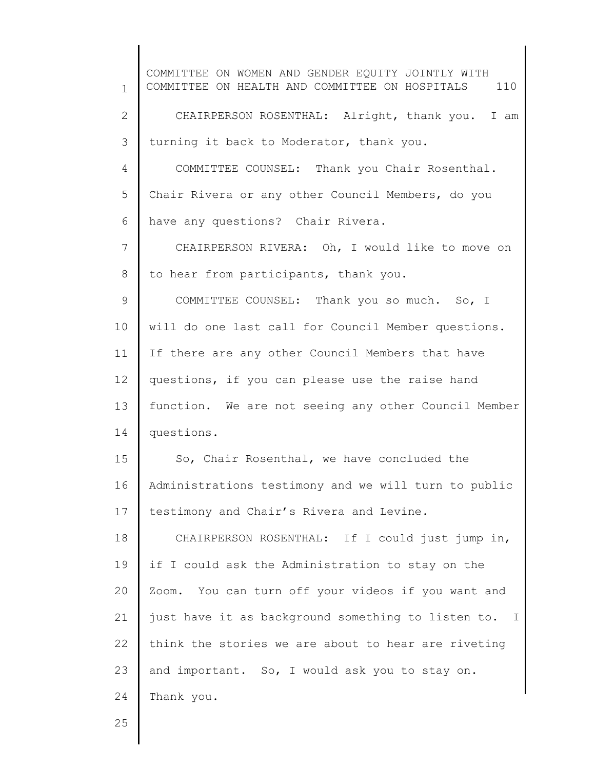1 2 3 4 5 6 7 8 9 10 11 12 13 14 15 16 17 18 19 20 21 22 23 24 COMMITTEE ON WOMEN AND GENDER EQUITY JOINTLY WITH COMMITTEE ON HEALTH AND COMMITTEE ON HOSPITALS 110 CHAIRPERSON ROSENTHAL: Alright, thank you. I am turning it back to Moderator, thank you. COMMITTEE COUNSEL: Thank you Chair Rosenthal. Chair Rivera or any other Council Members, do you have any questions? Chair Rivera. CHAIRPERSON RIVERA: Oh, I would like to move on to hear from participants, thank you. COMMITTEE COUNSEL: Thank you so much. So, I will do one last call for Council Member questions. If there are any other Council Members that have questions, if you can please use the raise hand function. We are not seeing any other Council Member questions. So, Chair Rosenthal, we have concluded the Administrations testimony and we will turn to public testimony and Chair's Rivera and Levine. CHAIRPERSON ROSENTHAL: If I could just jump in, if I could ask the Administration to stay on the Zoom. You can turn off your videos if you want and just have it as background something to listen to. I think the stories we are about to hear are riveting and important. So, I would ask you to stay on. Thank you.

25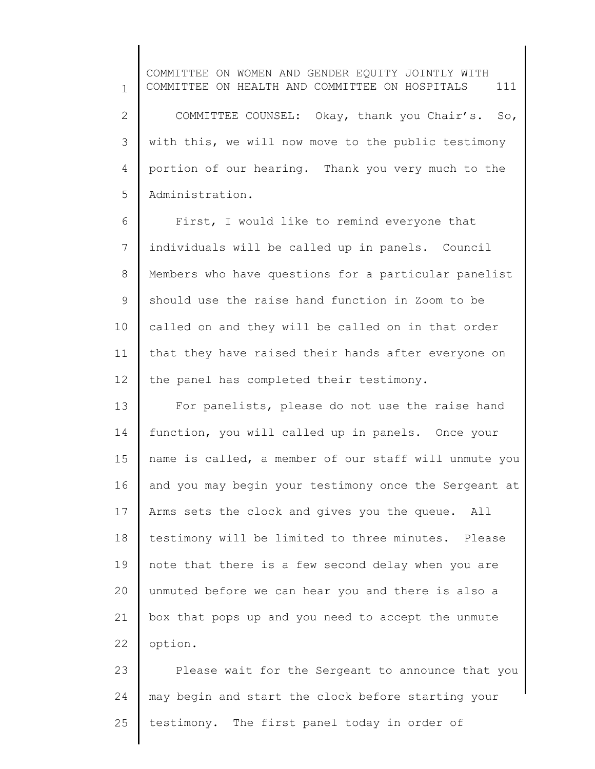1 2 3 4 5 COMMITTEE ON WOMEN AND GENDER EQUITY JOINTLY WITH COMMITTEE ON HEALTH AND COMMITTEE ON HOSPITALS 111 COMMITTEE COUNSEL: Okay, thank you Chair's. So, with this, we will now move to the public testimony portion of our hearing. Thank you very much to the Administration.

6 7 8 9 10 11 12 First, I would like to remind everyone that individuals will be called up in panels. Council Members who have questions for a particular panelist should use the raise hand function in Zoom to be called on and they will be called on in that order that they have raised their hands after everyone on the panel has completed their testimony.

13 14 15 16 17 18 19 20 21 22 For panelists, please do not use the raise hand function, you will called up in panels. Once your name is called, a member of our staff will unmute you and you may begin your testimony once the Sergeant at Arms sets the clock and gives you the queue. All testimony will be limited to three minutes. Please note that there is a few second delay when you are unmuted before we can hear you and there is also a box that pops up and you need to accept the unmute option.

23 24 25 Please wait for the Sergeant to announce that you may begin and start the clock before starting your testimony. The first panel today in order of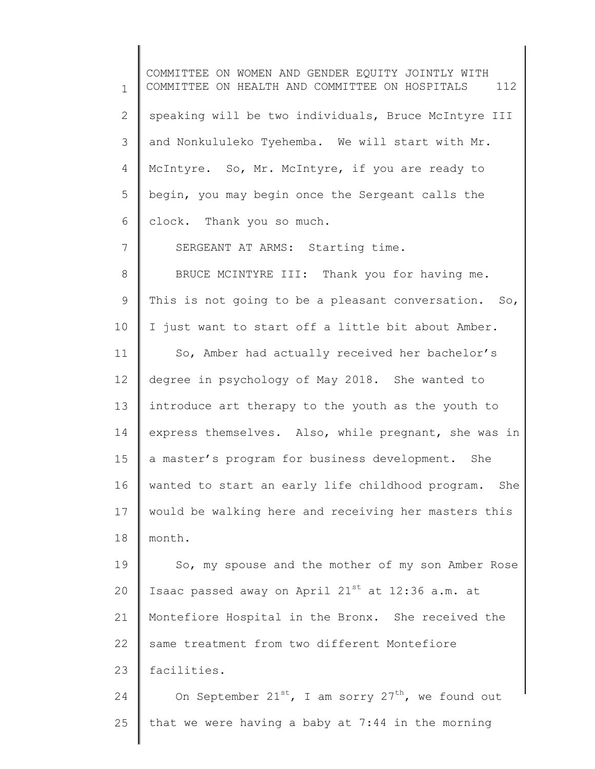1 2 3 4 5 6 7 8 9 10 11 12 13 14 15 16 17 18 19 20 21 22 23 24 25 COMMITTEE ON WOMEN AND GENDER EQUITY JOINTLY WITH COMMITTEE ON HEALTH AND COMMITTEE ON HOSPITALS 112 speaking will be two individuals, Bruce McIntyre III and Nonkululeko Tyehemba. We will start with Mr. McIntyre. So, Mr. McIntyre, if you are ready to begin, you may begin once the Sergeant calls the clock. Thank you so much. SERGEANT AT ARMS: Starting time. BRUCE MCINTYRE III: Thank you for having me. This is not going to be a pleasant conversation. So, I just want to start off a little bit about Amber. So, Amber had actually received her bachelor's degree in psychology of May 2018. She wanted to introduce art therapy to the youth as the youth to express themselves. Also, while pregnant, she was in a master's program for business development. She wanted to start an early life childhood program. She would be walking here and receiving her masters this month. So, my spouse and the mother of my son Amber Rose Isaac passed away on April  $21^{st}$  at 12:36 a.m. at Montefiore Hospital in the Bronx. She received the same treatment from two different Montefiore facilities. On September  $21^{st}$ , I am sorry  $27^{th}$ , we found out that we were having a baby at 7:44 in the morning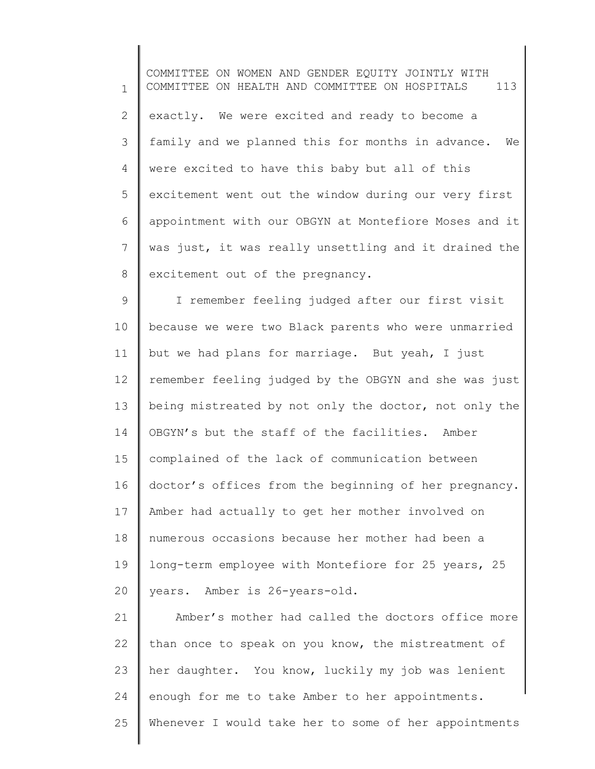1 2 3 4 5 6 7 8 9 10 11 12 13 14 15 16 17 18 COMMITTEE ON WOMEN AND GENDER EQUITY JOINTLY WITH COMMITTEE ON HEALTH AND COMMITTEE ON HOSPITALS 113 exactly. We were excited and ready to become a family and we planned this for months in advance. We were excited to have this baby but all of this excitement went out the window during our very first appointment with our OBGYN at Montefiore Moses and it was just, it was really unsettling and it drained the excitement out of the pregnancy. I remember feeling judged after our first visit because we were two Black parents who were unmarried but we had plans for marriage. But yeah, I just remember feeling judged by the OBGYN and she was just being mistreated by not only the doctor, not only the OBGYN's but the staff of the facilities. Amber complained of the lack of communication between doctor's offices from the beginning of her pregnancy. Amber had actually to get her mother involved on numerous occasions because her mother had been a

19 20 long-term employee with Montefiore for 25 years, 25 years. Amber is 26-years-old.

21 22 23 24 25 Amber's mother had called the doctors office more than once to speak on you know, the mistreatment of her daughter. You know, luckily my job was lenient enough for me to take Amber to her appointments. Whenever I would take her to some of her appointments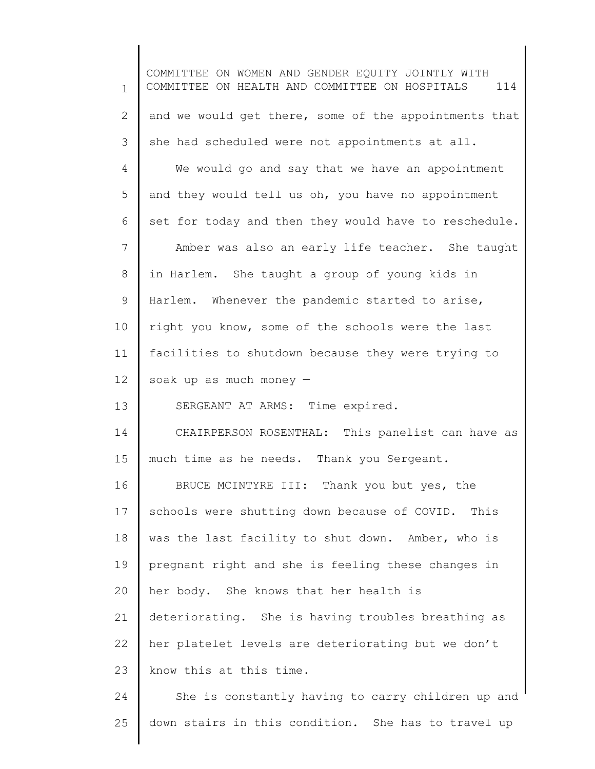1 2 3 4 5 6 7 8 9 10 11 12 13 14 15 16 17 18 19 20 21 22 23 24 COMMITTEE ON WOMEN AND GENDER EQUITY JOINTLY WITH COMMITTEE ON HEALTH AND COMMITTEE ON HOSPITALS 114 and we would get there, some of the appointments that she had scheduled were not appointments at all. We would go and say that we have an appointment and they would tell us oh, you have no appointment set for today and then they would have to reschedule. Amber was also an early life teacher. She taught in Harlem. She taught a group of young kids in Harlem. Whenever the pandemic started to arise, right you know, some of the schools were the last facilities to shutdown because they were trying to soak up as much money — SERGEANT AT ARMS: Time expired. CHAIRPERSON ROSENTHAL: This panelist can have as much time as he needs. Thank you Sergeant. BRUCE MCINTYRE III: Thank you but yes, the schools were shutting down because of COVID. This was the last facility to shut down. Amber, who is pregnant right and she is feeling these changes in her body. She knows that her health is deteriorating. She is having troubles breathing as her platelet levels are deteriorating but we don't know this at this time. She is constantly having to carry children up and

down stairs in this condition. She has to travel up

25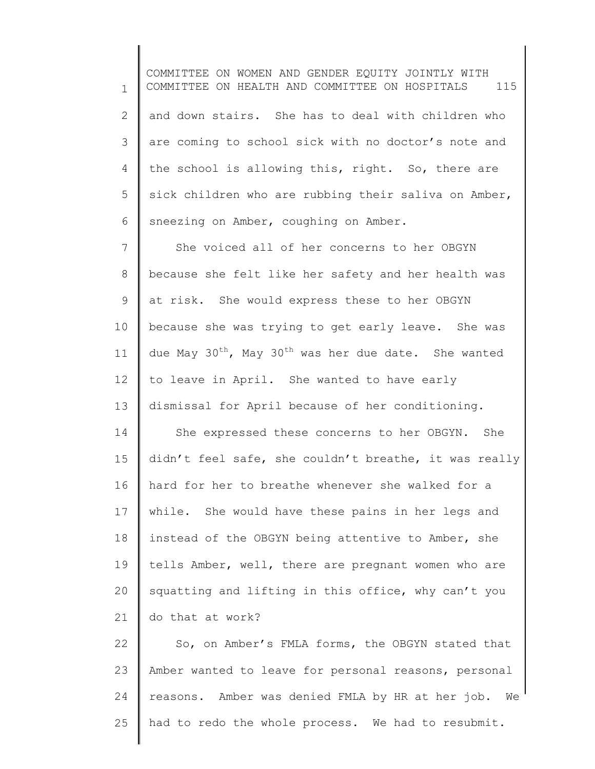1 2 3 4 5 6 COMMITTEE ON WOMEN AND GENDER EQUITY JOINTLY WITH COMMITTEE ON HEALTH AND COMMITTEE ON HOSPITALS 115 and down stairs. She has to deal with children who are coming to school sick with no doctor's note and the school is allowing this, right. So, there are sick children who are rubbing their saliva on Amber, sneezing on Amber, coughing on Amber.

7 8 9 10 11 12 13 14 15 16 17 18 19 20 21 She voiced all of her concerns to her OBGYN because she felt like her safety and her health was at risk. She would express these to her OBGYN because she was trying to get early leave. She was due May  $30^{th}$ , May  $30^{th}$  was her due date. She wanted to leave in April. She wanted to have early dismissal for April because of her conditioning. She expressed these concerns to her OBGYN. She didn't feel safe, she couldn't breathe, it was really hard for her to breathe whenever she walked for a while. She would have these pains in her legs and instead of the OBGYN being attentive to Amber, she tells Amber, well, there are pregnant women who are squatting and lifting in this office, why can't you do that at work?

22 23 24 25 So, on Amber's FMLA forms, the OBGYN stated that Amber wanted to leave for personal reasons, personal reasons. Amber was denied FMLA by HR at her job. We had to redo the whole process. We had to resubmit.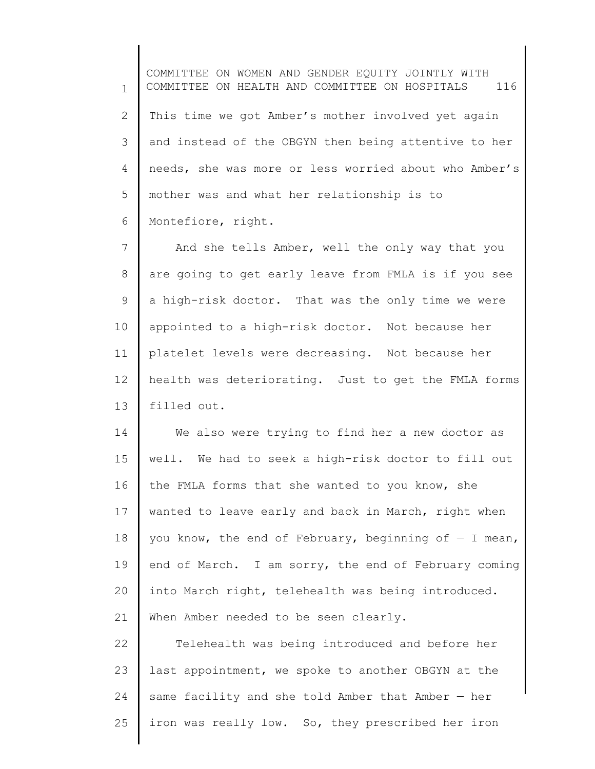1 2 3 4 5 6 COMMITTEE ON WOMEN AND GENDER EQUITY JOINTLY WITH COMMITTEE ON HEALTH AND COMMITTEE ON HOSPITALS 116 This time we got Amber's mother involved yet again and instead of the OBGYN then being attentive to her needs, she was more or less worried about who Amber's mother was and what her relationship is to Montefiore, right.

7 8 9 10 11 12 13 And she tells Amber, well the only way that you are going to get early leave from FMLA is if you see a high-risk doctor. That was the only time we were appointed to a high-risk doctor. Not because her platelet levels were decreasing. Not because her health was deteriorating. Just to get the FMLA forms filled out.

14 15 16 17 18 19 20 21 We also were trying to find her a new doctor as well. We had to seek a high-risk doctor to fill out the FMLA forms that she wanted to you know, she wanted to leave early and back in March, right when you know, the end of February, beginning of  $-$  I mean, end of March. I am sorry, the end of February coming into March right, telehealth was being introduced. When Amber needed to be seen clearly.

22 23 24 25 Telehealth was being introduced and before her last appointment, we spoke to another OBGYN at the same facility and she told Amber that Amber — her iron was really low. So, they prescribed her iron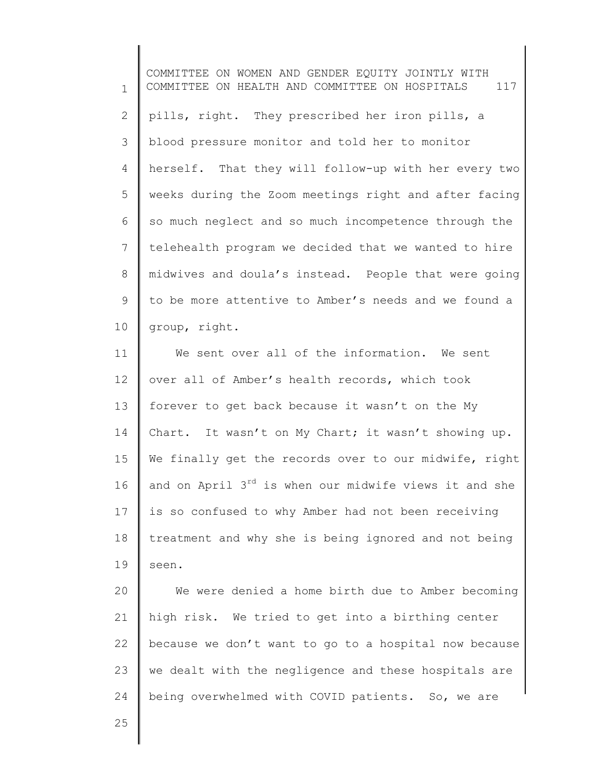1 2 3 4 5 6 7 8 9 10 COMMITTEE ON WOMEN AND GENDER EQUITY JOINTLY WITH COMMITTEE ON HEALTH AND COMMITTEE ON HOSPITALS 117 pills, right. They prescribed her iron pills, a blood pressure monitor and told her to monitor herself. That they will follow-up with her every two weeks during the Zoom meetings right and after facing so much neglect and so much incompetence through the telehealth program we decided that we wanted to hire midwives and doula's instead. People that were going to be more attentive to Amber's needs and we found a group, right.

11 12 13 14 15 16 17 18 19 We sent over all of the information. We sent over all of Amber's health records, which took forever to get back because it wasn't on the My Chart. It wasn't on My Chart; it wasn't showing up. We finally get the records over to our midwife, right and on April  $3^{rd}$  is when our midwife views it and she is so confused to why Amber had not been receiving treatment and why she is being ignored and not being seen.

20 21 22 23 24 We were denied a home birth due to Amber becoming high risk. We tried to get into a birthing center because we don't want to go to a hospital now because we dealt with the negligence and these hospitals are being overwhelmed with COVID patients. So, we are

25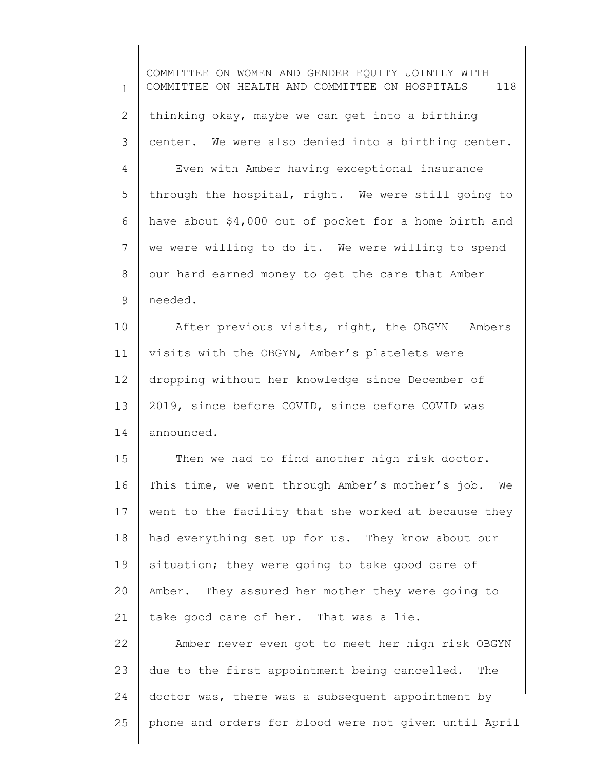1 2 3 4 5 6 7 8 9 10 11 12 13 14 15 16 17 18 19 20 21 22 23 24 25 COMMITTEE ON WOMEN AND GENDER EQUITY JOINTLY WITH COMMITTEE ON HEALTH AND COMMITTEE ON HOSPITALS 118 thinking okay, maybe we can get into a birthing center. We were also denied into a birthing center. Even with Amber having exceptional insurance through the hospital, right. We were still going to have about \$4,000 out of pocket for a home birth and we were willing to do it. We were willing to spend our hard earned money to get the care that Amber needed. After previous visits, right, the OBGYN — Ambers visits with the OBGYN, Amber's platelets were dropping without her knowledge since December of 2019, since before COVID, since before COVID was announced. Then we had to find another high risk doctor. This time, we went through Amber's mother's job. We went to the facility that she worked at because they had everything set up for us. They know about our situation; they were going to take good care of Amber. They assured her mother they were going to take good care of her. That was a lie. Amber never even got to meet her high risk OBGYN due to the first appointment being cancelled. The doctor was, there was a subsequent appointment by phone and orders for blood were not given until April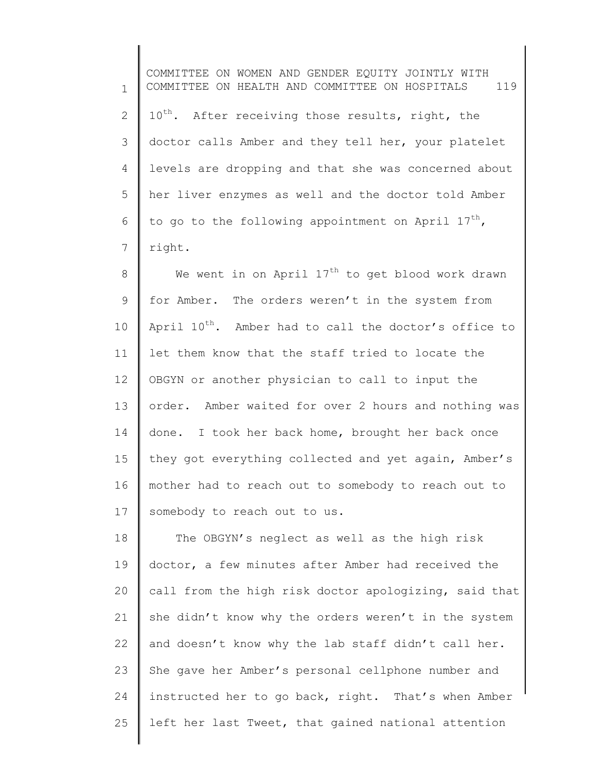1 2 3 4 5 6 7 COMMITTEE ON WOMEN AND GENDER EQUITY JOINTLY WITH COMMITTEE ON HEALTH AND COMMITTEE ON HOSPITALS 119 10<sup>th</sup>. After receiving those results, right, the doctor calls Amber and they tell her, your platelet levels are dropping and that she was concerned about her liver enzymes as well and the doctor told Amber to go to the following appointment on April  $17^{th}$ , right.

8 9 10 11 12 13 14 15 16 17 We went in on April  $17<sup>th</sup>$  to get blood work drawn for Amber. The orders weren't in the system from April  $10^{th}$ . Amber had to call the doctor's office to let them know that the staff tried to locate the OBGYN or another physician to call to input the order. Amber waited for over 2 hours and nothing was done. I took her back home, brought her back once they got everything collected and yet again, Amber's mother had to reach out to somebody to reach out to somebody to reach out to us.

18 19 20 21 22 23 24 25 The OBGYN's neglect as well as the high risk doctor, a few minutes after Amber had received the call from the high risk doctor apologizing, said that she didn't know why the orders weren't in the system and doesn't know why the lab staff didn't call her. She gave her Amber's personal cellphone number and instructed her to go back, right. That's when Amber left her last Tweet, that gained national attention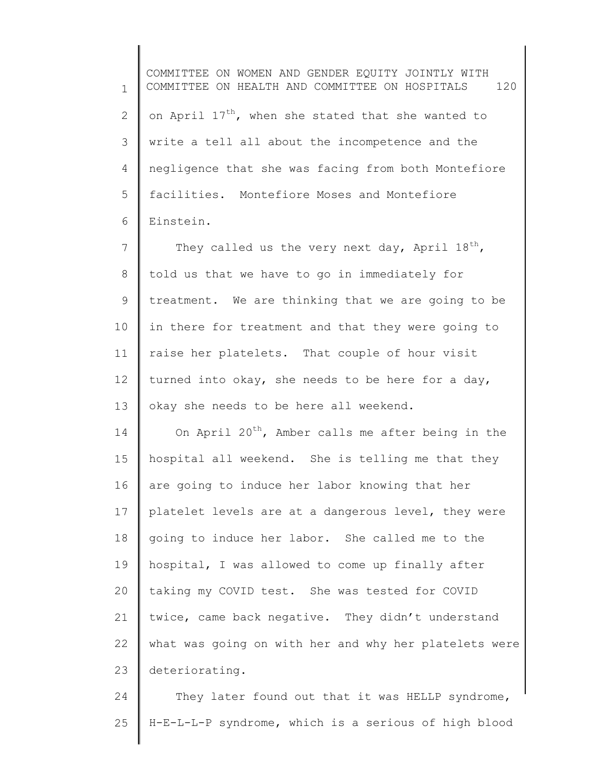1 2 3 4 5 6 COMMITTEE ON WOMEN AND GENDER EQUITY JOINTLY WITH COMMITTEE ON HEALTH AND COMMITTEE ON HOSPITALS 120 on April 17<sup>th</sup>, when she stated that she wanted to write a tell all about the incompetence and the negligence that she was facing from both Montefiore facilities. Montefiore Moses and Montefiore Einstein.

7 8 9 10 11 12 13 They called us the very next day, April  $18^{th}$ , told us that we have to go in immediately for treatment. We are thinking that we are going to be in there for treatment and that they were going to raise her platelets. That couple of hour visit turned into okay, she needs to be here for a day, okay she needs to be here all weekend.

14 15 16 17 18 19 20 21 22 23 On April  $20^{th}$ , Amber calls me after being in the hospital all weekend. She is telling me that they are going to induce her labor knowing that her platelet levels are at a dangerous level, they were going to induce her labor. She called me to the hospital, I was allowed to come up finally after taking my COVID test. She was tested for COVID twice, came back negative. They didn't understand what was going on with her and why her platelets were deteriorating.

24 25 They later found out that it was HELLP syndrome, H-E-L-L-P syndrome, which is a serious of high blood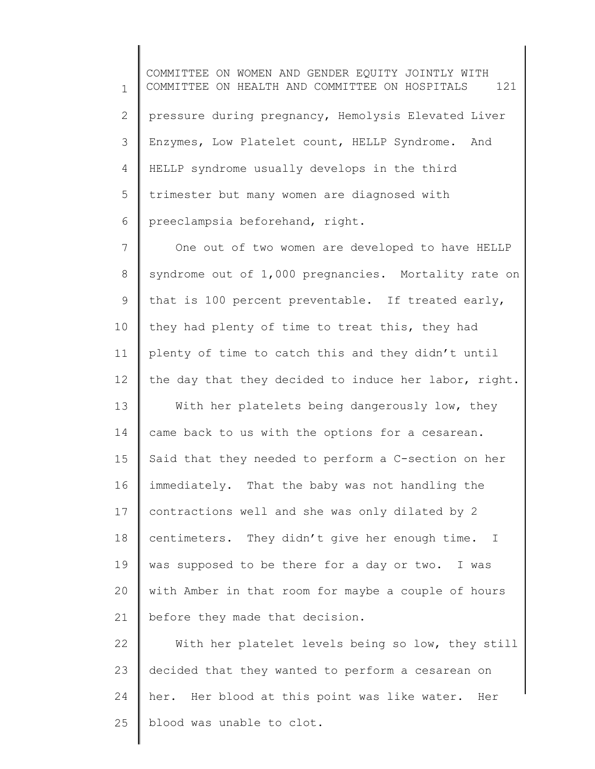1 2 3 4 5 6 COMMITTEE ON WOMEN AND GENDER EQUITY JOINTLY WITH COMMITTEE ON HEALTH AND COMMITTEE ON HOSPITALS 121 pressure during pregnancy, Hemolysis Elevated Liver Enzymes, Low Platelet count, HELLP Syndrome. And HELLP syndrome usually develops in the third trimester but many women are diagnosed with preeclampsia beforehand, right.

7 8 9 10 11 12 One out of two women are developed to have HELLP syndrome out of 1,000 pregnancies. Mortality rate on that is 100 percent preventable. If treated early, they had plenty of time to treat this, they had plenty of time to catch this and they didn't until the day that they decided to induce her labor, right.

13 14 15 16 17 18 19 20 21 With her platelets being dangerously low, they came back to us with the options for a cesarean. Said that they needed to perform a C-section on her immediately. That the baby was not handling the contractions well and she was only dilated by 2 centimeters. They didn't give her enough time. I was supposed to be there for a day or two. I was with Amber in that room for maybe a couple of hours before they made that decision.

22 23 24 25 With her platelet levels being so low, they still decided that they wanted to perform a cesarean on her. Her blood at this point was like water. Her blood was unable to clot.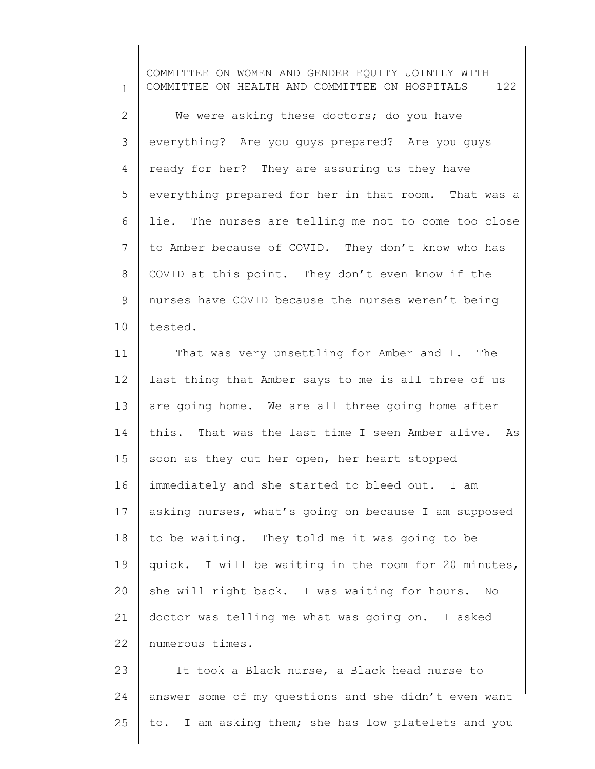1 2 3 4 5 6 7 8 9 10 11 COMMITTEE ON WOMEN AND GENDER EQUITY JOINTLY WITH COMMITTEE ON HEALTH AND COMMITTEE ON HOSPITALS 122 We were asking these doctors; do you have everything? Are you guys prepared? Are you guys ready for her? They are assuring us they have everything prepared for her in that room. That was a lie. The nurses are telling me not to come too close to Amber because of COVID. They don't know who has COVID at this point. They don't even know if the nurses have COVID because the nurses weren't being tested. That was very unsettling for Amber and I. The

12 13 14 15 16 17 18 19 20 21 22 last thing that Amber says to me is all three of us are going home. We are all three going home after this. That was the last time I seen Amber alive. As soon as they cut her open, her heart stopped immediately and she started to bleed out. I am asking nurses, what's going on because I am supposed to be waiting. They told me it was going to be quick. I will be waiting in the room for 20 minutes, she will right back. I was waiting for hours. No doctor was telling me what was going on. I asked numerous times.

23 24 25 It took a Black nurse, a Black head nurse to answer some of my questions and she didn't even want to. I am asking them; she has low platelets and you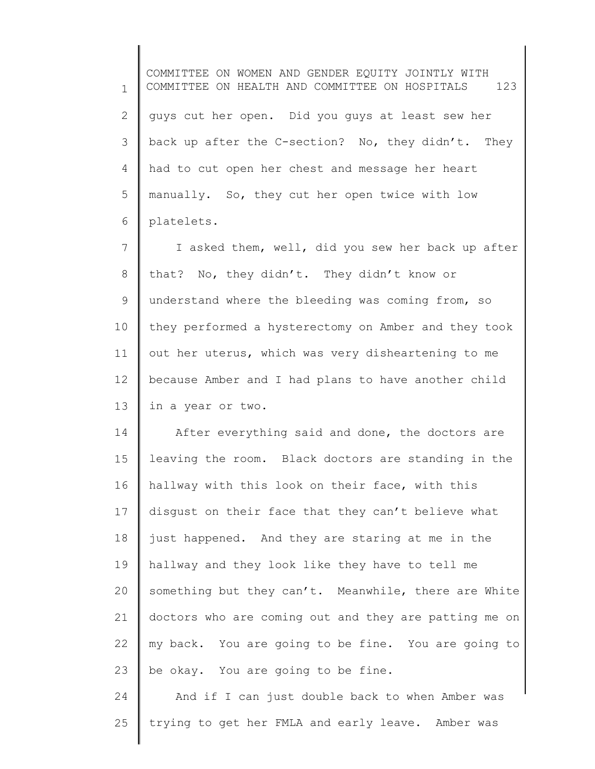1 2 3 4 5 6 COMMITTEE ON WOMEN AND GENDER EQUITY JOINTLY WITH COMMITTEE ON HEALTH AND COMMITTEE ON HOSPITALS 123 guys cut her open. Did you guys at least sew her back up after the C-section? No, they didn't. They had to cut open her chest and message her heart manually. So, they cut her open twice with low platelets.

7 8 9 10 11 12 13 I asked them, well, did you sew her back up after that? No, they didn't. They didn't know or understand where the bleeding was coming from, so they performed a hysterectomy on Amber and they took out her uterus, which was very disheartening to me because Amber and I had plans to have another child in a year or two.

14 15 16 17 18 19 20 21 22 23 After everything said and done, the doctors are leaving the room. Black doctors are standing in the hallway with this look on their face, with this disgust on their face that they can't believe what just happened. And they are staring at me in the hallway and they look like they have to tell me something but they can't. Meanwhile, there are White doctors who are coming out and they are patting me on my back. You are going to be fine. You are going to be okay. You are going to be fine.

24 25 And if I can just double back to when Amber was trying to get her FMLA and early leave. Amber was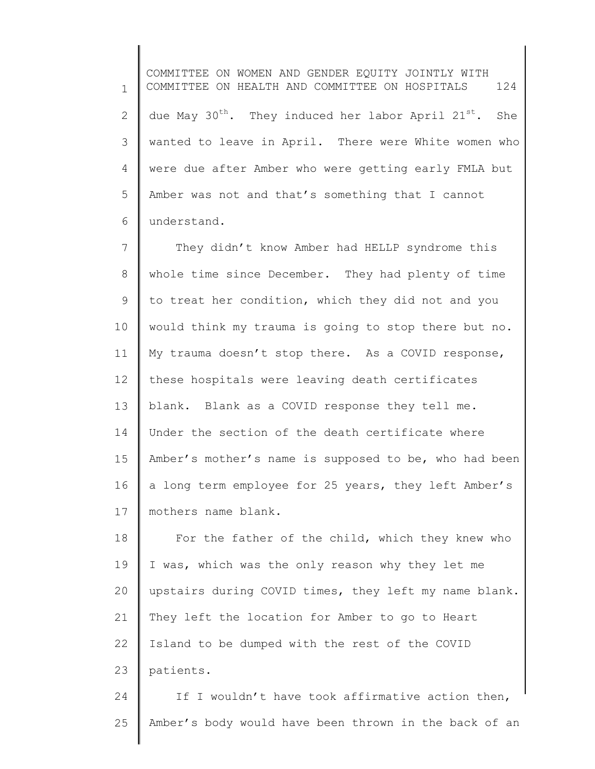1 2 3 4 5 6 COMMITTEE ON WOMEN AND GENDER EQUITY JOINTLY WITH COMMITTEE ON HEALTH AND COMMITTEE ON HOSPITALS 124 due May  $30^{th}$ . They induced her labor April  $21^{st}$ . She wanted to leave in April. There were White women who were due after Amber who were getting early FMLA but Amber was not and that's something that I cannot understand.

7 8 9 10 11 12 13 14 15 16 17 They didn't know Amber had HELLP syndrome this whole time since December. They had plenty of time to treat her condition, which they did not and you would think my trauma is going to stop there but no. My trauma doesn't stop there. As a COVID response, these hospitals were leaving death certificates blank. Blank as a COVID response they tell me. Under the section of the death certificate where Amber's mother's name is supposed to be, who had been a long term employee for 25 years, they left Amber's mothers name blank.

18 19 20 21 22 23 For the father of the child, which they knew who I was, which was the only reason why they let me upstairs during COVID times, they left my name blank. They left the location for Amber to go to Heart Island to be dumped with the rest of the COVID patients.

24 25 If I wouldn't have took affirmative action then, Amber's body would have been thrown in the back of an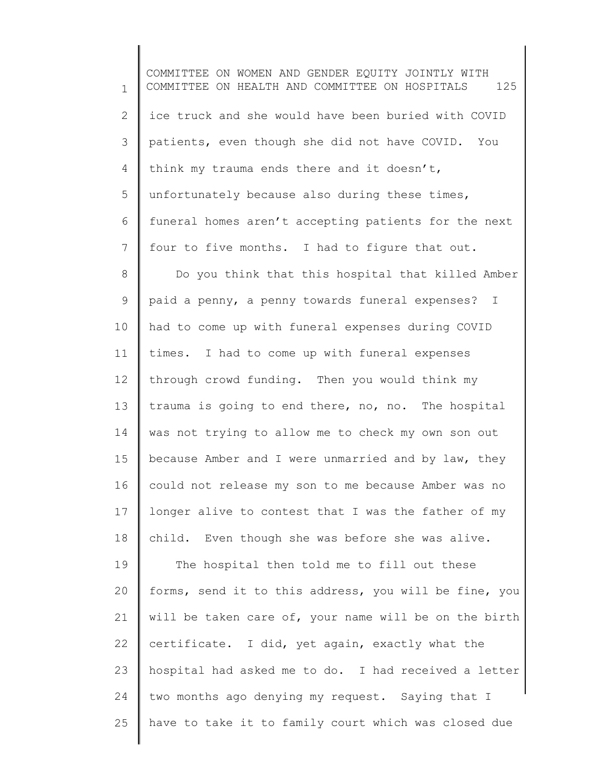1 2 3 4 5 6 7 8 9 10 11 12 13 14 15 16 17 18 19 20 21 22 23 24 25 COMMITTEE ON WOMEN AND GENDER EQUITY JOINTLY WITH COMMITTEE ON HEALTH AND COMMITTEE ON HOSPITALS 125 ice truck and she would have been buried with COVID patients, even though she did not have COVID. You think my trauma ends there and it doesn't, unfortunately because also during these times, funeral homes aren't accepting patients for the next four to five months. I had to figure that out. Do you think that this hospital that killed Amber paid a penny, a penny towards funeral expenses? I had to come up with funeral expenses during COVID times. I had to come up with funeral expenses through crowd funding. Then you would think my trauma is going to end there, no, no. The hospital was not trying to allow me to check my own son out because Amber and I were unmarried and by law, they could not release my son to me because Amber was no longer alive to contest that I was the father of my child. Even though she was before she was alive. The hospital then told me to fill out these forms, send it to this address, you will be fine, you will be taken care of, your name will be on the birth certificate. I did, yet again, exactly what the hospital had asked me to do. I had received a letter two months ago denying my request. Saying that I have to take it to family court which was closed due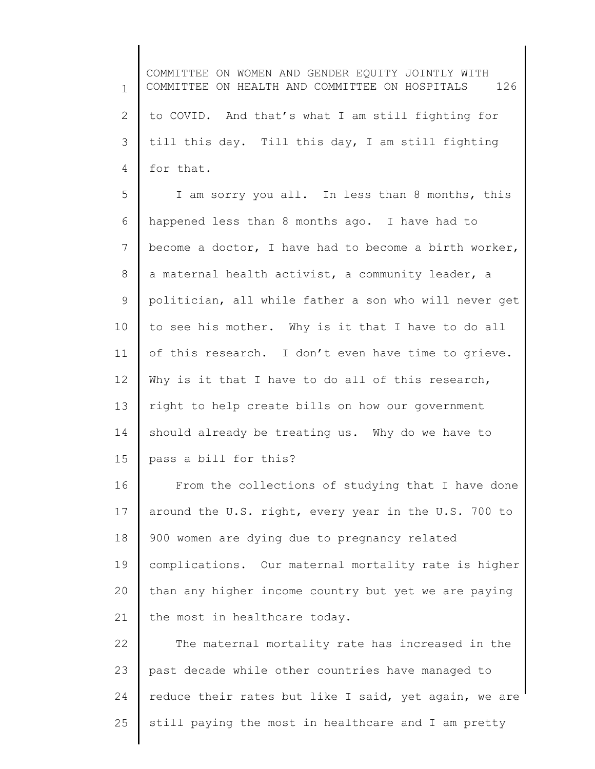1 2 3 4 COMMITTEE ON WOMEN AND GENDER EQUITY JOINTLY WITH COMMITTEE ON HEALTH AND COMMITTEE ON HOSPITALS 126 to COVID. And that's what I am still fighting for till this day. Till this day, I am still fighting for that.

5 6 7 8 9 10 11 12 13 14 15 I am sorry you all. In less than 8 months, this happened less than 8 months ago. I have had to become a doctor, I have had to become a birth worker, a maternal health activist, a community leader, a politician, all while father a son who will never get to see his mother. Why is it that I have to do all of this research. I don't even have time to grieve. Why is it that I have to do all of this research, right to help create bills on how our government should already be treating us. Why do we have to pass a bill for this?

16 17 18 19 20 21 From the collections of studying that I have done around the U.S. right, every year in the U.S. 700 to 900 women are dying due to pregnancy related complications. Our maternal mortality rate is higher than any higher income country but yet we are paying the most in healthcare today.

22 23 24 25 The maternal mortality rate has increased in the past decade while other countries have managed to reduce their rates but like I said, yet again, we are still paying the most in healthcare and I am pretty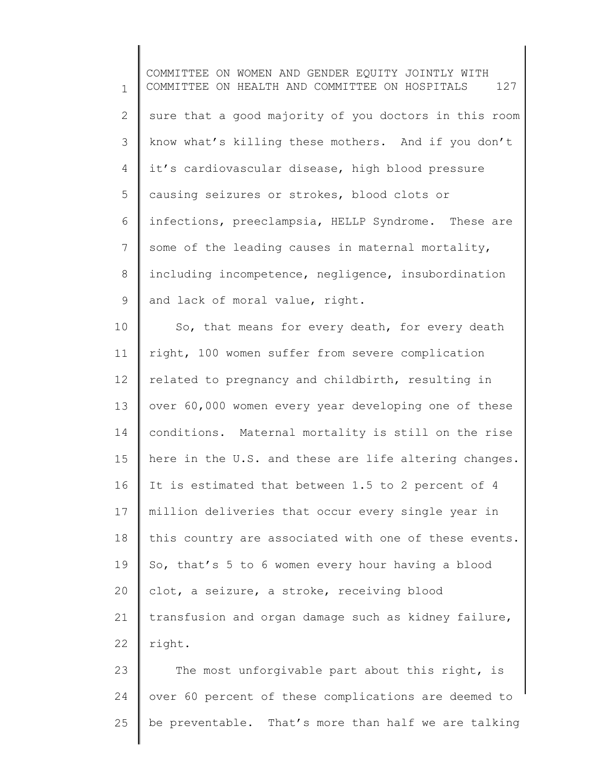1 2 3 4 5 6 7 8 9 10 11 12 COMMITTEE ON WOMEN AND GENDER EQUITY JOINTLY WITH COMMITTEE ON HEALTH AND COMMITTEE ON HOSPITALS 127 sure that a good majority of you doctors in this room know what's killing these mothers. And if you don't it's cardiovascular disease, high blood pressure causing seizures or strokes, blood clots or infections, preeclampsia, HELLP Syndrome. These are some of the leading causes in maternal mortality, including incompetence, negligence, insubordination and lack of moral value, right. So, that means for every death, for every death right, 100 women suffer from severe complication related to pregnancy and childbirth, resulting in

13 14 15 16 17 18 19 20 21 22 over 60,000 women every year developing one of these conditions. Maternal mortality is still on the rise here in the U.S. and these are life altering changes. It is estimated that between 1.5 to 2 percent of 4 million deliveries that occur every single year in this country are associated with one of these events. So, that's 5 to 6 women every hour having a blood clot, a seizure, a stroke, receiving blood transfusion and organ damage such as kidney failure, right.

23 24 25 The most unforgivable part about this right, is over 60 percent of these complications are deemed to be preventable. That's more than half we are talking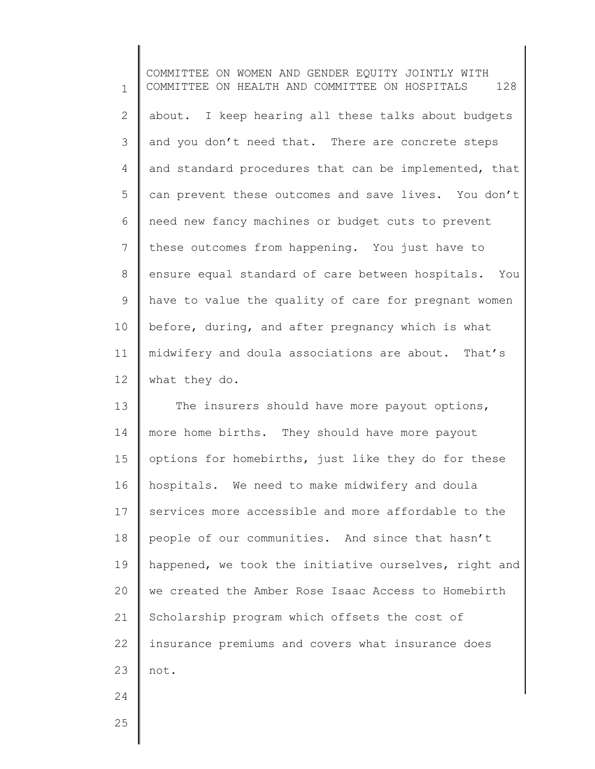1 2 3 4 5 6 7 8 9 10 11 12 COMMITTEE ON WOMEN AND GENDER EQUITY JOINTLY WITH COMMITTEE ON HEALTH AND COMMITTEE ON HOSPITALS 128 about. I keep hearing all these talks about budgets and you don't need that. There are concrete steps and standard procedures that can be implemented, that can prevent these outcomes and save lives. You don't need new fancy machines or budget cuts to prevent these outcomes from happening. You just have to ensure equal standard of care between hospitals. You have to value the quality of care for pregnant women before, during, and after pregnancy which is what midwifery and doula associations are about. That's what they do.

13 14 15 16 17 18 19 20 21 22 23 24 The insurers should have more payout options, more home births. They should have more payout options for homebirths, just like they do for these hospitals. We need to make midwifery and doula services more accessible and more affordable to the people of our communities. And since that hasn't happened, we took the initiative ourselves, right and we created the Amber Rose Isaac Access to Homebirth Scholarship program which offsets the cost of insurance premiums and covers what insurance does not.

25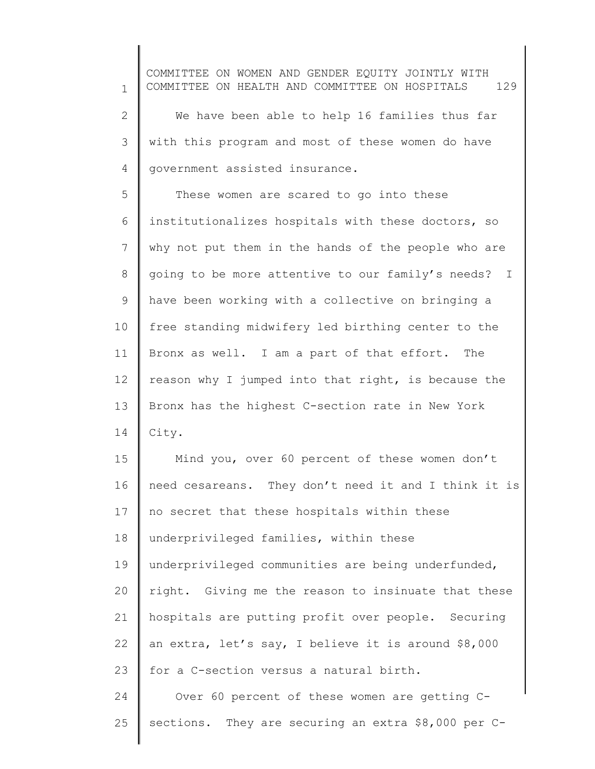1 2 3 4 5 6 7 8 9 10 11 12 13 14 15 16 17 COMMITTEE ON WOMEN AND GENDER EQUITY JOINTLY WITH COMMITTEE ON HEALTH AND COMMITTEE ON HOSPITALS 129 We have been able to help 16 families thus far with this program and most of these women do have government assisted insurance. These women are scared to go into these institutionalizes hospitals with these doctors, so why not put them in the hands of the people who are going to be more attentive to our family's needs? I have been working with a collective on bringing a free standing midwifery led birthing center to the Bronx as well. I am a part of that effort. The reason why I jumped into that right, is because the Bronx has the highest C-section rate in New York City. Mind you, over 60 percent of these women don't need cesareans. They don't need it and I think it is no secret that these hospitals within these

19 20 21 22 23 underprivileged communities are being underfunded, right. Giving me the reason to insinuate that these hospitals are putting profit over people. Securing an extra, let's say, I believe it is around \$8,000 for a C-section versus a natural birth.

underprivileged families, within these

18

24 25 Over 60 percent of these women are getting Csections. They are securing an extra \$8,000 per C-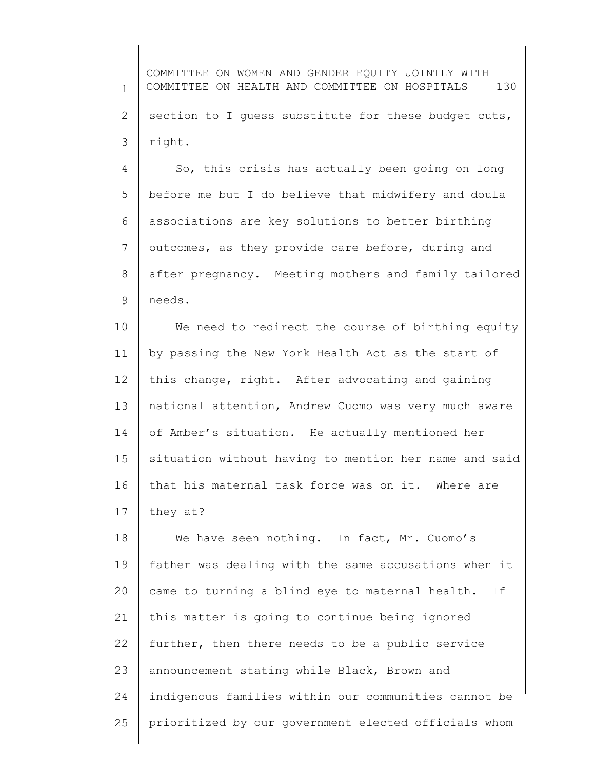1 2 3 COMMITTEE ON WOMEN AND GENDER EQUITY JOINTLY WITH COMMITTEE ON HEALTH AND COMMITTEE ON HOSPITALS 130 section to I guess substitute for these budget cuts, right.

4 5 6 7 8 9 So, this crisis has actually been going on long before me but I do believe that midwifery and doula associations are key solutions to better birthing outcomes, as they provide care before, during and after pregnancy. Meeting mothers and family tailored needs.

10 11 12 13 14 15 16 17 We need to redirect the course of birthing equity by passing the New York Health Act as the start of this change, right. After advocating and gaining national attention, Andrew Cuomo was very much aware of Amber's situation. He actually mentioned her situation without having to mention her name and said that his maternal task force was on it. Where are they at?

18 19 20 21 22 23 24 25 We have seen nothing. In fact, Mr. Cuomo's father was dealing with the same accusations when it came to turning a blind eye to maternal health. If this matter is going to continue being ignored further, then there needs to be a public service announcement stating while Black, Brown and indigenous families within our communities cannot be prioritized by our government elected officials whom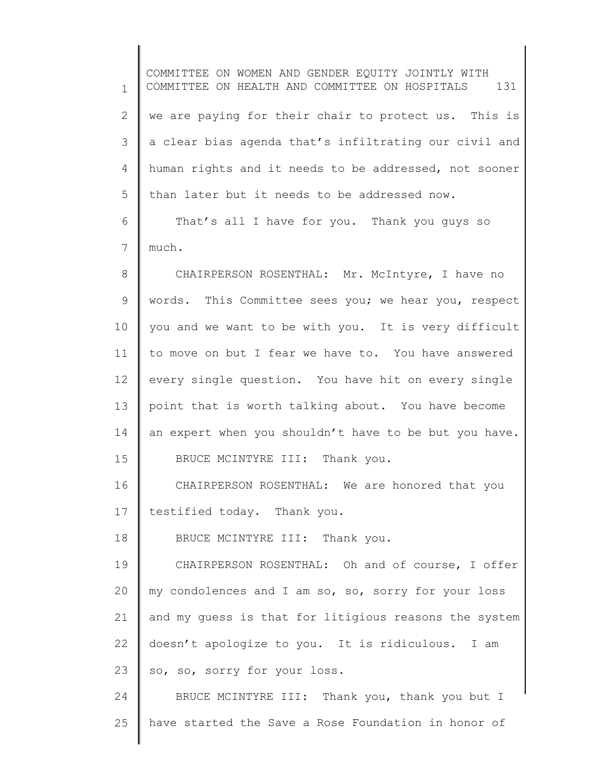1 2 3 4 5 6 7 8 9 10 11 12 13 14 15 16 17 18 19 20 21 22 23 24 25 COMMITTEE ON WOMEN AND GENDER EQUITY JOINTLY WITH COMMITTEE ON HEALTH AND COMMITTEE ON HOSPITALS 131 we are paying for their chair to protect us. This is a clear bias agenda that's infiltrating our civil and human rights and it needs to be addressed, not sooner than later but it needs to be addressed now. That's all I have for you. Thank you guys so much. CHAIRPERSON ROSENTHAL: Mr. McIntyre, I have no words. This Committee sees you; we hear you, respect you and we want to be with you. It is very difficult to move on but I fear we have to. You have answered every single question. You have hit on every single point that is worth talking about. You have become an expert when you shouldn't have to be but you have. BRUCE MCINTYRE III: Thank you. CHAIRPERSON ROSENTHAL: We are honored that you testified today. Thank you. BRUCE MCINTYRE III: Thank you. CHAIRPERSON ROSENTHAL: Oh and of course, I offer my condolences and I am so, so, sorry for your loss and my guess is that for litigious reasons the system doesn't apologize to you. It is ridiculous. I am so, so, sorry for your loss. BRUCE MCINTYRE III: Thank you, thank you but I have started the Save a Rose Foundation in honor of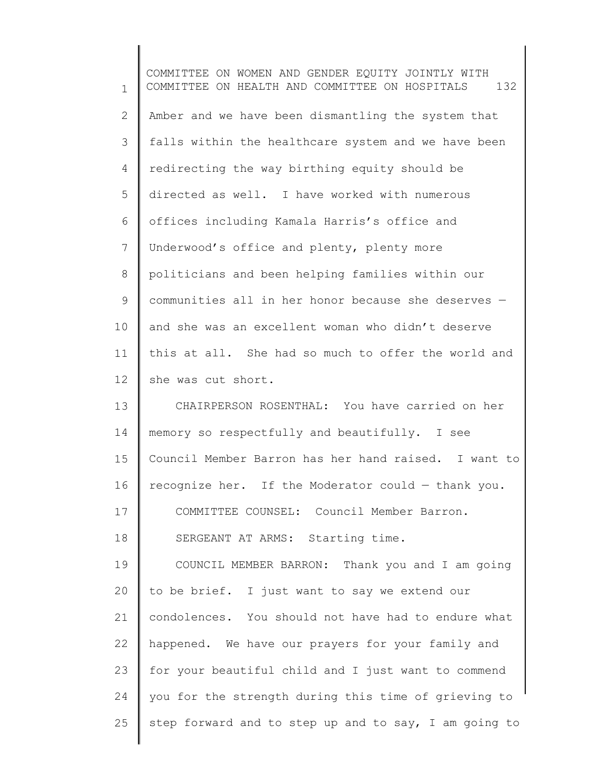1 2 3 4 5 6 7 8 9 10 11 12 13 14 15 16 17 18 19 20 21 22 23 24 25 COMMITTEE ON WOMEN AND GENDER EQUITY JOINTLY WITH COMMITTEE ON HEALTH AND COMMITTEE ON HOSPITALS 132 Amber and we have been dismantling the system that falls within the healthcare system and we have been redirecting the way birthing equity should be directed as well. I have worked with numerous offices including Kamala Harris's office and Underwood's office and plenty, plenty more politicians and been helping families within our communities all in her honor because she deserves and she was an excellent woman who didn't deserve this at all. She had so much to offer the world and she was cut short. CHAIRPERSON ROSENTHAL: You have carried on her memory so respectfully and beautifully. I see Council Member Barron has her hand raised. I want to recognize her. If the Moderator could — thank you. COMMITTEE COUNSEL: Council Member Barron. SERGEANT AT ARMS: Starting time. COUNCIL MEMBER BARRON: Thank you and I am going to be brief. I just want to say we extend our condolences. You should not have had to endure what happened. We have our prayers for your family and for your beautiful child and I just want to commend you for the strength during this time of grieving to step forward and to step up and to say, I am going to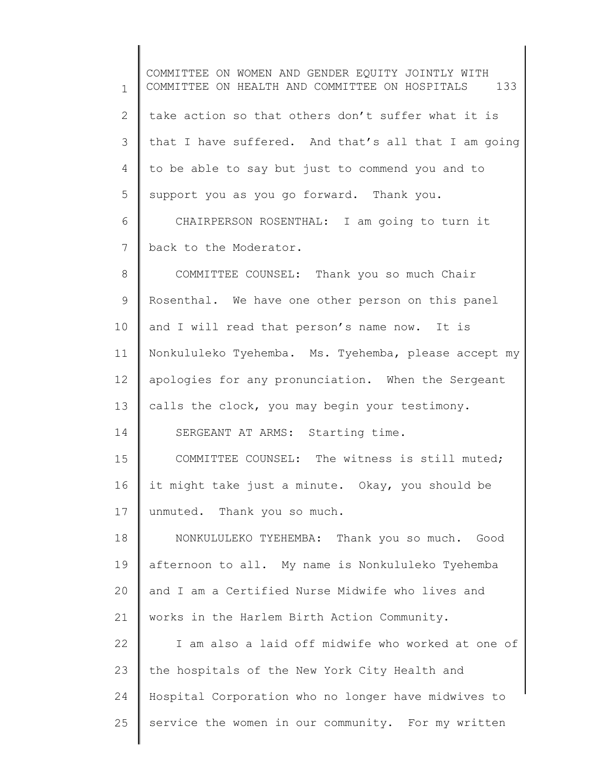1 2 3 4 5 6 7 8 9 10 11 12 13 14 15 16 17 18 19 20 21 22 23 24 25 COMMITTEE ON WOMEN AND GENDER EQUITY JOINTLY WITH COMMITTEE ON HEALTH AND COMMITTEE ON HOSPITALS 133 take action so that others don't suffer what it is that I have suffered. And that's all that I am going to be able to say but just to commend you and to support you as you go forward. Thank you. CHAIRPERSON ROSENTHAL: I am going to turn it back to the Moderator. COMMITTEE COUNSEL: Thank you so much Chair Rosenthal. We have one other person on this panel and I will read that person's name now. It is Nonkululeko Tyehemba. Ms. Tyehemba, please accept my apologies for any pronunciation. When the Sergeant calls the clock, you may begin your testimony. SERGEANT AT ARMS: Starting time. COMMITTEE COUNSEL: The witness is still muted; it might take just a minute. Okay, you should be unmuted. Thank you so much. NONKULULEKO TYEHEMBA: Thank you so much. Good afternoon to all. My name is Nonkululeko Tyehemba and I am a Certified Nurse Midwife who lives and works in the Harlem Birth Action Community. I am also a laid off midwife who worked at one of the hospitals of the New York City Health and Hospital Corporation who no longer have midwives to service the women in our community. For my written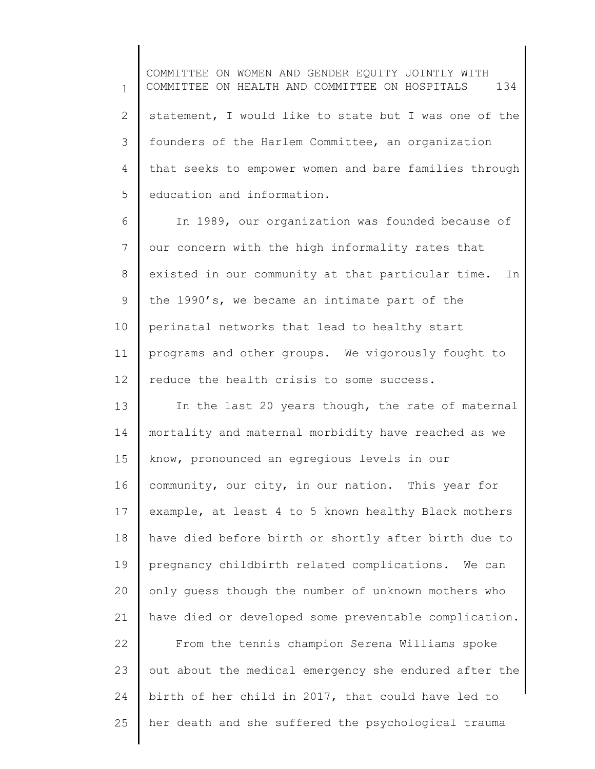1 2 3 4 5 COMMITTEE ON WOMEN AND GENDER EQUITY JOINTLY WITH COMMITTEE ON HEALTH AND COMMITTEE ON HOSPITALS 134 statement, I would like to state but I was one of the founders of the Harlem Committee, an organization that seeks to empower women and bare families through education and information.

6 7 8 9 10 11 12 In 1989, our organization was founded because of our concern with the high informality rates that existed in our community at that particular time. In the 1990's, we became an intimate part of the perinatal networks that lead to healthy start programs and other groups. We vigorously fought to reduce the health crisis to some success.

13 14 15 16 17 18 19 20 21 In the last 20 years though, the rate of maternal mortality and maternal morbidity have reached as we know, pronounced an egregious levels in our community, our city, in our nation. This year for example, at least 4 to 5 known healthy Black mothers have died before birth or shortly after birth due to pregnancy childbirth related complications. We can only guess though the number of unknown mothers who have died or developed some preventable complication.

22 23 24 25 From the tennis champion Serena Williams spoke out about the medical emergency she endured after the birth of her child in 2017, that could have led to her death and she suffered the psychological trauma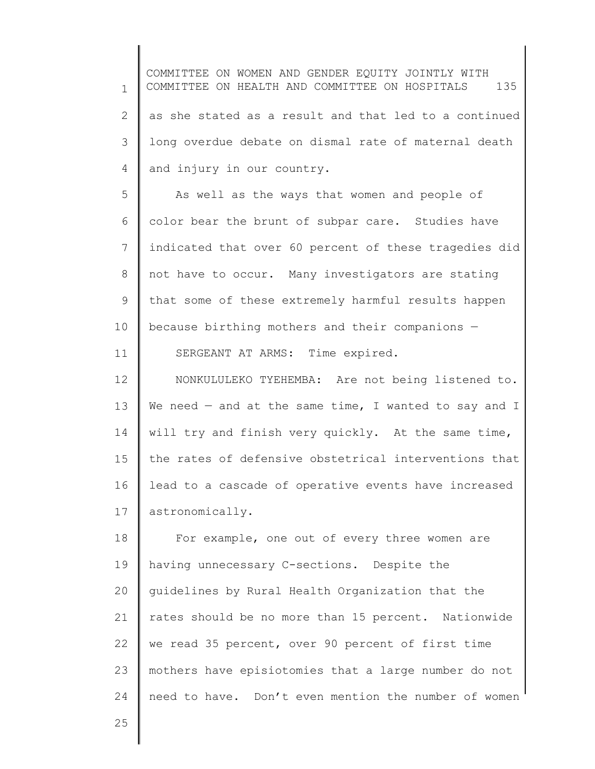1 2 3 4 COMMITTEE ON WOMEN AND GENDER EQUITY JOINTLY WITH COMMITTEE ON HEALTH AND COMMITTEE ON HOSPITALS 135 as she stated as a result and that led to a continued long overdue debate on dismal rate of maternal death and injury in our country.

5 6 7 8 9 10 As well as the ways that women and people of color bear the brunt of subpar care. Studies have indicated that over 60 percent of these tragedies did not have to occur. Many investigators are stating that some of these extremely harmful results happen because birthing mothers and their companions —

12 13 14 15 16 17 NONKULULEKO TYEHEMBA: Are not being listened to. We need  $-$  and at the same time, I wanted to say and I will try and finish very quickly. At the same time, the rates of defensive obstetrical interventions that lead to a cascade of operative events have increased astronomically.

SERGEANT AT ARMS: Time expired.

18 19 20 21 22 23 24 For example, one out of every three women are having unnecessary C-sections. Despite the guidelines by Rural Health Organization that the rates should be no more than 15 percent. Nationwide we read 35 percent, over 90 percent of first time mothers have episiotomies that a large number do not need to have. Don't even mention the number of women

25

11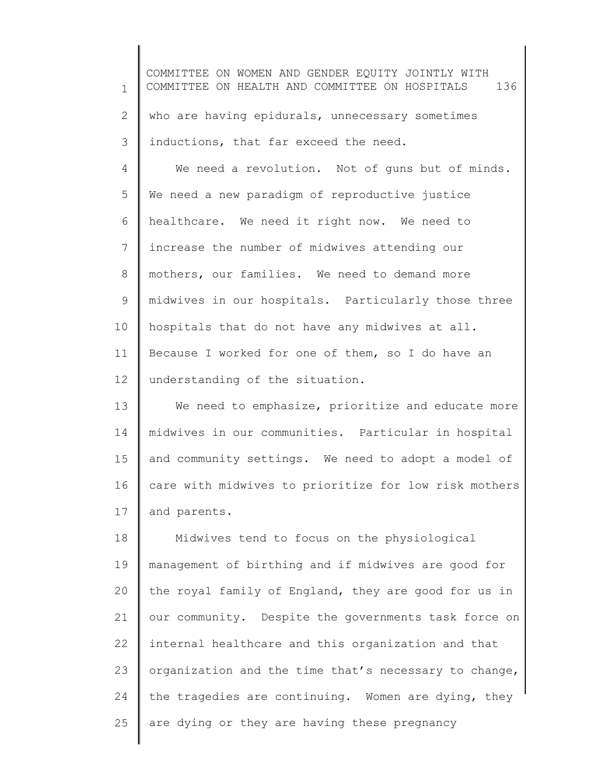1 2 3 4 5 6 7 8 9 10 11 12 13 14 15 COMMITTEE ON WOMEN AND GENDER EQUITY JOINTLY WITH COMMITTEE ON HEALTH AND COMMITTEE ON HOSPITALS 136 who are having epidurals, unnecessary sometimes inductions, that far exceed the need. We need a revolution. Not of guns but of minds. We need a new paradigm of reproductive justice healthcare. We need it right now. We need to increase the number of midwives attending our mothers, our families. We need to demand more midwives in our hospitals. Particularly those three hospitals that do not have any midwives at all. Because I worked for one of them, so I do have an understanding of the situation. We need to emphasize, prioritize and educate more midwives in our communities. Particular in hospital and community settings. We need to adopt a model of

17 and parents.

16

18 19 20 21 22 23 24 25 Midwives tend to focus on the physiological management of birthing and if midwives are good for the royal family of England, they are good for us in our community. Despite the governments task force on internal healthcare and this organization and that organization and the time that's necessary to change, the tragedies are continuing. Women are dying, they are dying or they are having these pregnancy

care with midwives to prioritize for low risk mothers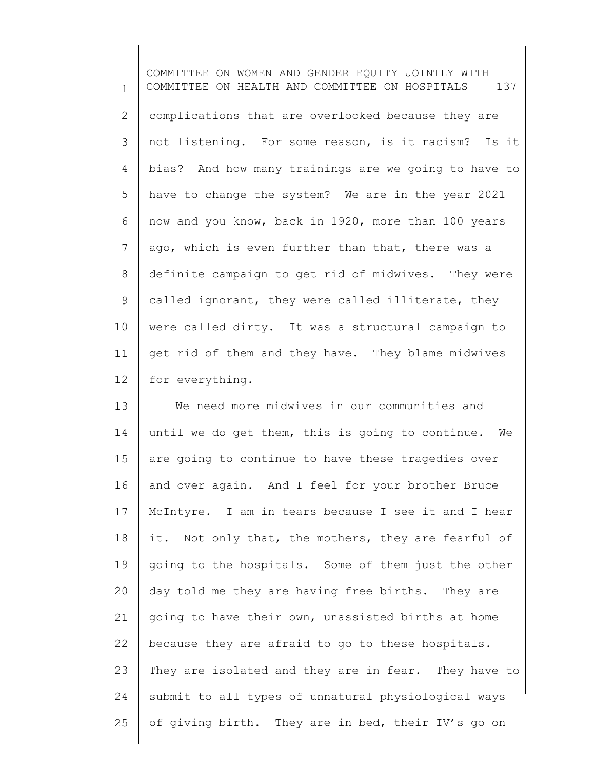1 2 3 4 5 6 7 8 9 10 11 12 COMMITTEE ON WOMEN AND GENDER EQUITY JOINTLY WITH COMMITTEE ON HEALTH AND COMMITTEE ON HOSPITALS 137 complications that are overlooked because they are not listening. For some reason, is it racism? Is it bias? And how many trainings are we going to have to have to change the system? We are in the year 2021 now and you know, back in 1920, more than 100 years ago, which is even further than that, there was a definite campaign to get rid of midwives. They were called ignorant, they were called illiterate, they were called dirty. It was a structural campaign to get rid of them and they have. They blame midwives for everything.

13 14 15 16 17 18 19 20 21 22 23 24 25 We need more midwives in our communities and until we do get them, this is going to continue. We are going to continue to have these tragedies over and over again. And I feel for your brother Bruce McIntyre. I am in tears because I see it and I hear it. Not only that, the mothers, they are fearful of going to the hospitals. Some of them just the other day told me they are having free births. They are going to have their own, unassisted births at home because they are afraid to go to these hospitals. They are isolated and they are in fear. They have to submit to all types of unnatural physiological ways of giving birth. They are in bed, their IV's go on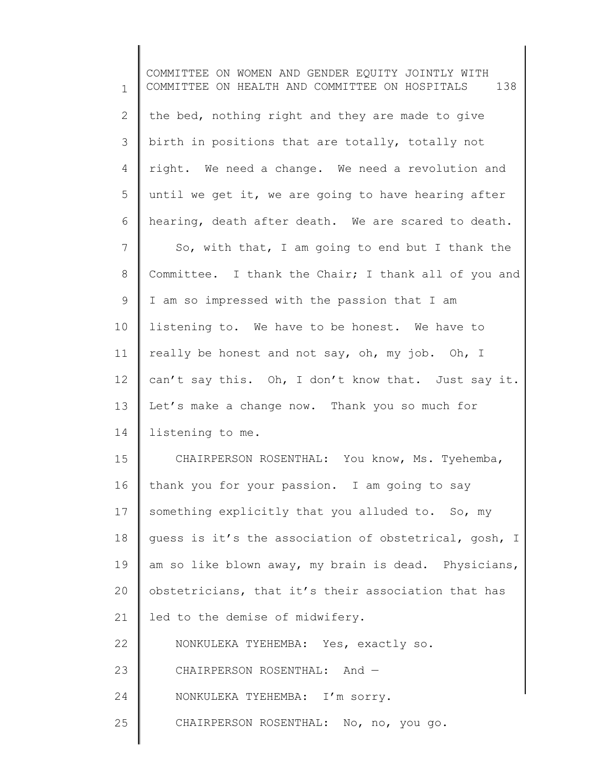1 2 3 4 5 6 7 8 9 10 11 12 13 14 15 16 17 18 19 20 21 22 23 24 25 COMMITTEE ON WOMEN AND GENDER EQUITY JOINTLY WITH COMMITTEE ON HEALTH AND COMMITTEE ON HOSPITALS 138 the bed, nothing right and they are made to give birth in positions that are totally, totally not right. We need a change. We need a revolution and until we get it, we are going to have hearing after hearing, death after death. We are scared to death. So, with that, I am going to end but I thank the Committee. I thank the Chair; I thank all of you and I am so impressed with the passion that I am listening to. We have to be honest. We have to really be honest and not say, oh, my job. Oh, I can't say this. Oh, I don't know that. Just say it. Let's make a change now. Thank you so much for listening to me. CHAIRPERSON ROSENTHAL: You know, Ms. Tyehemba, thank you for your passion. I am going to say something explicitly that you alluded to. So, my guess is it's the association of obstetrical, gosh, I am so like blown away, my brain is dead. Physicians, obstetricians, that it's their association that has led to the demise of midwifery. NONKULEKA TYEHEMBA: Yes, exactly so. CHAIRPERSON ROSENTHAL: And — NONKULEKA TYEHEMBA: I'm sorry. CHAIRPERSON ROSENTHAL: No, no, you go.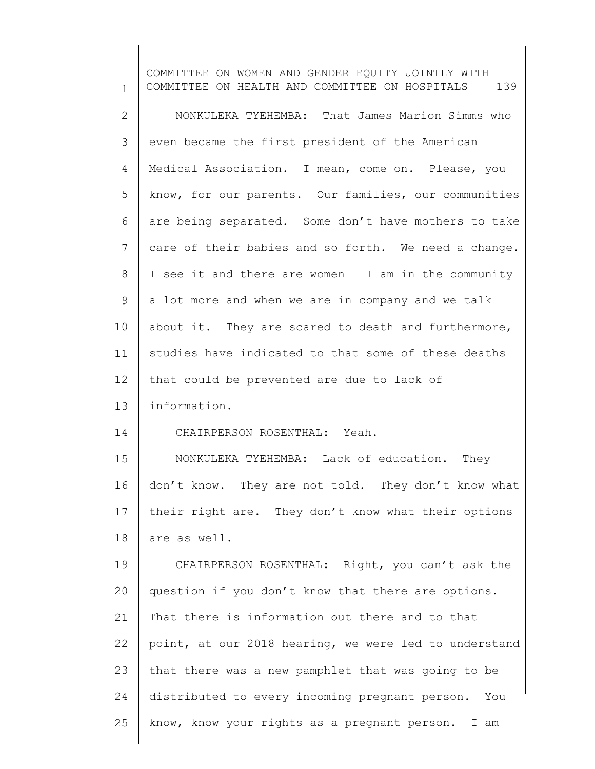1 2 3 4 5 6 7 8 9 10 11 12 13 14 15 16 17 18 19 20 21 22 23 24 25 COMMITTEE ON WOMEN AND GENDER EQUITY JOINTLY WITH COMMITTEE ON HEALTH AND COMMITTEE ON HOSPITALS 139 NONKULEKA TYEHEMBA: That James Marion Simms who even became the first president of the American Medical Association. I mean, come on. Please, you know, for our parents. Our families, our communities are being separated. Some don't have mothers to take care of their babies and so forth. We need a change. I see it and there are women  $-$  I am in the community a lot more and when we are in company and we talk about it. They are scared to death and furthermore, studies have indicated to that some of these deaths that could be prevented are due to lack of information. CHAIRPERSON ROSENTHAL: Yeah. NONKULEKA TYEHEMBA: Lack of education. They don't know. They are not told. They don't know what their right are. They don't know what their options are as well. CHAIRPERSON ROSENTHAL: Right, you can't ask the question if you don't know that there are options. That there is information out there and to that point, at our 2018 hearing, we were led to understand that there was a new pamphlet that was going to be distributed to every incoming pregnant person. You know, know your rights as a pregnant person. I am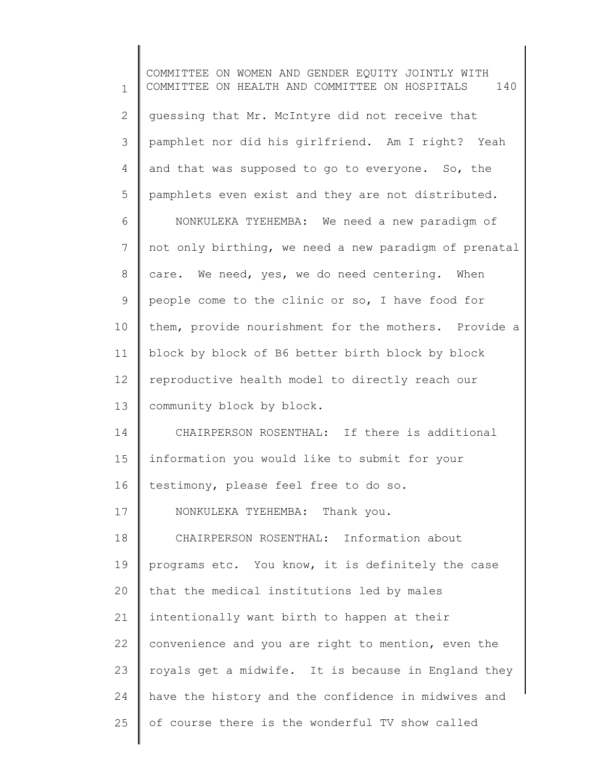1 2 3 4 5 6 7 8 9 10 11 12 13 14 15 16 17 18 19 20 21 22 23 24 25 COMMITTEE ON WOMEN AND GENDER EQUITY JOINTLY WITH COMMITTEE ON HEALTH AND COMMITTEE ON HOSPITALS 140 guessing that Mr. McIntyre did not receive that pamphlet nor did his girlfriend. Am I right? Yeah and that was supposed to go to everyone. So, the pamphlets even exist and they are not distributed. NONKULEKA TYEHEMBA: We need a new paradigm of not only birthing, we need a new paradigm of prenatal care. We need, yes, we do need centering. When people come to the clinic or so, I have food for them, provide nourishment for the mothers. Provide a block by block of B6 better birth block by block reproductive health model to directly reach our community block by block. CHAIRPERSON ROSENTHAL: If there is additional information you would like to submit for your testimony, please feel free to do so. NONKULEKA TYEHEMBA: Thank you. CHAIRPERSON ROSENTHAL: Information about programs etc. You know, it is definitely the case that the medical institutions led by males intentionally want birth to happen at their convenience and you are right to mention, even the royals get a midwife. It is because in England they have the history and the confidence in midwives and of course there is the wonderful TV show called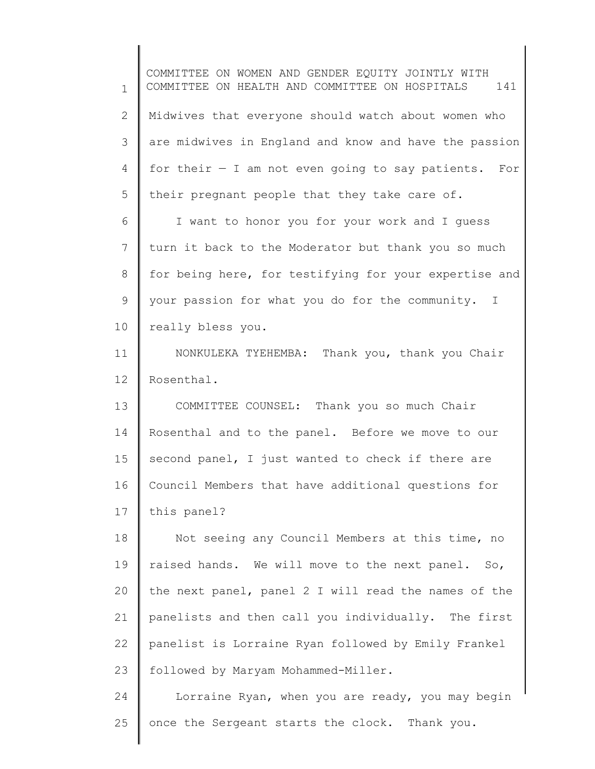1 2 3 4 5 6 7 8 9 10 11 12 13 14 15 16 17 18 19 20 21 22 23 24 25 COMMITTEE ON WOMEN AND GENDER EQUITY JOINTLY WITH COMMITTEE ON HEALTH AND COMMITTEE ON HOSPITALS 141 Midwives that everyone should watch about women who are midwives in England and know and have the passion for their  $-$  I am not even going to say patients. For their pregnant people that they take care of. I want to honor you for your work and I guess turn it back to the Moderator but thank you so much for being here, for testifying for your expertise and your passion for what you do for the community. I really bless you. NONKULEKA TYEHEMBA: Thank you, thank you Chair Rosenthal. COMMITTEE COUNSEL: Thank you so much Chair Rosenthal and to the panel. Before we move to our second panel, I just wanted to check if there are Council Members that have additional questions for this panel? Not seeing any Council Members at this time, no raised hands. We will move to the next panel. So, the next panel, panel 2 I will read the names of the panelists and then call you individually. The first panelist is Lorraine Ryan followed by Emily Frankel followed by Maryam Mohammed-Miller. Lorraine Ryan, when you are ready, you may begin once the Sergeant starts the clock. Thank you.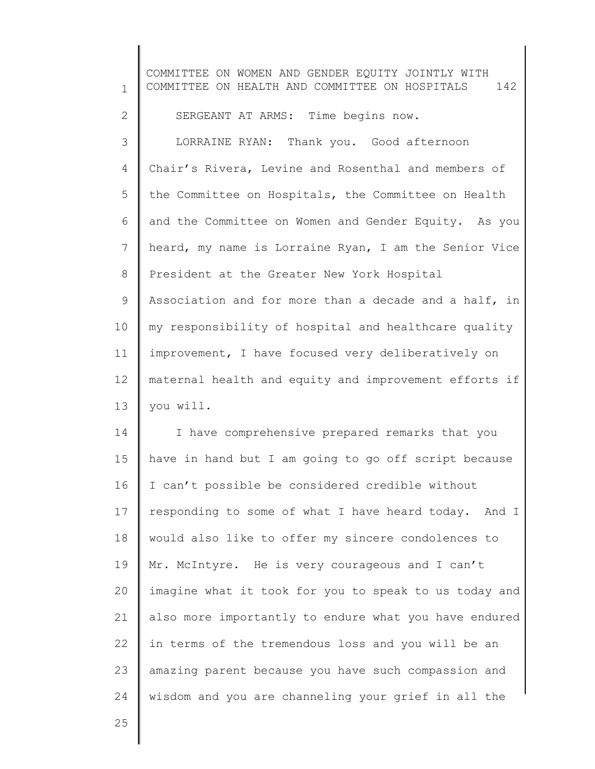1 2 3 4 5 6 7 8 9 10 11 12 13 14 15 16 17 18 COMMITTEE ON WOMEN AND GENDER EQUITY JOINTLY WITH COMMITTEE ON HEALTH AND COMMITTEE ON HOSPITALS 142 SERGEANT AT ARMS: Time begins now. LORRAINE RYAN: Thank you. Good afternoon Chair's Rivera, Levine and Rosenthal and members of the Committee on Hospitals, the Committee on Health and the Committee on Women and Gender Equity. As you heard, my name is Lorraine Ryan, I am the Senior Vice President at the Greater New York Hospital Association and for more than a decade and a half, in my responsibility of hospital and healthcare quality improvement, I have focused very deliberatively on maternal health and equity and improvement efforts if you will. I have comprehensive prepared remarks that you have in hand but I am going to go off script because I can't possible be considered credible without responding to some of what I have heard today. And I would also like to offer my sincere condolences to

19 20 21 22 23 24 Mr. McIntyre. He is very courageous and I can't imagine what it took for you to speak to us today and also more importantly to endure what you have endured in terms of the tremendous loss and you will be an amazing parent because you have such compassion and wisdom and you are channeling your grief in all the

25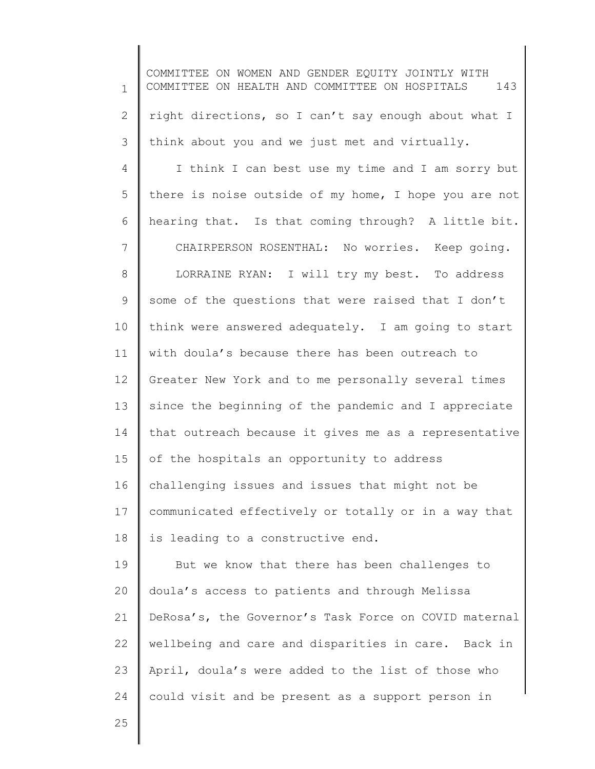1 2 3 4 5 6 7 8 9 10 11 12 13 14 15 16 17 18 19 20 21 22 23 24 25 COMMITTEE ON WOMEN AND GENDER EQUITY JOINTLY WITH COMMITTEE ON HEALTH AND COMMITTEE ON HOSPITALS 143 right directions, so I can't say enough about what I think about you and we just met and virtually. I think I can best use my time and I am sorry but there is noise outside of my home, I hope you are not hearing that. Is that coming through? A little bit. CHAIRPERSON ROSENTHAL: No worries. Keep going. LORRAINE RYAN: I will try my best. To address some of the questions that were raised that I don't think were answered adequately. I am going to start with doula's because there has been outreach to Greater New York and to me personally several times since the beginning of the pandemic and I appreciate that outreach because it gives me as a representative of the hospitals an opportunity to address challenging issues and issues that might not be communicated effectively or totally or in a way that is leading to a constructive end. But we know that there has been challenges to doula's access to patients and through Melissa DeRosa's, the Governor's Task Force on COVID maternal wellbeing and care and disparities in care. Back in April, doula's were added to the list of those who could visit and be present as a support person in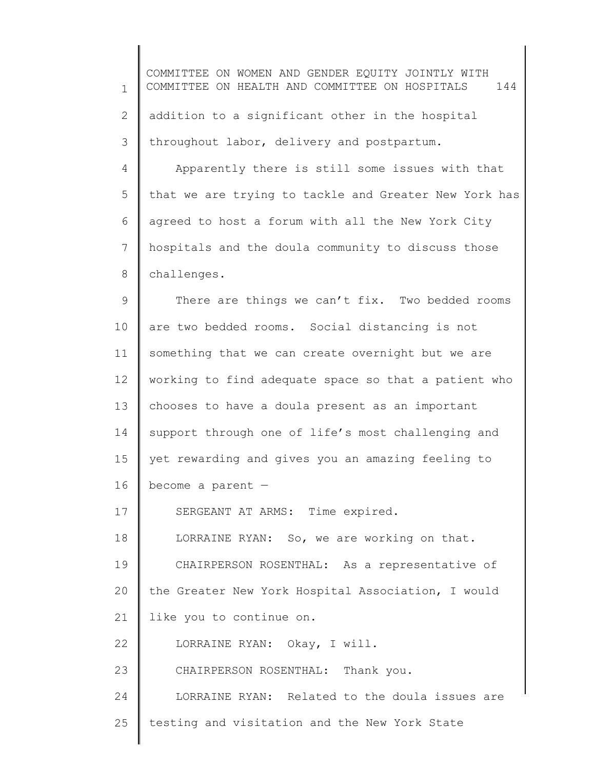1 2 3 4 5 6 7 8 9 10 11 12 13 14 15 16 17 18 19 20 21 22 23 24 25 COMMITTEE ON WOMEN AND GENDER EQUITY JOINTLY WITH COMMITTEE ON HEALTH AND COMMITTEE ON HOSPITALS 144 addition to a significant other in the hospital throughout labor, delivery and postpartum. Apparently there is still some issues with that that we are trying to tackle and Greater New York has agreed to host a forum with all the New York City hospitals and the doula community to discuss those challenges. There are things we can't fix. Two bedded rooms are two bedded rooms. Social distancing is not something that we can create overnight but we are working to find adequate space so that a patient who chooses to have a doula present as an important support through one of life's most challenging and yet rewarding and gives you an amazing feeling to become a parent — SERGEANT AT ARMS: Time expired. LORRAINE RYAN: So, we are working on that. CHAIRPERSON ROSENTHAL: As a representative of the Greater New York Hospital Association, I would like you to continue on. LORRAINE RYAN: Okay, I will. CHAIRPERSON ROSENTHAL: Thank you. LORRAINE RYAN: Related to the doula issues are testing and visitation and the New York State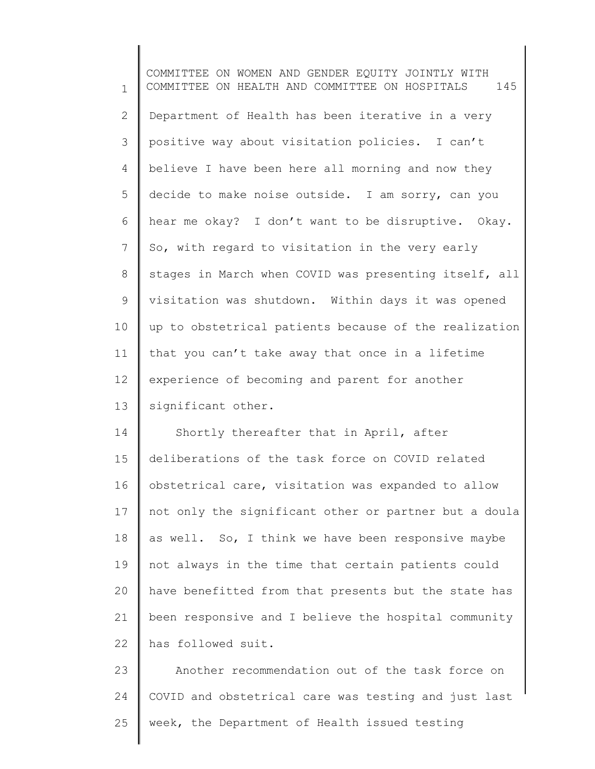1 2 3 4 5 6 7 8 9 10 11 12 13 14 15 16 17 18 19 20 21 22 COMMITTEE ON WOMEN AND GENDER EQUITY JOINTLY WITH COMMITTEE ON HEALTH AND COMMITTEE ON HOSPITALS 145 Department of Health has been iterative in a very positive way about visitation policies. I can't believe I have been here all morning and now they decide to make noise outside. I am sorry, can you hear me okay? I don't want to be disruptive. Okay. So, with regard to visitation in the very early stages in March when COVID was presenting itself, all visitation was shutdown. Within days it was opened up to obstetrical patients because of the realization that you can't take away that once in a lifetime experience of becoming and parent for another significant other. Shortly thereafter that in April, after deliberations of the task force on COVID related obstetrical care, visitation was expanded to allow not only the significant other or partner but a doula as well. So, I think we have been responsive maybe not always in the time that certain patients could have benefitted from that presents but the state has been responsive and I believe the hospital community has followed suit.

23 24 25 Another recommendation out of the task force on COVID and obstetrical care was testing and just last week, the Department of Health issued testing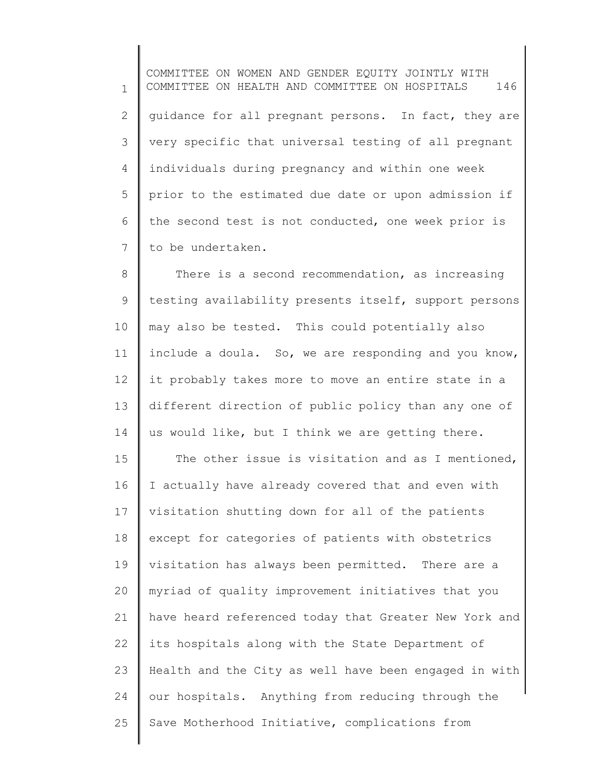1 2 3 4 5 6 7 COMMITTEE ON WOMEN AND GENDER EQUITY JOINTLY WITH COMMITTEE ON HEALTH AND COMMITTEE ON HOSPITALS 146 guidance for all pregnant persons. In fact, they are very specific that universal testing of all pregnant individuals during pregnancy and within one week prior to the estimated due date or upon admission if the second test is not conducted, one week prior is to be undertaken.

8 9 10 11 12 13 14 There is a second recommendation, as increasing testing availability presents itself, support persons may also be tested. This could potentially also include a doula. So, we are responding and you know, it probably takes more to move an entire state in a different direction of public policy than any one of us would like, but I think we are getting there.

15 16 17 18 19 20 21 22 23 24 25 The other issue is visitation and as I mentioned, I actually have already covered that and even with visitation shutting down for all of the patients except for categories of patients with obstetrics visitation has always been permitted. There are a myriad of quality improvement initiatives that you have heard referenced today that Greater New York and its hospitals along with the State Department of Health and the City as well have been engaged in with our hospitals. Anything from reducing through the Save Motherhood Initiative, complications from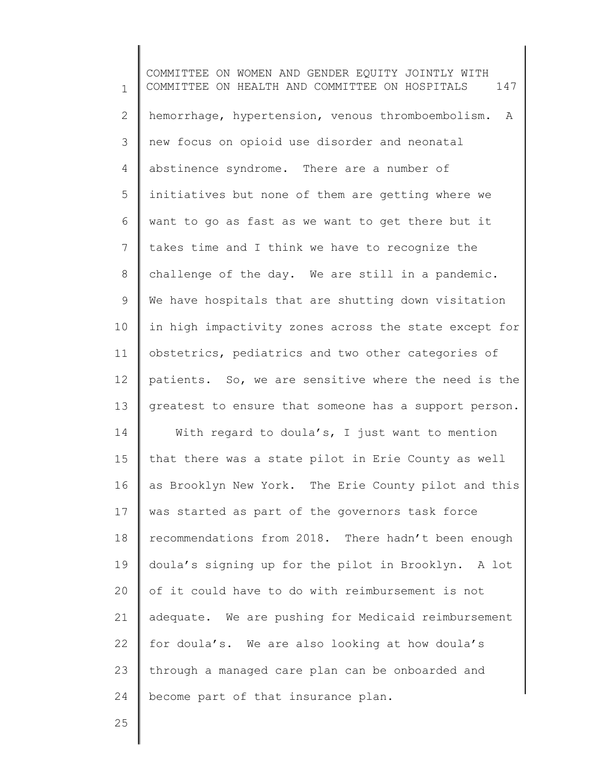1 2 3 4 5 6 7 8 9 10 11 12 13 14 15 16 17 18 19 20 21 22 23 24 COMMITTEE ON WOMEN AND GENDER EQUITY JOINTLY WITH COMMITTEE ON HEALTH AND COMMITTEE ON HOSPITALS 147 hemorrhage, hypertension, venous thromboembolism. A new focus on opioid use disorder and neonatal abstinence syndrome. There are a number of initiatives but none of them are getting where we want to go as fast as we want to get there but it takes time and I think we have to recognize the challenge of the day. We are still in a pandemic. We have hospitals that are shutting down visitation in high impactivity zones across the state except for obstetrics, pediatrics and two other categories of patients. So, we are sensitive where the need is the greatest to ensure that someone has a support person. With regard to doula's, I just want to mention that there was a state pilot in Erie County as well as Brooklyn New York. The Erie County pilot and this was started as part of the governors task force recommendations from 2018. There hadn't been enough doula's signing up for the pilot in Brooklyn. A lot of it could have to do with reimbursement is not adequate. We are pushing for Medicaid reimbursement for doula's. We are also looking at how doula's through a managed care plan can be onboarded and become part of that insurance plan.

25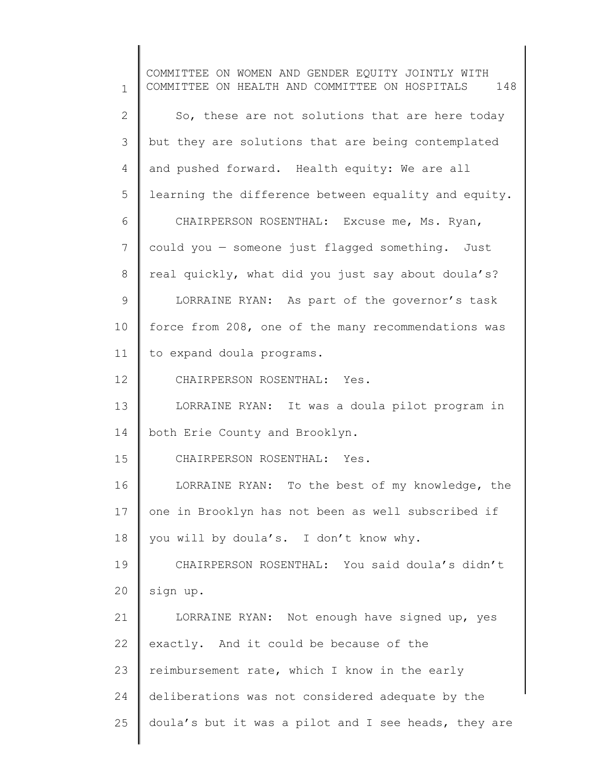1 2 3 4 5 6 7 8 9 10 11 12 13 14 15 16 17 18 19 20 21 22 23 24 25 COMMITTEE ON WOMEN AND GENDER EQUITY JOINTLY WITH COMMITTEE ON HEALTH AND COMMITTEE ON HOSPITALS 148 So, these are not solutions that are here today but they are solutions that are being contemplated and pushed forward. Health equity: We are all learning the difference between equality and equity. CHAIRPERSON ROSENTHAL: Excuse me, Ms. Ryan, could you — someone just flagged something. Just real quickly, what did you just say about doula's? LORRAINE RYAN: As part of the governor's task force from 208, one of the many recommendations was to expand doula programs. CHAIRPERSON ROSENTHAL: Yes. LORRAINE RYAN: It was a doula pilot program in both Erie County and Brooklyn. CHAIRPERSON ROSENTHAL: Yes. LORRAINE RYAN: To the best of my knowledge, the one in Brooklyn has not been as well subscribed if you will by doula's. I don't know why. CHAIRPERSON ROSENTHAL: You said doula's didn't sign up. LORRAINE RYAN: Not enough have signed up, yes exactly. And it could be because of the reimbursement rate, which I know in the early deliberations was not considered adequate by the doula's but it was a pilot and I see heads, they are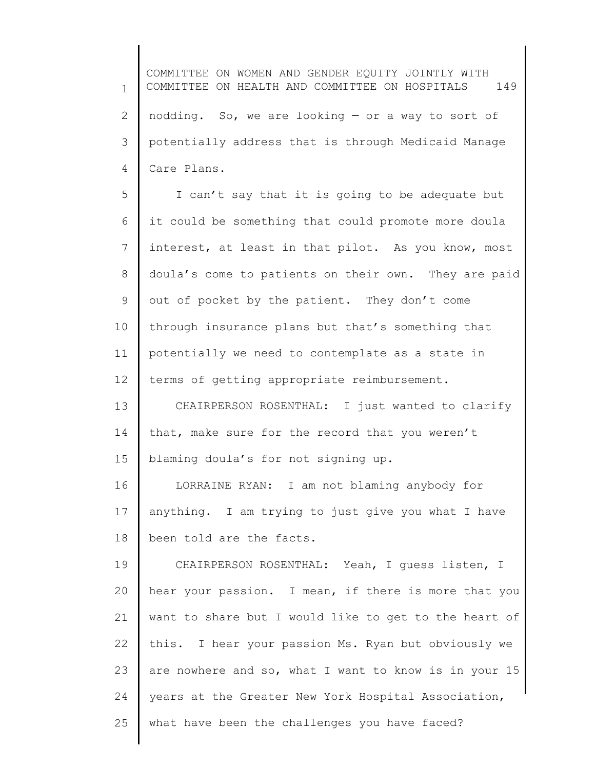1 2 3 4 COMMITTEE ON WOMEN AND GENDER EQUITY JOINTLY WITH COMMITTEE ON HEALTH AND COMMITTEE ON HOSPITALS 149 nodding. So, we are looking — or a way to sort of potentially address that is through Medicaid Manage Care Plans.

5 6 7 8 9 10 11 12 I can't say that it is going to be adequate but it could be something that could promote more doula interest, at least in that pilot. As you know, most doula's come to patients on their own. They are paid out of pocket by the patient. They don't come through insurance plans but that's something that potentially we need to contemplate as a state in terms of getting appropriate reimbursement.

13 14 15 CHAIRPERSON ROSENTHAL: I just wanted to clarify that, make sure for the record that you weren't blaming doula's for not signing up.

16 17 18 LORRAINE RYAN: I am not blaming anybody for anything. I am trying to just give you what I have been told are the facts.

19 20 21 22 23 24 25 CHAIRPERSON ROSENTHAL: Yeah, I guess listen, I hear your passion. I mean, if there is more that you want to share but I would like to get to the heart of this. I hear your passion Ms. Ryan but obviously we are nowhere and so, what I want to know is in your 15 years at the Greater New York Hospital Association, what have been the challenges you have faced?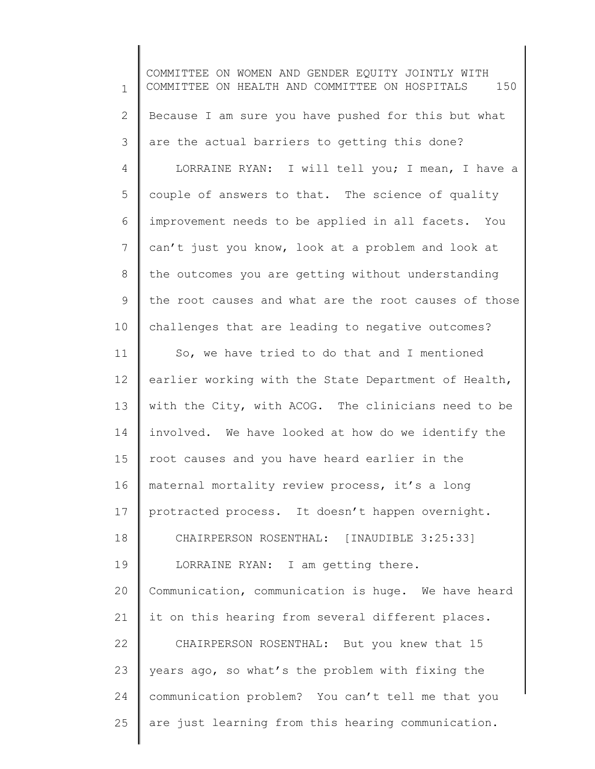1 2 3 4 5 6 7 8 9 10 11 12 13 14 15 16 17 18 19 20 21 22 23 24 25 COMMITTEE ON WOMEN AND GENDER EQUITY JOINTLY WITH COMMITTEE ON HEALTH AND COMMITTEE ON HOSPITALS 150 Because I am sure you have pushed for this but what are the actual barriers to getting this done? LORRAINE RYAN: I will tell you; I mean, I have a couple of answers to that. The science of quality improvement needs to be applied in all facets. You can't just you know, look at a problem and look at the outcomes you are getting without understanding the root causes and what are the root causes of those challenges that are leading to negative outcomes? So, we have tried to do that and I mentioned earlier working with the State Department of Health, with the City, with ACOG. The clinicians need to be involved. We have looked at how do we identify the root causes and you have heard earlier in the maternal mortality review process, it's a long protracted process. It doesn't happen overnight. CHAIRPERSON ROSENTHAL: [INAUDIBLE 3:25:33] LORRAINE RYAN: I am getting there. Communication, communication is huge. We have heard it on this hearing from several different places. CHAIRPERSON ROSENTHAL: But you knew that 15 years ago, so what's the problem with fixing the communication problem? You can't tell me that you are just learning from this hearing communication.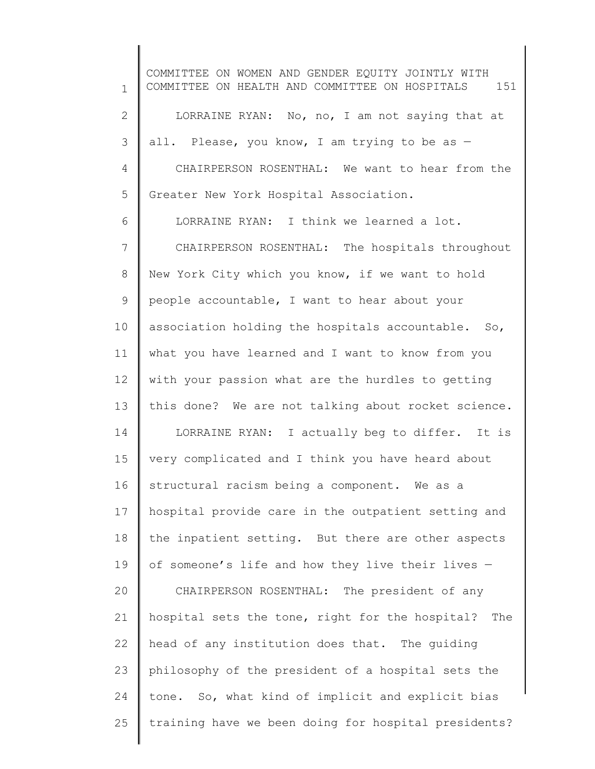1 2 3 4 5 6 7 8 9 10 11 12 13 14 15 16 17 18 19 20 21 22 23 24 25 COMMITTEE ON WOMEN AND GENDER EQUITY JOINTLY WITH COMMITTEE ON HEALTH AND COMMITTEE ON HOSPITALS 151 LORRAINE RYAN: No, no, I am not saying that at all. Please, you know, I am trying to be as -CHAIRPERSON ROSENTHAL: We want to hear from the Greater New York Hospital Association. LORRAINE RYAN: I think we learned a lot. CHAIRPERSON ROSENTHAL: The hospitals throughout New York City which you know, if we want to hold people accountable, I want to hear about your association holding the hospitals accountable. So, what you have learned and I want to know from you with your passion what are the hurdles to getting this done? We are not talking about rocket science. LORRAINE RYAN: I actually beg to differ. It is very complicated and I think you have heard about structural racism being a component. We as a hospital provide care in the outpatient setting and the inpatient setting. But there are other aspects of someone's life and how they live their lives — CHAIRPERSON ROSENTHAL: The president of any hospital sets the tone, right for the hospital? The head of any institution does that. The guiding philosophy of the president of a hospital sets the tone. So, what kind of implicit and explicit bias training have we been doing for hospital presidents?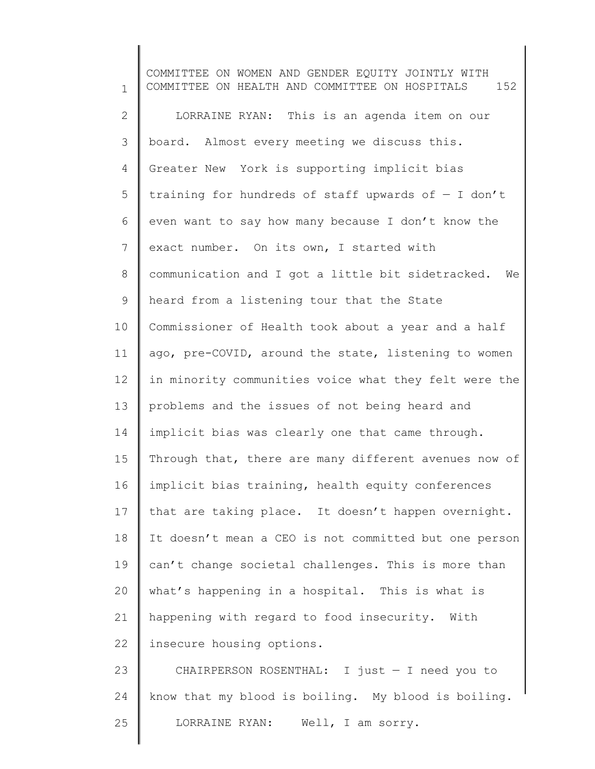1 2 3 4 5 6 7 8 9 10 11 12 13 14 15 16 17 18 19 20 21 22 23 24 25 COMMITTEE ON WOMEN AND GENDER EQUITY JOINTLY WITH COMMITTEE ON HEALTH AND COMMITTEE ON HOSPITALS 152 LORRAINE RYAN: This is an agenda item on our board. Almost every meeting we discuss this. Greater New York is supporting implicit bias training for hundreds of staff upwards of  $-$  I don't even want to say how many because I don't know the exact number. On its own, I started with communication and I got a little bit sidetracked. We heard from a listening tour that the State Commissioner of Health took about a year and a half ago, pre-COVID, around the state, listening to women in minority communities voice what they felt were the problems and the issues of not being heard and implicit bias was clearly one that came through. Through that, there are many different avenues now of implicit bias training, health equity conferences that are taking place. It doesn't happen overnight. It doesn't mean a CEO is not committed but one person can't change societal challenges. This is more than what's happening in a hospital. This is what is happening with regard to food insecurity. With insecure housing options. CHAIRPERSON ROSENTHAL: I just — I need you to know that my blood is boiling. My blood is boiling. LORRAINE RYAN: Well, I am sorry.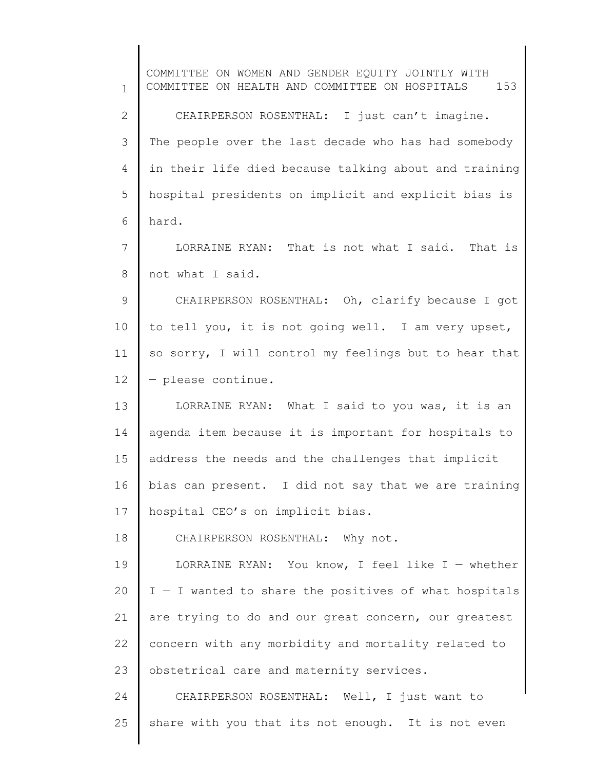1 2 3 4 5 6 7 8 9 10 11 12 13 14 15 16 17 18 19 20 21 22 23 24 25 COMMITTEE ON WOMEN AND GENDER EQUITY JOINTLY WITH COMMITTEE ON HEALTH AND COMMITTEE ON HOSPITALS 153 CHAIRPERSON ROSENTHAL: I just can't imagine. The people over the last decade who has had somebody in their life died because talking about and training hospital presidents on implicit and explicit bias is hard. LORRAINE RYAN: That is not what I said. That is not what I said. CHAIRPERSON ROSENTHAL: Oh, clarify because I got to tell you, it is not going well. I am very upset, so sorry, I will control my feelings but to hear that — please continue. LORRAINE RYAN: What I said to you was, it is an agenda item because it is important for hospitals to address the needs and the challenges that implicit bias can present. I did not say that we are training hospital CEO's on implicit bias. CHAIRPERSON ROSENTHAL: Why not. LORRAINE RYAN: You know, I feel like  $I -$  whether I — I wanted to share the positives of what hospitals are trying to do and our great concern, our greatest concern with any morbidity and mortality related to obstetrical care and maternity services. CHAIRPERSON ROSENTHAL: Well, I just want to share with you that its not enough. It is not even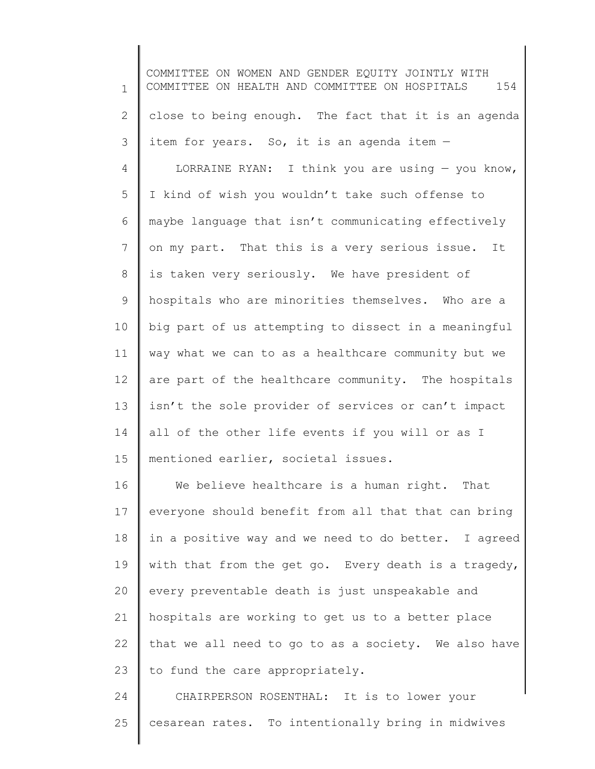1 2 3 4 5 6 7 8 9 10 11 12 13 14 15 16 17 18 19 20 21 COMMITTEE ON WOMEN AND GENDER EQUITY JOINTLY WITH COMMITTEE ON HEALTH AND COMMITTEE ON HOSPITALS 154 close to being enough. The fact that it is an agenda item for years. So, it is an agenda item — LORRAINE RYAN: I think you are using  $-$  you know, I kind of wish you wouldn't take such offense to maybe language that isn't communicating effectively on my part. That this is a very serious issue. It is taken very seriously. We have president of hospitals who are minorities themselves. Who are a big part of us attempting to dissect in a meaningful way what we can to as a healthcare community but we are part of the healthcare community. The hospitals isn't the sole provider of services or can't impact all of the other life events if you will or as I mentioned earlier, societal issues. We believe healthcare is a human right. That everyone should benefit from all that that can bring in a positive way and we need to do better. I agreed with that from the get go. Every death is a tragedy, every preventable death is just unspeakable and hospitals are working to get us to a better place

22 23 that we all need to go to as a society. We also have to fund the care appropriately.

24 25 CHAIRPERSON ROSENTHAL: It is to lower your cesarean rates. To intentionally bring in midwives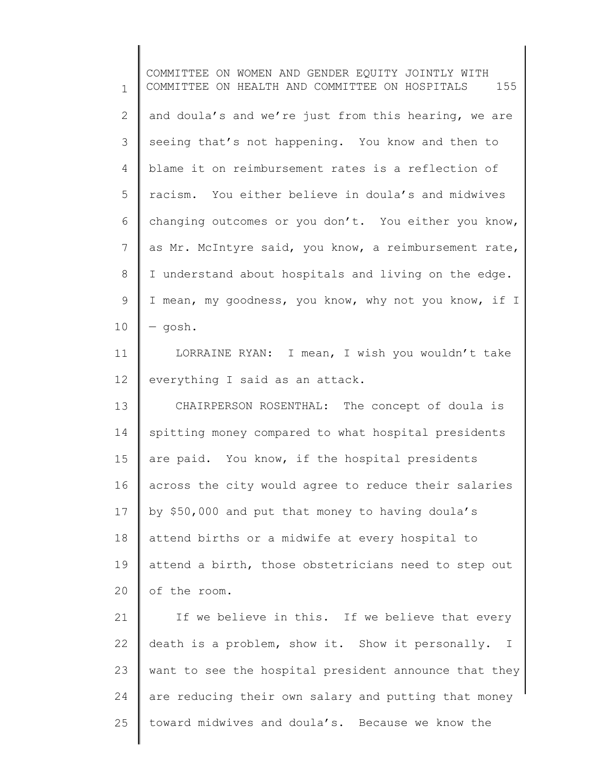1 2 3 4 5 6 7 8 9 10 11 12 13 14 15 16 17 18 19 20 COMMITTEE ON WOMEN AND GENDER EQUITY JOINTLY WITH COMMITTEE ON HEALTH AND COMMITTEE ON HOSPITALS 155 and doula's and we're just from this hearing, we are seeing that's not happening. You know and then to blame it on reimbursement rates is a reflection of racism. You either believe in doula's and midwives changing outcomes or you don't. You either you know, as Mr. McIntyre said, you know, a reimbursement rate, I understand about hospitals and living on the edge. I mean, my goodness, you know, why not you know, if I — gosh. LORRAINE RYAN: I mean, I wish you wouldn't take everything I said as an attack. CHAIRPERSON ROSENTHAL: The concept of doula is spitting money compared to what hospital presidents are paid. You know, if the hospital presidents across the city would agree to reduce their salaries by \$50,000 and put that money to having doula's attend births or a midwife at every hospital to attend a birth, those obstetricians need to step out of the room.

21 22 23 24 25 If we believe in this. If we believe that every death is a problem, show it. Show it personally. I want to see the hospital president announce that they are reducing their own salary and putting that money toward midwives and doula's. Because we know the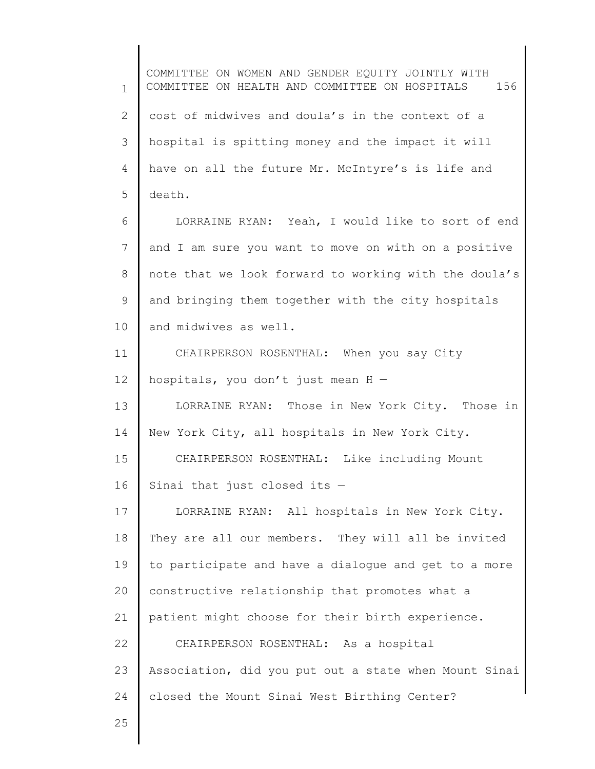1 2 3 4 5 6 7 8 9 10 11 12 13 14 15 16 17 18 19 20 21 22 23 24 25 COMMITTEE ON WOMEN AND GENDER EQUITY JOINTLY WITH COMMITTEE ON HEALTH AND COMMITTEE ON HOSPITALS 156 cost of midwives and doula's in the context of a hospital is spitting money and the impact it will have on all the future Mr. McIntyre's is life and death. LORRAINE RYAN: Yeah, I would like to sort of end and I am sure you want to move on with on a positive note that we look forward to working with the doula's and bringing them together with the city hospitals and midwives as well. CHAIRPERSON ROSENTHAL: When you say City hospitals, you don't just mean H — LORRAINE RYAN: Those in New York City. Those in New York City, all hospitals in New York City. CHAIRPERSON ROSENTHAL: Like including Mount Sinai that just closed its — LORRAINE RYAN: All hospitals in New York City. They are all our members. They will all be invited to participate and have a dialogue and get to a more constructive relationship that promotes what a patient might choose for their birth experience. CHAIRPERSON ROSENTHAL: As a hospital Association, did you put out a state when Mount Sinai closed the Mount Sinai West Birthing Center?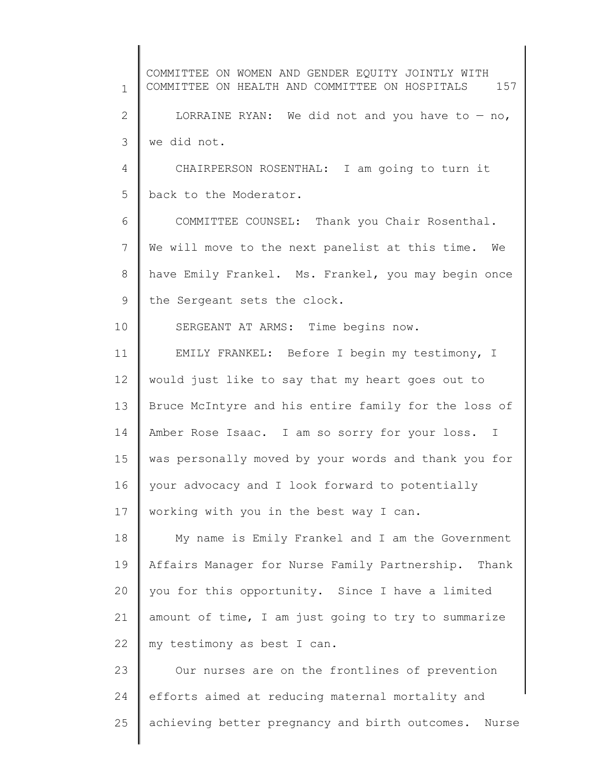1 2 3 4 5 6 7 8 9 10 11 12 13 14 15 16 17 18 19 20 21 22 23 24 25 COMMITTEE ON WOMEN AND GENDER EQUITY JOINTLY WITH COMMITTEE ON HEALTH AND COMMITTEE ON HOSPITALS 157 LORRAINE RYAN: We did not and you have to  $-$  no, we did not. CHAIRPERSON ROSENTHAL: I am going to turn it back to the Moderator. COMMITTEE COUNSEL: Thank you Chair Rosenthal. We will move to the next panelist at this time. We have Emily Frankel. Ms. Frankel, you may begin once the Sergeant sets the clock. SERGEANT AT ARMS: Time begins now. EMILY FRANKEL: Before I begin my testimony, I would just like to say that my heart goes out to Bruce McIntyre and his entire family for the loss of Amber Rose Isaac. I am so sorry for your loss. I was personally moved by your words and thank you for your advocacy and I look forward to potentially working with you in the best way I can. My name is Emily Frankel and I am the Government Affairs Manager for Nurse Family Partnership. Thank you for this opportunity. Since I have a limited amount of time, I am just going to try to summarize my testimony as best I can. Our nurses are on the frontlines of prevention efforts aimed at reducing maternal mortality and achieving better pregnancy and birth outcomes. Nurse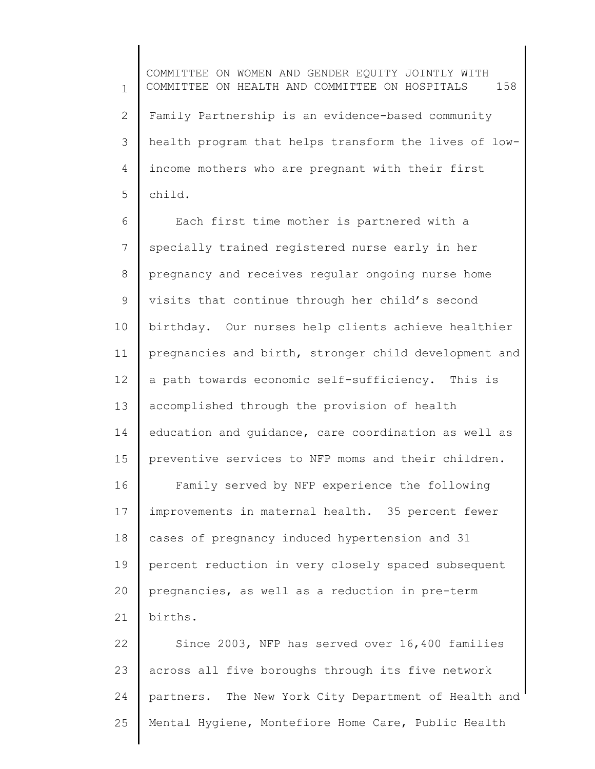1 2 3 4 5 COMMITTEE ON WOMEN AND GENDER EQUITY JOINTLY WITH COMMITTEE ON HEALTH AND COMMITTEE ON HOSPITALS 158 Family Partnership is an evidence-based community health program that helps transform the lives of lowincome mothers who are pregnant with their first child.

6 7 8 9 10 11 12 13 14 15 Each first time mother is partnered with a specially trained registered nurse early in her pregnancy and receives regular ongoing nurse home visits that continue through her child's second birthday. Our nurses help clients achieve healthier pregnancies and birth, stronger child development and a path towards economic self-sufficiency. This is accomplished through the provision of health education and guidance, care coordination as well as preventive services to NFP moms and their children.

16 17 18 19 20 21 Family served by NFP experience the following improvements in maternal health. 35 percent fewer cases of pregnancy induced hypertension and 31 percent reduction in very closely spaced subsequent pregnancies, as well as a reduction in pre-term births.

22 23 24 25 Since 2003, NFP has served over 16,400 families across all five boroughs through its five network partners. The New York City Department of Health and Mental Hygiene, Montefiore Home Care, Public Health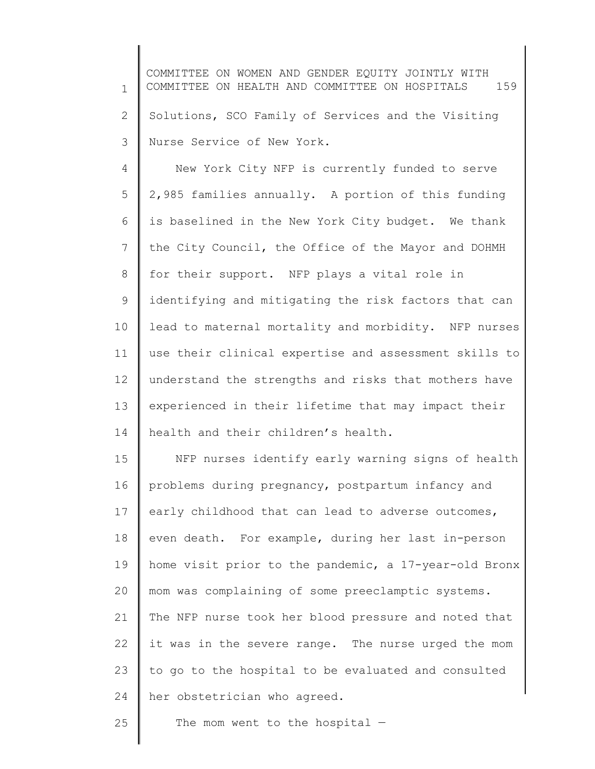1 2 3 COMMITTEE ON WOMEN AND GENDER EQUITY JOINTLY WITH COMMITTEE ON HEALTH AND COMMITTEE ON HOSPITALS 159 Solutions, SCO Family of Services and the Visiting Nurse Service of New York.

4 5 6 7 8 9 10 11 12 13 14 New York City NFP is currently funded to serve 2,985 families annually. A portion of this funding is baselined in the New York City budget. We thank the City Council, the Office of the Mayor and DOHMH for their support. NFP plays a vital role in identifying and mitigating the risk factors that can lead to maternal mortality and morbidity. NFP nurses use their clinical expertise and assessment skills to understand the strengths and risks that mothers have experienced in their lifetime that may impact their health and their children's health.

15 16 17 18 19 20 21 22 23 24 NFP nurses identify early warning signs of health problems during pregnancy, postpartum infancy and early childhood that can lead to adverse outcomes, even death. For example, during her last in-person home visit prior to the pandemic, a 17-year-old Bronx mom was complaining of some preeclamptic systems. The NFP nurse took her blood pressure and noted that it was in the severe range. The nurse urged the mom to go to the hospital to be evaluated and consulted her obstetrician who agreed.

25 The mom went to the hospital  $-$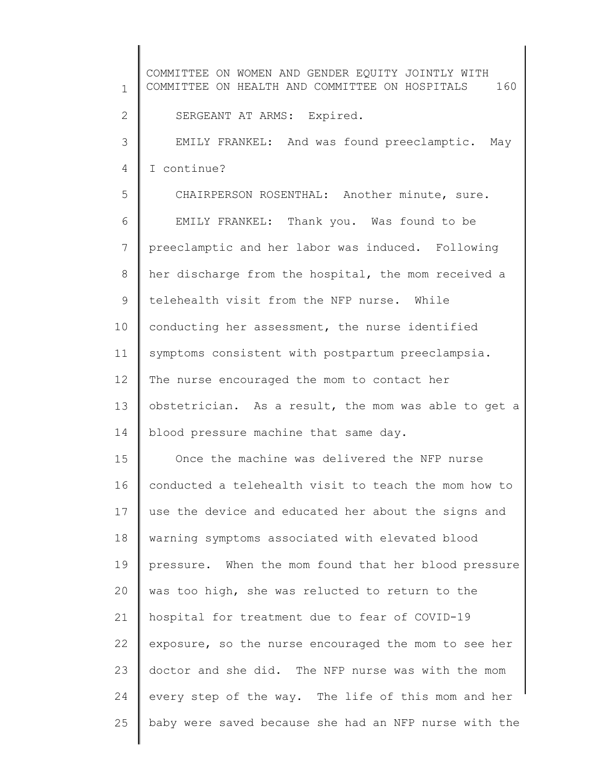1 2 3 4 5 6 7 8 9 10 11 12 13 14 15 16 17 18 19 20 21 22 23 24 25 COMMITTEE ON WOMEN AND GENDER EQUITY JOINTLY WITH COMMITTEE ON HEALTH AND COMMITTEE ON HOSPITALS 160 SERGEANT AT ARMS: Expired. EMILY FRANKEL: And was found preeclamptic. May I continue? CHAIRPERSON ROSENTHAL: Another minute, sure. EMILY FRANKEL: Thank you. Was found to be preeclamptic and her labor was induced. Following her discharge from the hospital, the mom received a telehealth visit from the NFP nurse. While conducting her assessment, the nurse identified symptoms consistent with postpartum preeclampsia. The nurse encouraged the mom to contact her obstetrician. As a result, the mom was able to get a blood pressure machine that same day. Once the machine was delivered the NFP nurse conducted a telehealth visit to teach the mom how to use the device and educated her about the signs and warning symptoms associated with elevated blood pressure. When the mom found that her blood pressure was too high, she was relucted to return to the hospital for treatment due to fear of COVID-19 exposure, so the nurse encouraged the mom to see her doctor and she did. The NFP nurse was with the mom every step of the way. The life of this mom and her baby were saved because she had an NFP nurse with the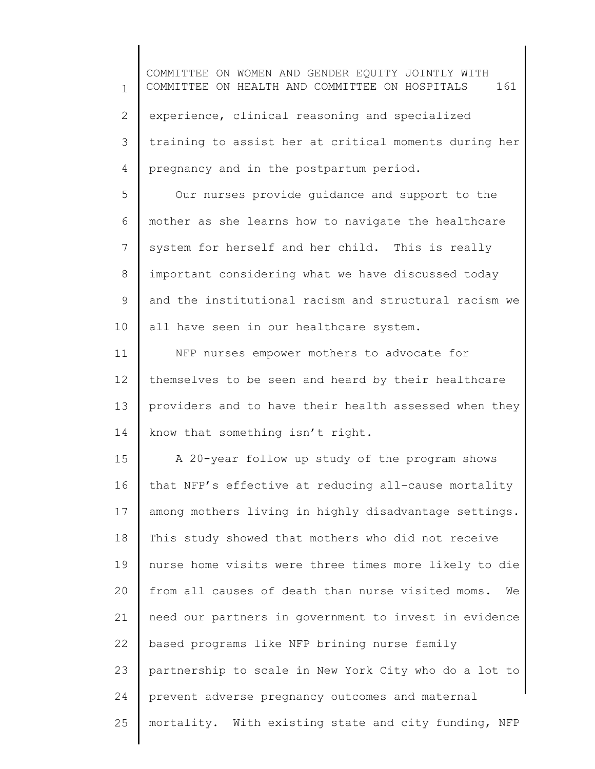1 2 3 4 5 6 7 8 9 10 11 12 13 14 15 16 17 18 19 20 21 22 23 24 25 COMMITTEE ON WOMEN AND GENDER EQUITY JOINTLY WITH COMMITTEE ON HEALTH AND COMMITTEE ON HOSPITALS 161 experience, clinical reasoning and specialized training to assist her at critical moments during her pregnancy and in the postpartum period. Our nurses provide guidance and support to the mother as she learns how to navigate the healthcare system for herself and her child. This is really important considering what we have discussed today and the institutional racism and structural racism we all have seen in our healthcare system. NFP nurses empower mothers to advocate for themselves to be seen and heard by their healthcare providers and to have their health assessed when they know that something isn't right. A 20-year follow up study of the program shows that NFP's effective at reducing all-cause mortality among mothers living in highly disadvantage settings. This study showed that mothers who did not receive nurse home visits were three times more likely to die from all causes of death than nurse visited moms. We need our partners in government to invest in evidence based programs like NFP brining nurse family partnership to scale in New York City who do a lot to prevent adverse pregnancy outcomes and maternal mortality. With existing state and city funding, NFP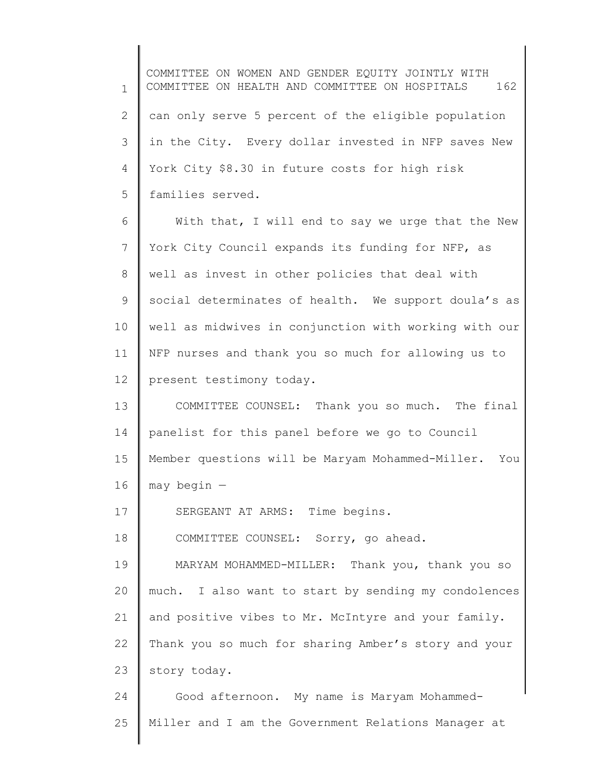1 2 3 4 5 6 7 8 9 10 11 12 13 14 15 16 17 18 19 20 21 22 23 24 25 COMMITTEE ON WOMEN AND GENDER EQUITY JOINTLY WITH COMMITTEE ON HEALTH AND COMMITTEE ON HOSPITALS 162 can only serve 5 percent of the eligible population in the City. Every dollar invested in NFP saves New York City \$8.30 in future costs for high risk families served. With that, I will end to say we urge that the New York City Council expands its funding for NFP, as well as invest in other policies that deal with social determinates of health. We support doula's as well as midwives in conjunction with working with our NFP nurses and thank you so much for allowing us to present testimony today. COMMITTEE COUNSEL: Thank you so much. The final panelist for this panel before we go to Council Member questions will be Maryam Mohammed-Miller. You may begin — SERGEANT AT ARMS: Time begins. COMMITTEE COUNSEL: Sorry, go ahead. MARYAM MOHAMMED-MILLER: Thank you, thank you so much. I also want to start by sending my condolences and positive vibes to Mr. McIntyre and your family. Thank you so much for sharing Amber's story and your story today. Good afternoon. My name is Maryam Mohammed-Miller and I am the Government Relations Manager at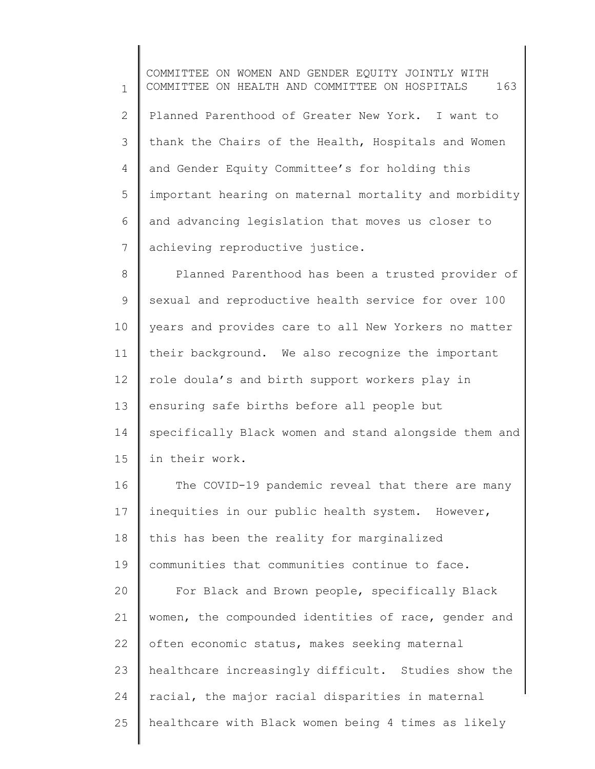1 2 3 4 5 6 7 COMMITTEE ON WOMEN AND GENDER EQUITY JOINTLY WITH COMMITTEE ON HEALTH AND COMMITTEE ON HOSPITALS 163 Planned Parenthood of Greater New York. I want to thank the Chairs of the Health, Hospitals and Women and Gender Equity Committee's for holding this important hearing on maternal mortality and morbidity and advancing legislation that moves us closer to achieving reproductive justice.

8 9 10 11 12 13 14 15 Planned Parenthood has been a trusted provider of sexual and reproductive health service for over 100 years and provides care to all New Yorkers no matter their background. We also recognize the important role doula's and birth support workers play in ensuring safe births before all people but specifically Black women and stand alongside them and in their work.

16 17 18 19 20 21 22 23 24 25 The COVID-19 pandemic reveal that there are many inequities in our public health system. However, this has been the reality for marginalized communities that communities continue to face. For Black and Brown people, specifically Black women, the compounded identities of race, gender and often economic status, makes seeking maternal healthcare increasingly difficult. Studies show the racial, the major racial disparities in maternal healthcare with Black women being 4 times as likely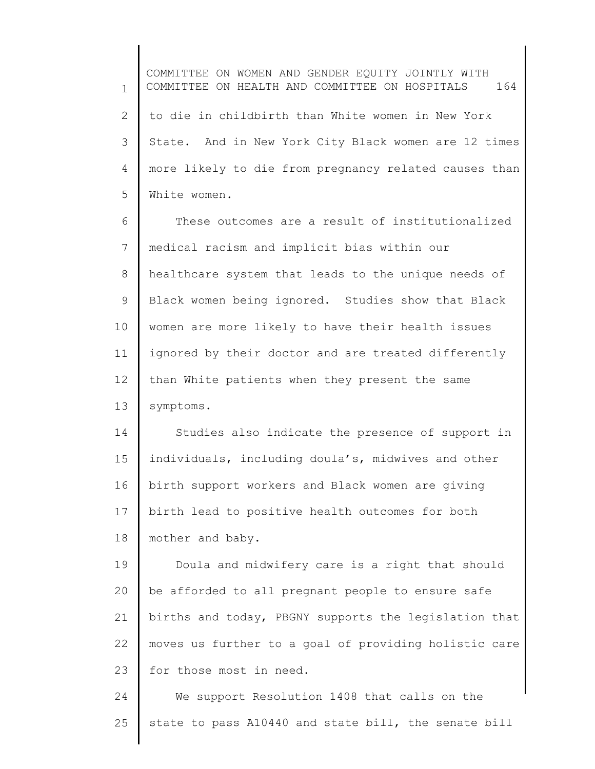1 2 3 4 5 COMMITTEE ON WOMEN AND GENDER EQUITY JOINTLY WITH COMMITTEE ON HEALTH AND COMMITTEE ON HOSPITALS 164 to die in childbirth than White women in New York State. And in New York City Black women are 12 times more likely to die from pregnancy related causes than White women.

6 7 8 9 10 11 12 13 These outcomes are a result of institutionalized medical racism and implicit bias within our healthcare system that leads to the unique needs of Black women being ignored. Studies show that Black women are more likely to have their health issues ignored by their doctor and are treated differently than White patients when they present the same symptoms.

14 15 16 17 18 Studies also indicate the presence of support in individuals, including doula's, midwives and other birth support workers and Black women are giving birth lead to positive health outcomes for both mother and baby.

19 20 21 22 23 Doula and midwifery care is a right that should be afforded to all pregnant people to ensure safe births and today, PBGNY supports the legislation that moves us further to a goal of providing holistic care for those most in need.

24 25 We support Resolution 1408 that calls on the state to pass A10440 and state bill, the senate bill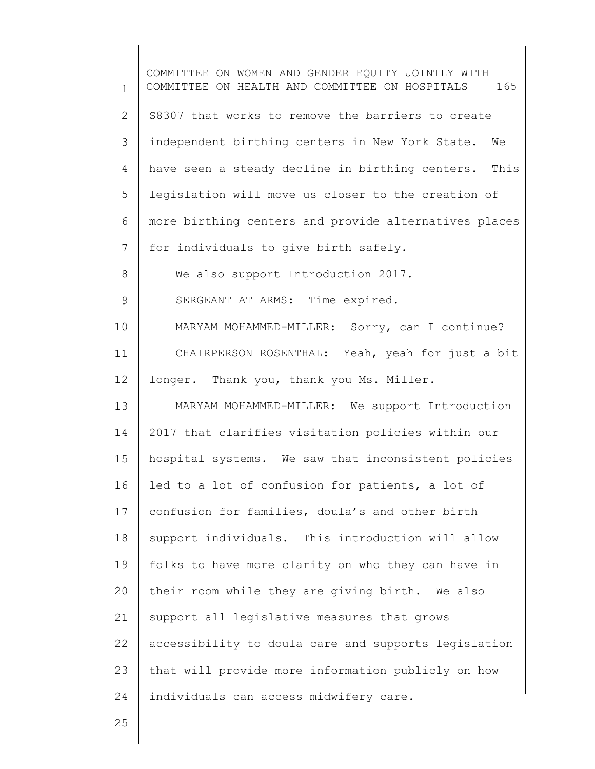1 2 3 4 5 6 7 8 9 10 11 12 13 14 15 16 17 18 19 20 21 22 23 24 COMMITTEE ON WOMEN AND GENDER EQUITY JOINTLY WITH COMMITTEE ON HEALTH AND COMMITTEE ON HOSPITALS 165 S8307 that works to remove the barriers to create independent birthing centers in New York State. We have seen a steady decline in birthing centers. This legislation will move us closer to the creation of more birthing centers and provide alternatives places for individuals to give birth safely. We also support Introduction 2017. SERGEANT AT ARMS: Time expired. MARYAM MOHAMMED-MILLER: Sorry, can I continue? CHAIRPERSON ROSENTHAL: Yeah, yeah for just a bit longer. Thank you, thank you Ms. Miller. MARYAM MOHAMMED-MILLER: We support Introduction 2017 that clarifies visitation policies within our hospital systems. We saw that inconsistent policies led to a lot of confusion for patients, a lot of confusion for families, doula's and other birth support individuals. This introduction will allow folks to have more clarity on who they can have in their room while they are giving birth. We also support all legislative measures that grows accessibility to doula care and supports legislation that will provide more information publicly on how individuals can access midwifery care.

25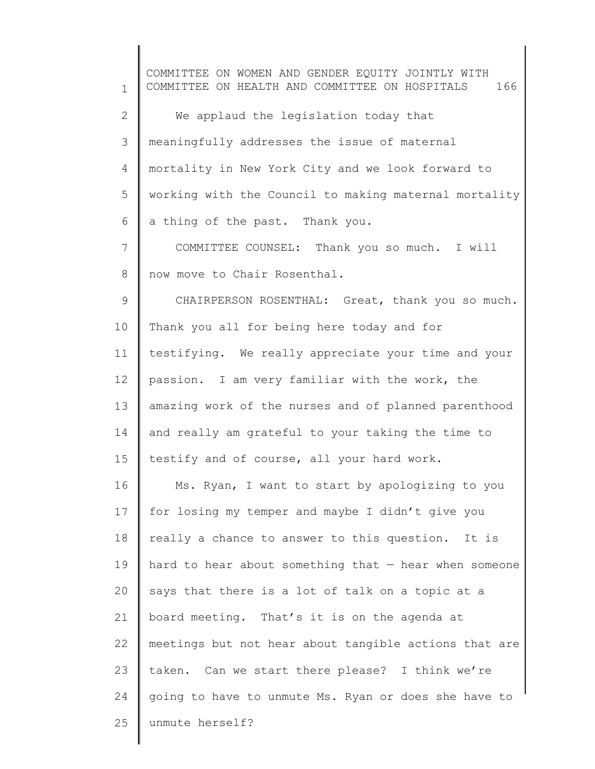1 2 3 4 5 6 7 8 9 10 11 12 13 14 15 16 17 18 19 20 21 22 23 24 25 COMMITTEE ON WOMEN AND GENDER EQUITY JOINTLY WITH COMMITTEE ON HEALTH AND COMMITTEE ON HOSPITALS 166 We applaud the legislation today that meaningfully addresses the issue of maternal mortality in New York City and we look forward to working with the Council to making maternal mortality a thing of the past. Thank you. COMMITTEE COUNSEL: Thank you so much. I will now move to Chair Rosenthal. CHAIRPERSON ROSENTHAL: Great, thank you so much. Thank you all for being here today and for testifying. We really appreciate your time and your passion. I am very familiar with the work, the amazing work of the nurses and of planned parenthood and really am grateful to your taking the time to testify and of course, all your hard work. Ms. Ryan, I want to start by apologizing to you for losing my temper and maybe I didn't give you really a chance to answer to this question. It is hard to hear about something that — hear when someone says that there is a lot of talk on a topic at a board meeting. That's it is on the agenda at meetings but not hear about tangible actions that are taken. Can we start there please? I think we're going to have to unmute Ms. Ryan or does she have to unmute herself?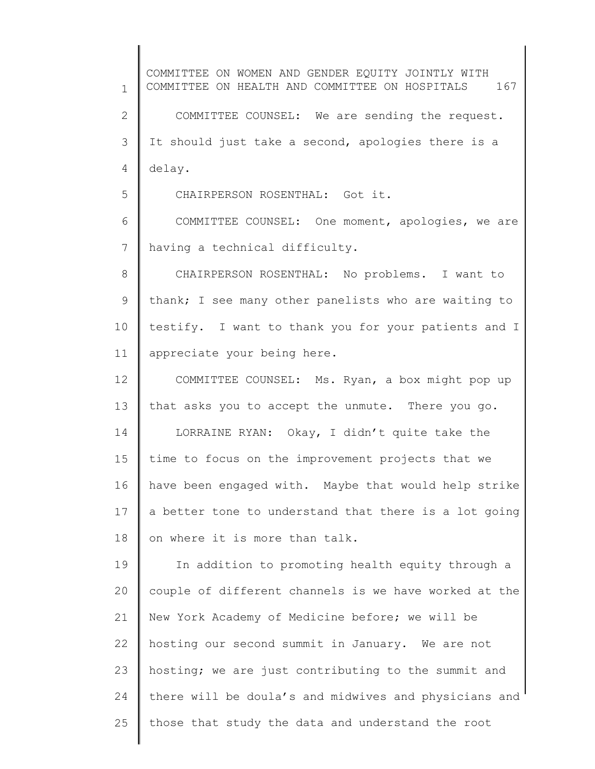1 2 3 4 5 6 7 8 9 10 11 12 13 14 15 16 17 18 19 20 21 22 23 24 25 COMMITTEE ON WOMEN AND GENDER EQUITY JOINTLY WITH COMMITTEE ON HEALTH AND COMMITTEE ON HOSPITALS 167 COMMITTEE COUNSEL: We are sending the request. It should just take a second, apologies there is a delay. CHAIRPERSON ROSENTHAL: Got it. COMMITTEE COUNSEL: One moment, apologies, we are having a technical difficulty. CHAIRPERSON ROSENTHAL: No problems. I want to thank; I see many other panelists who are waiting to testify. I want to thank you for your patients and I appreciate your being here. COMMITTEE COUNSEL: Ms. Ryan, a box might pop up that asks you to accept the unmute. There you go. LORRAINE RYAN: Okay, I didn't quite take the time to focus on the improvement projects that we have been engaged with. Maybe that would help strike a better tone to understand that there is a lot going on where it is more than talk. In addition to promoting health equity through a couple of different channels is we have worked at the New York Academy of Medicine before; we will be hosting our second summit in January. We are not hosting; we are just contributing to the summit and there will be doula's and midwives and physicians and those that study the data and understand the root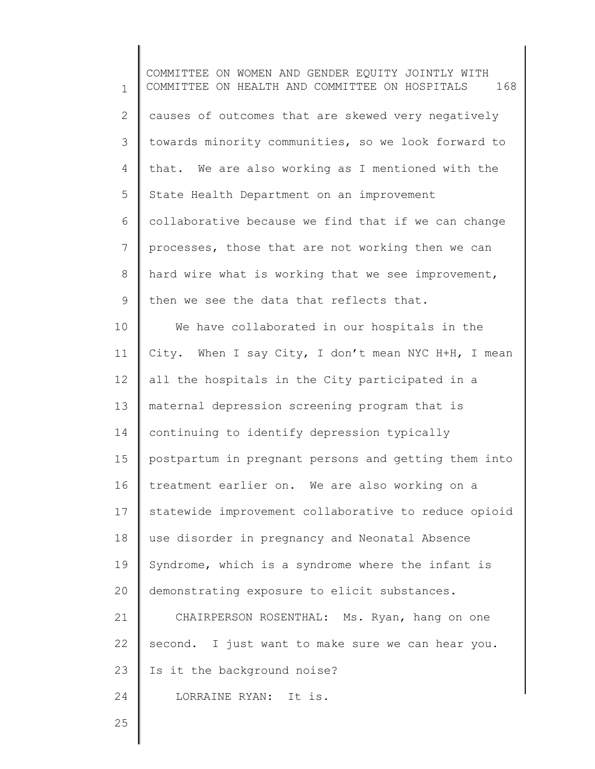1 2 3 4 5 6 7 8 9 10 11 12 13 14 15 16 17 18 19 20 21 22 23 24 25 COMMITTEE ON WOMEN AND GENDER EQUITY JOINTLY WITH COMMITTEE ON HEALTH AND COMMITTEE ON HOSPITALS 168 causes of outcomes that are skewed very negatively towards minority communities, so we look forward to that. We are also working as I mentioned with the State Health Department on an improvement collaborative because we find that if we can change processes, those that are not working then we can hard wire what is working that we see improvement, then we see the data that reflects that. We have collaborated in our hospitals in the City. When I say City, I don't mean NYC H+H, I mean all the hospitals in the City participated in a maternal depression screening program that is continuing to identify depression typically postpartum in pregnant persons and getting them into treatment earlier on. We are also working on a statewide improvement collaborative to reduce opioid use disorder in pregnancy and Neonatal Absence Syndrome, which is a syndrome where the infant is demonstrating exposure to elicit substances. CHAIRPERSON ROSENTHAL: Ms. Ryan, hang on one second. I just want to make sure we can hear you. Is it the background noise? LORRAINE RYAN: It is.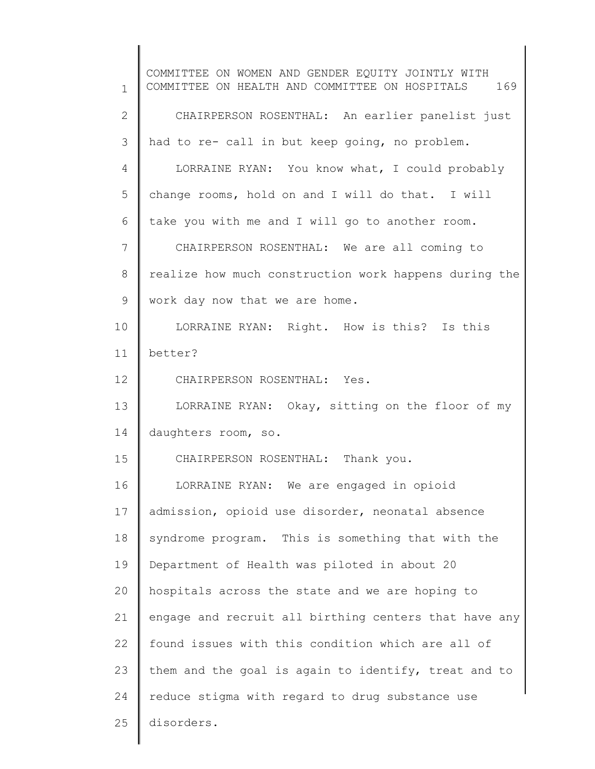1 2 3 4 5 6 7 8 9 10 11 12 13 14 15 16 17 18 19 20 21 22 23 24 25 COMMITTEE ON WOMEN AND GENDER EQUITY JOINTLY WITH COMMITTEE ON HEALTH AND COMMITTEE ON HOSPITALS 169 CHAIRPERSON ROSENTHAL: An earlier panelist just had to re- call in but keep going, no problem. LORRAINE RYAN: You know what, I could probably change rooms, hold on and I will do that. I will take you with me and I will go to another room. CHAIRPERSON ROSENTHAL: We are all coming to realize how much construction work happens during the work day now that we are home. LORRAINE RYAN: Right. How is this? Is this better? CHAIRPERSON ROSENTHAL: Yes. LORRAINE RYAN: Okay, sitting on the floor of my daughters room, so. CHAIRPERSON ROSENTHAL: Thank you. LORRAINE RYAN: We are engaged in opioid admission, opioid use disorder, neonatal absence syndrome program. This is something that with the Department of Health was piloted in about 20 hospitals across the state and we are hoping to engage and recruit all birthing centers that have any found issues with this condition which are all of them and the goal is again to identify, treat and to reduce stigma with regard to drug substance use disorders.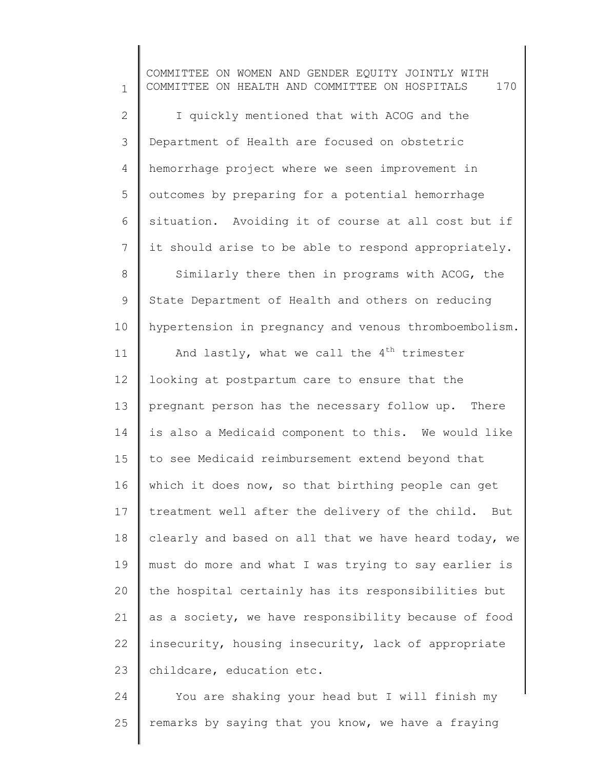1 2 3 4 5 6 7 8 9 10 11 12 13 14 15 16 17 18 19 20 21 22 23 COMMITTEE ON WOMEN AND GENDER EQUITY JOINTLY WITH COMMITTEE ON HEALTH AND COMMITTEE ON HOSPITALS 170 I quickly mentioned that with ACOG and the Department of Health are focused on obstetric hemorrhage project where we seen improvement in outcomes by preparing for a potential hemorrhage situation. Avoiding it of course at all cost but if it should arise to be able to respond appropriately. Similarly there then in programs with ACOG, the State Department of Health and others on reducing hypertension in pregnancy and venous thromboembolism. And lastly, what we call the  $4^{th}$  trimester looking at postpartum care to ensure that the pregnant person has the necessary follow up. There is also a Medicaid component to this. We would like to see Medicaid reimbursement extend beyond that which it does now, so that birthing people can get treatment well after the delivery of the child. But clearly and based on all that we have heard today, we must do more and what I was trying to say earlier is the hospital certainly has its responsibilities but as a society, we have responsibility because of food insecurity, housing insecurity, lack of appropriate childcare, education etc.

24 25 You are shaking your head but I will finish my remarks by saying that you know, we have a fraying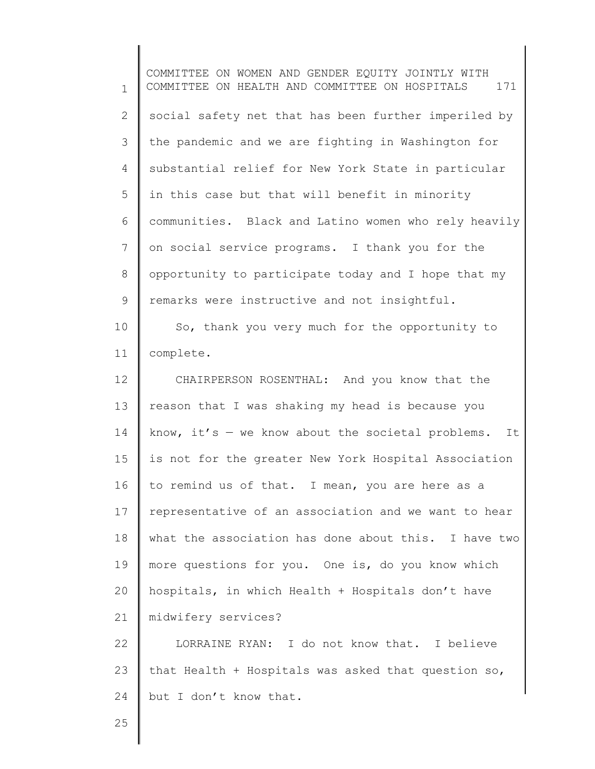1 2 3 4 5 6 7 8 9 10 11 12 13 14 15 16 17 18 19 20 21 22 23 COMMITTEE ON WOMEN AND GENDER EQUITY JOINTLY WITH COMMITTEE ON HEALTH AND COMMITTEE ON HOSPITALS 171 social safety net that has been further imperiled by the pandemic and we are fighting in Washington for substantial relief for New York State in particular in this case but that will benefit in minority communities. Black and Latino women who rely heavily on social service programs. I thank you for the opportunity to participate today and I hope that my remarks were instructive and not insightful. So, thank you very much for the opportunity to complete. CHAIRPERSON ROSENTHAL: And you know that the reason that I was shaking my head is because you know, it's  $-$  we know about the societal problems. It is not for the greater New York Hospital Association to remind us of that. I mean, you are here as a representative of an association and we want to hear what the association has done about this. I have two more questions for you. One is, do you know which hospitals, in which Health + Hospitals don't have midwifery services? LORRAINE RYAN: I do not know that. I believe that Health + Hospitals was asked that question so,

25

24

but I don't know that.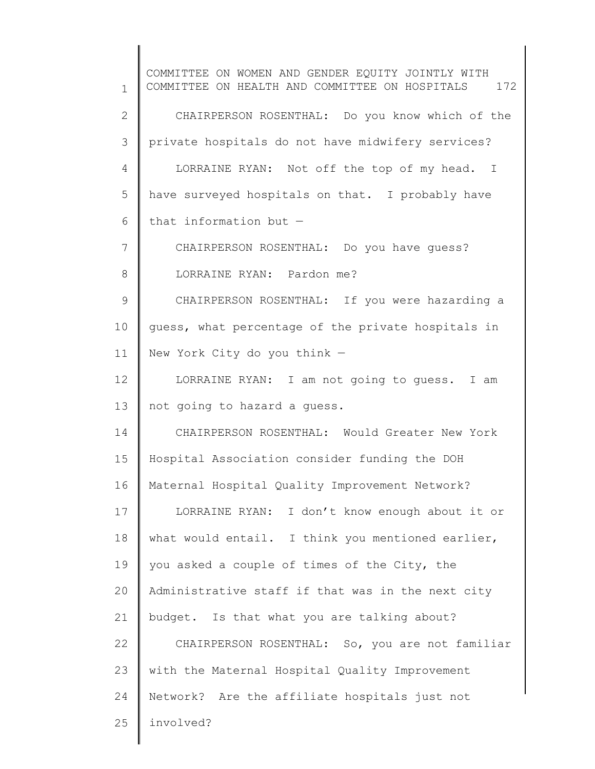1 2 3 4 5 6 7 8 9 10 11 12 13 14 15 16 17 18 19 20 21 22 23 24 25 COMMITTEE ON WOMEN AND GENDER EQUITY JOINTLY WITH COMMITTEE ON HEALTH AND COMMITTEE ON HOSPITALS 172 CHAIRPERSON ROSENTHAL: Do you know which of the private hospitals do not have midwifery services? LORRAINE RYAN: Not off the top of my head. I have surveyed hospitals on that. I probably have that information but — CHAIRPERSON ROSENTHAL: Do you have guess? LORRAINE RYAN: Pardon me? CHAIRPERSON ROSENTHAL: If you were hazarding a guess, what percentage of the private hospitals in New York City do you think — LORRAINE RYAN: I am not going to guess. I am not going to hazard a guess. CHAIRPERSON ROSENTHAL: Would Greater New York Hospital Association consider funding the DOH Maternal Hospital Quality Improvement Network? LORRAINE RYAN: I don't know enough about it or what would entail. I think you mentioned earlier, you asked a couple of times of the City, the Administrative staff if that was in the next city budget. Is that what you are talking about? CHAIRPERSON ROSENTHAL: So, you are not familiar with the Maternal Hospital Quality Improvement Network? Are the affiliate hospitals just not involved?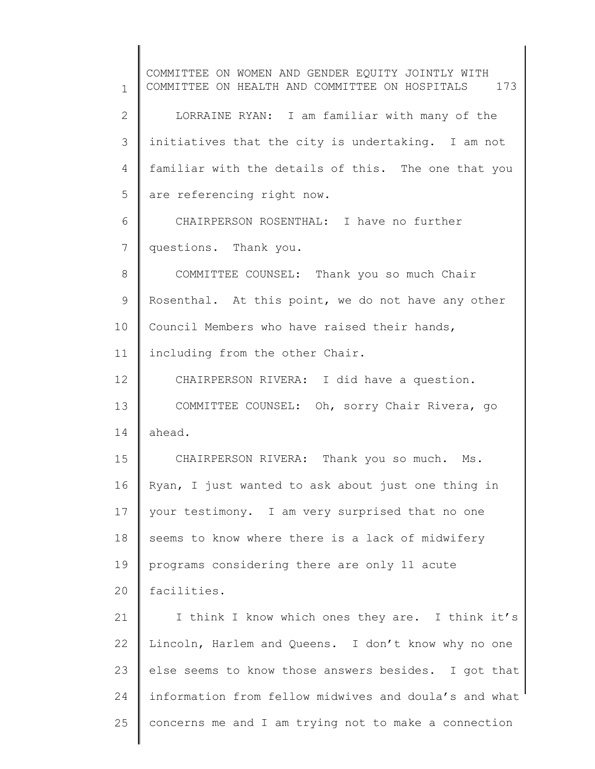1 2 3 4 5 6 7 8 9 10 11 12 13 14 15 16 17 18 19 20 21 22 23 24 25 COMMITTEE ON WOMEN AND GENDER EQUITY JOINTLY WITH COMMITTEE ON HEALTH AND COMMITTEE ON HOSPITALS 173 LORRAINE RYAN: I am familiar with many of the initiatives that the city is undertaking. I am not familiar with the details of this. The one that you are referencing right now. CHAIRPERSON ROSENTHAL: I have no further questions. Thank you. COMMITTEE COUNSEL: Thank you so much Chair Rosenthal. At this point, we do not have any other Council Members who have raised their hands, including from the other Chair. CHAIRPERSON RIVERA: I did have a question. COMMITTEE COUNSEL: Oh, sorry Chair Rivera, go ahead. CHAIRPERSON RIVERA: Thank you so much. Ms. Ryan, I just wanted to ask about just one thing in your testimony. I am very surprised that no one seems to know where there is a lack of midwifery programs considering there are only 11 acute facilities. I think I know which ones they are. I think it's Lincoln, Harlem and Queens. I don't know why no one else seems to know those answers besides. I got that information from fellow midwives and doula's and what concerns me and I am trying not to make a connection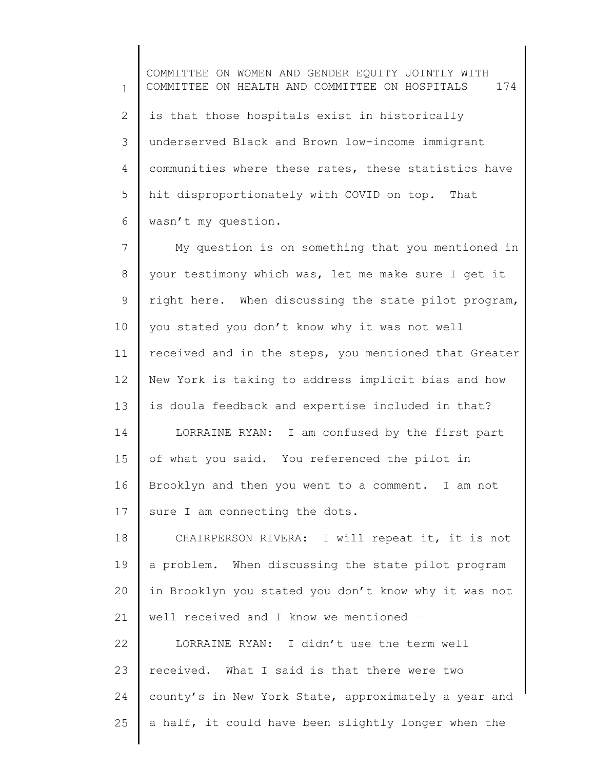1 2 3 4 5 6 COMMITTEE ON WOMEN AND GENDER EQUITY JOINTLY WITH COMMITTEE ON HEALTH AND COMMITTEE ON HOSPITALS 174 is that those hospitals exist in historically underserved Black and Brown low-income immigrant communities where these rates, these statistics have hit disproportionately with COVID on top. That wasn't my question.

7 8 9 10 11 12 13 14 15 16 17 My question is on something that you mentioned in your testimony which was, let me make sure I get it right here. When discussing the state pilot program, you stated you don't know why it was not well received and in the steps, you mentioned that Greater New York is taking to address implicit bias and how is doula feedback and expertise included in that? LORRAINE RYAN: I am confused by the first part of what you said. You referenced the pilot in Brooklyn and then you went to a comment. I am not sure I am connecting the dots.

18 19 20 21 CHAIRPERSON RIVERA: I will repeat it, it is not a problem. When discussing the state pilot program in Brooklyn you stated you don't know why it was not well received and I know we mentioned —

22 23 24 25 LORRAINE RYAN: I didn't use the term well received. What I said is that there were two county's in New York State, approximately a year and a half, it could have been slightly longer when the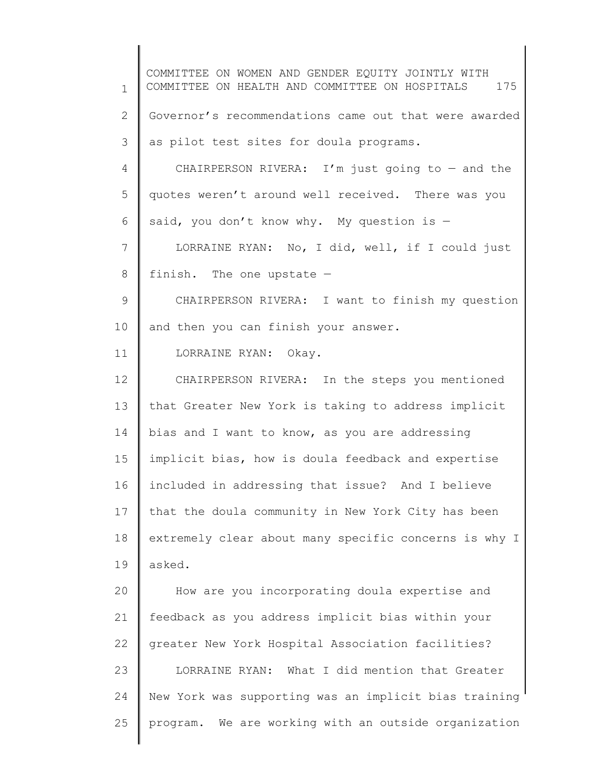1 2 3 4 5 6 7 8 9 10 11 12 13 14 15 16 17 18 19 20 21 22 23 24 25 COMMITTEE ON WOMEN AND GENDER EQUITY JOINTLY WITH COMMITTEE ON HEALTH AND COMMITTEE ON HOSPITALS 175 Governor's recommendations came out that were awarded as pilot test sites for doula programs. CHAIRPERSON RIVERA: I'm just going to  $-$  and the quotes weren't around well received. There was you said, you don't know why. My question is  $-$ LORRAINE RYAN: No, I did, well, if I could just finish. The one upstate — CHAIRPERSON RIVERA: I want to finish my question and then you can finish your answer. LORRAINE RYAN: Okay. CHAIRPERSON RIVERA: In the steps you mentioned that Greater New York is taking to address implicit bias and I want to know, as you are addressing implicit bias, how is doula feedback and expertise included in addressing that issue? And I believe that the doula community in New York City has been extremely clear about many specific concerns is why I asked. How are you incorporating doula expertise and feedback as you address implicit bias within your greater New York Hospital Association facilities? LORRAINE RYAN: What I did mention that Greater New York was supporting was an implicit bias training program. We are working with an outside organization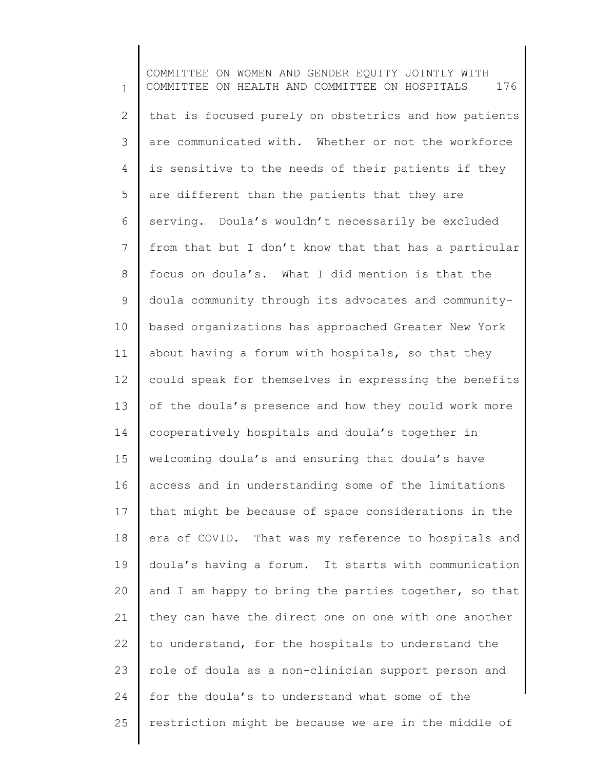1 2 3 4 5 6 7 8 9 10 11 12 13 14 15 16 17 18 19 20 21 22 23 24 25 COMMITTEE ON WOMEN AND GENDER EQUITY JOINTLY WITH COMMITTEE ON HEALTH AND COMMITTEE ON HOSPITALS 176 that is focused purely on obstetrics and how patients are communicated with. Whether or not the workforce is sensitive to the needs of their patients if they are different than the patients that they are serving. Doula's wouldn't necessarily be excluded from that but I don't know that that has a particular focus on doula's. What I did mention is that the doula community through its advocates and communitybased organizations has approached Greater New York about having a forum with hospitals, so that they could speak for themselves in expressing the benefits of the doula's presence and how they could work more cooperatively hospitals and doula's together in welcoming doula's and ensuring that doula's have access and in understanding some of the limitations that might be because of space considerations in the era of COVID. That was my reference to hospitals and doula's having a forum. It starts with communication and I am happy to bring the parties together, so that they can have the direct one on one with one another to understand, for the hospitals to understand the role of doula as a non-clinician support person and for the doula's to understand what some of the restriction might be because we are in the middle of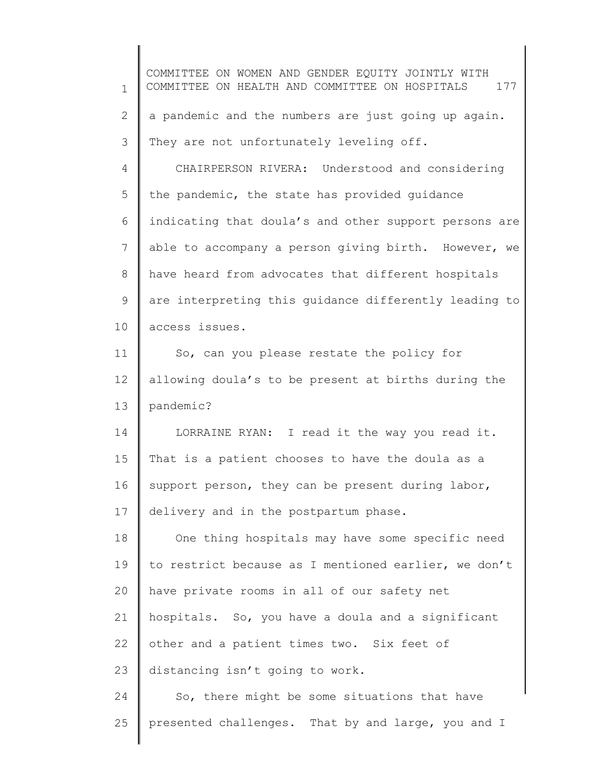1 2 3 4 5 6 7 8 9 10 11 12 13 14 15 16 17 18 19 20 21 22 23 24 25 COMMITTEE ON WOMEN AND GENDER EQUITY JOINTLY WITH COMMITTEE ON HEALTH AND COMMITTEE ON HOSPITALS 177 a pandemic and the numbers are just going up again. They are not unfortunately leveling off. CHAIRPERSON RIVERA: Understood and considering the pandemic, the state has provided guidance indicating that doula's and other support persons are able to accompany a person giving birth. However, we have heard from advocates that different hospitals are interpreting this guidance differently leading to access issues. So, can you please restate the policy for allowing doula's to be present at births during the pandemic? LORRAINE RYAN: I read it the way you read it. That is a patient chooses to have the doula as a support person, they can be present during labor, delivery and in the postpartum phase. One thing hospitals may have some specific need to restrict because as I mentioned earlier, we don't have private rooms in all of our safety net hospitals. So, you have a doula and a significant other and a patient times two. Six feet of distancing isn't going to work. So, there might be some situations that have presented challenges. That by and large, you and I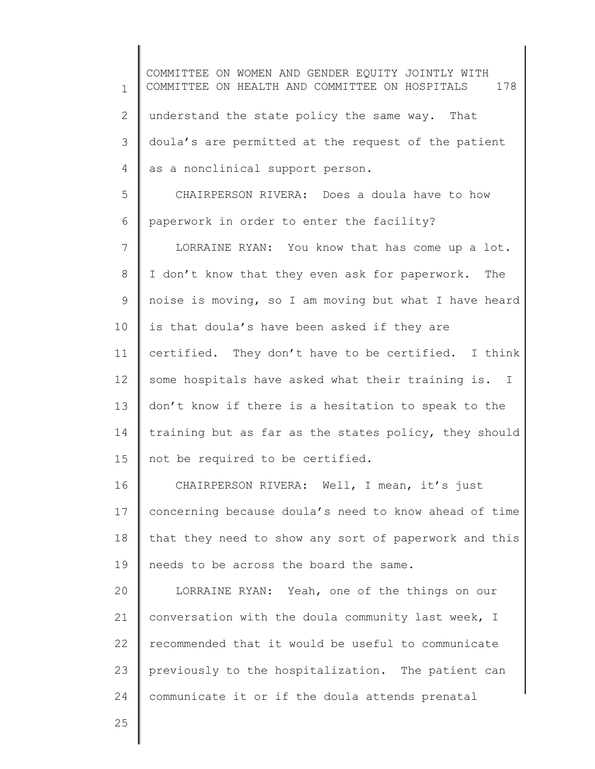1 2 3 4 5 6 7 8 9 10 11 12 13 14 15 16 17 18 19 20 21 22 23 24 COMMITTEE ON WOMEN AND GENDER EQUITY JOINTLY WITH COMMITTEE ON HEALTH AND COMMITTEE ON HOSPITALS 178 understand the state policy the same way. That doula's are permitted at the request of the patient as a nonclinical support person. CHAIRPERSON RIVERA: Does a doula have to how paperwork in order to enter the facility? LORRAINE RYAN: You know that has come up a lot. I don't know that they even ask for paperwork. The noise is moving, so I am moving but what I have heard is that doula's have been asked if they are certified. They don't have to be certified. I think some hospitals have asked what their training is. I don't know if there is a hesitation to speak to the training but as far as the states policy, they should not be required to be certified. CHAIRPERSON RIVERA: Well, I mean, it's just concerning because doula's need to know ahead of time that they need to show any sort of paperwork and this needs to be across the board the same. LORRAINE RYAN: Yeah, one of the things on our conversation with the doula community last week, I recommended that it would be useful to communicate previously to the hospitalization. The patient can communicate it or if the doula attends prenatal

25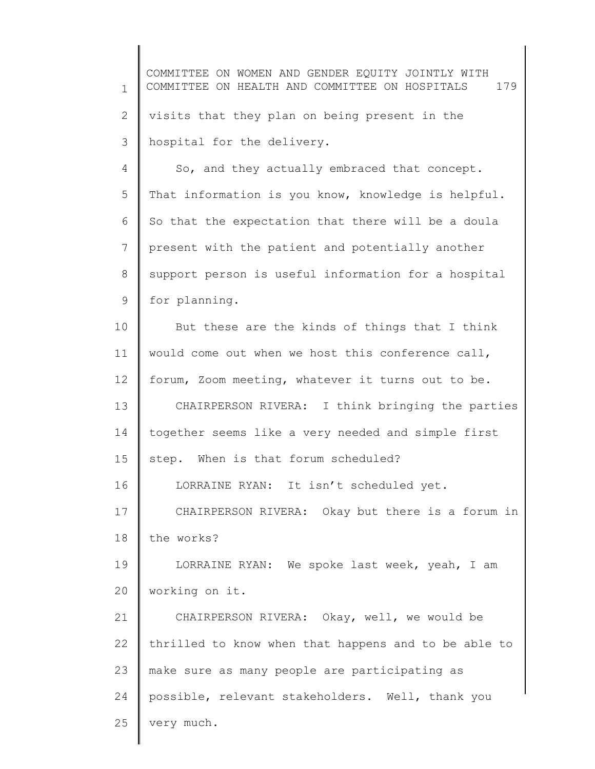1 2 3 4 5 6 7 8 9 10 11 12 13 14 15 16 17 18 19 20 21 22 23 24 COMMITTEE ON WOMEN AND GENDER EQUITY JOINTLY WITH COMMITTEE ON HEALTH AND COMMITTEE ON HOSPITALS 179 visits that they plan on being present in the hospital for the delivery. So, and they actually embraced that concept. That information is you know, knowledge is helpful. So that the expectation that there will be a doula present with the patient and potentially another support person is useful information for a hospital for planning. But these are the kinds of things that I think would come out when we host this conference call, forum, Zoom meeting, whatever it turns out to be. CHAIRPERSON RIVERA: I think bringing the parties together seems like a very needed and simple first step. When is that forum scheduled? LORRAINE RYAN: It isn't scheduled yet. CHAIRPERSON RIVERA: Okay but there is a forum in the works? LORRAINE RYAN: We spoke last week, yeah, I am working on it. CHAIRPERSON RIVERA: Okay, well, we would be thrilled to know when that happens and to be able to make sure as many people are participating as possible, relevant stakeholders. Well, thank you

25

very much.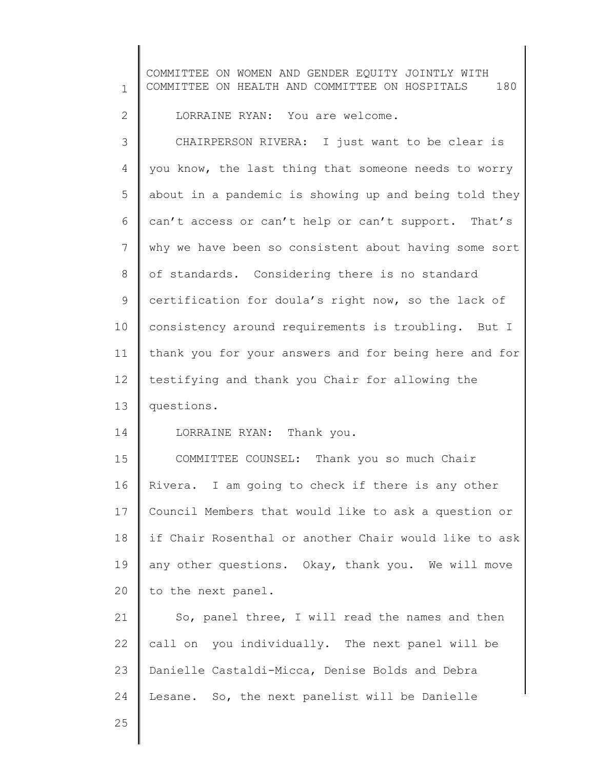1 2 3 4 5 6 7 8 9 10 11 12 13 14 15 16 17 18 19 20 21 22 23 24 25 COMMITTEE ON WOMEN AND GENDER EQUITY JOINTLY WITH COMMITTEE ON HEALTH AND COMMITTEE ON HOSPITALS 180 LORRAINE RYAN: You are welcome. CHAIRPERSON RIVERA: I just want to be clear is you know, the last thing that someone needs to worry about in a pandemic is showing up and being told they can't access or can't help or can't support. That's why we have been so consistent about having some sort of standards. Considering there is no standard certification for doula's right now, so the lack of consistency around requirements is troubling. But I thank you for your answers and for being here and for testifying and thank you Chair for allowing the questions. LORRAINE RYAN: Thank you. COMMITTEE COUNSEL: Thank you so much Chair Rivera. I am going to check if there is any other Council Members that would like to ask a question or if Chair Rosenthal or another Chair would like to ask any other questions. Okay, thank you. We will move to the next panel. So, panel three, I will read the names and then call on you individually. The next panel will be Danielle Castaldi-Micca, Denise Bolds and Debra Lesane. So, the next panelist will be Danielle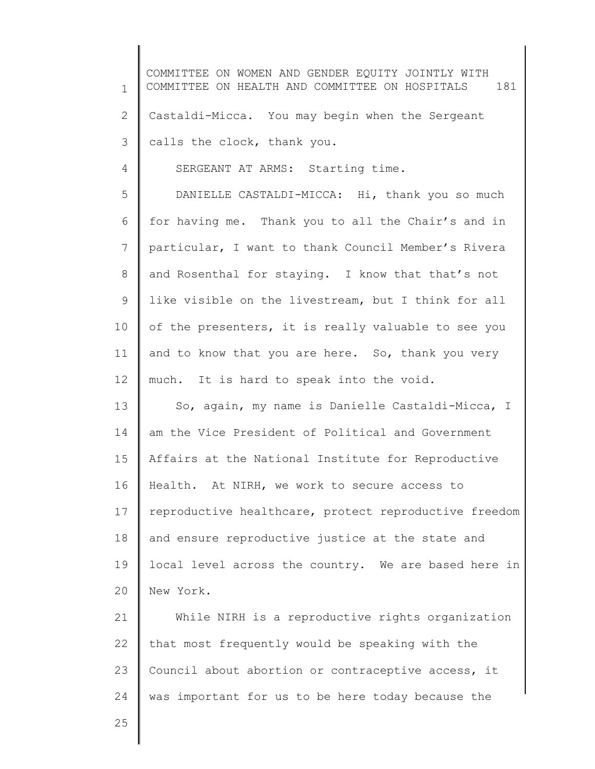| $\mathbf{1}$   | COMMITTEE ON WOMEN AND GENDER EQUITY JOINTLY WITH<br>COMMITTEE ON HEALTH AND COMMITTEE ON HOSPITALS<br>181 |
|----------------|------------------------------------------------------------------------------------------------------------|
| $\mathbf{2}$   | Castaldi-Micca. You may begin when the Sergeant                                                            |
| 3              | calls the clock, thank you.                                                                                |
| $\overline{4}$ | SERGEANT AT ARMS: Starting time.                                                                           |
| 5              | DANIELLE CASTALDI-MICCA: Hi, thank you so much                                                             |
| 6              | for having me. Thank you to all the Chair's and in                                                         |
| 7              | particular, I want to thank Council Member's Rivera                                                        |
| 8              | and Rosenthal for staying. I know that that's not                                                          |
| 9              | like visible on the livestream, but I think for all                                                        |
| 10             | of the presenters, it is really valuable to see you                                                        |
| 11             | and to know that you are here. So, thank you very                                                          |
| 12             | much. It is hard to speak into the void.                                                                   |
| 13             | So, again, my name is Danielle Castaldi-Micca, I                                                           |
| 14             | am the Vice President of Political and Government                                                          |
| 15             | Affairs at the National Institute for Reproductive                                                         |
| 16             | Health. At NIRH, we work to secure access to                                                               |
| 17             | reproductive healthcare, protect reproductive freedom                                                      |
| 18             | and ensure reproductive justice at the state and                                                           |
| 19             | local level across the country. We are based here in                                                       |
| 20             | New York.                                                                                                  |
| 21             | While NIRH is a reproductive rights organization                                                           |
| 22             | that most frequently would be speaking with the                                                            |
| 23             | Council about abortion or contraceptive access, it                                                         |
| 24             | was important for us to be here today because the                                                          |
| 25             |                                                                                                            |
|                |                                                                                                            |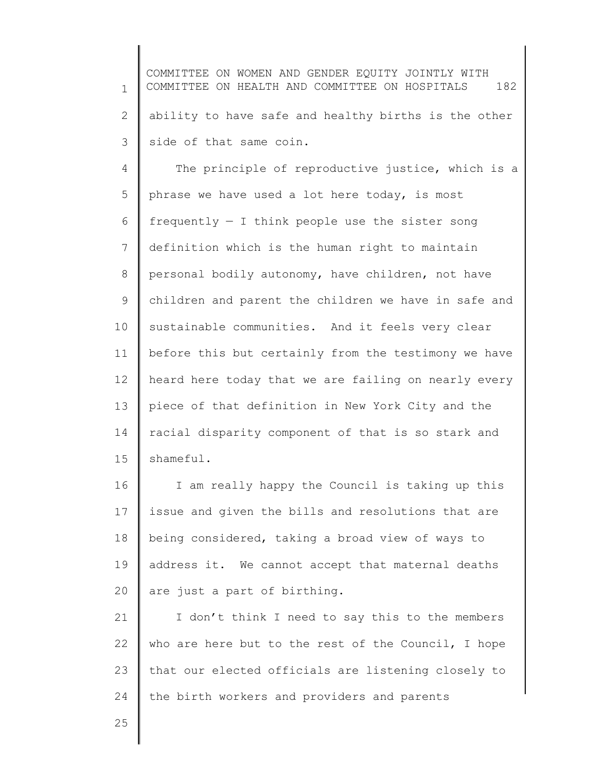1 2 3 COMMITTEE ON WOMEN AND GENDER EQUITY JOINTLY WITH COMMITTEE ON HEALTH AND COMMITTEE ON HOSPITALS 182 ability to have safe and healthy births is the other side of that same coin.

4 5 6 7 8 9 10 11 12 13 14 15 The principle of reproductive justice, which is a phrase we have used a lot here today, is most frequently  $-$  I think people use the sister song definition which is the human right to maintain personal bodily autonomy, have children, not have children and parent the children we have in safe and sustainable communities. And it feels very clear before this but certainly from the testimony we have heard here today that we are failing on nearly every piece of that definition in New York City and the racial disparity component of that is so stark and shameful.

16 17 18 19 20 I am really happy the Council is taking up this issue and given the bills and resolutions that are being considered, taking a broad view of ways to address it. We cannot accept that maternal deaths are just a part of birthing.

21 22 23 24 I don't think I need to say this to the members who are here but to the rest of the Council, I hope that our elected officials are listening closely to the birth workers and providers and parents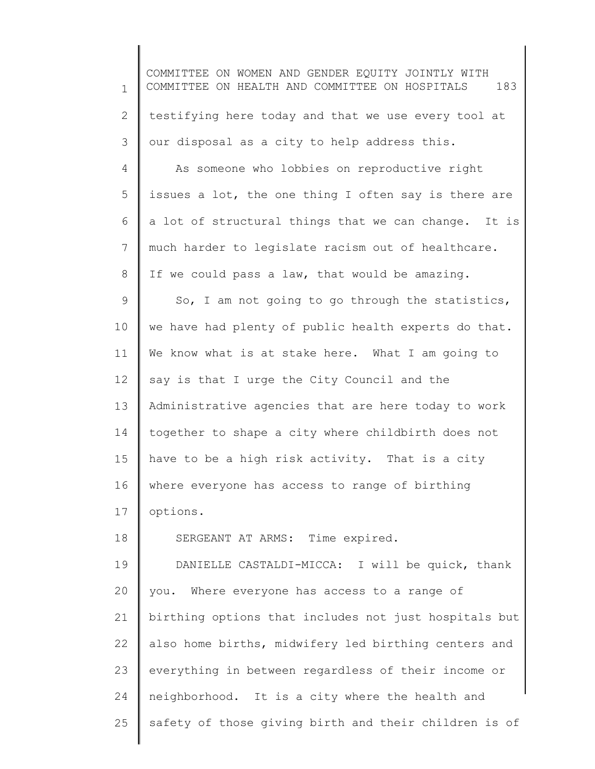1 2 3 4 5 6 7 8 9 10 11 12 13 14 15 16 17 18 19 20 21 22 23 24 25 COMMITTEE ON WOMEN AND GENDER EQUITY JOINTLY WITH COMMITTEE ON HEALTH AND COMMITTEE ON HOSPITALS 183 testifying here today and that we use every tool at our disposal as a city to help address this. As someone who lobbies on reproductive right issues a lot, the one thing I often say is there are a lot of structural things that we can change. It is much harder to legislate racism out of healthcare. If we could pass a law, that would be amazing. So, I am not going to go through the statistics, we have had plenty of public health experts do that. We know what is at stake here. What I am going to say is that I urge the City Council and the Administrative agencies that are here today to work together to shape a city where childbirth does not have to be a high risk activity. That is a city where everyone has access to range of birthing options. SERGEANT AT ARMS: Time expired. DANIELLE CASTALDI-MICCA: I will be quick, thank you. Where everyone has access to a range of birthing options that includes not just hospitals but also home births, midwifery led birthing centers and everything in between regardless of their income or neighborhood. It is a city where the health and safety of those giving birth and their children is of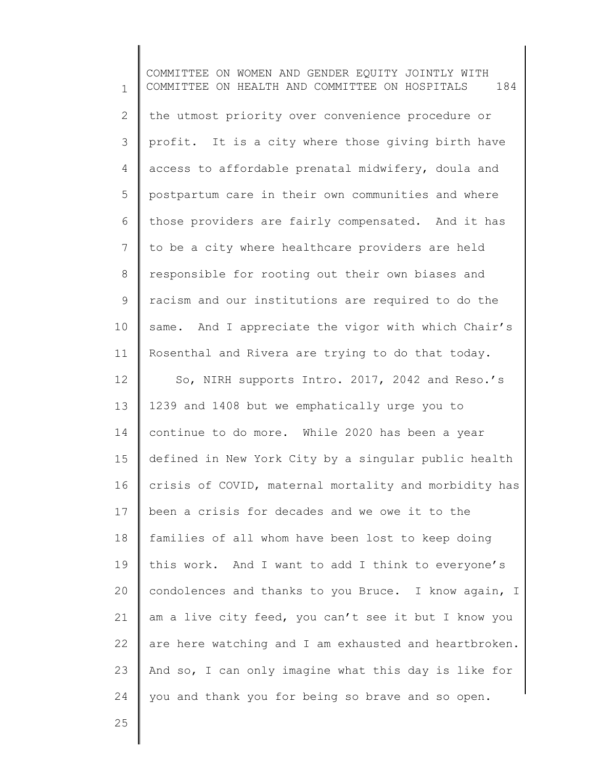1 2 3 4 5 6 7 8 9 10 11 12 13 14 15 16 17 18 19 20 21 22 23 24 COMMITTEE ON WOMEN AND GENDER EQUITY JOINTLY WITH COMMITTEE ON HEALTH AND COMMITTEE ON HOSPITALS 184 the utmost priority over convenience procedure or profit. It is a city where those giving birth have access to affordable prenatal midwifery, doula and postpartum care in their own communities and where those providers are fairly compensated. And it has to be a city where healthcare providers are held responsible for rooting out their own biases and racism and our institutions are required to do the same. And I appreciate the vigor with which Chair's Rosenthal and Rivera are trying to do that today. So, NIRH supports Intro. 2017, 2042 and Reso.'s 1239 and 1408 but we emphatically urge you to continue to do more. While 2020 has been a year defined in New York City by a singular public health crisis of COVID, maternal mortality and morbidity has been a crisis for decades and we owe it to the families of all whom have been lost to keep doing this work. And I want to add I think to everyone's condolences and thanks to you Bruce. I know again, I am a live city feed, you can't see it but I know you are here watching and I am exhausted and heartbroken. And so, I can only imagine what this day is like for you and thank you for being so brave and so open.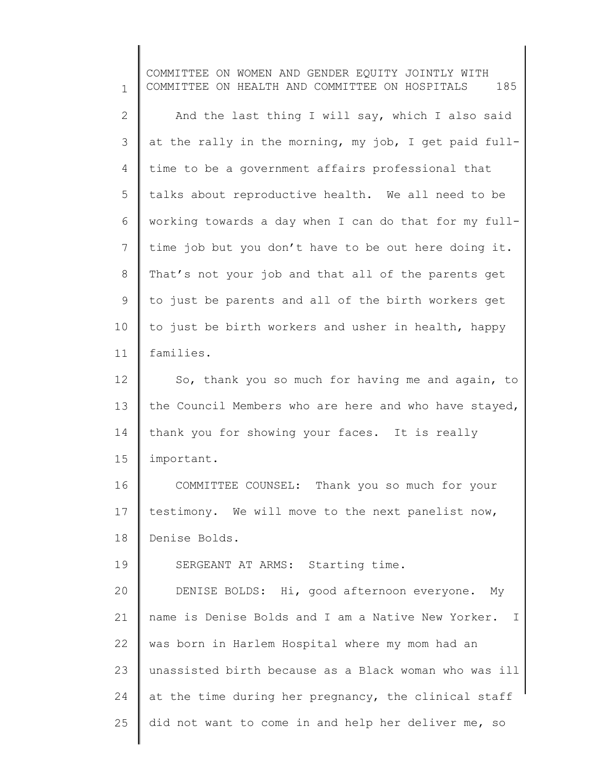1 2 3 4 5 6 7 8 9 10 11 12 13 14 15 16 17 18 19 20 21 22 23 24 25 COMMITTEE ON WOMEN AND GENDER EQUITY JOINTLY WITH COMMITTEE ON HEALTH AND COMMITTEE ON HOSPITALS 185 And the last thing I will say, which I also said at the rally in the morning, my job, I get paid fulltime to be a government affairs professional that talks about reproductive health. We all need to be working towards a day when I can do that for my fulltime job but you don't have to be out here doing it. That's not your job and that all of the parents get to just be parents and all of the birth workers get to just be birth workers and usher in health, happy families. So, thank you so much for having me and again, to the Council Members who are here and who have stayed, thank you for showing your faces. It is really important. COMMITTEE COUNSEL: Thank you so much for your testimony. We will move to the next panelist now, Denise Bolds. SERGEANT AT ARMS: Starting time. DENISE BOLDS: Hi, good afternoon everyone. My name is Denise Bolds and I am a Native New Yorker. I was born in Harlem Hospital where my mom had an unassisted birth because as a Black woman who was ill at the time during her pregnancy, the clinical staff did not want to come in and help her deliver me, so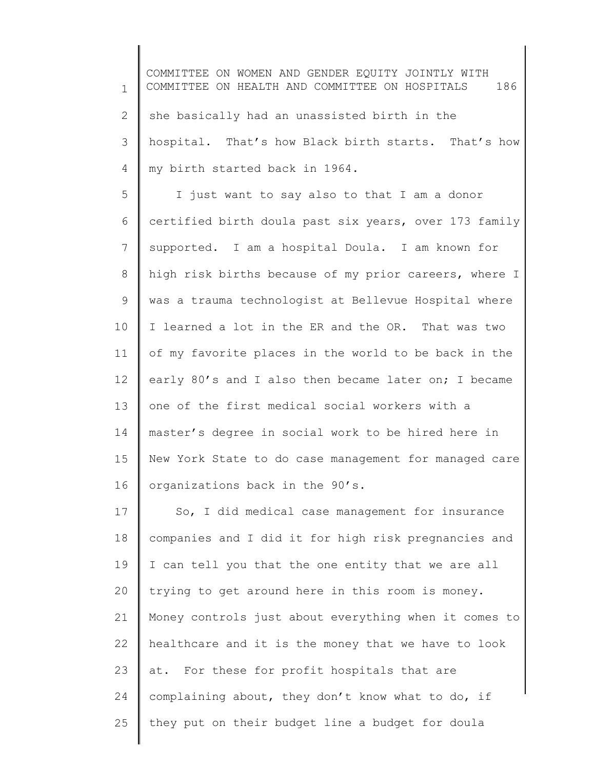1 2 3 4 COMMITTEE ON WOMEN AND GENDER EQUITY JOINTLY WITH COMMITTEE ON HEALTH AND COMMITTEE ON HOSPITALS 186 she basically had an unassisted birth in the hospital. That's how Black birth starts. That's how my birth started back in 1964.

5 6 7 8 9 10 11 12 13 14 15 16 I just want to say also to that I am a donor certified birth doula past six years, over 173 family supported. I am a hospital Doula. I am known for high risk births because of my prior careers, where I was a trauma technologist at Bellevue Hospital where I learned a lot in the ER and the OR. That was two of my favorite places in the world to be back in the early 80's and I also then became later on; I became one of the first medical social workers with a master's degree in social work to be hired here in New York State to do case management for managed care organizations back in the 90's.

17 18 19 20 21 22 23 24 25 So, I did medical case management for insurance companies and I did it for high risk pregnancies and I can tell you that the one entity that we are all trying to get around here in this room is money. Money controls just about everything when it comes to healthcare and it is the money that we have to look at. For these for profit hospitals that are complaining about, they don't know what to do, if they put on their budget line a budget for doula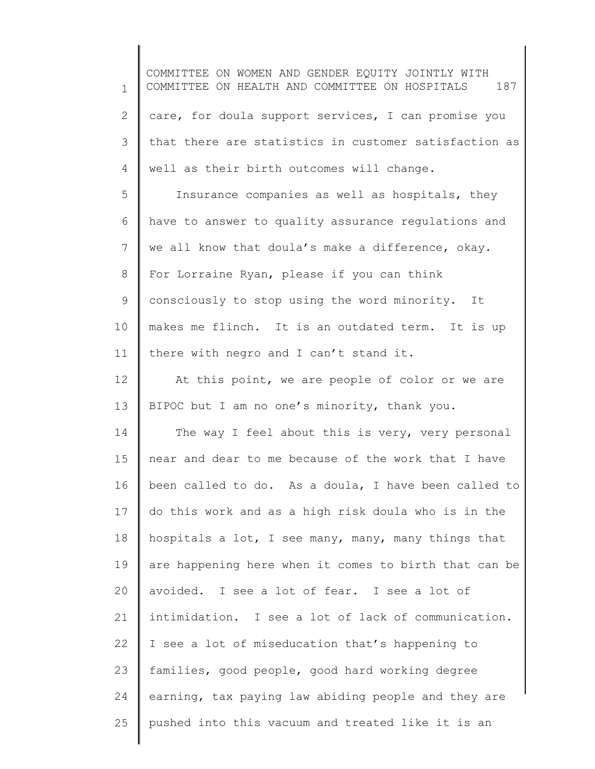1 2 3 4 5 6 7 8 9 10 11 12 13 14 15 16 17 18 19 20 21 22 23 24 25 COMMITTEE ON WOMEN AND GENDER EQUITY JOINTLY WITH COMMITTEE ON HEALTH AND COMMITTEE ON HOSPITALS 187 care, for doula support services, I can promise you that there are statistics in customer satisfaction as well as their birth outcomes will change. Insurance companies as well as hospitals, they have to answer to quality assurance regulations and we all know that doula's make a difference, okay. For Lorraine Ryan, please if you can think consciously to stop using the word minority. It makes me flinch. It is an outdated term. It is up there with negro and I can't stand it. At this point, we are people of color or we are BIPOC but I am no one's minority, thank you. The way I feel about this is very, very personal near and dear to me because of the work that I have been called to do. As a doula, I have been called to do this work and as a high risk doula who is in the hospitals a lot, I see many, many, many things that are happening here when it comes to birth that can be avoided. I see a lot of fear. I see a lot of intimidation. I see a lot of lack of communication. I see a lot of miseducation that's happening to families, good people, good hard working degree earning, tax paying law abiding people and they are pushed into this vacuum and treated like it is an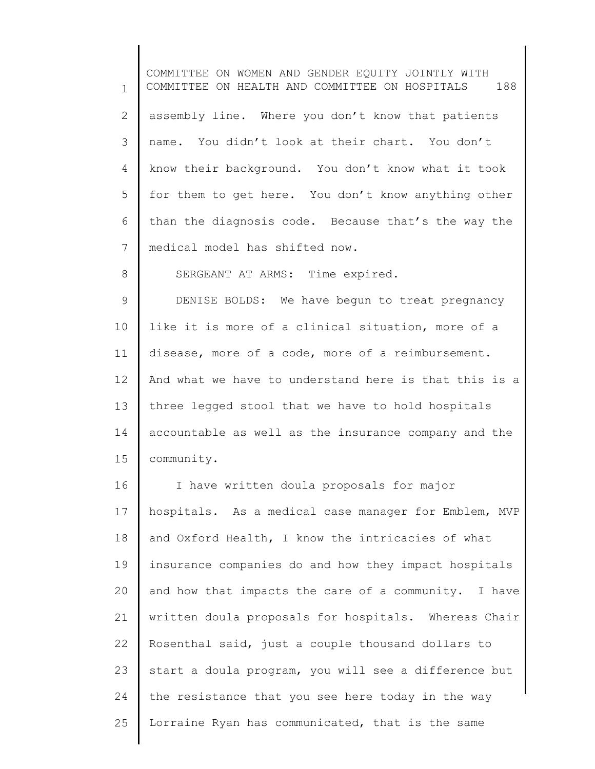1 2 3 4 5 6 7 8 9 10 11 12 13 14 15 16 17 18 19 20 21 22 COMMITTEE ON WOMEN AND GENDER EQUITY JOINTLY WITH COMMITTEE ON HEALTH AND COMMITTEE ON HOSPITALS 188 assembly line. Where you don't know that patients name. You didn't look at their chart. You don't know their background. You don't know what it took for them to get here. You don't know anything other than the diagnosis code. Because that's the way the medical model has shifted now. SERGEANT AT ARMS: Time expired. DENISE BOLDS: We have begun to treat pregnancy like it is more of a clinical situation, more of a disease, more of a code, more of a reimbursement. And what we have to understand here is that this is a three legged stool that we have to hold hospitals accountable as well as the insurance company and the community. I have written doula proposals for major hospitals. As a medical case manager for Emblem, MVP and Oxford Health, I know the intricacies of what insurance companies do and how they impact hospitals and how that impacts the care of a community. I have written doula proposals for hospitals. Whereas Chair Rosenthal said, just a couple thousand dollars to

23 24 25 start a doula program, you will see a difference but the resistance that you see here today in the way Lorraine Ryan has communicated, that is the same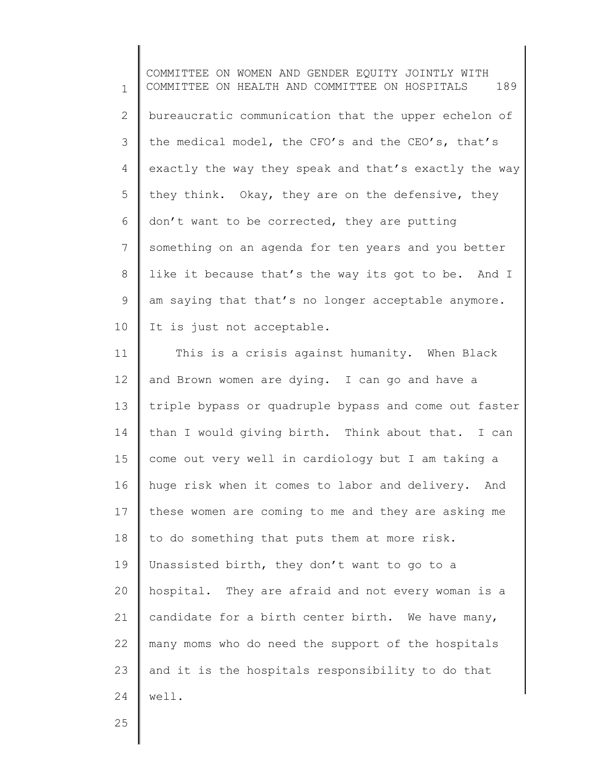1 2 3 4 5 6 7 8 9 10 COMMITTEE ON WOMEN AND GENDER EQUITY JOINTLY WITH COMMITTEE ON HEALTH AND COMMITTEE ON HOSPITALS 189 bureaucratic communication that the upper echelon of the medical model, the CFO's and the CEO's, that's exactly the way they speak and that's exactly the way they think. Okay, they are on the defensive, they don't want to be corrected, they are putting something on an agenda for ten years and you better like it because that's the way its got to be. And I am saying that that's no longer acceptable anymore. It is just not acceptable.

11 12 13 14 15 16 17 18 19 20 21 22 23 24 This is a crisis against humanity. When Black and Brown women are dying. I can go and have a triple bypass or quadruple bypass and come out faster than I would giving birth. Think about that. I can come out very well in cardiology but I am taking a huge risk when it comes to labor and delivery. And these women are coming to me and they are asking me to do something that puts them at more risk. Unassisted birth, they don't want to go to a hospital. They are afraid and not every woman is a candidate for a birth center birth. We have many, many moms who do need the support of the hospitals and it is the hospitals responsibility to do that well.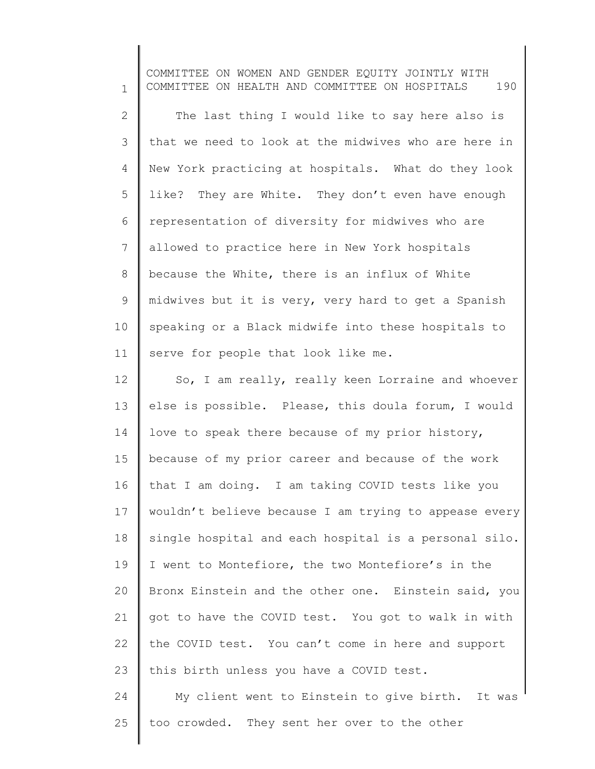1 2 3 4 5 6 7 8 9 10 11 12 13 14 15 16 17 18 19 20 21 22 23 24 COMMITTEE ON WOMEN AND GENDER EQUITY JOINTLY WITH COMMITTEE ON HEALTH AND COMMITTEE ON HOSPITALS 190 The last thing I would like to say here also is that we need to look at the midwives who are here in New York practicing at hospitals. What do they look like? They are White. They don't even have enough representation of diversity for midwives who are allowed to practice here in New York hospitals because the White, there is an influx of White midwives but it is very, very hard to get a Spanish speaking or a Black midwife into these hospitals to serve for people that look like me. So, I am really, really keen Lorraine and whoever else is possible. Please, this doula forum, I would love to speak there because of my prior history, because of my prior career and because of the work that I am doing. I am taking COVID tests like you wouldn't believe because I am trying to appease every single hospital and each hospital is a personal silo. I went to Montefiore, the two Montefiore's in the Bronx Einstein and the other one. Einstein said, you got to have the COVID test. You got to walk in with the COVID test. You can't come in here and support this birth unless you have a COVID test. My client went to Einstein to give birth. It was

25 too crowded. They sent her over to the other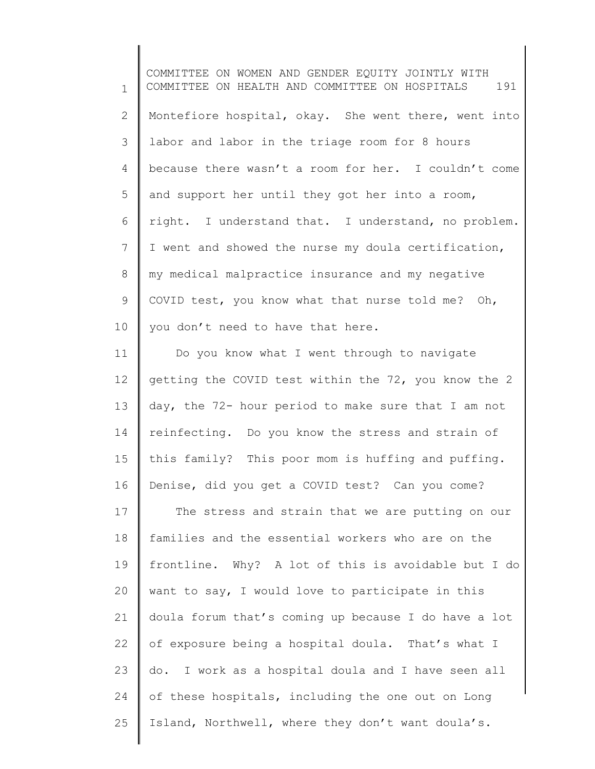1 2 3 4 5 6 7 8 9 10 COMMITTEE ON WOMEN AND GENDER EQUITY JOINTLY WITH COMMITTEE ON HEALTH AND COMMITTEE ON HOSPITALS 191 Montefiore hospital, okay. She went there, went into labor and labor in the triage room for 8 hours because there wasn't a room for her. I couldn't come and support her until they got her into a room, right. I understand that. I understand, no problem. I went and showed the nurse my doula certification, my medical malpractice insurance and my negative COVID test, you know what that nurse told me? Oh, you don't need to have that here.

11 12 13 14 15 16 17 18 19 20 21 22 23 24 25 Do you know what I went through to navigate getting the COVID test within the 72, you know the 2 day, the 72- hour period to make sure that I am not reinfecting. Do you know the stress and strain of this family? This poor mom is huffing and puffing. Denise, did you get a COVID test? Can you come? The stress and strain that we are putting on our families and the essential workers who are on the frontline. Why? A lot of this is avoidable but I do want to say, I would love to participate in this doula forum that's coming up because I do have a lot of exposure being a hospital doula. That's what I do. I work as a hospital doula and I have seen all of these hospitals, including the one out on Long Island, Northwell, where they don't want doula's.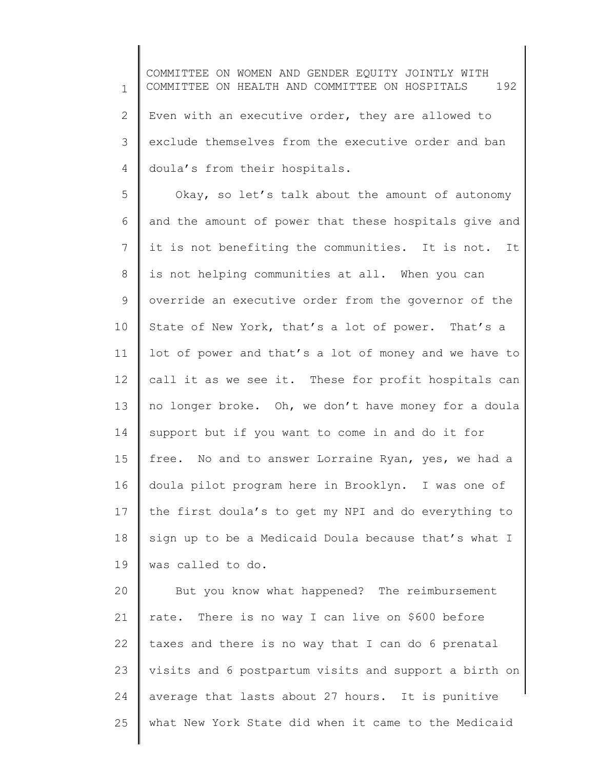1 2 3 4 COMMITTEE ON WOMEN AND GENDER EQUITY JOINTLY WITH COMMITTEE ON HEALTH AND COMMITTEE ON HOSPITALS 192 Even with an executive order, they are allowed to exclude themselves from the executive order and ban doula's from their hospitals.

5 6 7 8 9 10 11 12 13 14 15 16 17 18 19 Okay, so let's talk about the amount of autonomy and the amount of power that these hospitals give and it is not benefiting the communities. It is not. It is not helping communities at all. When you can override an executive order from the governor of the State of New York, that's a lot of power. That's a lot of power and that's a lot of money and we have to call it as we see it. These for profit hospitals can no longer broke. Oh, we don't have money for a doula support but if you want to come in and do it for free. No and to answer Lorraine Ryan, yes, we had a doula pilot program here in Brooklyn. I was one of the first doula's to get my NPI and do everything to sign up to be a Medicaid Doula because that's what I was called to do.

20 21 22 23 24 25 But you know what happened? The reimbursement rate. There is no way I can live on \$600 before taxes and there is no way that I can do 6 prenatal visits and 6 postpartum visits and support a birth on average that lasts about 27 hours. It is punitive what New York State did when it came to the Medicaid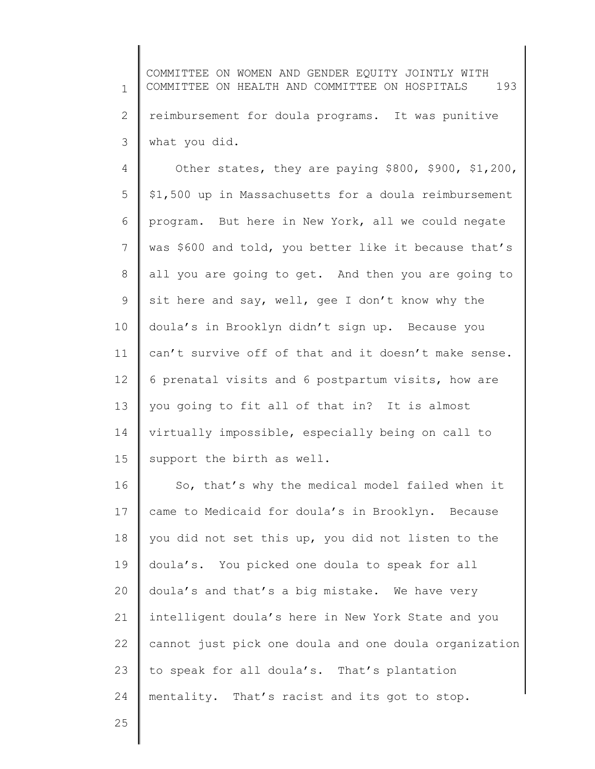1 2 3 COMMITTEE ON WOMEN AND GENDER EQUITY JOINTLY WITH COMMITTEE ON HEALTH AND COMMITTEE ON HOSPITALS 193 reimbursement for doula programs. It was punitive what you did.

4 5 6 7 8 9 10 11 12 13 14 15 Other states, they are paying \$800, \$900, \$1,200, \$1,500 up in Massachusetts for a doula reimbursement program. But here in New York, all we could negate was \$600 and told, you better like it because that's all you are going to get. And then you are going to sit here and say, well, gee I don't know why the doula's in Brooklyn didn't sign up. Because you can't survive off of that and it doesn't make sense. 6 prenatal visits and 6 postpartum visits, how are you going to fit all of that in? It is almost virtually impossible, especially being on call to support the birth as well.

16 17 18 19 20 21 22 23 24 So, that's why the medical model failed when it came to Medicaid for doula's in Brooklyn. Because you did not set this up, you did not listen to the doula's. You picked one doula to speak for all doula's and that's a big mistake. We have very intelligent doula's here in New York State and you cannot just pick one doula and one doula organization to speak for all doula's. That's plantation mentality. That's racist and its got to stop.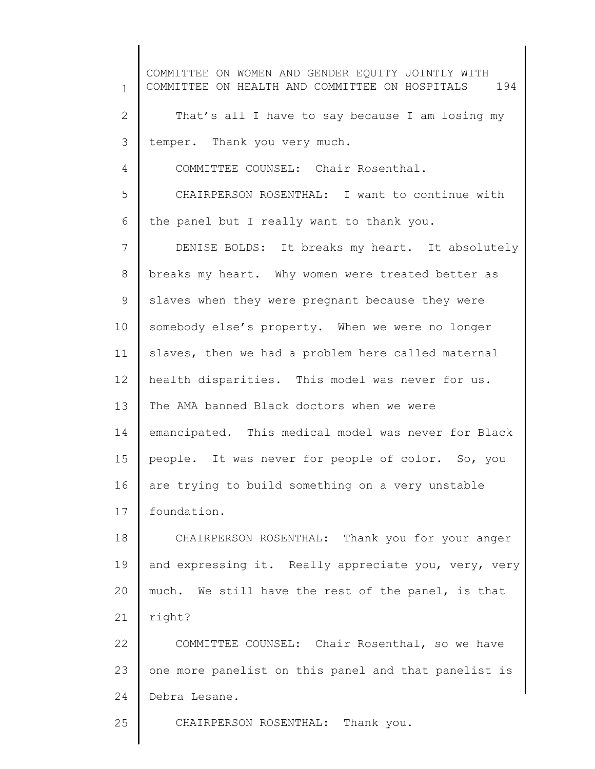1 2 3 4 5 6 7 8 9 10 11 12 13 14 15 16 17 18 19 20 21 22 23 24 25 COMMITTEE ON WOMEN AND GENDER EQUITY JOINTLY WITH COMMITTEE ON HEALTH AND COMMITTEE ON HOSPITALS 194 That's all I have to say because I am losing my temper. Thank you very much. COMMITTEE COUNSEL: Chair Rosenthal. CHAIRPERSON ROSENTHAL: I want to continue with the panel but I really want to thank you. DENISE BOLDS: It breaks my heart. It absolutely breaks my heart. Why women were treated better as slaves when they were pregnant because they were somebody else's property. When we were no longer slaves, then we had a problem here called maternal health disparities. This model was never for us. The AMA banned Black doctors when we were emancipated. This medical model was never for Black people. It was never for people of color. So, you are trying to build something on a very unstable foundation. CHAIRPERSON ROSENTHAL: Thank you for your anger and expressing it. Really appreciate you, very, very much. We still have the rest of the panel, is that right? COMMITTEE COUNSEL: Chair Rosenthal, so we have one more panelist on this panel and that panelist is Debra Lesane. CHAIRPERSON ROSENTHAL: Thank you.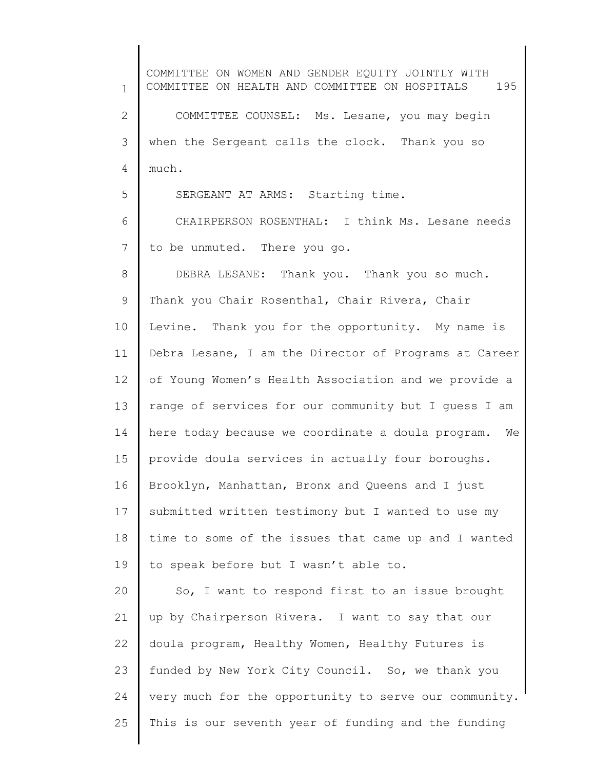1 2 3 4 5 6 7 8 9 10 11 12 13 14 15 16 17 18 19 20 21 22 23 24 25 COMMITTEE ON WOMEN AND GENDER EQUITY JOINTLY WITH COMMITTEE ON HEALTH AND COMMITTEE ON HOSPITALS 195 COMMITTEE COUNSEL: Ms. Lesane, you may begin when the Sergeant calls the clock. Thank you so much. SERGEANT AT ARMS: Starting time. CHAIRPERSON ROSENTHAL: I think Ms. Lesane needs to be unmuted. There you go. DEBRA LESANE: Thank you. Thank you so much. Thank you Chair Rosenthal, Chair Rivera, Chair Levine. Thank you for the opportunity. My name is Debra Lesane, I am the Director of Programs at Career of Young Women's Health Association and we provide a range of services for our community but I guess I am here today because we coordinate a doula program. We provide doula services in actually four boroughs. Brooklyn, Manhattan, Bronx and Queens and I just submitted written testimony but I wanted to use my time to some of the issues that came up and I wanted to speak before but I wasn't able to. So, I want to respond first to an issue brought up by Chairperson Rivera. I want to say that our doula program, Healthy Women, Healthy Futures is funded by New York City Council. So, we thank you very much for the opportunity to serve our community. This is our seventh year of funding and the funding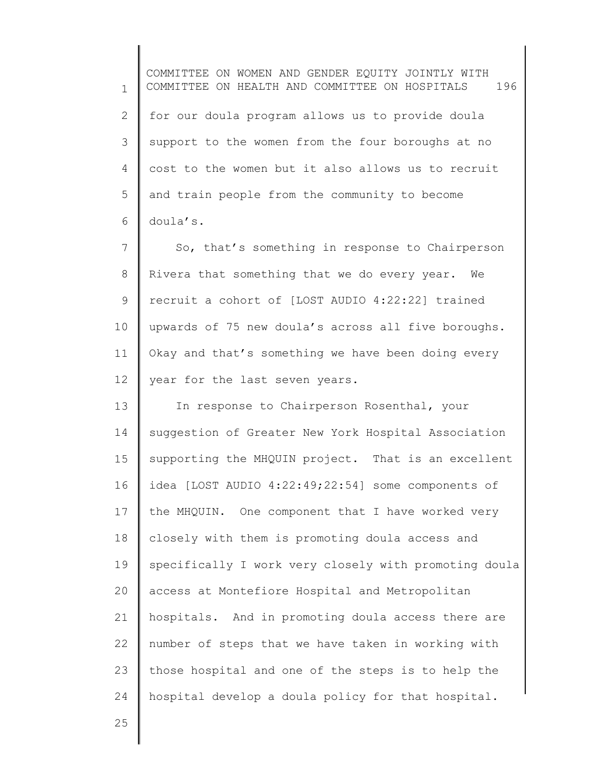1 2 3 4 5 6 COMMITTEE ON WOMEN AND GENDER EQUITY JOINTLY WITH COMMITTEE ON HEALTH AND COMMITTEE ON HOSPITALS 196 for our doula program allows us to provide doula support to the women from the four boroughs at no cost to the women but it also allows us to recruit and train people from the community to become doula's.

7 8 9 10 11 12 So, that's something in response to Chairperson Rivera that something that we do every year. We recruit a cohort of [LOST AUDIO 4:22:22] trained upwards of 75 new doula's across all five boroughs. Okay and that's something we have been doing every year for the last seven years.

13 14 15 16 17 18 19 20 21 22 23 24 In response to Chairperson Rosenthal, your suggestion of Greater New York Hospital Association supporting the MHQUIN project. That is an excellent idea [LOST AUDIO 4:22:49;22:54] some components of the MHQUIN. One component that I have worked very closely with them is promoting doula access and specifically I work very closely with promoting doula access at Montefiore Hospital and Metropolitan hospitals. And in promoting doula access there are number of steps that we have taken in working with those hospital and one of the steps is to help the hospital develop a doula policy for that hospital.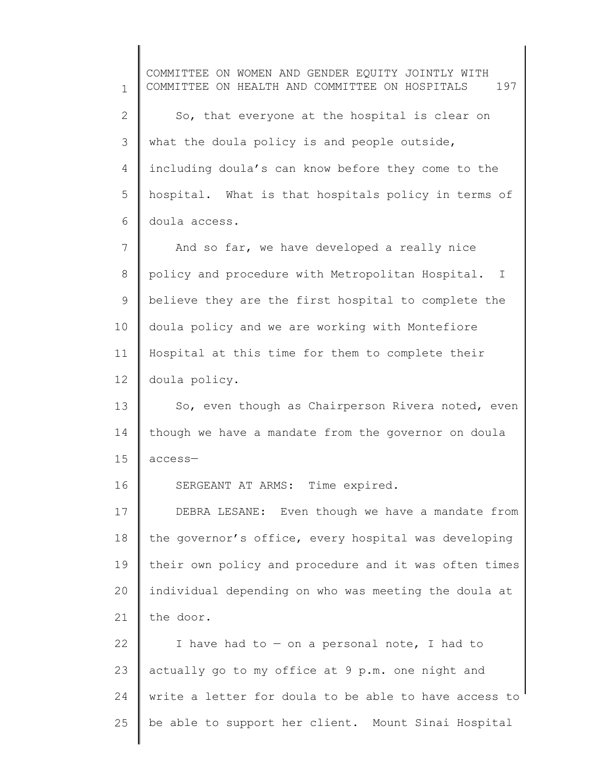1 2 3 4 5 6 7 8 9 10 11 12 13 14 15 16 17 18 19 20 21 22 23 24 25 COMMITTEE ON WOMEN AND GENDER EQUITY JOINTLY WITH COMMITTEE ON HEALTH AND COMMITTEE ON HOSPITALS 197 So, that everyone at the hospital is clear on what the doula policy is and people outside, including doula's can know before they come to the hospital. What is that hospitals policy in terms of doula access. And so far, we have developed a really nice policy and procedure with Metropolitan Hospital. I believe they are the first hospital to complete the doula policy and we are working with Montefiore Hospital at this time for them to complete their doula policy. So, even though as Chairperson Rivera noted, even though we have a mandate from the governor on doula access— SERGEANT AT ARMS: Time expired. DEBRA LESANE: Even though we have a mandate from the governor's office, every hospital was developing their own policy and procedure and it was often times individual depending on who was meeting the doula at the door. I have had to  $-$  on a personal note, I had to actually go to my office at 9 p.m. one night and write a letter for doula to be able to have access to be able to support her client. Mount Sinai Hospital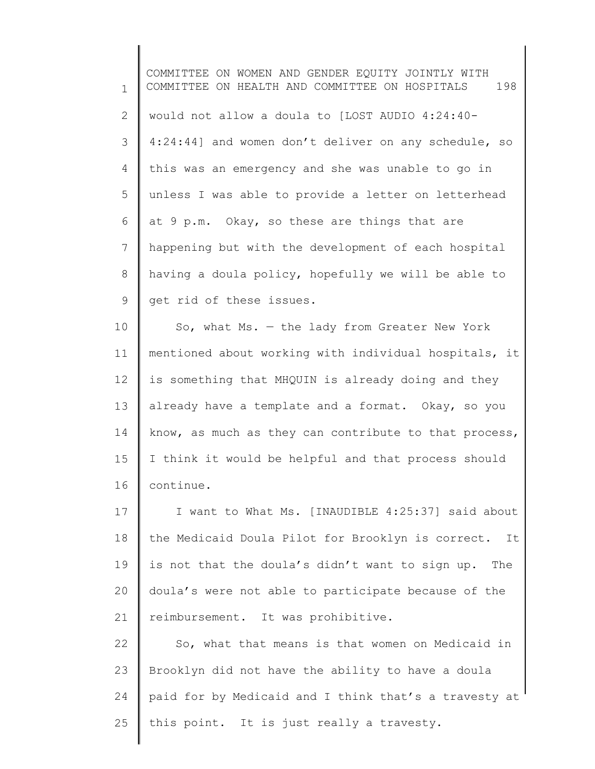1 2 3 4 5 6 7 8 9 10 11 12 COMMITTEE ON WOMEN AND GENDER EQUITY JOINTLY WITH COMMITTEE ON HEALTH AND COMMITTEE ON HOSPITALS 198 would not allow a doula to [LOST AUDIO 4:24:40- 4:24:44] and women don't deliver on any schedule, so this was an emergency and she was unable to go in unless I was able to provide a letter on letterhead at 9 p.m. Okay, so these are things that are happening but with the development of each hospital having a doula policy, hopefully we will be able to get rid of these issues. So, what  $Ms. - the$  lady from Greater New York mentioned about working with individual hospitals, it is something that MHQUIN is already doing and they

13 14 15 16 already have a template and a format. Okay, so you know, as much as they can contribute to that process, I think it would be helpful and that process should continue.

17 18 19 20 21 I want to What Ms. [INAUDIBLE 4:25:37] said about the Medicaid Doula Pilot for Brooklyn is correct. It is not that the doula's didn't want to sign up. The doula's were not able to participate because of the reimbursement. It was prohibitive.

22 23 24 25 So, what that means is that women on Medicaid in Brooklyn did not have the ability to have a doula paid for by Medicaid and I think that's a travesty at this point. It is just really a travesty.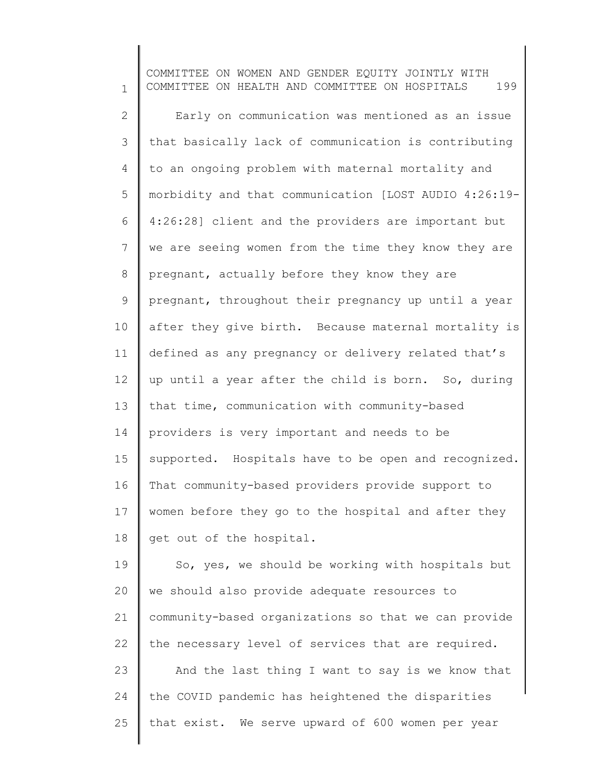1 2 3 4 5 6 7 8 9 10 11 12 13 14 15 16 17 18 19 20 COMMITTEE ON WOMEN AND GENDER EQUITY JOINTLY WITH COMMITTEE ON HEALTH AND COMMITTEE ON HOSPITALS 199 Early on communication was mentioned as an issue that basically lack of communication is contributing to an ongoing problem with maternal mortality and morbidity and that communication [LOST AUDIO 4:26:19- 4:26:28] client and the providers are important but we are seeing women from the time they know they are pregnant, actually before they know they are pregnant, throughout their pregnancy up until a year after they give birth. Because maternal mortality is defined as any pregnancy or delivery related that's up until a year after the child is born. So, during that time, communication with community-based providers is very important and needs to be supported. Hospitals have to be open and recognized. That community-based providers provide support to women before they go to the hospital and after they get out of the hospital. So, yes, we should be working with hospitals but we should also provide adequate resources to

21 22 community-based organizations so that we can provide the necessary level of services that are required.

23 24 25 And the last thing I want to say is we know that the COVID pandemic has heightened the disparities that exist. We serve upward of 600 women per year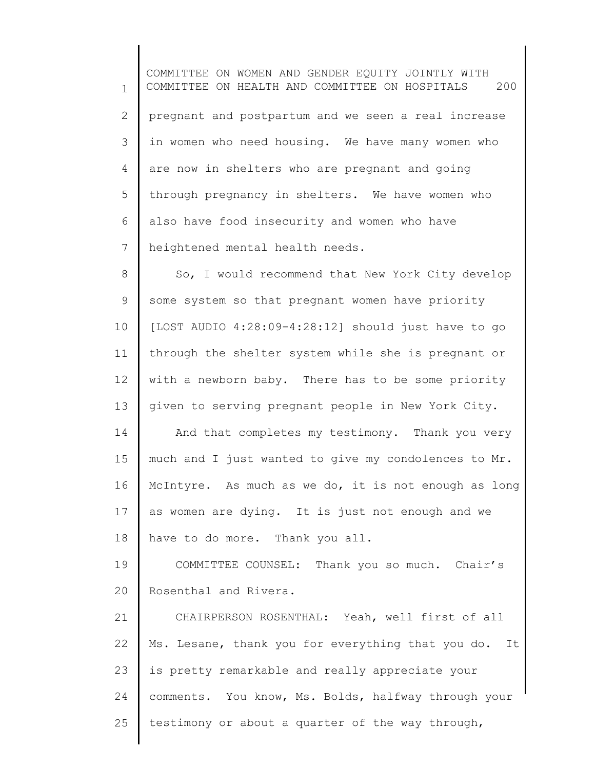1 2 3 4 5 6 7 8 9 10 11 COMMITTEE ON WOMEN AND GENDER EQUITY JOINTLY WITH COMMITTEE ON HEALTH AND COMMITTEE ON HOSPITALS 200 pregnant and postpartum and we seen a real increase in women who need housing. We have many women who are now in shelters who are pregnant and going through pregnancy in shelters. We have women who also have food insecurity and women who have heightened mental health needs. So, I would recommend that New York City develop some system so that pregnant women have priority [LOST AUDIO 4:28:09-4:28:12] should just have to go through the shelter system while she is pregnant or

12 13 with a newborn baby. There has to be some priority given to serving pregnant people in New York City.

14 15 16 17 18 And that completes my testimony. Thank you very much and I just wanted to give my condolences to Mr. McIntyre. As much as we do, it is not enough as long as women are dying. It is just not enough and we have to do more. Thank you all.

19 20 COMMITTEE COUNSEL: Thank you so much. Chair's Rosenthal and Rivera.

21 22 23 24 25 CHAIRPERSON ROSENTHAL: Yeah, well first of all Ms. Lesane, thank you for everything that you do. It is pretty remarkable and really appreciate your comments. You know, Ms. Bolds, halfway through your testimony or about a quarter of the way through,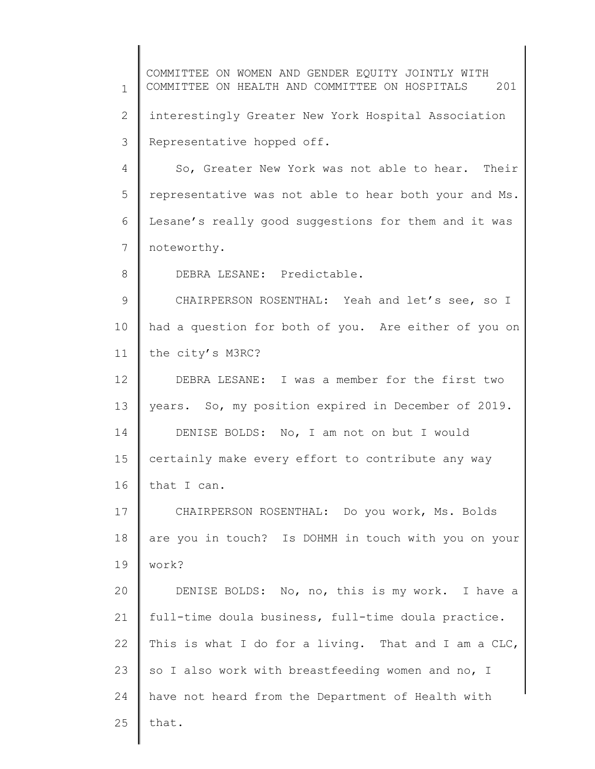1 2 3 4 5 6 7 8 9 10 11 12 13 14 15 16 17 18 19 20 21 22 23 24 25 COMMITTEE ON WOMEN AND GENDER EQUITY JOINTLY WITH COMMITTEE ON HEALTH AND COMMITTEE ON HOSPITALS 201 interestingly Greater New York Hospital Association Representative hopped off. So, Greater New York was not able to hear. Their representative was not able to hear both your and Ms. Lesane's really good suggestions for them and it was noteworthy. DEBRA LESANE: Predictable. CHAIRPERSON ROSENTHAL: Yeah and let's see, so I had a question for both of you. Are either of you on the city's M3RC? DEBRA LESANE: I was a member for the first two years. So, my position expired in December of 2019. DENISE BOLDS: No, I am not on but I would certainly make every effort to contribute any way that I can. CHAIRPERSON ROSENTHAL: Do you work, Ms. Bolds are you in touch? Is DOHMH in touch with you on your work? DENISE BOLDS: No, no, this is my work. I have a full-time doula business, full-time doula practice. This is what I do for a living. That and I am a CLC, so I also work with breastfeeding women and no, I have not heard from the Department of Health with that.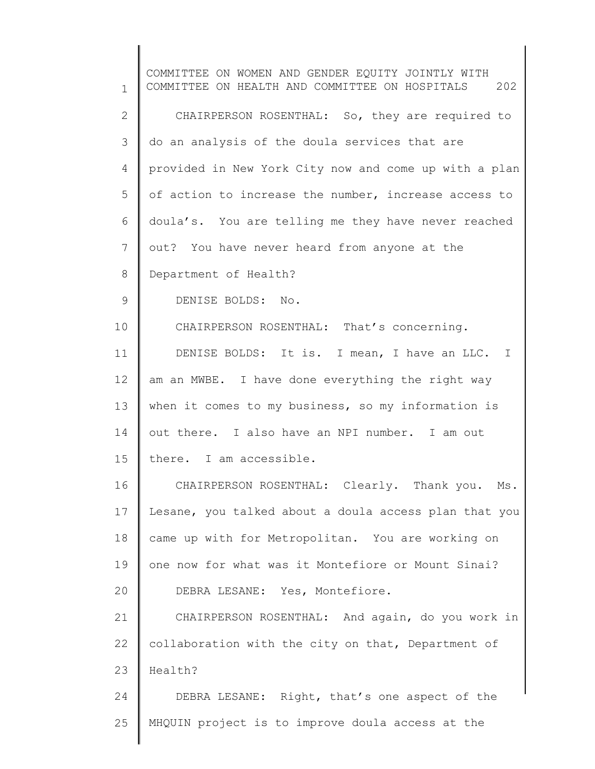1 2 3 4 5 6 7 8 9 10 11 12 13 14 15 16 17 18 19 20 21 22 23 24 25 COMMITTEE ON WOMEN AND GENDER EQUITY JOINTLY WITH COMMITTEE ON HEALTH AND COMMITTEE ON HOSPITALS 202 CHAIRPERSON ROSENTHAL: So, they are required to do an analysis of the doula services that are provided in New York City now and come up with a plan of action to increase the number, increase access to doula's. You are telling me they have never reached out? You have never heard from anyone at the Department of Health? DENISE BOLDS: No. CHAIRPERSON ROSENTHAL: That's concerning. DENISE BOLDS: It is. I mean, I have an LLC. I am an MWBE. I have done everything the right way when it comes to my business, so my information is out there. I also have an NPI number. I am out there. I am accessible. CHAIRPERSON ROSENTHAL: Clearly. Thank you. Ms. Lesane, you talked about a doula access plan that you came up with for Metropolitan. You are working on one now for what was it Montefiore or Mount Sinai? DEBRA LESANE: Yes, Montefiore. CHAIRPERSON ROSENTHAL: And again, do you work in collaboration with the city on that, Department of Health? DEBRA LESANE: Right, that's one aspect of the MHQUIN project is to improve doula access at the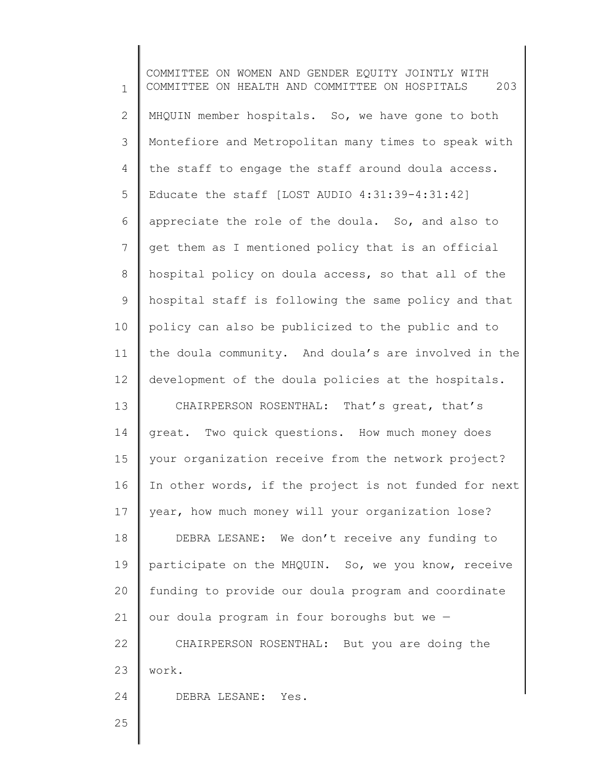1 2 3 4 5 6 7 8 9 10 11 12 13 14 15 16 17 18 19 20 21 22 23 24 COMMITTEE ON WOMEN AND GENDER EQUITY JOINTLY WITH COMMITTEE ON HEALTH AND COMMITTEE ON HOSPITALS 203 MHQUIN member hospitals. So, we have gone to both Montefiore and Metropolitan many times to speak with the staff to engage the staff around doula access. Educate the staff [LOST AUDIO 4:31:39-4:31:42] appreciate the role of the doula. So, and also to get them as I mentioned policy that is an official hospital policy on doula access, so that all of the hospital staff is following the same policy and that policy can also be publicized to the public and to the doula community. And doula's are involved in the development of the doula policies at the hospitals. CHAIRPERSON ROSENTHAL: That's great, that's great. Two quick questions. How much money does your organization receive from the network project? In other words, if the project is not funded for next year, how much money will your organization lose? DEBRA LESANE: We don't receive any funding to participate on the MHQUIN. So, we you know, receive funding to provide our doula program and coordinate our doula program in four boroughs but we — CHAIRPERSON ROSENTHAL: But you are doing the work. DEBRA LESANE: Yes.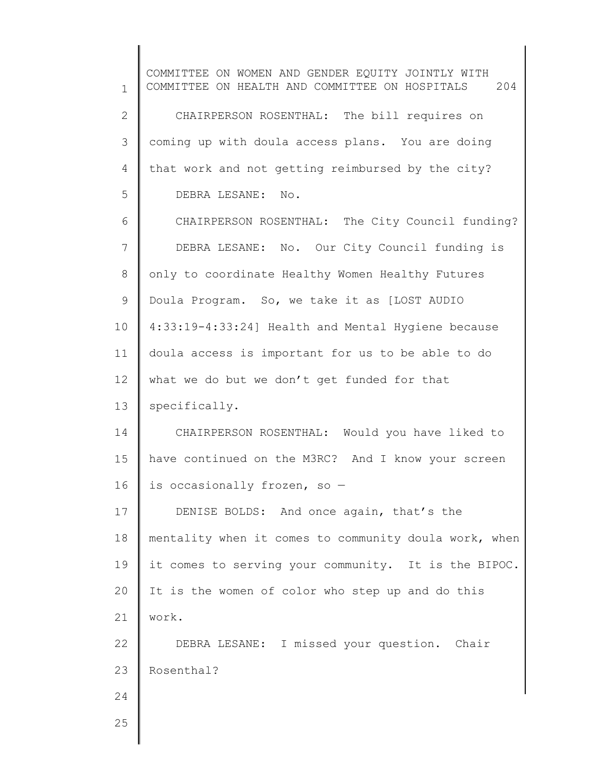1 2 3 4 5 6 7 8 9 10 11 12 13 14 15 16 17 18 19 20 21 22 23 24 25 COMMITTEE ON WOMEN AND GENDER EQUITY JOINTLY WITH COMMITTEE ON HEALTH AND COMMITTEE ON HOSPITALS 204 CHAIRPERSON ROSENTHAL: The bill requires on coming up with doula access plans. You are doing that work and not getting reimbursed by the city? DEBRA LESANE: No. CHAIRPERSON ROSENTHAL: The City Council funding? DEBRA LESANE: No. Our City Council funding is only to coordinate Healthy Women Healthy Futures Doula Program. So, we take it as [LOST AUDIO 4:33:19-4:33:24] Health and Mental Hygiene because doula access is important for us to be able to do what we do but we don't get funded for that specifically. CHAIRPERSON ROSENTHAL: Would you have liked to have continued on the M3RC? And I know your screen is occasionally frozen, so — DENISE BOLDS: And once again, that's the mentality when it comes to community doula work, when it comes to serving your community. It is the BIPOC. It is the women of color who step up and do this work. DEBRA LESANE: I missed your question. Chair Rosenthal?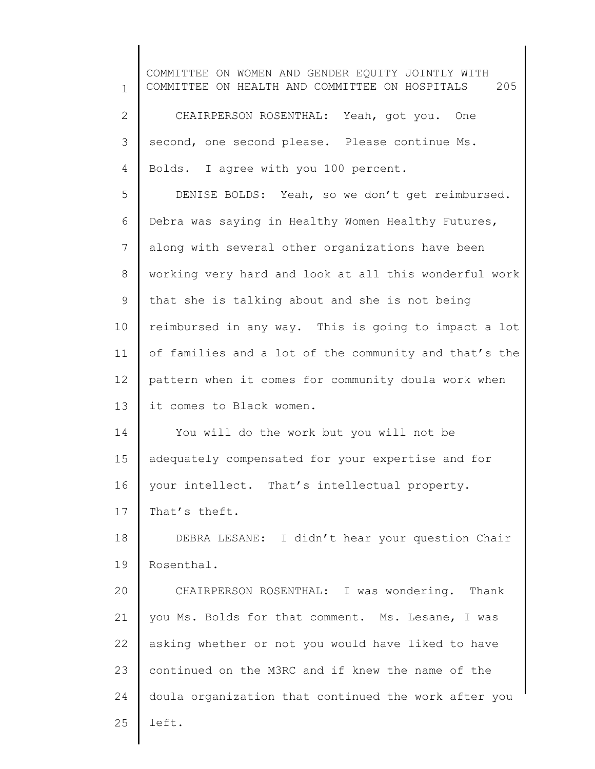1 2 3 4 5 6 7 8 9 10 11 12 13 14 15 16 17 18 19 20 21 22 23 24 25 COMMITTEE ON WOMEN AND GENDER EQUITY JOINTLY WITH COMMITTEE ON HEALTH AND COMMITTEE ON HOSPITALS 205 CHAIRPERSON ROSENTHAL: Yeah, got you. One second, one second please. Please continue Ms. Bolds. I agree with you 100 percent. DENISE BOLDS: Yeah, so we don't get reimbursed. Debra was saying in Healthy Women Healthy Futures, along with several other organizations have been working very hard and look at all this wonderful work that she is talking about and she is not being reimbursed in any way. This is going to impact a lot of families and a lot of the community and that's the pattern when it comes for community doula work when it comes to Black women. You will do the work but you will not be adequately compensated for your expertise and for your intellect. That's intellectual property. That's theft. DEBRA LESANE: I didn't hear your question Chair Rosenthal. CHAIRPERSON ROSENTHAL: I was wondering. Thank you Ms. Bolds for that comment. Ms. Lesane, I was asking whether or not you would have liked to have continued on the M3RC and if knew the name of the doula organization that continued the work after you left.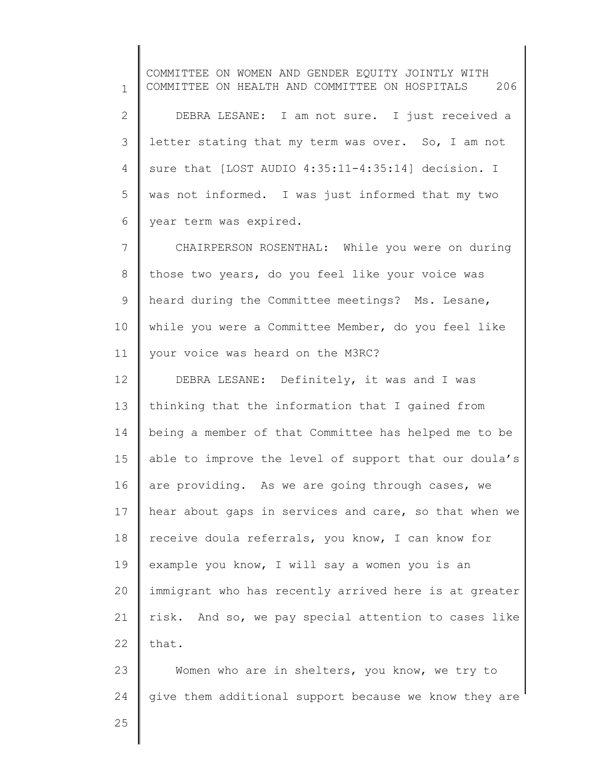1 2 3 4 5 6 7 8 9 10 11 12 13 14 15 16 17 18 19 20 21 22 23 24 COMMITTEE ON WOMEN AND GENDER EQUITY JOINTLY WITH COMMITTEE ON HEALTH AND COMMITTEE ON HOSPITALS 206 DEBRA LESANE: I am not sure. I just received a letter stating that my term was over. So, I am not sure that [LOST AUDIO 4:35:11-4:35:14] decision. I was not informed. I was just informed that my two year term was expired. CHAIRPERSON ROSENTHAL: While you were on during those two years, do you feel like your voice was heard during the Committee meetings? Ms. Lesane, while you were a Committee Member, do you feel like your voice was heard on the M3RC? DEBRA LESANE: Definitely, it was and I was thinking that the information that I gained from being a member of that Committee has helped me to be able to improve the level of support that our doula's are providing. As we are going through cases, we hear about gaps in services and care, so that when we receive doula referrals, you know, I can know for example you know, I will say a women you is an immigrant who has recently arrived here is at greater risk. And so, we pay special attention to cases like that. Women who are in shelters, you know, we try to give them additional support because we know they are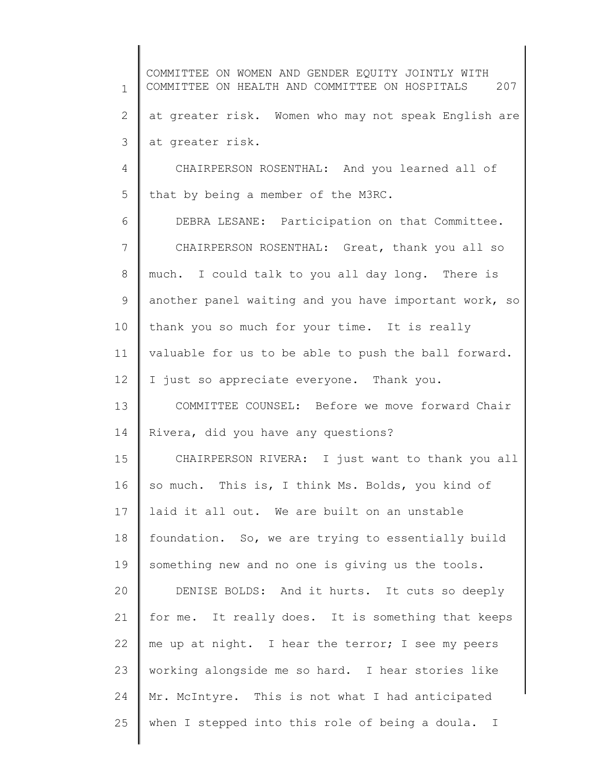1 2 3 4 5 6 7 8 9 10 11 12 13 14 15 16 17 18 19 20 21 22 23 24 25 COMMITTEE ON WOMEN AND GENDER EQUITY JOINTLY WITH COMMITTEE ON HEALTH AND COMMITTEE ON HOSPITALS 207 at greater risk. Women who may not speak English are at greater risk. CHAIRPERSON ROSENTHAL: And you learned all of that by being a member of the M3RC. DEBRA LESANE: Participation on that Committee. CHAIRPERSON ROSENTHAL: Great, thank you all so much. I could talk to you all day long. There is another panel waiting and you have important work, so thank you so much for your time. It is really valuable for us to be able to push the ball forward. I just so appreciate everyone. Thank you. COMMITTEE COUNSEL: Before we move forward Chair Rivera, did you have any questions? CHAIRPERSON RIVERA: I just want to thank you all so much. This is, I think Ms. Bolds, you kind of laid it all out. We are built on an unstable foundation. So, we are trying to essentially build something new and no one is giving us the tools. DENISE BOLDS: And it hurts. It cuts so deeply for me. It really does. It is something that keeps me up at night. I hear the terror; I see my peers working alongside me so hard. I hear stories like Mr. McIntyre. This is not what I had anticipated when I stepped into this role of being a doula. I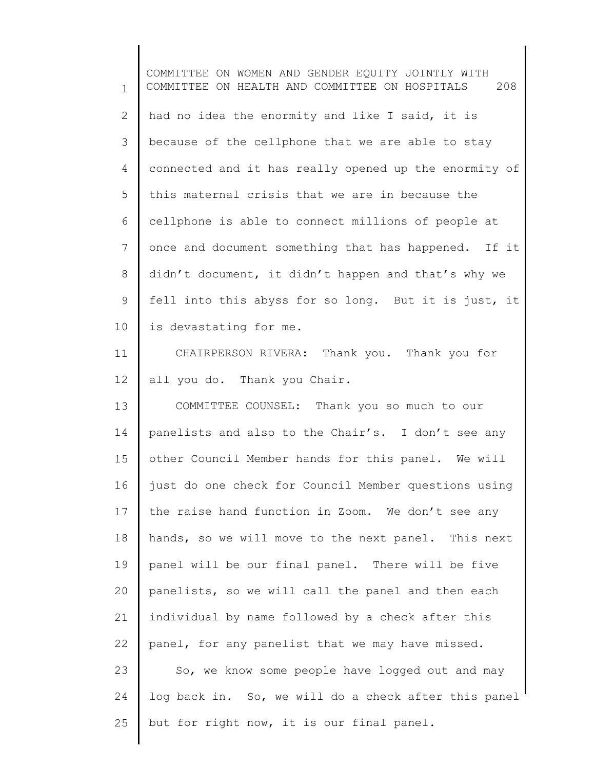1 2 3 4 5 6 7 8 9 10 11 12 13 14 15 16 17 18 19 20 21 22 23 24 25 COMMITTEE ON WOMEN AND GENDER EQUITY JOINTLY WITH COMMITTEE ON HEALTH AND COMMITTEE ON HOSPITALS 208 had no idea the enormity and like I said, it is because of the cellphone that we are able to stay connected and it has really opened up the enormity of this maternal crisis that we are in because the cellphone is able to connect millions of people at once and document something that has happened. If it didn't document, it didn't happen and that's why we fell into this abyss for so long. But it is just, it is devastating for me. CHAIRPERSON RIVERA: Thank you. Thank you for all you do. Thank you Chair. COMMITTEE COUNSEL: Thank you so much to our panelists and also to the Chair's. I don't see any other Council Member hands for this panel. We will just do one check for Council Member questions using the raise hand function in Zoom. We don't see any hands, so we will move to the next panel. This next panel will be our final panel. There will be five panelists, so we will call the panel and then each individual by name followed by a check after this panel, for any panelist that we may have missed. So, we know some people have logged out and may log back in. So, we will do a check after this panel but for right now, it is our final panel.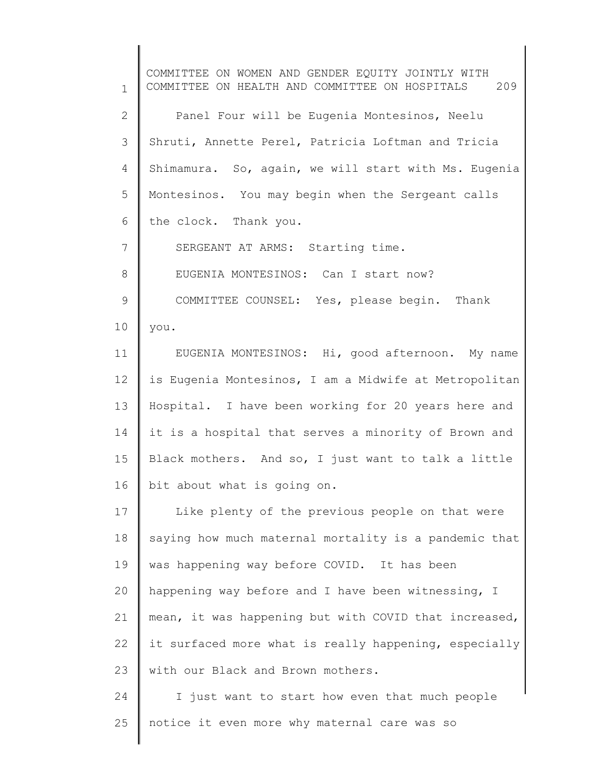1 2 3 4 5 6 7 8 9 10 11 12 13 14 15 16 17 18 19 20 21 22 23 24 COMMITTEE ON WOMEN AND GENDER EQUITY JOINTLY WITH COMMITTEE ON HEALTH AND COMMITTEE ON HOSPITALS 209 Panel Four will be Eugenia Montesinos, Neelu Shruti, Annette Perel, Patricia Loftman and Tricia Shimamura. So, again, we will start with Ms. Eugenia Montesinos. You may begin when the Sergeant calls the clock. Thank you. SERGEANT AT ARMS: Starting time. EUGENIA MONTESINOS: Can I start now? COMMITTEE COUNSEL: Yes, please begin. Thank you. EUGENIA MONTESINOS: Hi, good afternoon. My name is Eugenia Montesinos, I am a Midwife at Metropolitan Hospital. I have been working for 20 years here and it is a hospital that serves a minority of Brown and Black mothers. And so, I just want to talk a little bit about what is going on. Like plenty of the previous people on that were saying how much maternal mortality is a pandemic that was happening way before COVID. It has been happening way before and I have been witnessing, I mean, it was happening but with COVID that increased, it surfaced more what is really happening, especially with our Black and Brown mothers. I just want to start how even that much people

notice it even more why maternal care was so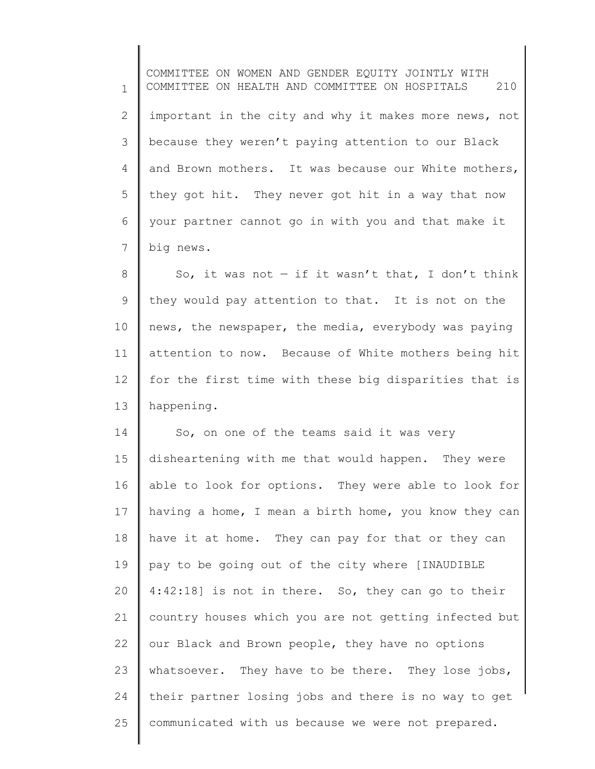1 2 3 4 5 6 7 COMMITTEE ON WOMEN AND GENDER EQUITY JOINTLY WITH COMMITTEE ON HEALTH AND COMMITTEE ON HOSPITALS 210 important in the city and why it makes more news, not because they weren't paying attention to our Black and Brown mothers. It was because our White mothers, they got hit. They never got hit in a way that now your partner cannot go in with you and that make it big news.

8 9 10 11 12 13 So, it was not  $-$  if it wasn't that, I don't think they would pay attention to that. It is not on the news, the newspaper, the media, everybody was paying attention to now. Because of White mothers being hit for the first time with these big disparities that is happening.

14 15 16 17 18 19 20 21 22 23 24 25 So, on one of the teams said it was very disheartening with me that would happen. They were able to look for options. They were able to look for having a home, I mean a birth home, you know they can have it at home. They can pay for that or they can pay to be going out of the city where [INAUDIBLE 4:42:18] is not in there. So, they can go to their country houses which you are not getting infected but our Black and Brown people, they have no options whatsoever. They have to be there. They lose jobs, their partner losing jobs and there is no way to get communicated with us because we were not prepared.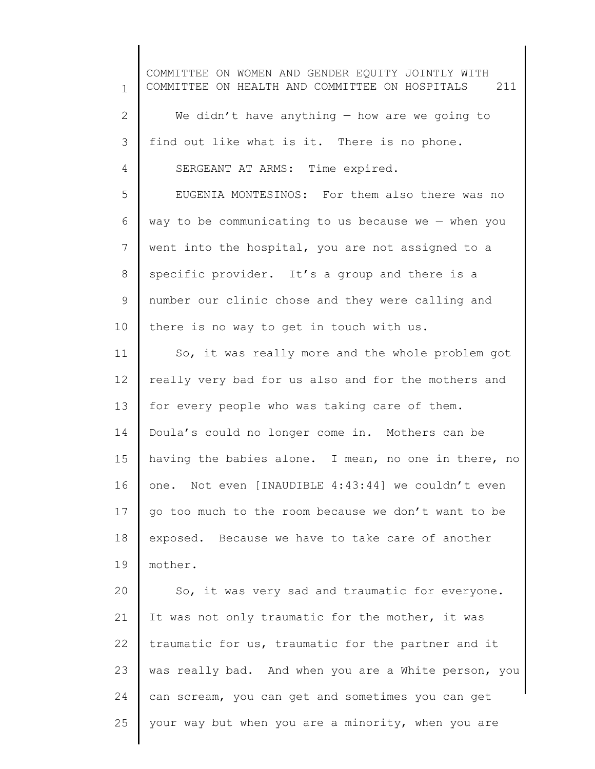1 2 3 4 5 6 7 8 9 10 11 12 13 14 15 16 17 18 19 20 21 22 23 24 25 COMMITTEE ON WOMEN AND GENDER EQUITY JOINTLY WITH COMMITTEE ON HEALTH AND COMMITTEE ON HOSPITALS 211 We didn't have anything  $-$  how are we going to find out like what is it. There is no phone. SERGEANT AT ARMS: Time expired. EUGENIA MONTESINOS: For them also there was no way to be communicating to us because we  $-$  when you went into the hospital, you are not assigned to a specific provider. It's a group and there is a number our clinic chose and they were calling and there is no way to get in touch with us. So, it was really more and the whole problem got really very bad for us also and for the mothers and for every people who was taking care of them. Doula's could no longer come in. Mothers can be having the babies alone. I mean, no one in there, no one. Not even [INAUDIBLE 4:43:44] we couldn't even go too much to the room because we don't want to be exposed. Because we have to take care of another mother. So, it was very sad and traumatic for everyone. It was not only traumatic for the mother, it was traumatic for us, traumatic for the partner and it was really bad. And when you are a White person, you can scream, you can get and sometimes you can get your way but when you are a minority, when you are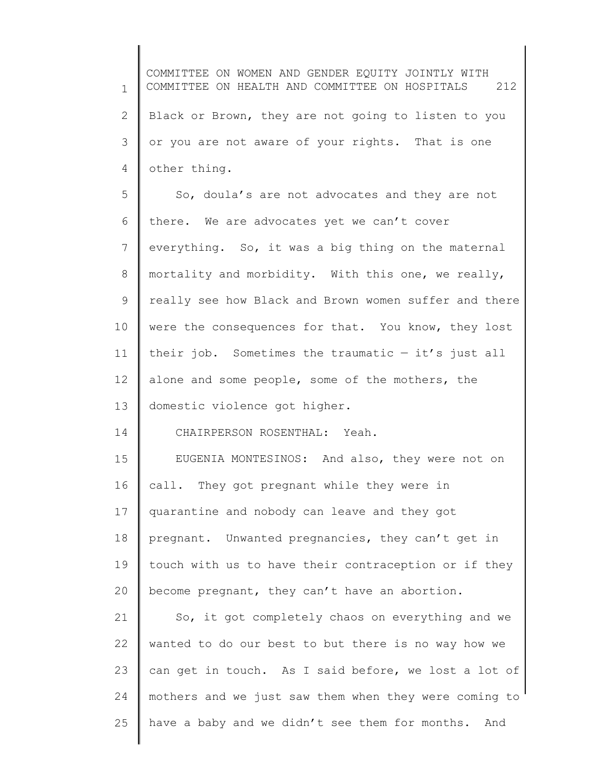1 2 3 4 5 6 7 8 9 10 11 12 13 14 15 16 17 18 19 20 21 22 23 24 25 COMMITTEE ON WOMEN AND GENDER EQUITY JOINTLY WITH COMMITTEE ON HEALTH AND COMMITTEE ON HOSPITALS 212 Black or Brown, they are not going to listen to you or you are not aware of your rights. That is one other thing. So, doula's are not advocates and they are not there. We are advocates yet we can't cover everything. So, it was a big thing on the maternal mortality and morbidity. With this one, we really, really see how Black and Brown women suffer and there were the consequences for that. You know, they lost their job. Sometimes the traumatic  $-$  it's just all alone and some people, some of the mothers, the domestic violence got higher. CHAIRPERSON ROSENTHAL: Yeah. EUGENIA MONTESINOS: And also, they were not on call. They got pregnant while they were in quarantine and nobody can leave and they got pregnant. Unwanted pregnancies, they can't get in touch with us to have their contraception or if they become pregnant, they can't have an abortion. So, it got completely chaos on everything and we wanted to do our best to but there is no way how we can get in touch. As I said before, we lost a lot of mothers and we just saw them when they were coming to have a baby and we didn't see them for months. And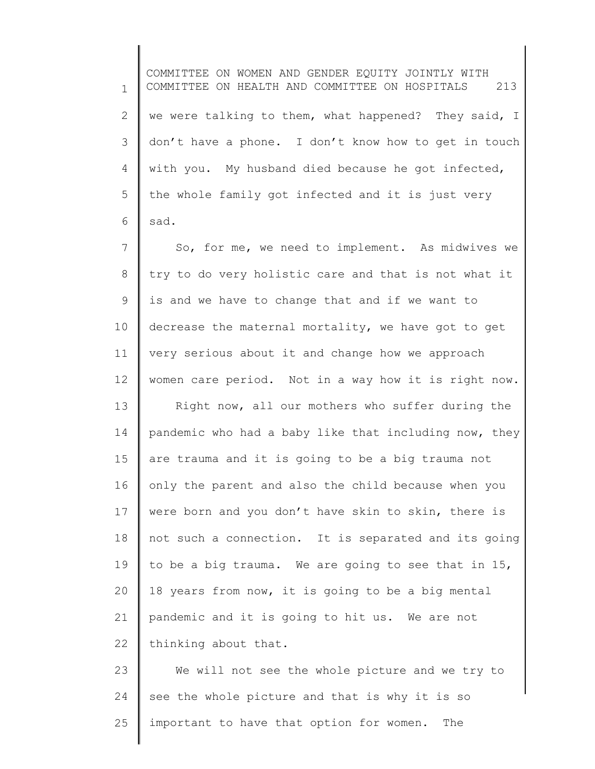1 2 3 4 5 6 7 8 COMMITTEE ON WOMEN AND GENDER EQUITY JOINTLY WITH COMMITTEE ON HEALTH AND COMMITTEE ON HOSPITALS 213 we were talking to them, what happened? They said, I don't have a phone. I don't know how to get in touch with you. My husband died because he got infected, the whole family got infected and it is just very sad. So, for me, we need to implement. As midwives we try to do very holistic care and that is not what it

10 11 12 decrease the maternal mortality, we have got to get very serious about it and change how we approach women care period. Not in a way how it is right now.

is and we have to change that and if we want to

9

13 14 15 16 17 18 19 20 21 22 Right now, all our mothers who suffer during the pandemic who had a baby like that including now, they are trauma and it is going to be a big trauma not only the parent and also the child because when you were born and you don't have skin to skin, there is not such a connection. It is separated and its going to be a big trauma. We are going to see that in 15, 18 years from now, it is going to be a big mental pandemic and it is going to hit us. We are not thinking about that.

23 24 25 We will not see the whole picture and we try to see the whole picture and that is why it is so important to have that option for women. The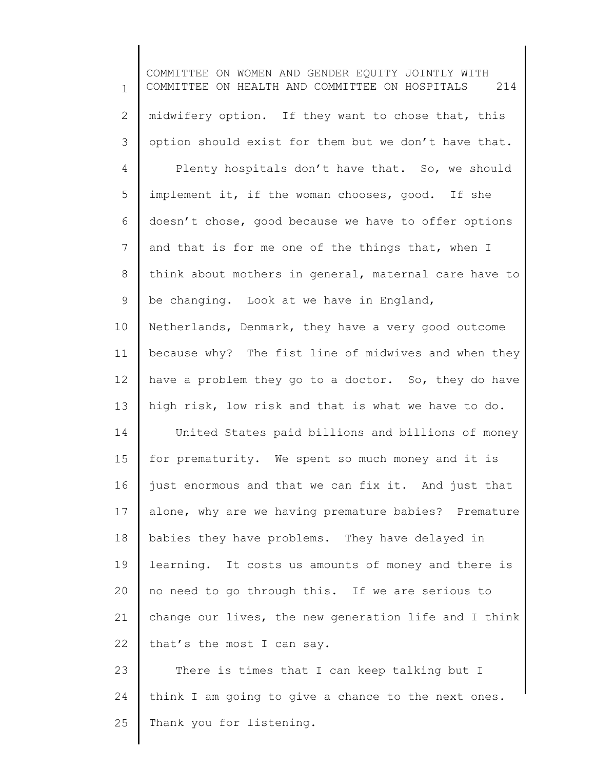1 2 3 4 5 6 7 8 9 10 11 12 13 14 15 16 17 18 19 20 21 22 23 24 25 COMMITTEE ON WOMEN AND GENDER EQUITY JOINTLY WITH COMMITTEE ON HEALTH AND COMMITTEE ON HOSPITALS 214 midwifery option. If they want to chose that, this option should exist for them but we don't have that. Plenty hospitals don't have that. So, we should implement it, if the woman chooses, good. If she doesn't chose, good because we have to offer options and that is for me one of the things that, when I think about mothers in general, maternal care have to be changing. Look at we have in England, Netherlands, Denmark, they have a very good outcome because why? The fist line of midwives and when they have a problem they go to a doctor. So, they do have high risk, low risk and that is what we have to do. United States paid billions and billions of money for prematurity. We spent so much money and it is just enormous and that we can fix it. And just that alone, why are we having premature babies? Premature babies they have problems. They have delayed in learning. It costs us amounts of money and there is no need to go through this. If we are serious to change our lives, the new generation life and I think that's the most I can say. There is times that I can keep talking but I think I am going to give a chance to the next ones. Thank you for listening.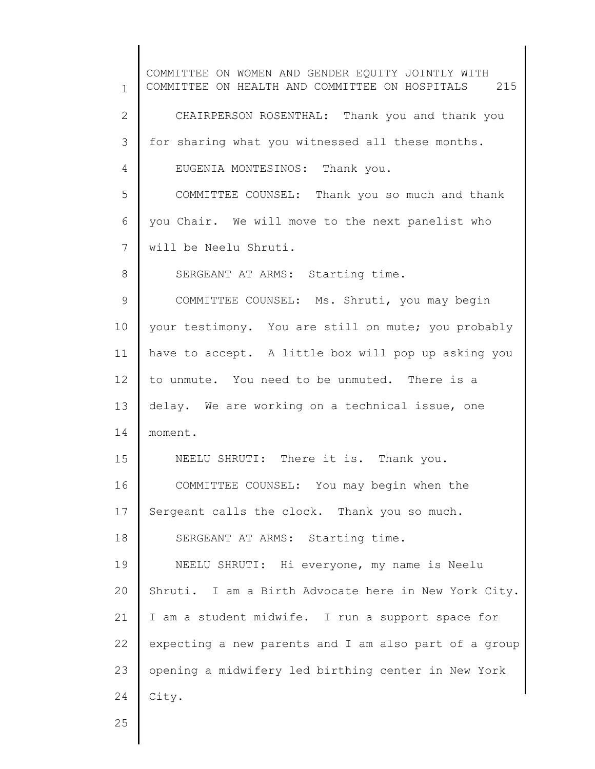1 2 3 4 5 6 7 8 9 10 11 12 13 14 15 16 17 18 19 20 21 22 23 24 COMMITTEE ON WOMEN AND GENDER EQUITY JOINTLY WITH COMMITTEE ON HEALTH AND COMMITTEE ON HOSPITALS 215 CHAIRPERSON ROSENTHAL: Thank you and thank you for sharing what you witnessed all these months. EUGENIA MONTESINOS: Thank you. COMMITTEE COUNSEL: Thank you so much and thank you Chair. We will move to the next panelist who will be Neelu Shruti. SERGEANT AT ARMS: Starting time. COMMITTEE COUNSEL: Ms. Shruti, you may begin your testimony. You are still on mute; you probably have to accept. A little box will pop up asking you to unmute. You need to be unmuted. There is a delay. We are working on a technical issue, one moment. NEELU SHRUTI: There it is. Thank you. COMMITTEE COUNSEL: You may begin when the Sergeant calls the clock. Thank you so much. SERGEANT AT ARMS: Starting time. NEELU SHRUTI: Hi everyone, my name is Neelu Shruti. I am a Birth Advocate here in New York City. I am a student midwife. I run a support space for expecting a new parents and I am also part of a group opening a midwifery led birthing center in New York City.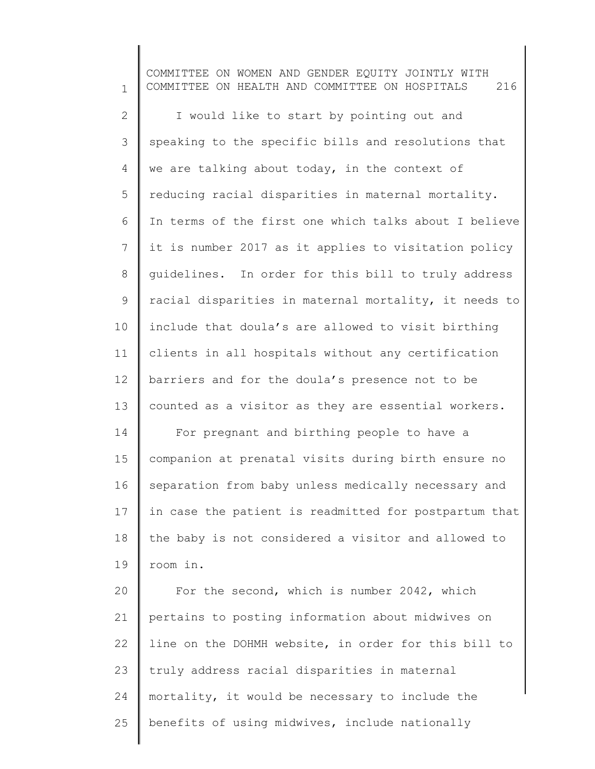1 2 3 4 5 6 7 8 9 10 11 12 13 14 15 16 17 18 19 20 21 22 23 24 25 COMMITTEE ON WOMEN AND GENDER EQUITY JOINTLY WITH COMMITTEE ON HEALTH AND COMMITTEE ON HOSPITALS 216 I would like to start by pointing out and speaking to the specific bills and resolutions that we are talking about today, in the context of reducing racial disparities in maternal mortality. In terms of the first one which talks about I believe it is number 2017 as it applies to visitation policy guidelines. In order for this bill to truly address racial disparities in maternal mortality, it needs to include that doula's are allowed to visit birthing clients in all hospitals without any certification barriers and for the doula's presence not to be counted as a visitor as they are essential workers. For pregnant and birthing people to have a companion at prenatal visits during birth ensure no separation from baby unless medically necessary and in case the patient is readmitted for postpartum that the baby is not considered a visitor and allowed to room in. For the second, which is number 2042, which pertains to posting information about midwives on line on the DOHMH website, in order for this bill to truly address racial disparities in maternal mortality, it would be necessary to include the benefits of using midwives, include nationally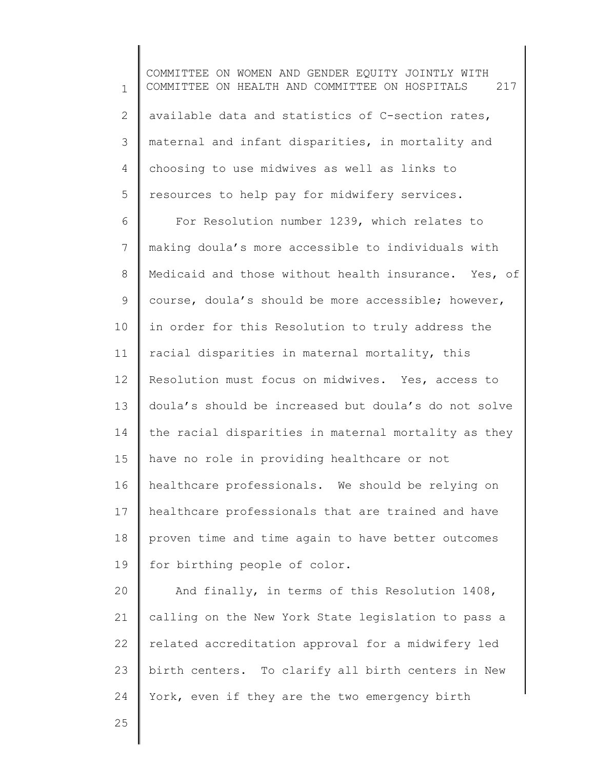1 2 3 4 5 COMMITTEE ON WOMEN AND GENDER EQUITY JOINTLY WITH COMMITTEE ON HEALTH AND COMMITTEE ON HOSPITALS 217 available data and statistics of C-section rates, maternal and infant disparities, in mortality and choosing to use midwives as well as links to resources to help pay for midwifery services.

6 7 8 9 10 11 12 13 14 15 16 17 18 19 For Resolution number 1239, which relates to making doula's more accessible to individuals with Medicaid and those without health insurance. Yes, of course, doula's should be more accessible; however, in order for this Resolution to truly address the racial disparities in maternal mortality, this Resolution must focus on midwives. Yes, access to doula's should be increased but doula's do not solve the racial disparities in maternal mortality as they have no role in providing healthcare or not healthcare professionals. We should be relying on healthcare professionals that are trained and have proven time and time again to have better outcomes for birthing people of color.

20 21 22 23 24 And finally, in terms of this Resolution 1408, calling on the New York State legislation to pass a related accreditation approval for a midwifery led birth centers. To clarify all birth centers in New York, even if they are the two emergency birth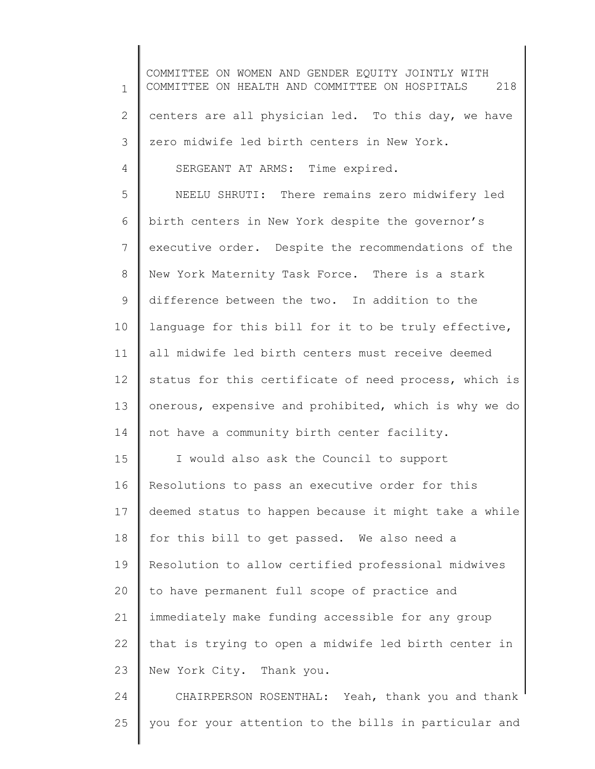1 2 3 4 5 6 7 8 9 10 11 12 13 14 15 16 17 18 19 20 21 22 23 24 25 COMMITTEE ON WOMEN AND GENDER EQUITY JOINTLY WITH COMMITTEE ON HEALTH AND COMMITTEE ON HOSPITALS 218 centers are all physician led. To this day, we have zero midwife led birth centers in New York. SERGEANT AT ARMS: Time expired. NEELU SHRUTI: There remains zero midwifery led birth centers in New York despite the governor's executive order. Despite the recommendations of the New York Maternity Task Force. There is a stark difference between the two. In addition to the language for this bill for it to be truly effective, all midwife led birth centers must receive deemed status for this certificate of need process, which is onerous, expensive and prohibited, which is why we do not have a community birth center facility. I would also ask the Council to support Resolutions to pass an executive order for this deemed status to happen because it might take a while for this bill to get passed. We also need a Resolution to allow certified professional midwives to have permanent full scope of practice and immediately make funding accessible for any group that is trying to open a midwife led birth center in New York City. Thank you. CHAIRPERSON ROSENTHAL: Yeah, thank you and thank you for your attention to the bills in particular and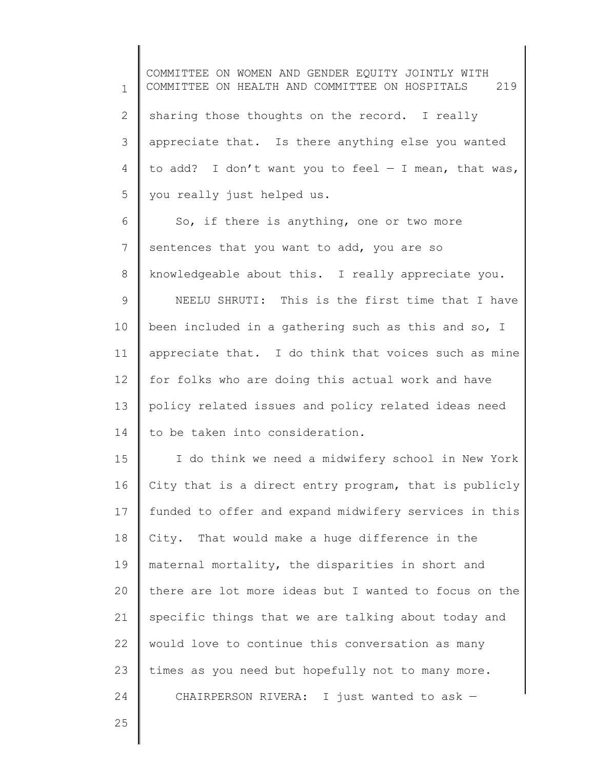1 2 3 4 5 6 7 8 9 10 11 12 13 14 15 16 17 18 19 20 21 22 23 24 COMMITTEE ON WOMEN AND GENDER EQUITY JOINTLY WITH COMMITTEE ON HEALTH AND COMMITTEE ON HOSPITALS 219 sharing those thoughts on the record. I really appreciate that. Is there anything else you wanted to add? I don't want you to feel  $-$  I mean, that was, you really just helped us. So, if there is anything, one or two more sentences that you want to add, you are so knowledgeable about this. I really appreciate you. NEELU SHRUTI: This is the first time that I have been included in a gathering such as this and so, I appreciate that. I do think that voices such as mine for folks who are doing this actual work and have policy related issues and policy related ideas need to be taken into consideration. I do think we need a midwifery school in New York City that is a direct entry program, that is publicly funded to offer and expand midwifery services in this City. That would make a huge difference in the maternal mortality, the disparities in short and there are lot more ideas but I wanted to focus on the specific things that we are talking about today and would love to continue this conversation as many times as you need but hopefully not to many more. CHAIRPERSON RIVERA: I just wanted to ask —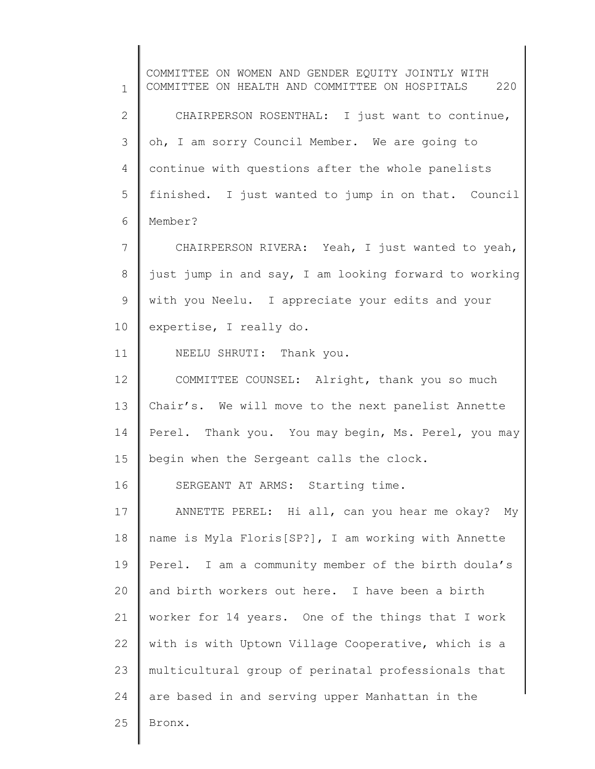1 2 3 4 5 6 7 8 9 10 11 12 13 14 15 16 17 18 19 20 21 22 23 24 25 COMMITTEE ON WOMEN AND GENDER EQUITY JOINTLY WITH COMMITTEE ON HEALTH AND COMMITTEE ON HOSPITALS 220 CHAIRPERSON ROSENTHAL: I just want to continue, oh, I am sorry Council Member. We are going to continue with questions after the whole panelists finished. I just wanted to jump in on that. Council Member? CHAIRPERSON RIVERA: Yeah, I just wanted to yeah, just jump in and say, I am looking forward to working with you Neelu. I appreciate your edits and your expertise, I really do. NEELU SHRUTI: Thank you. COMMITTEE COUNSEL: Alright, thank you so much Chair's. We will move to the next panelist Annette Perel. Thank you. You may begin, Ms. Perel, you may begin when the Sergeant calls the clock. SERGEANT AT ARMS: Starting time. ANNETTE PEREL: Hi all, can you hear me okay? My name is Myla Floris[SP?], I am working with Annette Perel. I am a community member of the birth doula's and birth workers out here. I have been a birth worker for 14 years. One of the things that I work with is with Uptown Village Cooperative, which is a multicultural group of perinatal professionals that are based in and serving upper Manhattan in the Bronx.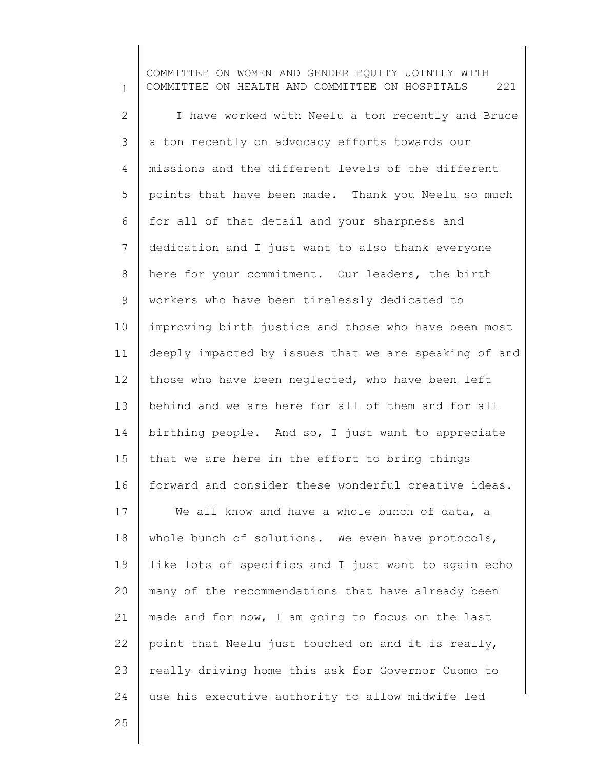1 2 3 4 5 6 7 8 9 10 11 12 13 14 15 16 17 18 19 20 21 22 23 24 COMMITTEE ON WOMEN AND GENDER EQUITY JOINTLY WITH COMMITTEE ON HEALTH AND COMMITTEE ON HOSPITALS 221 I have worked with Neelu a ton recently and Bruce a ton recently on advocacy efforts towards our missions and the different levels of the different points that have been made. Thank you Neelu so much for all of that detail and your sharpness and dedication and I just want to also thank everyone here for your commitment. Our leaders, the birth workers who have been tirelessly dedicated to improving birth justice and those who have been most deeply impacted by issues that we are speaking of and those who have been neglected, who have been left behind and we are here for all of them and for all birthing people. And so, I just want to appreciate that we are here in the effort to bring things forward and consider these wonderful creative ideas. We all know and have a whole bunch of data, a whole bunch of solutions. We even have protocols, like lots of specifics and I just want to again echo many of the recommendations that have already been made and for now, I am going to focus on the last point that Neelu just touched on and it is really, really driving home this ask for Governor Cuomo to use his executive authority to allow midwife led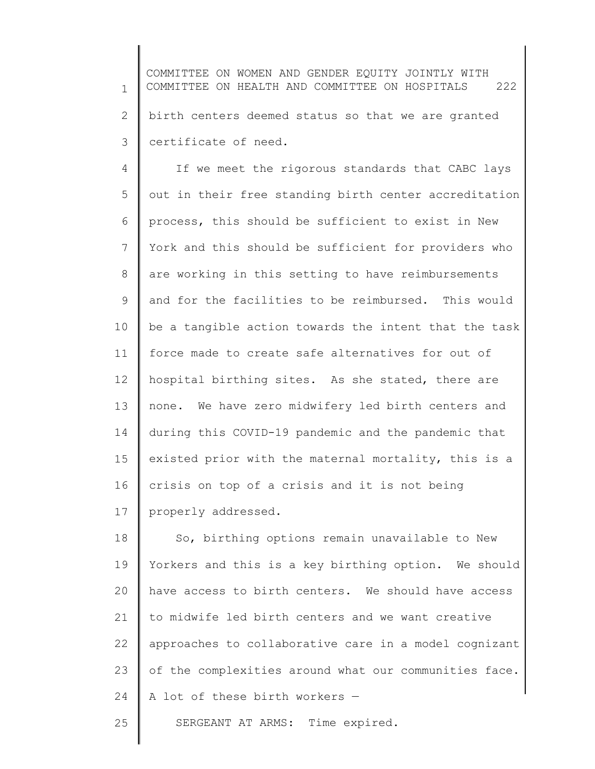1 2 3 COMMITTEE ON WOMEN AND GENDER EQUITY JOINTLY WITH COMMITTEE ON HEALTH AND COMMITTEE ON HOSPITALS 222 birth centers deemed status so that we are granted certificate of need.

4 5 6 7 8 9 10 11 12 13 14 15 16 17 If we meet the rigorous standards that CABC lays out in their free standing birth center accreditation process, this should be sufficient to exist in New York and this should be sufficient for providers who are working in this setting to have reimbursements and for the facilities to be reimbursed. This would be a tangible action towards the intent that the task force made to create safe alternatives for out of hospital birthing sites. As she stated, there are none. We have zero midwifery led birth centers and during this COVID-19 pandemic and the pandemic that existed prior with the maternal mortality, this is a crisis on top of a crisis and it is not being properly addressed.

18 19 20 21 22 23 24 So, birthing options remain unavailable to New Yorkers and this is a key birthing option. We should have access to birth centers. We should have access to midwife led birth centers and we want creative approaches to collaborative care in a model cognizant of the complexities around what our communities face. A lot of these birth workers —

25 SERGEANT AT ARMS: Time expired.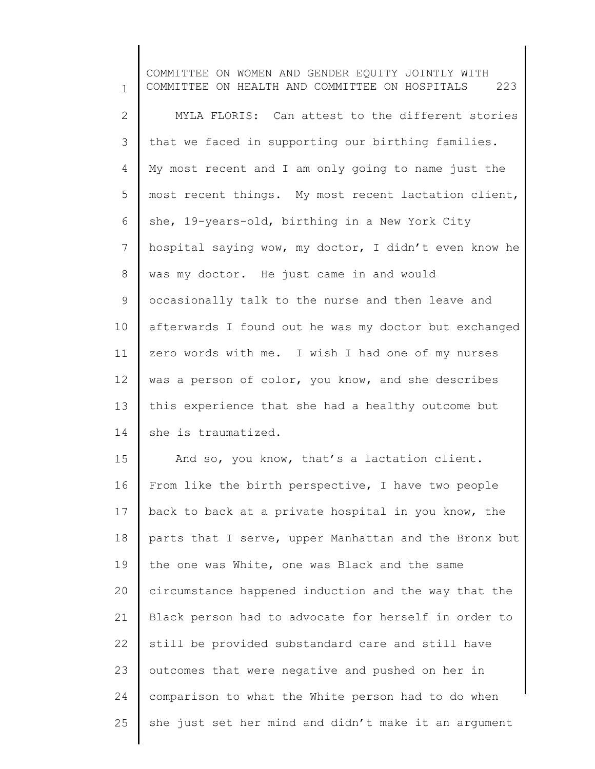1 2 3 4 5 6 7 8 9 10 11 12 13 14 15 16 17 18 19 20 21 22 23 24 25 COMMITTEE ON WOMEN AND GENDER EQUITY JOINTLY WITH COMMITTEE ON HEALTH AND COMMITTEE ON HOSPITALS 223 MYLA FLORIS: Can attest to the different stories that we faced in supporting our birthing families. My most recent and I am only going to name just the most recent things. My most recent lactation client, she, 19-years-old, birthing in a New York City hospital saying wow, my doctor, I didn't even know he was my doctor. He just came in and would occasionally talk to the nurse and then leave and afterwards I found out he was my doctor but exchanged zero words with me. I wish I had one of my nurses was a person of color, you know, and she describes this experience that she had a healthy outcome but she is traumatized. And so, you know, that's a lactation client. From like the birth perspective, I have two people back to back at a private hospital in you know, the parts that I serve, upper Manhattan and the Bronx but the one was White, one was Black and the same circumstance happened induction and the way that the Black person had to advocate for herself in order to still be provided substandard care and still have outcomes that were negative and pushed on her in comparison to what the White person had to do when she just set her mind and didn't make it an argument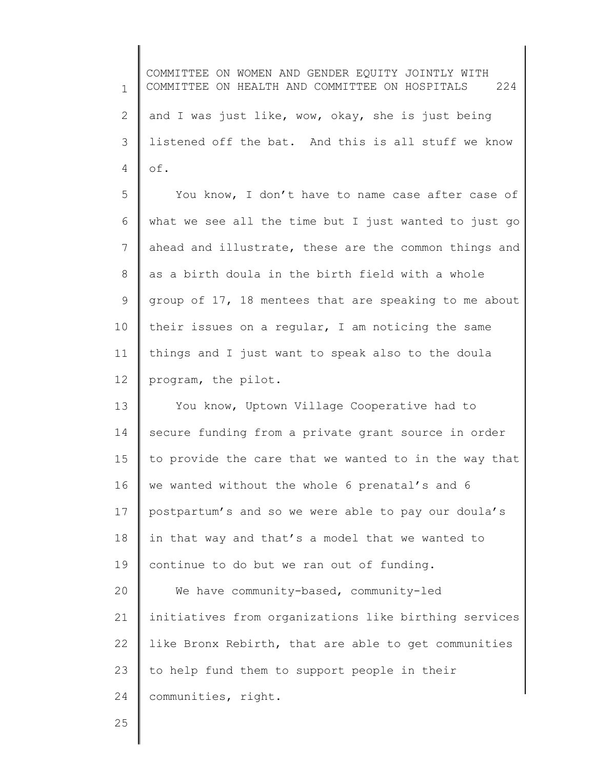1 2 3 4 5 6 7 8 9 10 11 12 13 14 15 16 17 18 19 20 21 22 23 24 COMMITTEE ON WOMEN AND GENDER EQUITY JOINTLY WITH COMMITTEE ON HEALTH AND COMMITTEE ON HOSPITALS 224 and I was just like, wow, okay, she is just being listened off the bat. And this is all stuff we know of. You know, I don't have to name case after case of what we see all the time but I just wanted to just go ahead and illustrate, these are the common things and as a birth doula in the birth field with a whole group of 17, 18 mentees that are speaking to me about their issues on a regular, I am noticing the same things and I just want to speak also to the doula program, the pilot. You know, Uptown Village Cooperative had to secure funding from a private grant source in order to provide the care that we wanted to in the way that we wanted without the whole 6 prenatal's and 6 postpartum's and so we were able to pay our doula's in that way and that's a model that we wanted to continue to do but we ran out of funding. We have community-based, community-led initiatives from organizations like birthing services like Bronx Rebirth, that are able to get communities to help fund them to support people in their communities, right.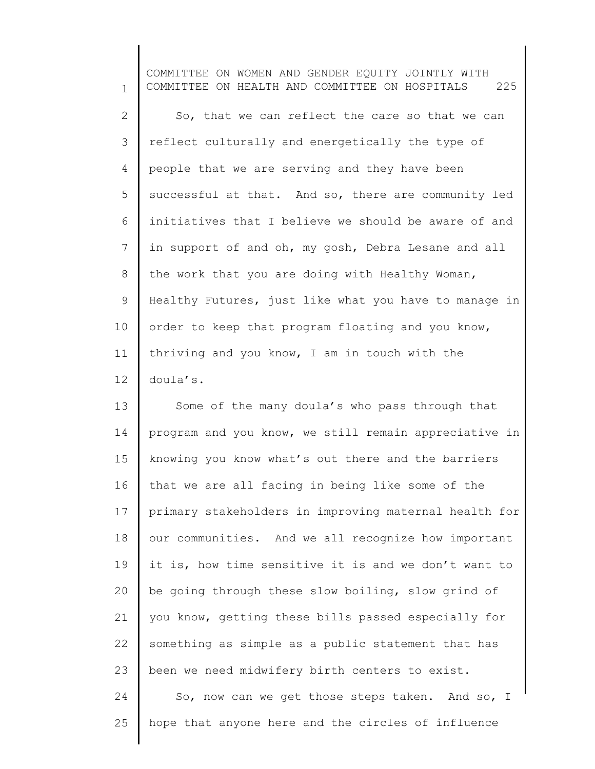1 2 3 4 5 6 7 8 9 10 11 12 COMMITTEE ON WOMEN AND GENDER EQUITY JOINTLY WITH COMMITTEE ON HEALTH AND COMMITTEE ON HOSPITALS 225 So, that we can reflect the care so that we can reflect culturally and energetically the type of people that we are serving and they have been successful at that. And so, there are community led initiatives that I believe we should be aware of and in support of and oh, my gosh, Debra Lesane and all the work that you are doing with Healthy Woman, Healthy Futures, just like what you have to manage in order to keep that program floating and you know, thriving and you know, I am in touch with the doula's.

13 14 15 16 17 18 19 20 21 22 23 24 25 Some of the many doula's who pass through that program and you know, we still remain appreciative in knowing you know what's out there and the barriers that we are all facing in being like some of the primary stakeholders in improving maternal health for our communities. And we all recognize how important it is, how time sensitive it is and we don't want to be going through these slow boiling, slow grind of you know, getting these bills passed especially for something as simple as a public statement that has been we need midwifery birth centers to exist. So, now can we get those steps taken. And so, I hope that anyone here and the circles of influence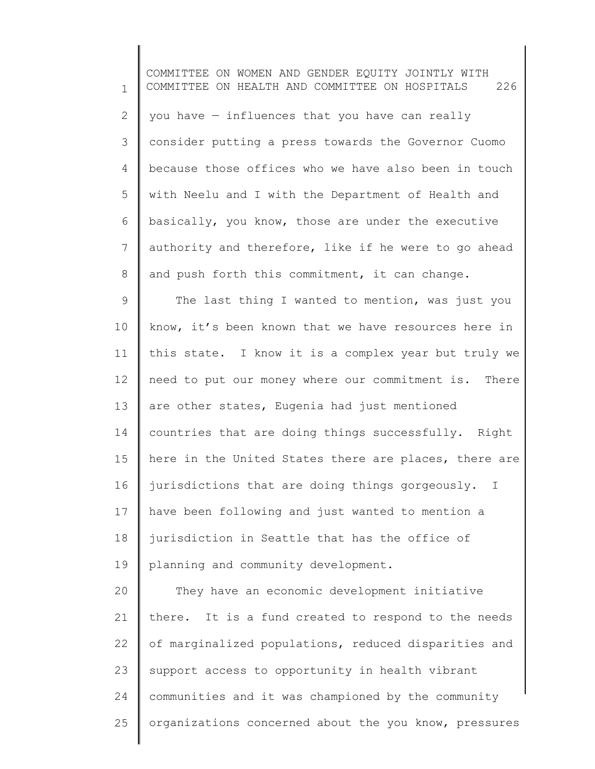1 2 3 4 5 6 7 8 9 10 11 12 13 14 15 16 17 18 19 20 21 22 23 24 25 COMMITTEE ON WOMEN AND GENDER EQUITY JOINTLY WITH COMMITTEE ON HEALTH AND COMMITTEE ON HOSPITALS 226 you have — influences that you have can really consider putting a press towards the Governor Cuomo because those offices who we have also been in touch with Neelu and I with the Department of Health and basically, you know, those are under the executive authority and therefore, like if he were to go ahead and push forth this commitment, it can change. The last thing I wanted to mention, was just you know, it's been known that we have resources here in this state. I know it is a complex year but truly we need to put our money where our commitment is. There are other states, Eugenia had just mentioned countries that are doing things successfully. Right here in the United States there are places, there are jurisdictions that are doing things gorgeously. I have been following and just wanted to mention a jurisdiction in Seattle that has the office of planning and community development. They have an economic development initiative there. It is a fund created to respond to the needs of marginalized populations, reduced disparities and support access to opportunity in health vibrant communities and it was championed by the community organizations concerned about the you know, pressures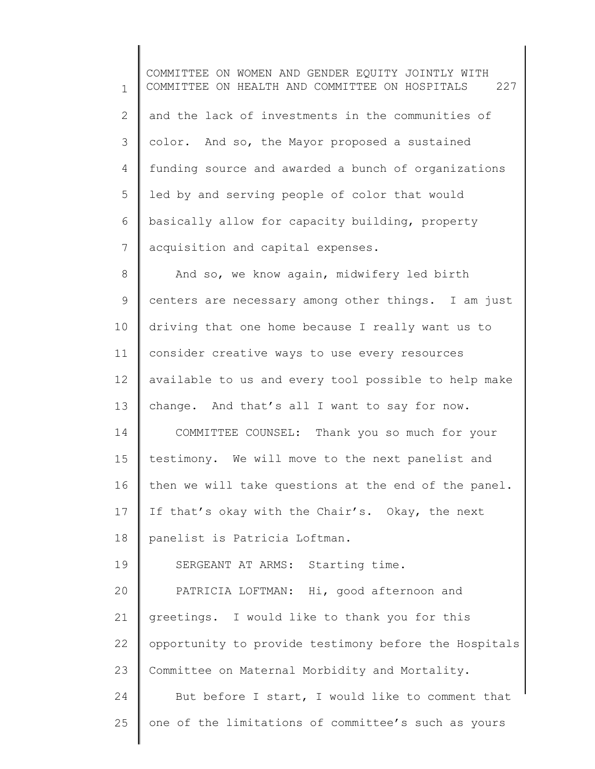1 2 3 4 5 6 7 8 9 10 11 12 13 14 COMMITTEE ON WOMEN AND GENDER EQUITY JOINTLY WITH COMMITTEE ON HEALTH AND COMMITTEE ON HOSPITALS 227 and the lack of investments in the communities of color. And so, the Mayor proposed a sustained funding source and awarded a bunch of organizations led by and serving people of color that would basically allow for capacity building, property acquisition and capital expenses. And so, we know again, midwifery led birth centers are necessary among other things. I am just driving that one home because I really want us to consider creative ways to use every resources available to us and every tool possible to help make change. And that's all I want to say for now. COMMITTEE COUNSEL: Thank you so much for your

15 16 17 18 testimony. We will move to the next panelist and then we will take questions at the end of the panel. If that's okay with the Chair's. Okay, the next panelist is Patricia Loftman.

19 SERGEANT AT ARMS: Starting time.

20 21 22 23 24 25 PATRICIA LOFTMAN: Hi, good afternoon and greetings. I would like to thank you for this opportunity to provide testimony before the Hospitals Committee on Maternal Morbidity and Mortality. But before I start, I would like to comment that one of the limitations of committee's such as yours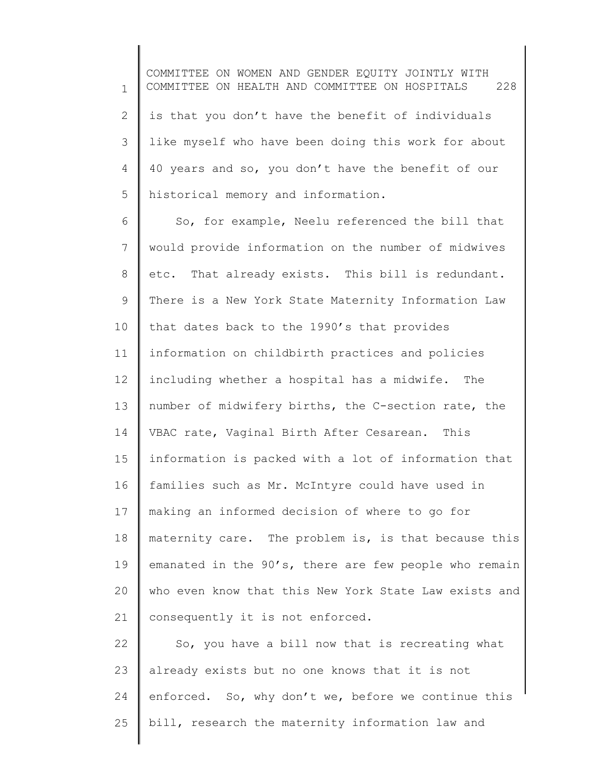1 2 3 4 5 COMMITTEE ON WOMEN AND GENDER EQUITY JOINTLY WITH COMMITTEE ON HEALTH AND COMMITTEE ON HOSPITALS 228 is that you don't have the benefit of individuals like myself who have been doing this work for about 40 years and so, you don't have the benefit of our historical memory and information.

6 7 8 9 10 11 12 13 14 15 16 17 18 19 20 21 So, for example, Neelu referenced the bill that would provide information on the number of midwives etc. That already exists. This bill is redundant. There is a New York State Maternity Information Law that dates back to the 1990's that provides information on childbirth practices and policies including whether a hospital has a midwife. The number of midwifery births, the C-section rate, the VBAC rate, Vaginal Birth After Cesarean. This information is packed with a lot of information that families such as Mr. McIntyre could have used in making an informed decision of where to go for maternity care. The problem is, is that because this emanated in the 90's, there are few people who remain who even know that this New York State Law exists and consequently it is not enforced.

22 23 24 25 So, you have a bill now that is recreating what already exists but no one knows that it is not enforced. So, why don't we, before we continue this bill, research the maternity information law and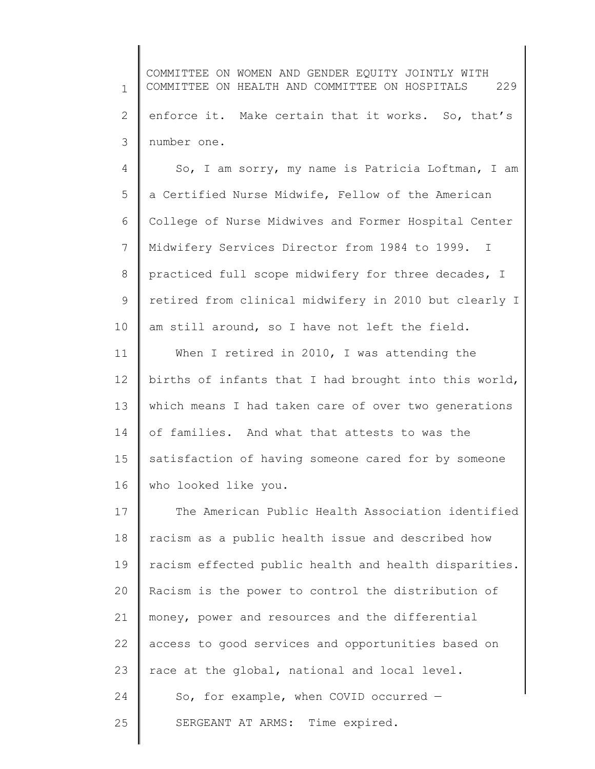1 2 3 COMMITTEE ON WOMEN AND GENDER EQUITY JOINTLY WITH COMMITTEE ON HEALTH AND COMMITTEE ON HOSPITALS 229 enforce it. Make certain that it works. So, that's number one.

4 5 6 7 8 9 10 So, I am sorry, my name is Patricia Loftman, I am a Certified Nurse Midwife, Fellow of the American College of Nurse Midwives and Former Hospital Center Midwifery Services Director from 1984 to 1999. I practiced full scope midwifery for three decades, I retired from clinical midwifery in 2010 but clearly I am still around, so I have not left the field.

11 12 13 14 15 16 When I retired in 2010, I was attending the births of infants that I had brought into this world, which means I had taken care of over two generations of families. And what that attests to was the satisfaction of having someone cared for by someone who looked like you.

17 18 19 20 21 22 23 24 25 The American Public Health Association identified racism as a public health issue and described how racism effected public health and health disparities. Racism is the power to control the distribution of money, power and resources and the differential access to good services and opportunities based on race at the global, national and local level. So, for example, when COVID occurred — SERGEANT AT ARMS: Time expired.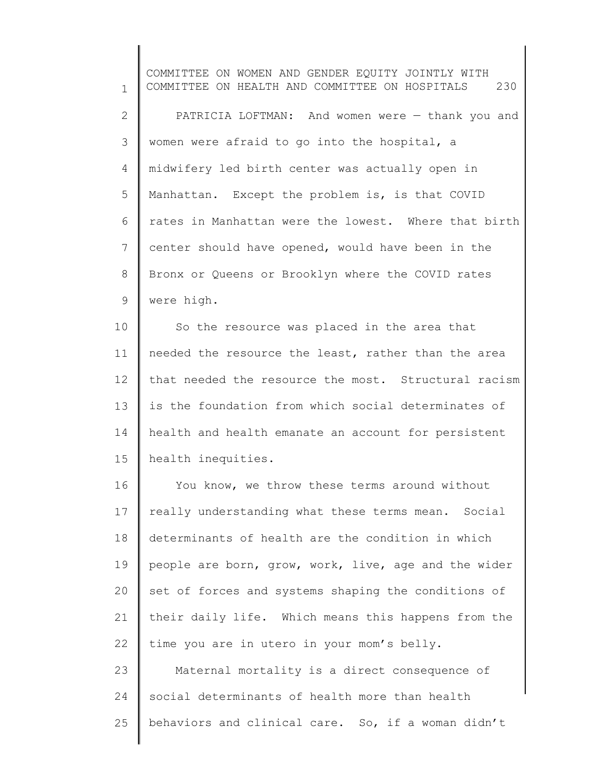1 2 3 4 5 6 7 8 9 COMMITTEE ON WOMEN AND GENDER EQUITY JOINTLY WITH COMMITTEE ON HEALTH AND COMMITTEE ON HOSPITALS 230 PATRICIA LOFTMAN: And women were — thank you and women were afraid to go into the hospital, a midwifery led birth center was actually open in Manhattan. Except the problem is, is that COVID rates in Manhattan were the lowest. Where that birth center should have opened, would have been in the Bronx or Queens or Brooklyn where the COVID rates were high.

10 11 12 13 14 15 So the resource was placed in the area that needed the resource the least, rather than the area that needed the resource the most. Structural racism is the foundation from which social determinates of health and health emanate an account for persistent health inequities.

16 17 18 19 20 21 22 You know, we throw these terms around without really understanding what these terms mean. Social determinants of health are the condition in which people are born, grow, work, live, age and the wider set of forces and systems shaping the conditions of their daily life. Which means this happens from the time you are in utero in your mom's belly.

23 24 25 Maternal mortality is a direct consequence of social determinants of health more than health behaviors and clinical care. So, if a woman didn't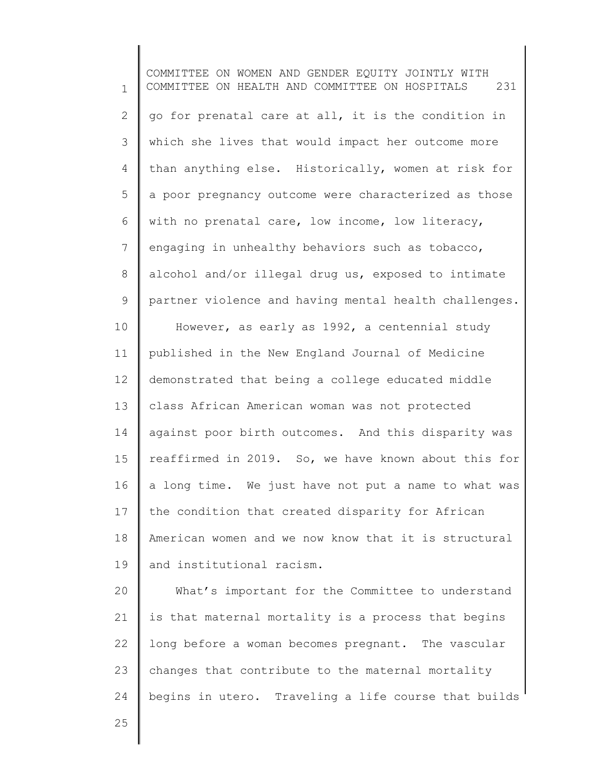1 2 3 4 5 6 7 8 9 10 11 12 13 14 15 16 17 18 19 20 21 22 23 24 COMMITTEE ON WOMEN AND GENDER EQUITY JOINTLY WITH COMMITTEE ON HEALTH AND COMMITTEE ON HOSPITALS 231 go for prenatal care at all, it is the condition in which she lives that would impact her outcome more than anything else. Historically, women at risk for a poor pregnancy outcome were characterized as those with no prenatal care, low income, low literacy, engaging in unhealthy behaviors such as tobacco, alcohol and/or illegal drug us, exposed to intimate partner violence and having mental health challenges. However, as early as 1992, a centennial study published in the New England Journal of Medicine demonstrated that being a college educated middle class African American woman was not protected against poor birth outcomes. And this disparity was reaffirmed in 2019. So, we have known about this for a long time. We just have not put a name to what was the condition that created disparity for African American women and we now know that it is structural and institutional racism. What's important for the Committee to understand is that maternal mortality is a process that begins long before a woman becomes pregnant. The vascular changes that contribute to the maternal mortality begins in utero. Traveling a life course that builds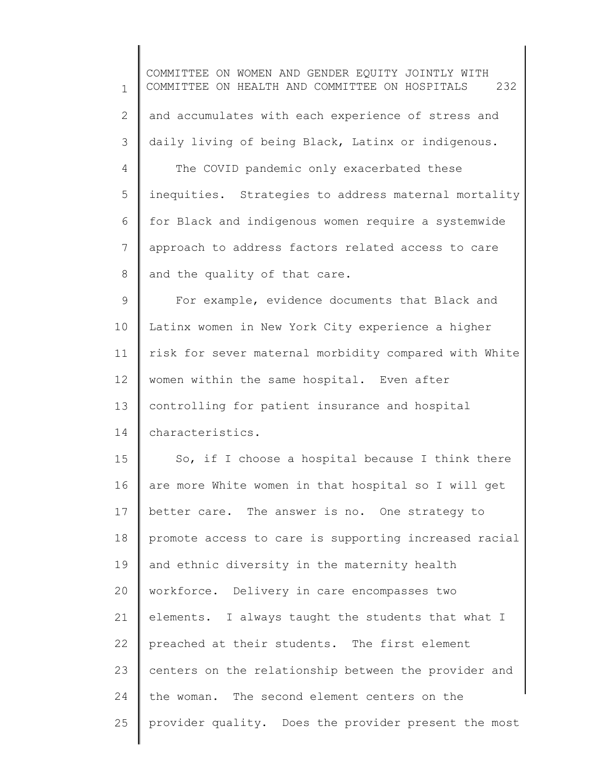1 2 3 4 5 6 7 8 9 10 11 12 13 14 15 16 17 18 19 20 21 22 23 24 25 COMMITTEE ON WOMEN AND GENDER EQUITY JOINTLY WITH COMMITTEE ON HEALTH AND COMMITTEE ON HOSPITALS 232 and accumulates with each experience of stress and daily living of being Black, Latinx or indigenous. The COVID pandemic only exacerbated these inequities. Strategies to address maternal mortality for Black and indigenous women require a systemwide approach to address factors related access to care and the quality of that care. For example, evidence documents that Black and Latinx women in New York City experience a higher risk for sever maternal morbidity compared with White women within the same hospital. Even after controlling for patient insurance and hospital characteristics. So, if I choose a hospital because I think there are more White women in that hospital so I will get better care. The answer is no. One strategy to promote access to care is supporting increased racial and ethnic diversity in the maternity health workforce. Delivery in care encompasses two elements. I always taught the students that what I preached at their students. The first element centers on the relationship between the provider and the woman. The second element centers on the provider quality. Does the provider present the most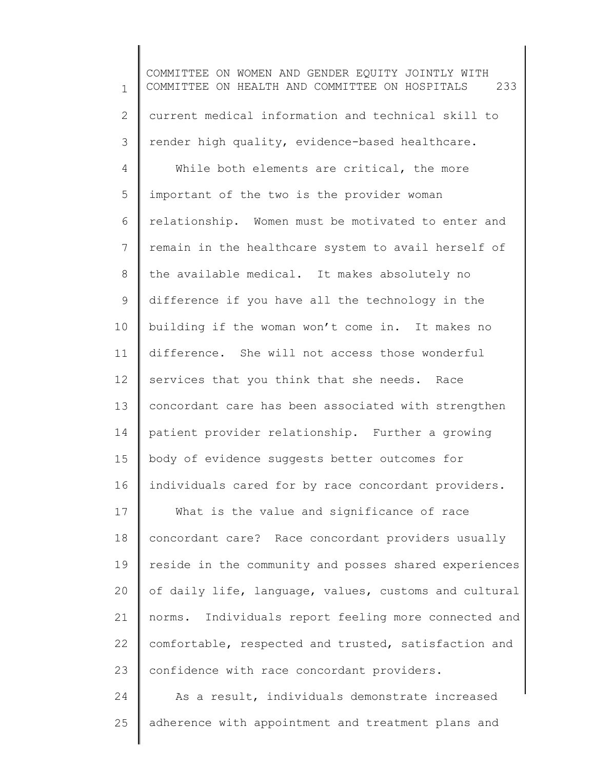1 2 3 4 5 6 7 8 9 10 11 12 13 14 15 16 17 18 19 20 21 22 23 24 COMMITTEE ON WOMEN AND GENDER EQUITY JOINTLY WITH COMMITTEE ON HEALTH AND COMMITTEE ON HOSPITALS 233 current medical information and technical skill to render high quality, evidence-based healthcare. While both elements are critical, the more important of the two is the provider woman relationship. Women must be motivated to enter and remain in the healthcare system to avail herself of the available medical. It makes absolutely no difference if you have all the technology in the building if the woman won't come in. It makes no difference. She will not access those wonderful services that you think that she needs. Race concordant care has been associated with strengthen patient provider relationship. Further a growing body of evidence suggests better outcomes for individuals cared for by race concordant providers. What is the value and significance of race concordant care? Race concordant providers usually reside in the community and posses shared experiences of daily life, language, values, customs and cultural norms. Individuals report feeling more connected and comfortable, respected and trusted, satisfaction and confidence with race concordant providers. As a result, individuals demonstrate increased

adherence with appointment and treatment plans and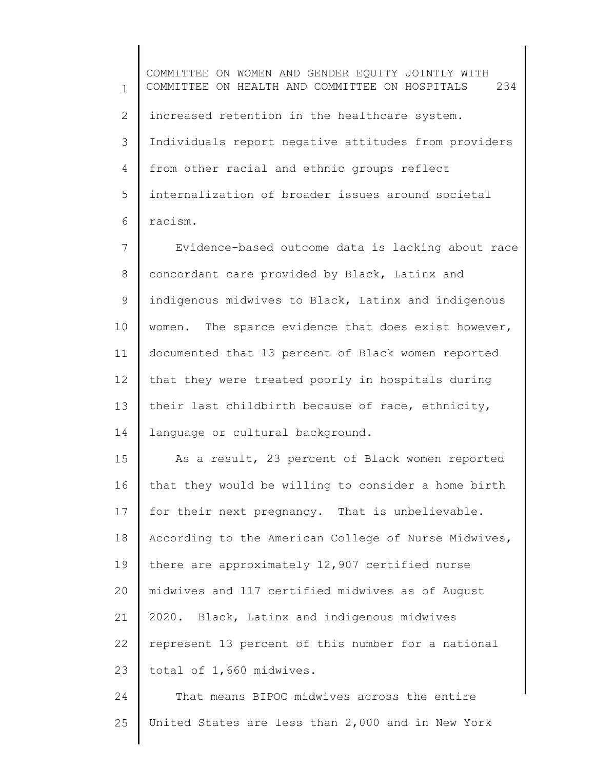1 2 3 4 5 6 COMMITTEE ON WOMEN AND GENDER EQUITY JOINTLY WITH COMMITTEE ON HEALTH AND COMMITTEE ON HOSPITALS 234 increased retention in the healthcare system. Individuals report negative attitudes from providers from other racial and ethnic groups reflect internalization of broader issues around societal racism.

7 8 9 10 11 12 13 14 Evidence-based outcome data is lacking about race concordant care provided by Black, Latinx and indigenous midwives to Black, Latinx and indigenous women. The sparce evidence that does exist however, documented that 13 percent of Black women reported that they were treated poorly in hospitals during their last childbirth because of race, ethnicity, language or cultural background.

15 16 17 18 19 20 21 22 23 As a result, 23 percent of Black women reported that they would be willing to consider a home birth for their next pregnancy. That is unbelievable. According to the American College of Nurse Midwives, there are approximately 12,907 certified nurse midwives and 117 certified midwives as of August 2020. Black, Latinx and indigenous midwives represent 13 percent of this number for a national total of 1,660 midwives.

24 25 That means BIPOC midwives across the entire United States are less than 2,000 and in New York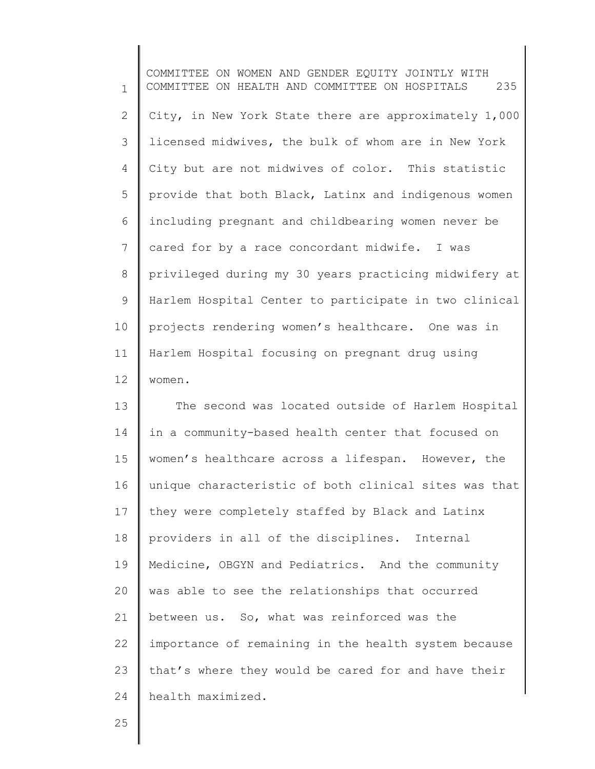1 2 3 4 5 6 7 8 9 10 11 12 COMMITTEE ON WOMEN AND GENDER EQUITY JOINTLY WITH COMMITTEE ON HEALTH AND COMMITTEE ON HOSPITALS 235 City, in New York State there are approximately 1,000 licensed midwives, the bulk of whom are in New York City but are not midwives of color. This statistic provide that both Black, Latinx and indigenous women including pregnant and childbearing women never be cared for by a race concordant midwife. I was privileged during my 30 years practicing midwifery at Harlem Hospital Center to participate in two clinical projects rendering women's healthcare. One was in Harlem Hospital focusing on pregnant drug using women.

13 14 15 16 17 18 19 20 21 22 23 24 The second was located outside of Harlem Hospital in a community-based health center that focused on women's healthcare across a lifespan. However, the unique characteristic of both clinical sites was that they were completely staffed by Black and Latinx providers in all of the disciplines. Internal Medicine, OBGYN and Pediatrics. And the community was able to see the relationships that occurred between us. So, what was reinforced was the importance of remaining in the health system because that's where they would be cared for and have their health maximized.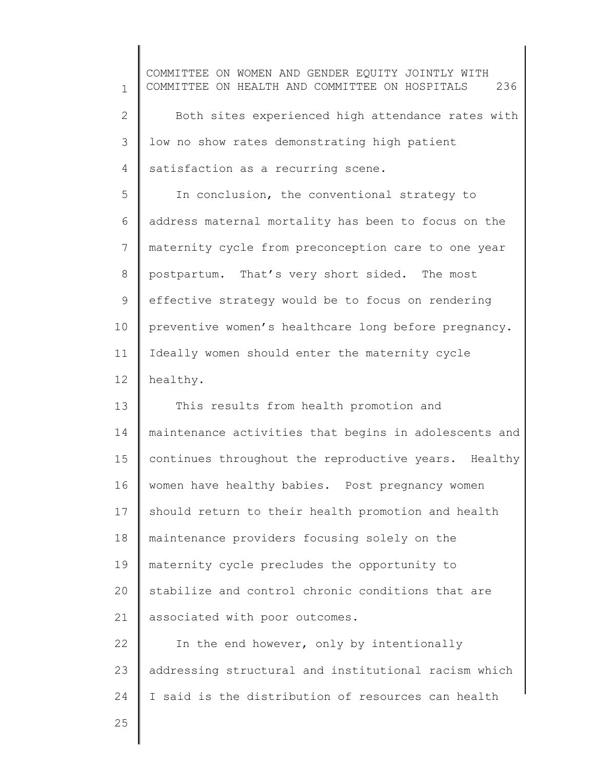1 2 3 4 5 6 7 8 9 10 11 12 13 14 15 16 17 18 19 20 21 22 23 24 COMMITTEE ON WOMEN AND GENDER EQUITY JOINTLY WITH COMMITTEE ON HEALTH AND COMMITTEE ON HOSPITALS 236 Both sites experienced high attendance rates with low no show rates demonstrating high patient satisfaction as a recurring scene. In conclusion, the conventional strategy to address maternal mortality has been to focus on the maternity cycle from preconception care to one year postpartum. That's very short sided. The most effective strategy would be to focus on rendering preventive women's healthcare long before pregnancy. Ideally women should enter the maternity cycle healthy. This results from health promotion and maintenance activities that begins in adolescents and continues throughout the reproductive years. Healthy women have healthy babies. Post pregnancy women should return to their health promotion and health maintenance providers focusing solely on the maternity cycle precludes the opportunity to stabilize and control chronic conditions that are associated with poor outcomes. In the end however, only by intentionally addressing structural and institutional racism which I said is the distribution of resources can health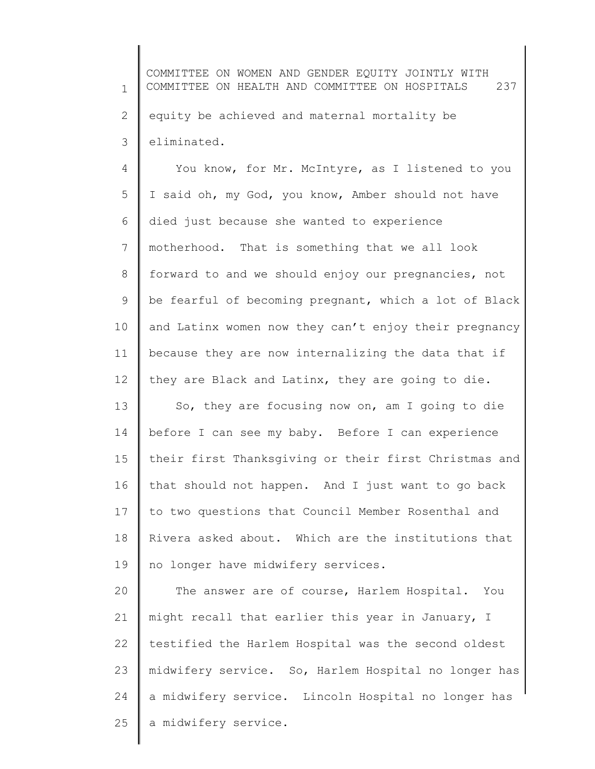1 2 3 COMMITTEE ON WOMEN AND GENDER EQUITY JOINTLY WITH COMMITTEE ON HEALTH AND COMMITTEE ON HOSPITALS 237 equity be achieved and maternal mortality be eliminated.

4 5 6 7 8 9 10 11 12 You know, for Mr. McIntyre, as I listened to you I said oh, my God, you know, Amber should not have died just because she wanted to experience motherhood. That is something that we all look forward to and we should enjoy our pregnancies, not be fearful of becoming pregnant, which a lot of Black and Latinx women now they can't enjoy their pregnancy because they are now internalizing the data that if they are Black and Latinx, they are going to die.

13 14 15 16 17 18 19 So, they are focusing now on, am I going to die before I can see my baby. Before I can experience their first Thanksgiving or their first Christmas and that should not happen. And I just want to go back to two questions that Council Member Rosenthal and Rivera asked about. Which are the institutions that no longer have midwifery services.

20 21 22 23 24 25 The answer are of course, Harlem Hospital. You might recall that earlier this year in January, I testified the Harlem Hospital was the second oldest midwifery service. So, Harlem Hospital no longer has a midwifery service. Lincoln Hospital no longer has a midwifery service.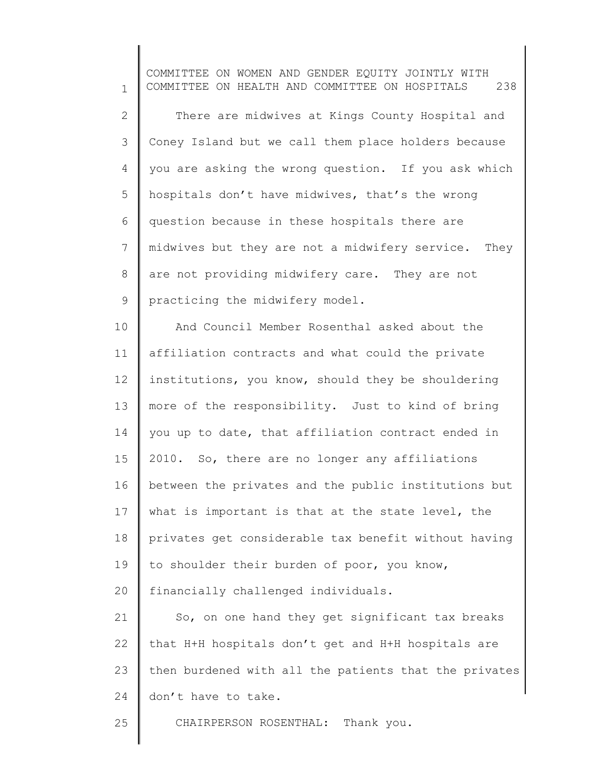1 2 3 4 5 6 7 8 9 COMMITTEE ON WOMEN AND GENDER EQUITY JOINTLY WITH COMMITTEE ON HEALTH AND COMMITTEE ON HOSPITALS 238 There are midwives at Kings County Hospital and Coney Island but we call them place holders because you are asking the wrong question. If you ask which hospitals don't have midwives, that's the wrong question because in these hospitals there are midwives but they are not a midwifery service. They are not providing midwifery care. They are not practicing the midwifery model.

10 11 12 13 14 15 16 17 18 19 20 21 And Council Member Rosenthal asked about the affiliation contracts and what could the private institutions, you know, should they be shouldering more of the responsibility. Just to kind of bring you up to date, that affiliation contract ended in 2010. So, there are no longer any affiliations between the privates and the public institutions but what is important is that at the state level, the privates get considerable tax benefit without having to shoulder their burden of poor, you know, financially challenged individuals. So, on one hand they get significant tax breaks

22 23 24 that H+H hospitals don't get and H+H hospitals are then burdened with all the patients that the privates don't have to take.

25 CHAIRPERSON ROSENTHAL: Thank you.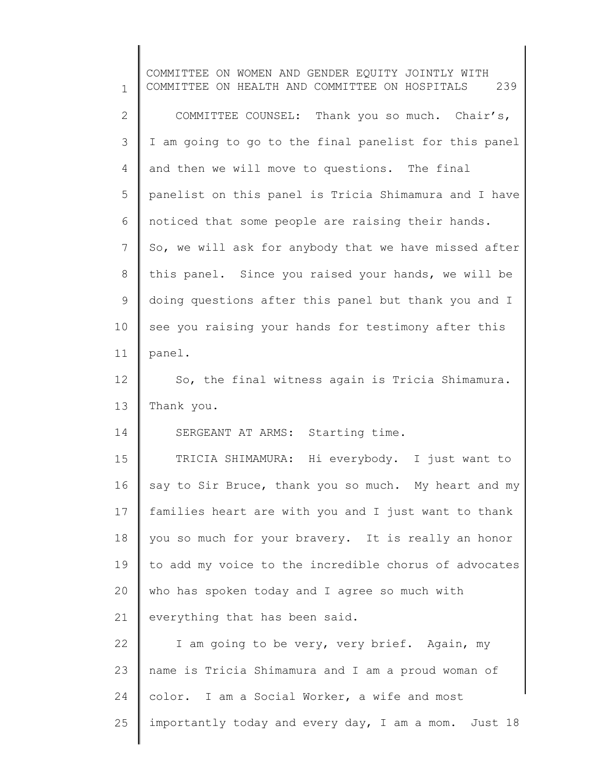1 2 3 4 5 6 7 8 9 10 11 12 13 14 15 16 17 18 19 20 21 22 23 24 25 COMMITTEE ON WOMEN AND GENDER EQUITY JOINTLY WITH COMMITTEE ON HEALTH AND COMMITTEE ON HOSPITALS 239 COMMITTEE COUNSEL: Thank you so much. Chair's, I am going to go to the final panelist for this panel and then we will move to questions. The final panelist on this panel is Tricia Shimamura and I have noticed that some people are raising their hands. So, we will ask for anybody that we have missed after this panel. Since you raised your hands, we will be doing questions after this panel but thank you and I see you raising your hands for testimony after this panel. So, the final witness again is Tricia Shimamura. Thank you. SERGEANT AT ARMS: Starting time. TRICIA SHIMAMURA: Hi everybody. I just want to say to Sir Bruce, thank you so much. My heart and my families heart are with you and I just want to thank you so much for your bravery. It is really an honor to add my voice to the incredible chorus of advocates who has spoken today and I agree so much with everything that has been said. I am going to be very, very brief. Again, my name is Tricia Shimamura and I am a proud woman of color. I am a Social Worker, a wife and most importantly today and every day, I am a mom. Just 18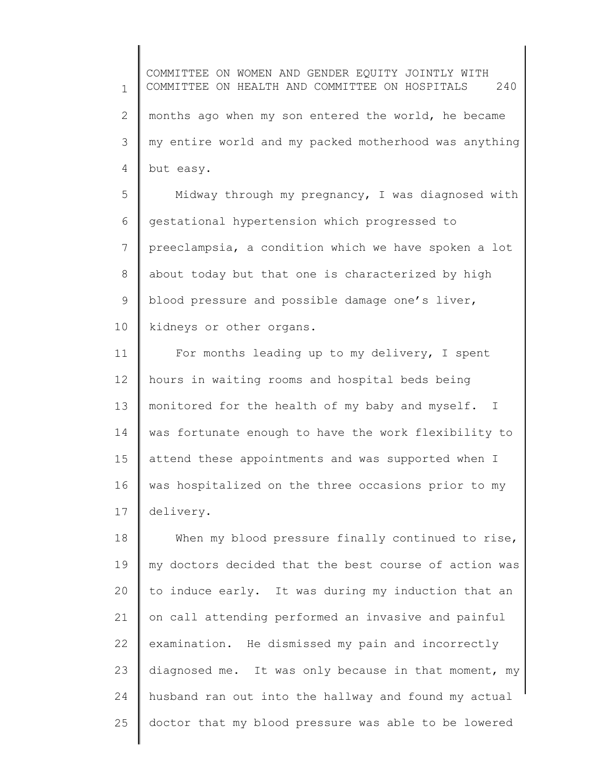1 2 3 4 COMMITTEE ON WOMEN AND GENDER EQUITY JOINTLY WITH COMMITTEE ON HEALTH AND COMMITTEE ON HOSPITALS 240 months ago when my son entered the world, he became my entire world and my packed motherhood was anything but easy.

5 6 7 8 9 10 Midway through my pregnancy, I was diagnosed with gestational hypertension which progressed to preeclampsia, a condition which we have spoken a lot about today but that one is characterized by high blood pressure and possible damage one's liver, kidneys or other organs.

11 12 13 14 15 16 17 For months leading up to my delivery, I spent hours in waiting rooms and hospital beds being monitored for the health of my baby and myself. I was fortunate enough to have the work flexibility to attend these appointments and was supported when I was hospitalized on the three occasions prior to my delivery.

18 19 20 21 22 23 24 25 When my blood pressure finally continued to rise, my doctors decided that the best course of action was to induce early. It was during my induction that an on call attending performed an invasive and painful examination. He dismissed my pain and incorrectly diagnosed me. It was only because in that moment, my husband ran out into the hallway and found my actual doctor that my blood pressure was able to be lowered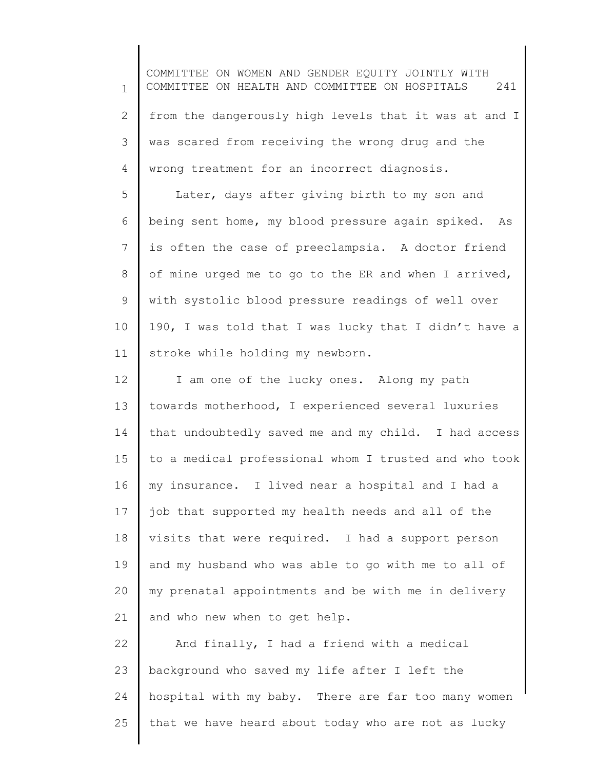1 2 3 4 COMMITTEE ON WOMEN AND GENDER EQUITY JOINTLY WITH COMMITTEE ON HEALTH AND COMMITTEE ON HOSPITALS 241 from the dangerously high levels that it was at and I was scared from receiving the wrong drug and the wrong treatment for an incorrect diagnosis.

5 6 7 8 9 10 11 Later, days after giving birth to my son and being sent home, my blood pressure again spiked. As is often the case of preeclampsia. A doctor friend of mine urged me to go to the ER and when I arrived, with systolic blood pressure readings of well over 190, I was told that I was lucky that I didn't have a stroke while holding my newborn.

12 13 14 15 16 17 18 19 20 21 I am one of the lucky ones. Along my path towards motherhood, I experienced several luxuries that undoubtedly saved me and my child. I had access to a medical professional whom I trusted and who took my insurance. I lived near a hospital and I had a job that supported my health needs and all of the visits that were required. I had a support person and my husband who was able to go with me to all of my prenatal appointments and be with me in delivery and who new when to get help.

22 23 24 25 And finally, I had a friend with a medical background who saved my life after I left the hospital with my baby. There are far too many women that we have heard about today who are not as lucky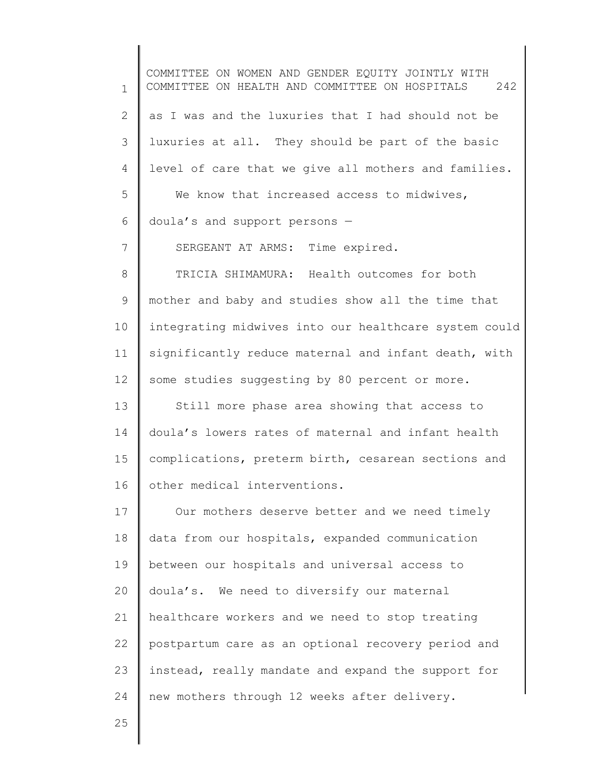1 2 3 4 5 6 7 8 9 10 11 12 13 14 15 16 17 18 19 20 21 22 23 24 COMMITTEE ON WOMEN AND GENDER EQUITY JOINTLY WITH COMMITTEE ON HEALTH AND COMMITTEE ON HOSPITALS 242 as I was and the luxuries that I had should not be luxuries at all. They should be part of the basic level of care that we give all mothers and families. We know that increased access to midwives, doula's and support persons — SERGEANT AT ARMS: Time expired. TRICIA SHIMAMURA: Health outcomes for both mother and baby and studies show all the time that integrating midwives into our healthcare system could significantly reduce maternal and infant death, with some studies suggesting by 80 percent or more. Still more phase area showing that access to doula's lowers rates of maternal and infant health complications, preterm birth, cesarean sections and other medical interventions. Our mothers deserve better and we need timely data from our hospitals, expanded communication between our hospitals and universal access to doula's. We need to diversify our maternal healthcare workers and we need to stop treating postpartum care as an optional recovery period and instead, really mandate and expand the support for new mothers through 12 weeks after delivery.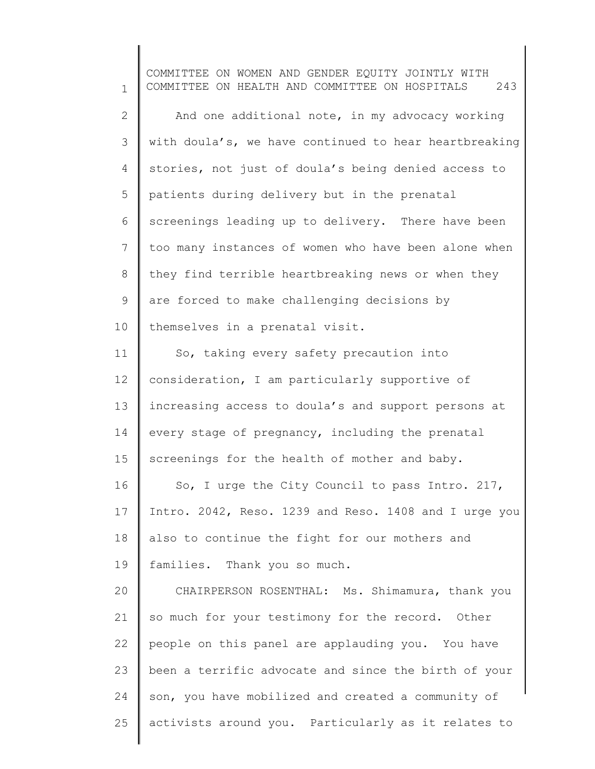1 2 3 4 5 6 7 8 9 10 11 12 13 14 15 16 17 18 19 20 21 22 23 24 25 COMMITTEE ON WOMEN AND GENDER EQUITY JOINTLY WITH COMMITTEE ON HEALTH AND COMMITTEE ON HOSPITALS 243 And one additional note, in my advocacy working with doula's, we have continued to hear heartbreaking stories, not just of doula's being denied access to patients during delivery but in the prenatal screenings leading up to delivery. There have been too many instances of women who have been alone when they find terrible heartbreaking news or when they are forced to make challenging decisions by themselves in a prenatal visit. So, taking every safety precaution into consideration, I am particularly supportive of increasing access to doula's and support persons at every stage of pregnancy, including the prenatal screenings for the health of mother and baby. So, I urge the City Council to pass Intro. 217, Intro. 2042, Reso. 1239 and Reso. 1408 and I urge you also to continue the fight for our mothers and families. Thank you so much. CHAIRPERSON ROSENTHAL: Ms. Shimamura, thank you so much for your testimony for the record. Other people on this panel are applauding you. You have been a terrific advocate and since the birth of your son, you have mobilized and created a community of activists around you. Particularly as it relates to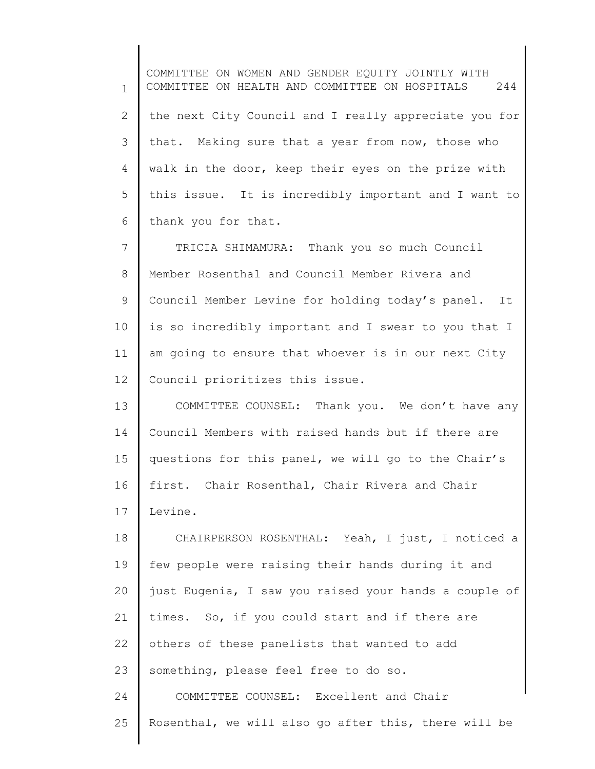1 2 3 4 5 6 COMMITTEE ON WOMEN AND GENDER EQUITY JOINTLY WITH COMMITTEE ON HEALTH AND COMMITTEE ON HOSPITALS 244 the next City Council and I really appreciate you for that. Making sure that a year from now, those who walk in the door, keep their eyes on the prize with this issue. It is incredibly important and I want to thank you for that.

7 8 9 10 11 12 TRICIA SHIMAMURA: Thank you so much Council Member Rosenthal and Council Member Rivera and Council Member Levine for holding today's panel. It is so incredibly important and I swear to you that I am going to ensure that whoever is in our next City Council prioritizes this issue.

13 14 15 16 17 COMMITTEE COUNSEL: Thank you. We don't have any Council Members with raised hands but if there are questions for this panel, we will go to the Chair's first. Chair Rosenthal, Chair Rivera and Chair Levine.

18 19 20 21 22 23 24 25 CHAIRPERSON ROSENTHAL: Yeah, I just, I noticed a few people were raising their hands during it and just Eugenia, I saw you raised your hands a couple of times. So, if you could start and if there are others of these panelists that wanted to add something, please feel free to do so. COMMITTEE COUNSEL: Excellent and Chair Rosenthal, we will also go after this, there will be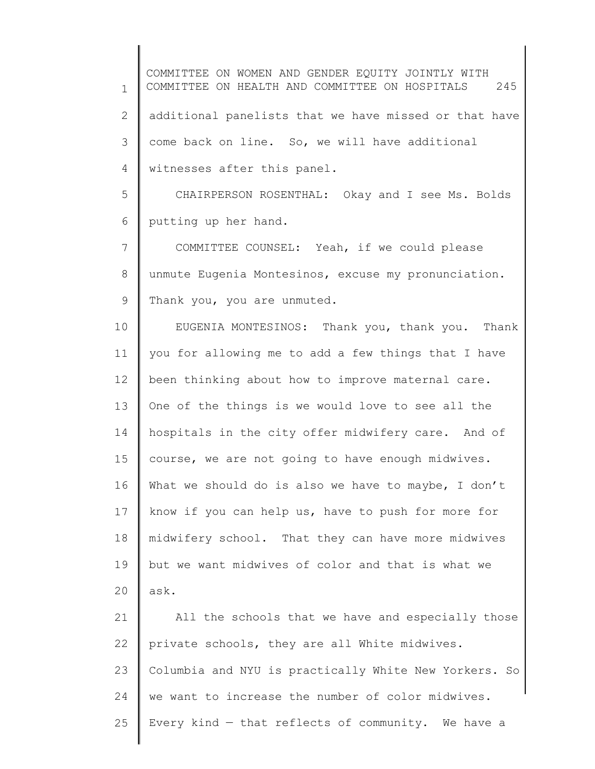1 2 3 4 COMMITTEE ON WOMEN AND GENDER EQUITY JOINTLY WITH COMMITTEE ON HEALTH AND COMMITTEE ON HOSPITALS 245 additional panelists that we have missed or that have come back on line. So, we will have additional witnesses after this panel.

5 6 CHAIRPERSON ROSENTHAL: Okay and I see Ms. Bolds putting up her hand.

7 8 9 COMMITTEE COUNSEL: Yeah, if we could please unmute Eugenia Montesinos, excuse my pronunciation. Thank you, you are unmuted.

10 11 12 13 14 15 16 17 18 19 20 EUGENIA MONTESINOS: Thank you, thank you. Thank you for allowing me to add a few things that I have been thinking about how to improve maternal care. One of the things is we would love to see all the hospitals in the city offer midwifery care. And of course, we are not going to have enough midwives. What we should do is also we have to maybe, I don't know if you can help us, have to push for more for midwifery school. That they can have more midwives but we want midwives of color and that is what we ask.

21 22 23 24 25 All the schools that we have and especially those private schools, they are all White midwives. Columbia and NYU is practically White New Yorkers. So we want to increase the number of color midwives. Every kind  $-$  that reflects of community. We have a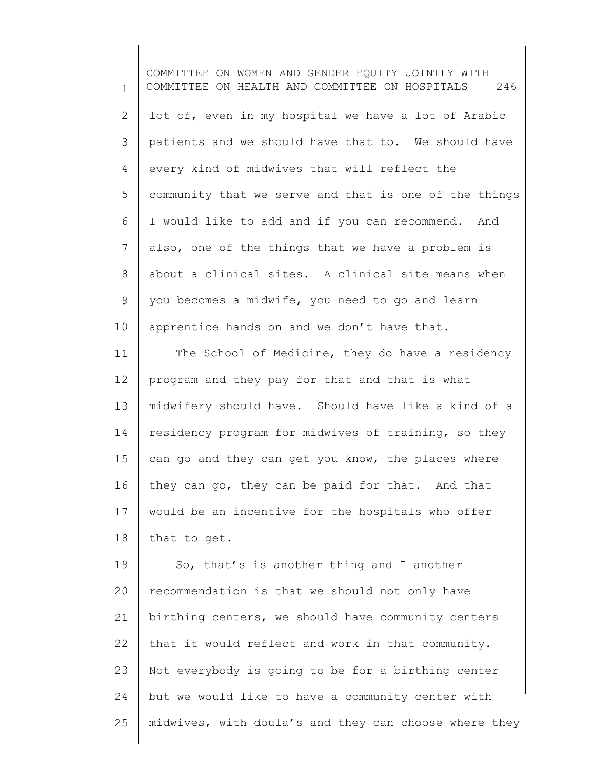1 2 3 4 5 6 7 8 9 10 11 12 COMMITTEE ON WOMEN AND GENDER EQUITY JOINTLY WITH COMMITTEE ON HEALTH AND COMMITTEE ON HOSPITALS 246 lot of, even in my hospital we have a lot of Arabic patients and we should have that to. We should have every kind of midwives that will reflect the community that we serve and that is one of the things I would like to add and if you can recommend. And also, one of the things that we have a problem is about a clinical sites. A clinical site means when you becomes a midwife, you need to go and learn apprentice hands on and we don't have that. The School of Medicine, they do have a residency program and they pay for that and that is what

13 14 15 16 17 18 midwifery should have. Should have like a kind of a residency program for midwives of training, so they can go and they can get you know, the places where they can go, they can be paid for that. And that would be an incentive for the hospitals who offer that to get.

19 20 21 22 23 24 25 So, that's is another thing and I another recommendation is that we should not only have birthing centers, we should have community centers that it would reflect and work in that community. Not everybody is going to be for a birthing center but we would like to have a community center with midwives, with doula's and they can choose where they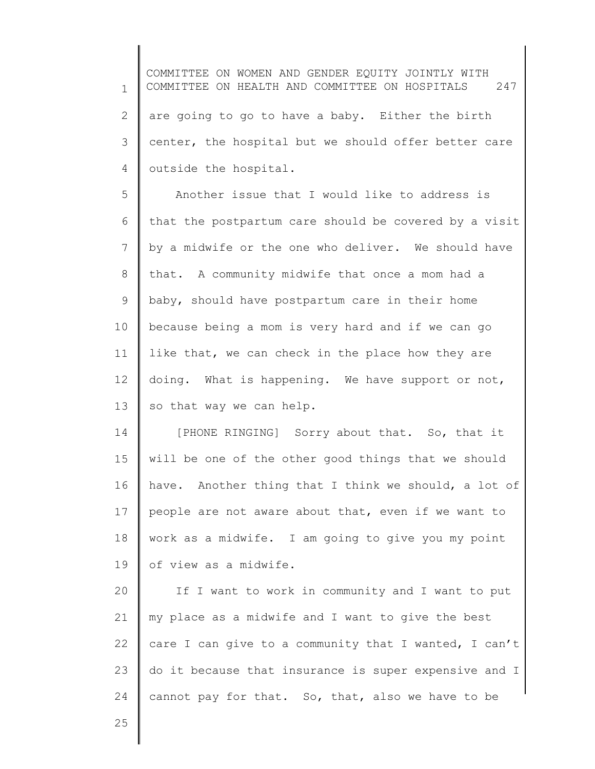1 2 3 4 COMMITTEE ON WOMEN AND GENDER EQUITY JOINTLY WITH COMMITTEE ON HEALTH AND COMMITTEE ON HOSPITALS 247 are going to go to have a baby. Either the birth center, the hospital but we should offer better care outside the hospital.

5 6 7 8 9 10 11 12 13 Another issue that I would like to address is that the postpartum care should be covered by a visit by a midwife or the one who deliver. We should have that. A community midwife that once a mom had a baby, should have postpartum care in their home because being a mom is very hard and if we can go like that, we can check in the place how they are doing. What is happening. We have support or not, so that way we can help.

14 15 16 17 18 19 [PHONE RINGING] Sorry about that. So, that it will be one of the other good things that we should have. Another thing that I think we should, a lot of people are not aware about that, even if we want to work as a midwife. I am going to give you my point of view as a midwife.

20 21 22 23 24 If I want to work in community and I want to put my place as a midwife and I want to give the best care I can give to a community that I wanted, I can't do it because that insurance is super expensive and I cannot pay for that. So, that, also we have to be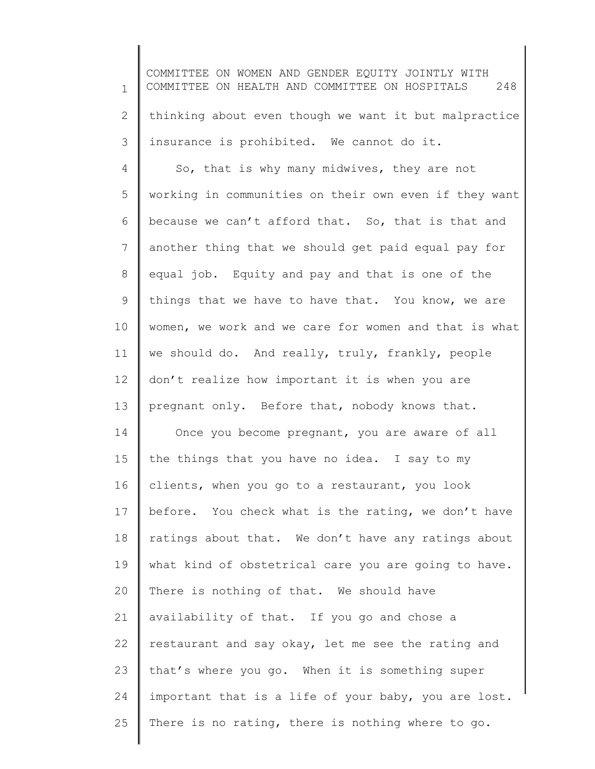1 2 3 4 5 6 7 8 9 COMMITTEE ON WOMEN AND GENDER EQUITY JOINTLY WITH COMMITTEE ON HEALTH AND COMMITTEE ON HOSPITALS 248 thinking about even though we want it but malpractice insurance is prohibited. We cannot do it. So, that is why many midwives, they are not working in communities on their own even if they want because we can't afford that. So, that is that and another thing that we should get paid equal pay for equal job. Equity and pay and that is one of the things that we have to have that. You know, we are

11 12 13 we should do. And really, truly, frankly, people don't realize how important it is when you are pregnant only. Before that, nobody knows that.

women, we work and we care for women and that is what

10

14

15 16 17 18 19 20 21 22 23 24 25 Once you become pregnant, you are aware of all the things that you have no idea. I say to my clients, when you go to a restaurant, you look before. You check what is the rating, we don't have ratings about that. We don't have any ratings about what kind of obstetrical care you are going to have. There is nothing of that. We should have availability of that. If you go and chose a restaurant and say okay, let me see the rating and that's where you go. When it is something super important that is a life of your baby, you are lost. There is no rating, there is nothing where to go.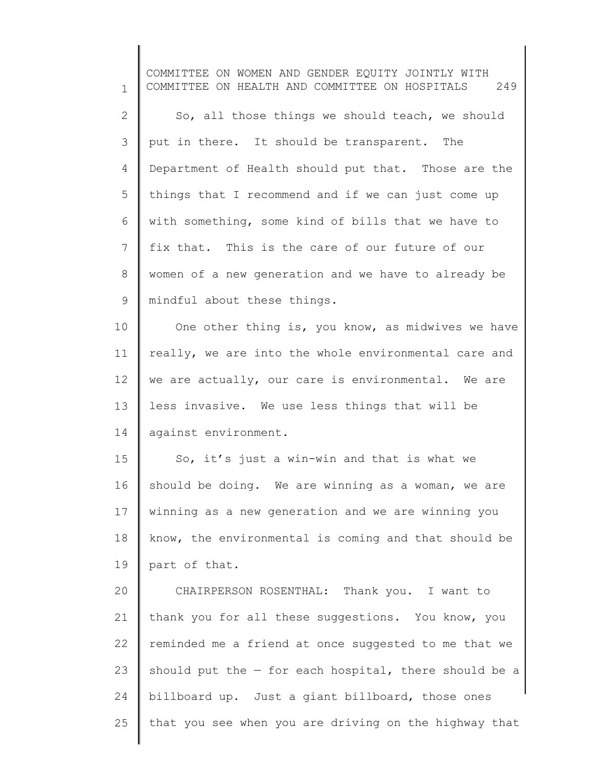1 2 3 4 5 6 7 8 9 10 11 12 13 14 15 16 17 18 19 20 21 22 23 24 25 COMMITTEE ON WOMEN AND GENDER EQUITY JOINTLY WITH COMMITTEE ON HEALTH AND COMMITTEE ON HOSPITALS 249 So, all those things we should teach, we should put in there. It should be transparent. The Department of Health should put that. Those are the things that I recommend and if we can just come up with something, some kind of bills that we have to fix that. This is the care of our future of our women of a new generation and we have to already be mindful about these things. One other thing is, you know, as midwives we have really, we are into the whole environmental care and we are actually, our care is environmental. We are less invasive. We use less things that will be against environment. So, it's just a win-win and that is what we should be doing. We are winning as a woman, we are winning as a new generation and we are winning you know, the environmental is coming and that should be part of that. CHAIRPERSON ROSENTHAL: Thank you. I want to thank you for all these suggestions. You know, you reminded me a friend at once suggested to me that we should put the  $-$  for each hospital, there should be a billboard up. Just a giant billboard, those ones that you see when you are driving on the highway that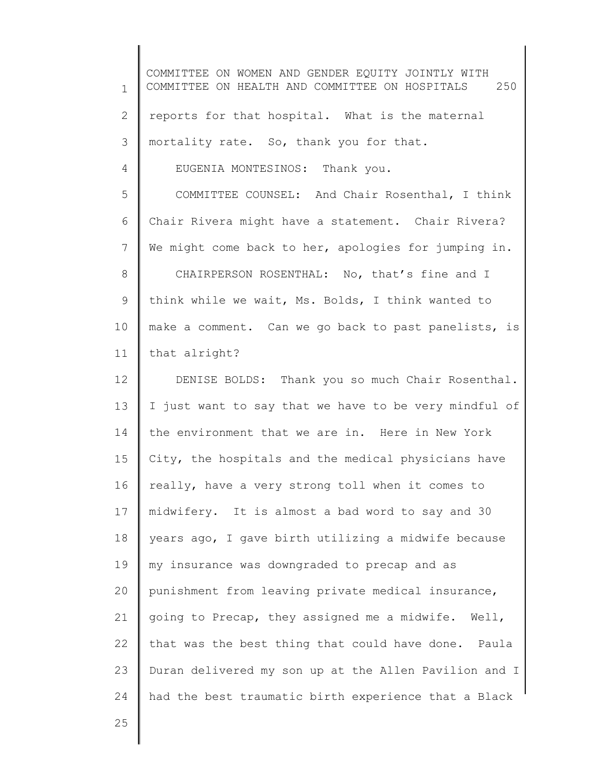1 2 3 4 5 6 7 8 9 10 11 12 13 14 15 16 17 18 19 20 21 22 23 24 COMMITTEE ON WOMEN AND GENDER EQUITY JOINTLY WITH COMMITTEE ON HEALTH AND COMMITTEE ON HOSPITALS 250 reports for that hospital. What is the maternal mortality rate. So, thank you for that. EUGENIA MONTESINOS: Thank you. COMMITTEE COUNSEL: And Chair Rosenthal, I think Chair Rivera might have a statement. Chair Rivera? We might come back to her, apologies for jumping in. CHAIRPERSON ROSENTHAL: No, that's fine and I think while we wait, Ms. Bolds, I think wanted to make a comment. Can we go back to past panelists, is that alright? DENISE BOLDS: Thank you so much Chair Rosenthal. I just want to say that we have to be very mindful of the environment that we are in. Here in New York City, the hospitals and the medical physicians have really, have a very strong toll when it comes to midwifery. It is almost a bad word to say and 30 years ago, I gave birth utilizing a midwife because my insurance was downgraded to precap and as punishment from leaving private medical insurance, going to Precap, they assigned me a midwife. Well, that was the best thing that could have done. Paula Duran delivered my son up at the Allen Pavilion and I had the best traumatic birth experience that a Black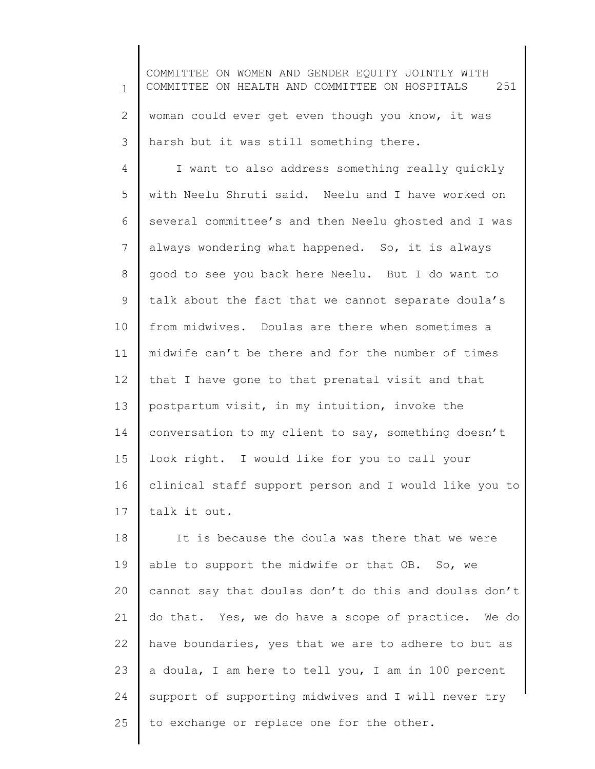1 2 3 COMMITTEE ON WOMEN AND GENDER EQUITY JOINTLY WITH COMMITTEE ON HEALTH AND COMMITTEE ON HOSPITALS 251 woman could ever get even though you know, it was harsh but it was still something there.

4 5 6 7 8 9 10 11 12 13 14 15 16 17 I want to also address something really quickly with Neelu Shruti said. Neelu and I have worked on several committee's and then Neelu ghosted and I was always wondering what happened. So, it is always good to see you back here Neelu. But I do want to talk about the fact that we cannot separate doula's from midwives. Doulas are there when sometimes a midwife can't be there and for the number of times that I have gone to that prenatal visit and that postpartum visit, in my intuition, invoke the conversation to my client to say, something doesn't look right. I would like for you to call your clinical staff support person and I would like you to talk it out.

18 19 20 21 22 23 24 25 It is because the doula was there that we were able to support the midwife or that OB. So, we cannot say that doulas don't do this and doulas don't do that. Yes, we do have a scope of practice. We do have boundaries, yes that we are to adhere to but as a doula, I am here to tell you, I am in 100 percent support of supporting midwives and I will never try to exchange or replace one for the other.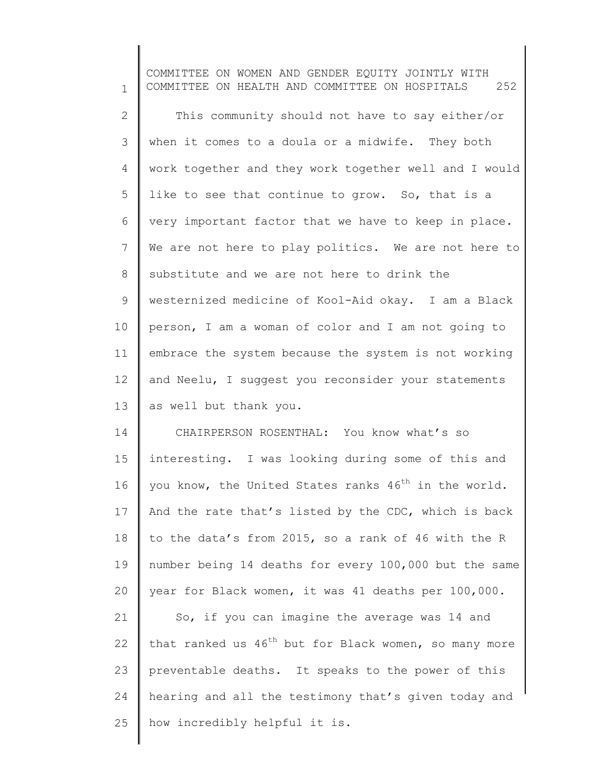1 2 3 4 5 6 7 8 9 10 11 12 13 14 15 16 17 18 19 20 21 22 23 24 25 COMMITTEE ON WOMEN AND GENDER EQUITY JOINTLY WITH COMMITTEE ON HEALTH AND COMMITTEE ON HOSPITALS 252 This community should not have to say either/or when it comes to a doula or a midwife. They both work together and they work together well and I would like to see that continue to grow. So, that is a very important factor that we have to keep in place. We are not here to play politics. We are not here to substitute and we are not here to drink the westernized medicine of Kool-Aid okay. I am a Black person, I am a woman of color and I am not going to embrace the system because the system is not working and Neelu, I suggest you reconsider your statements as well but thank you. CHAIRPERSON ROSENTHAL: You know what's so interesting. I was looking during some of this and you know, the United States ranks  $46<sup>th</sup>$  in the world. And the rate that's listed by the CDC, which is back to the data's from 2015, so a rank of 46 with the R number being 14 deaths for every 100,000 but the same year for Black women, it was 41 deaths per 100,000. So, if you can imagine the average was 14 and that ranked us  $46^{th}$  but for Black women, so many more preventable deaths. It speaks to the power of this hearing and all the testimony that's given today and how incredibly helpful it is.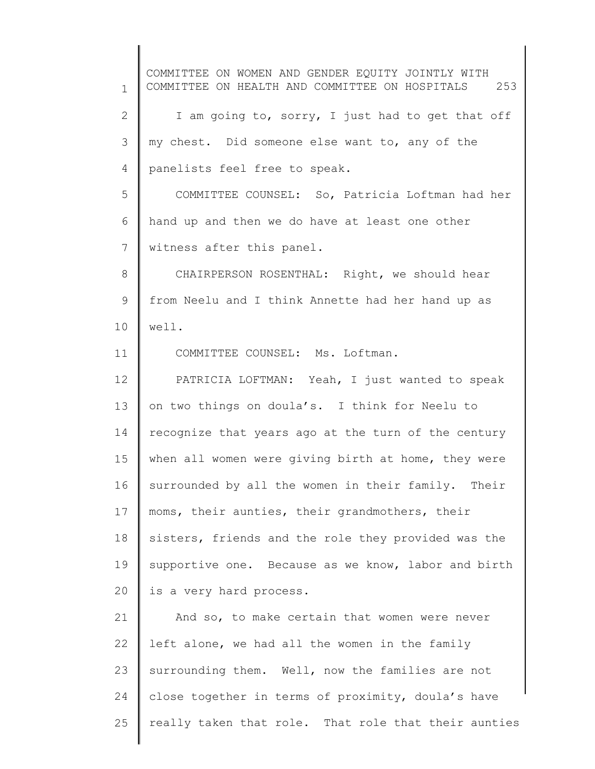1 2 3 4 5 6 7 8 9 10 11 12 13 14 15 16 17 18 19 20 21 22 23 24 25 COMMITTEE ON WOMEN AND GENDER EQUITY JOINTLY WITH COMMITTEE ON HEALTH AND COMMITTEE ON HOSPITALS 253 I am going to, sorry, I just had to get that off my chest. Did someone else want to, any of the panelists feel free to speak. COMMITTEE COUNSEL: So, Patricia Loftman had her hand up and then we do have at least one other witness after this panel. CHAIRPERSON ROSENTHAL: Right, we should hear from Neelu and I think Annette had her hand up as well. COMMITTEE COUNSEL: Ms. Loftman. PATRICIA LOFTMAN: Yeah, I just wanted to speak on two things on doula's. I think for Neelu to recognize that years ago at the turn of the century when all women were giving birth at home, they were surrounded by all the women in their family. Their moms, their aunties, their grandmothers, their sisters, friends and the role they provided was the supportive one. Because as we know, labor and birth is a very hard process. And so, to make certain that women were never left alone, we had all the women in the family surrounding them. Well, now the families are not close together in terms of proximity, doula's have really taken that role. That role that their aunties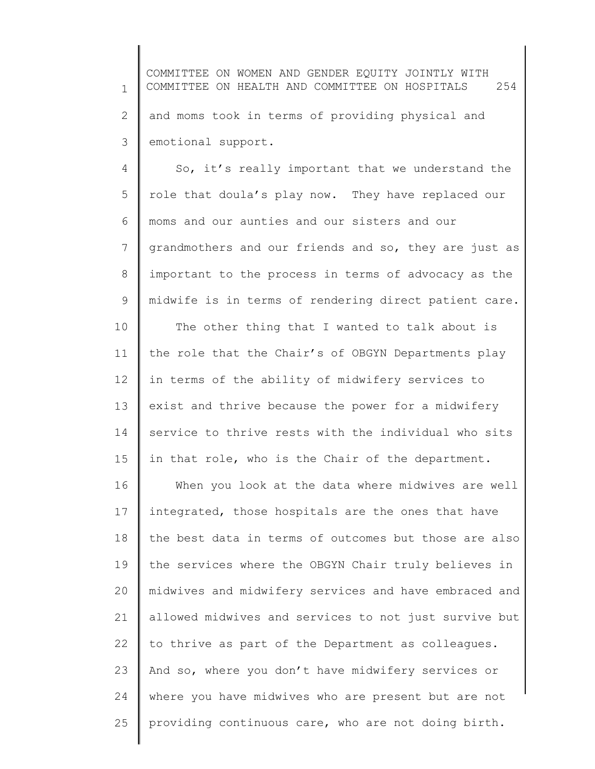1 2 3 COMMITTEE ON WOMEN AND GENDER EQUITY JOINTLY WITH COMMITTEE ON HEALTH AND COMMITTEE ON HOSPITALS 254 and moms took in terms of providing physical and emotional support.

4 5 6 7 8 9 So, it's really important that we understand the role that doula's play now. They have replaced our moms and our aunties and our sisters and our grandmothers and our friends and so, they are just as important to the process in terms of advocacy as the midwife is in terms of rendering direct patient care.

10 11 12 13 14 15 The other thing that I wanted to talk about is the role that the Chair's of OBGYN Departments play in terms of the ability of midwifery services to exist and thrive because the power for a midwifery service to thrive rests with the individual who sits in that role, who is the Chair of the department.

16 17 18 19 20 21 22 23 24 25 When you look at the data where midwives are well integrated, those hospitals are the ones that have the best data in terms of outcomes but those are also the services where the OBGYN Chair truly believes in midwives and midwifery services and have embraced and allowed midwives and services to not just survive but to thrive as part of the Department as colleagues. And so, where you don't have midwifery services or where you have midwives who are present but are not providing continuous care, who are not doing birth.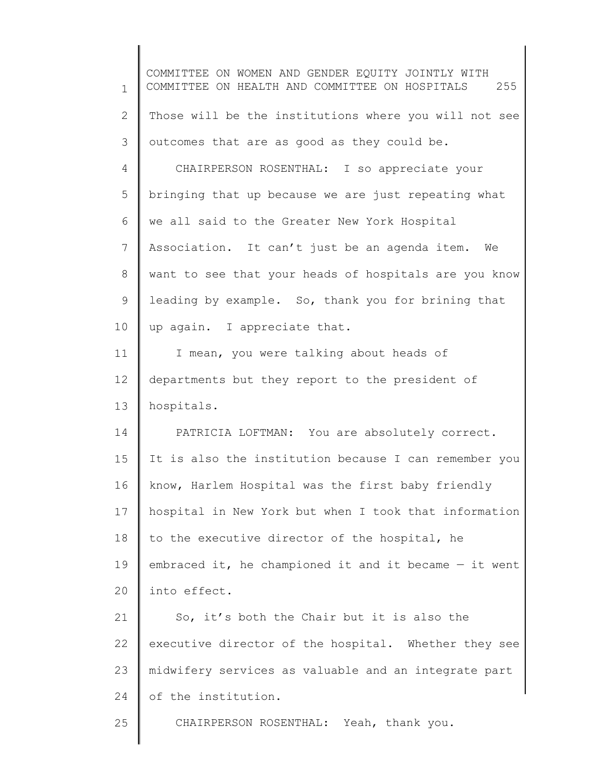1 2 3 4 5 6 7 8 9 10 11 12 13 14 15 16 17 18 19 20 21 22 23 24 25 COMMITTEE ON WOMEN AND GENDER EQUITY JOINTLY WITH COMMITTEE ON HEALTH AND COMMITTEE ON HOSPITALS 255 Those will be the institutions where you will not see outcomes that are as good as they could be. CHAIRPERSON ROSENTHAL: I so appreciate your bringing that up because we are just repeating what we all said to the Greater New York Hospital Association. It can't just be an agenda item. We want to see that your heads of hospitals are you know leading by example. So, thank you for brining that up again. I appreciate that. I mean, you were talking about heads of departments but they report to the president of hospitals. PATRICIA LOFTMAN: You are absolutely correct. It is also the institution because I can remember you know, Harlem Hospital was the first baby friendly hospital in New York but when I took that information to the executive director of the hospital, he embraced it, he championed it and it became — it went into effect. So, it's both the Chair but it is also the executive director of the hospital. Whether they see midwifery services as valuable and an integrate part of the institution. CHAIRPERSON ROSENTHAL: Yeah, thank you.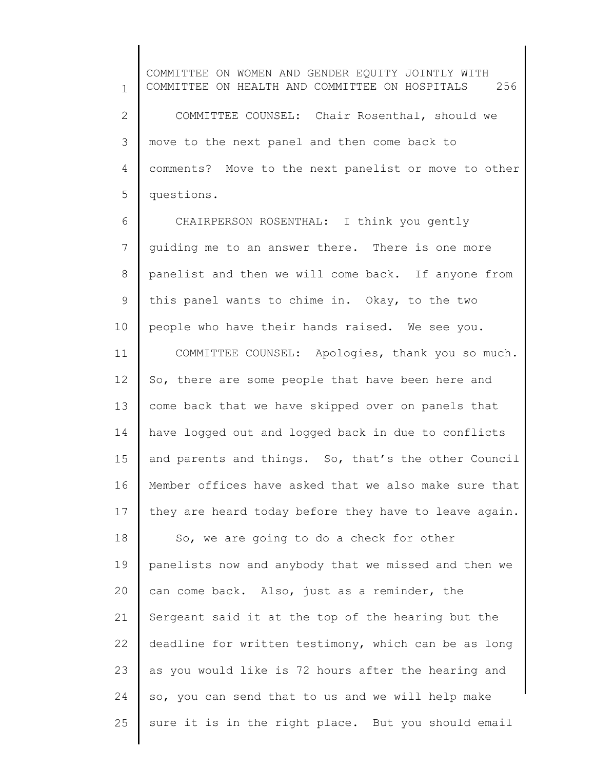1 2 3 4 5 COMMITTEE ON WOMEN AND GENDER EQUITY JOINTLY WITH COMMITTEE ON HEALTH AND COMMITTEE ON HOSPITALS 256 COMMITTEE COUNSEL: Chair Rosenthal, should we move to the next panel and then come back to comments? Move to the next panelist or move to other questions.

6 7 8 9 10 CHAIRPERSON ROSENTHAL: I think you gently guiding me to an answer there. There is one more panelist and then we will come back. If anyone from this panel wants to chime in. Okay, to the two people who have their hands raised. We see you.

11 12 13 14 15 16 17 COMMITTEE COUNSEL: Apologies, thank you so much. So, there are some people that have been here and come back that we have skipped over on panels that have logged out and logged back in due to conflicts and parents and things. So, that's the other Council Member offices have asked that we also make sure that they are heard today before they have to leave again.

18 19 20 21 22 23 24 25 So, we are going to do a check for other panelists now and anybody that we missed and then we can come back. Also, just as a reminder, the Sergeant said it at the top of the hearing but the deadline for written testimony, which can be as long as you would like is 72 hours after the hearing and so, you can send that to us and we will help make sure it is in the right place. But you should email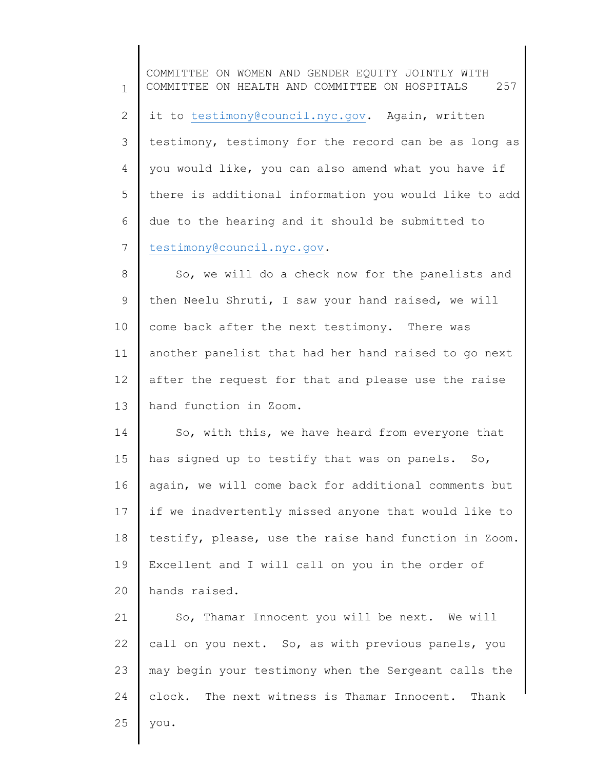1 2 3 4 5 6 7 8 9 10 11 12 13 14 15 COMMITTEE ON WOMEN AND GENDER EQUITY JOINTLY WITH COMMITTEE ON HEALTH AND COMMITTEE ON HOSPITALS 257 it to [testimony@council.nyc.gov.](mailto:testimony@council.nyc.gov) Again, written testimony, testimony for the record can be as long as you would like, you can also amend what you have if there is additional information you would like to add due to the hearing and it should be submitted to [testimony@council.nyc.gov.](mailto:testimony@council.nyc.gov) So, we will do a check now for the panelists and then Neelu Shruti, I saw your hand raised, we will come back after the next testimony. There was another panelist that had her hand raised to go next after the request for that and please use the raise hand function in Zoom. So, with this, we have heard from everyone that has signed up to testify that was on panels. So,

16 17 18 19 20 again, we will come back for additional comments but if we inadvertently missed anyone that would like to testify, please, use the raise hand function in Zoom. Excellent and I will call on you in the order of hands raised.

21 22 23 24 25 So, Thamar Innocent you will be next. We will call on you next. So, as with previous panels, you may begin your testimony when the Sergeant calls the clock. The next witness is Thamar Innocent. Thank you.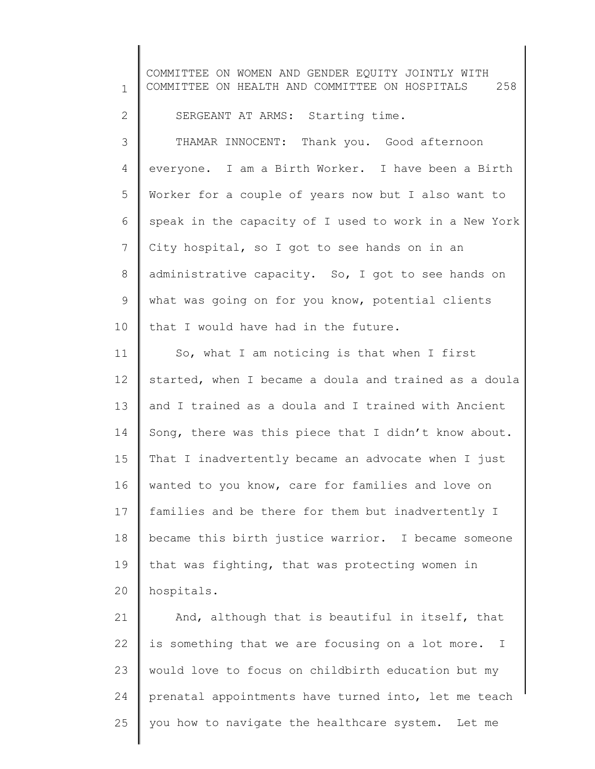1 2 3 4 5 6 7 8 9 10 11 12 13 14 15 16 17 18 19 20 21 22 23 COMMITTEE ON WOMEN AND GENDER EQUITY JOINTLY WITH COMMITTEE ON HEALTH AND COMMITTEE ON HOSPITALS 258 SERGEANT AT ARMS: Starting time. THAMAR INNOCENT: Thank you. Good afternoon everyone. I am a Birth Worker. I have been a Birth Worker for a couple of years now but I also want to speak in the capacity of I used to work in a New York City hospital, so I got to see hands on in an administrative capacity. So, I got to see hands on what was going on for you know, potential clients that I would have had in the future. So, what I am noticing is that when I first started, when I became a doula and trained as a doula and I trained as a doula and I trained with Ancient Song, there was this piece that I didn't know about. That I inadvertently became an advocate when I just wanted to you know, care for families and love on families and be there for them but inadvertently I became this birth justice warrior. I became someone that was fighting, that was protecting women in hospitals. And, although that is beautiful in itself, that is something that we are focusing on a lot more. I would love to focus on childbirth education but my

prenatal appointments have turned into, let me teach

you how to navigate the healthcare system. Let me

24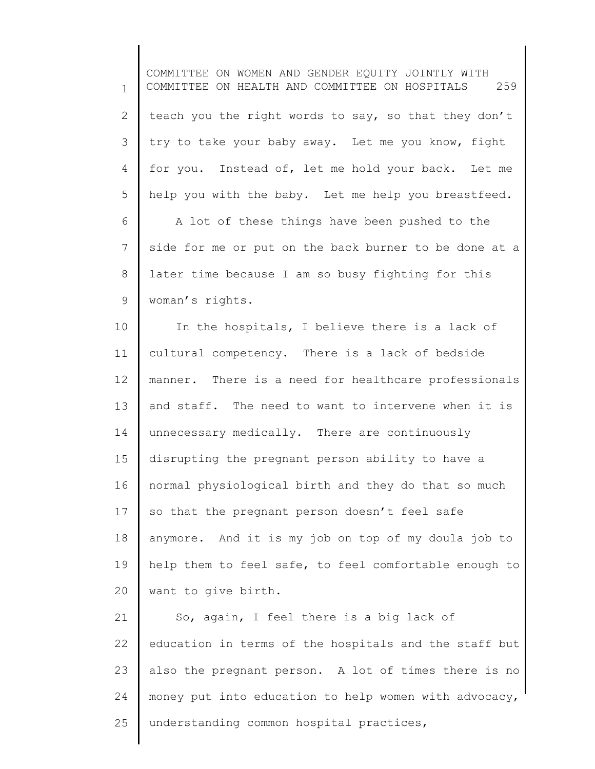1 2 3 4 5 6 7 8 9 10 11 12 13 14 15 16 17 18 19 20 21 22 23 24 25 COMMITTEE ON WOMEN AND GENDER EQUITY JOINTLY WITH COMMITTEE ON HEALTH AND COMMITTEE ON HOSPITALS 259 teach you the right words to say, so that they don't try to take your baby away. Let me you know, fight for you. Instead of, let me hold your back. Let me help you with the baby. Let me help you breastfeed. A lot of these things have been pushed to the side for me or put on the back burner to be done at a later time because I am so busy fighting for this woman's rights. In the hospitals, I believe there is a lack of cultural competency. There is a lack of bedside manner. There is a need for healthcare professionals and staff. The need to want to intervene when it is unnecessary medically. There are continuously disrupting the pregnant person ability to have a normal physiological birth and they do that so much so that the pregnant person doesn't feel safe anymore. And it is my job on top of my doula job to help them to feel safe, to feel comfortable enough to want to give birth. So, again, I feel there is a big lack of education in terms of the hospitals and the staff but also the pregnant person. A lot of times there is no money put into education to help women with advocacy, understanding common hospital practices,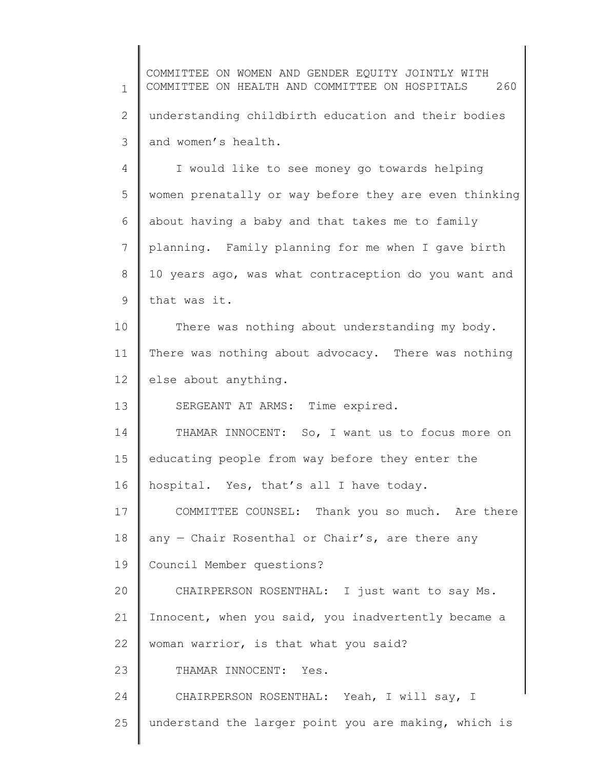1 2 3 COMMITTEE ON WOMEN AND GENDER EQUITY JOINTLY WITH COMMITTEE ON HEALTH AND COMMITTEE ON HOSPITALS 260 understanding childbirth education and their bodies and women's health.

4 5 6 7 8 9 I would like to see money go towards helping women prenatally or way before they are even thinking about having a baby and that takes me to family planning. Family planning for me when I gave birth 10 years ago, was what contraception do you want and that was it.

10 11 12 There was nothing about understanding my body. There was nothing about advocacy. There was nothing else about anything.

13 SERGEANT AT ARMS: Time expired.

14 15 16 THAMAR INNOCENT: So, I want us to focus more on educating people from way before they enter the hospital. Yes, that's all I have today.

17 18 19 COMMITTEE COUNSEL: Thank you so much. Are there any  $-$  Chair Rosenthal or Chair's, are there any Council Member questions?

20 21 22 CHAIRPERSON ROSENTHAL: I just want to say Ms. Innocent, when you said, you inadvertently became a woman warrior, is that what you said?

23 THAMAR INNOCENT: Yes.

24 25 CHAIRPERSON ROSENTHAL: Yeah, I will say, I understand the larger point you are making, which is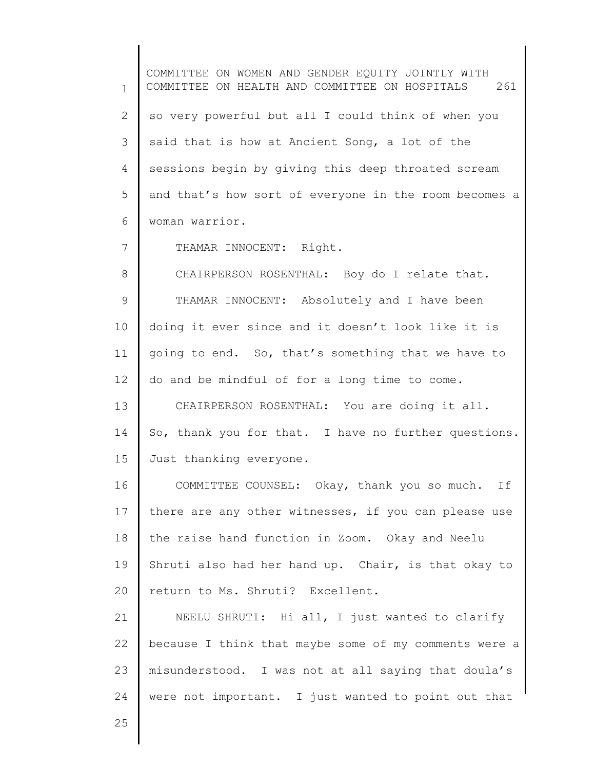1 2 3 4 5 6 7 8 9 10 11 12 13 14 15 16 17 18 19 20 21 22 23 24 COMMITTEE ON WOMEN AND GENDER EQUITY JOINTLY WITH COMMITTEE ON HEALTH AND COMMITTEE ON HOSPITALS 261 so very powerful but all I could think of when you said that is how at Ancient Song, a lot of the sessions begin by giving this deep throated scream and that's how sort of everyone in the room becomes a woman warrior. THAMAR INNOCENT: Right. CHAIRPERSON ROSENTHAL: Boy do I relate that. THAMAR INNOCENT: Absolutely and I have been doing it ever since and it doesn't look like it is going to end. So, that's something that we have to do and be mindful of for a long time to come. CHAIRPERSON ROSENTHAL: You are doing it all. So, thank you for that. I have no further questions. Just thanking everyone. COMMITTEE COUNSEL: Okay, thank you so much. If there are any other witnesses, if you can please use the raise hand function in Zoom. Okay and Neelu Shruti also had her hand up. Chair, is that okay to return to Ms. Shruti? Excellent. NEELU SHRUTI: Hi all, I just wanted to clarify because I think that maybe some of my comments were a misunderstood. I was not at all saying that doula's were not important. I just wanted to point out that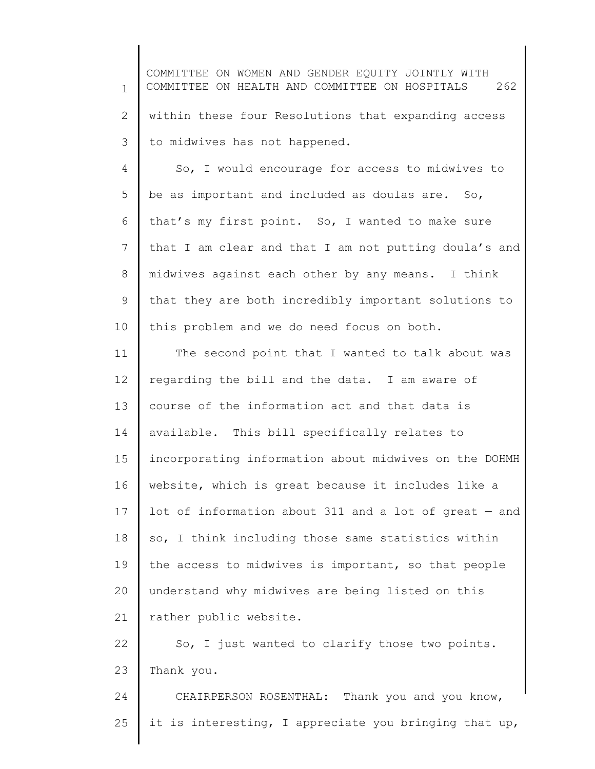1 2 3 COMMITTEE ON WOMEN AND GENDER EQUITY JOINTLY WITH COMMITTEE ON HEALTH AND COMMITTEE ON HOSPITALS 262 within these four Resolutions that expanding access to midwives has not happened.

4 5 6 7 8 9 10 So, I would encourage for access to midwives to be as important and included as doulas are. So, that's my first point. So, I wanted to make sure that I am clear and that I am not putting doula's and midwives against each other by any means. I think that they are both incredibly important solutions to this problem and we do need focus on both.

11 12 13 14 15 16 17 18 19 20 21 The second point that I wanted to talk about was regarding the bill and the data. I am aware of course of the information act and that data is available. This bill specifically relates to incorporating information about midwives on the DOHMH website, which is great because it includes like a lot of information about 311 and a lot of great — and so, I think including those same statistics within the access to midwives is important, so that people understand why midwives are being listed on this rather public website.

22 23 So, I just wanted to clarify those two points. Thank you.

24 25 CHAIRPERSON ROSENTHAL: Thank you and you know, it is interesting, I appreciate you bringing that up,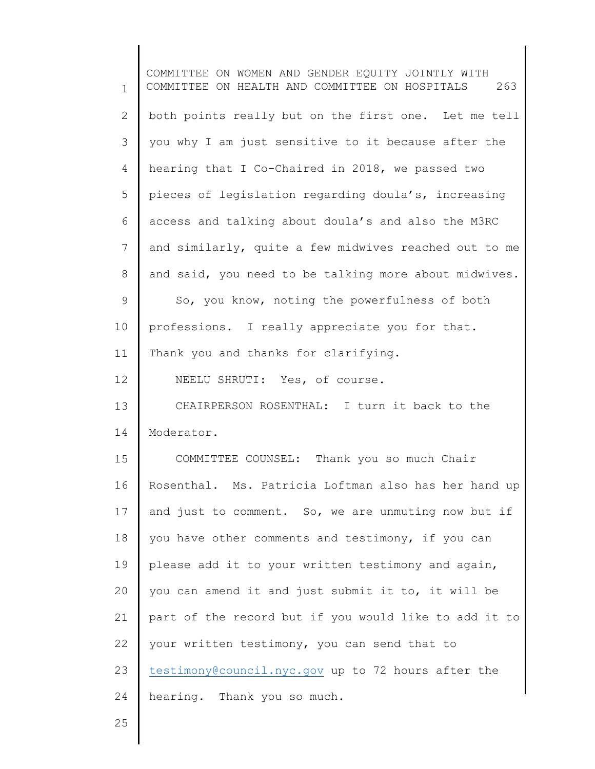1 2 3 4 5 6 7 8 9 10 11 12 13 14 15 16 17 18 19 20 21 22 23 24 COMMITTEE ON WOMEN AND GENDER EQUITY JOINTLY WITH COMMITTEE ON HEALTH AND COMMITTEE ON HOSPITALS 263 both points really but on the first one. Let me tell you why I am just sensitive to it because after the hearing that I Co-Chaired in 2018, we passed two pieces of legislation regarding doula's, increasing access and talking about doula's and also the M3RC and similarly, quite a few midwives reached out to me and said, you need to be talking more about midwives. So, you know, noting the powerfulness of both professions. I really appreciate you for that. Thank you and thanks for clarifying. NEELU SHRUTI: Yes, of course. CHAIRPERSON ROSENTHAL: I turn it back to the Moderator. COMMITTEE COUNSEL: Thank you so much Chair Rosenthal. Ms. Patricia Loftman also has her hand up and just to comment. So, we are unmuting now but if you have other comments and testimony, if you can please add it to your written testimony and again, you can amend it and just submit it to, it will be part of the record but if you would like to add it to your written testimony, you can send that to [testimony@council.nyc.gov](mailto:testimony@council.nyc.gov) up to 72 hours after the hearing. Thank you so much.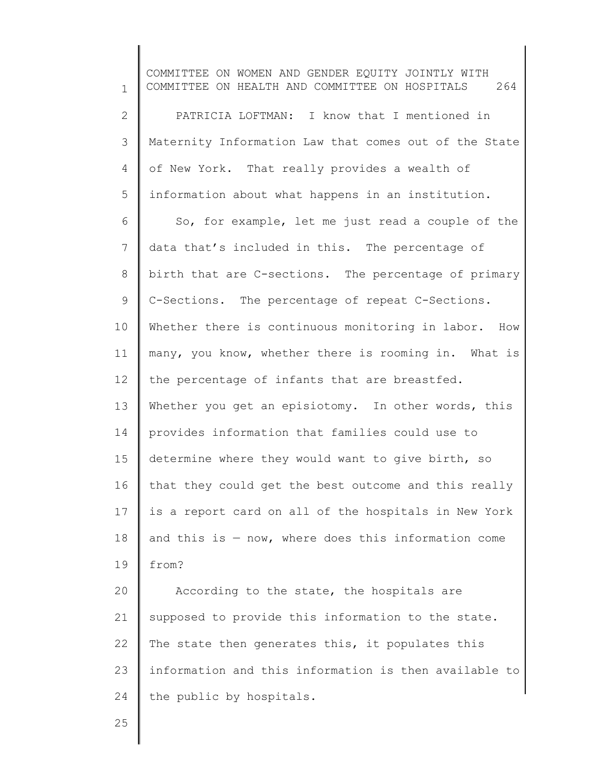1 2 3 4 5 6 7 8 9 10 11 12 13 14 15 16 17 18 19 20 21 22 23 24 25 COMMITTEE ON WOMEN AND GENDER EQUITY JOINTLY WITH COMMITTEE ON HEALTH AND COMMITTEE ON HOSPITALS 264 PATRICIA LOFTMAN: I know that I mentioned in Maternity Information Law that comes out of the State of New York. That really provides a wealth of information about what happens in an institution. So, for example, let me just read a couple of the data that's included in this. The percentage of birth that are C-sections. The percentage of primary C-Sections. The percentage of repeat C-Sections. Whether there is continuous monitoring in labor. How many, you know, whether there is rooming in. What is the percentage of infants that are breastfed. Whether you get an episiotomy. In other words, this provides information that families could use to determine where they would want to give birth, so that they could get the best outcome and this really is a report card on all of the hospitals in New York and this is  $-$  now, where does this information come from? According to the state, the hospitals are supposed to provide this information to the state. The state then generates this, it populates this information and this information is then available to the public by hospitals.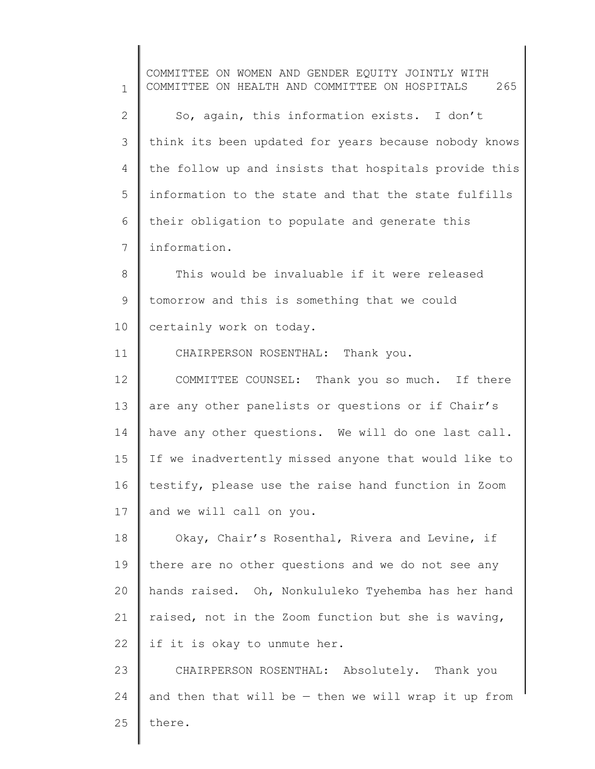1 2 3 4 5 6 7 8 9 10 11 12 13 14 15 16 17 18 19 20 21 22 23 24 25 COMMITTEE ON WOMEN AND GENDER EQUITY JOINTLY WITH COMMITTEE ON HEALTH AND COMMITTEE ON HOSPITALS 265 So, again, this information exists. I don't think its been updated for years because nobody knows the follow up and insists that hospitals provide this information to the state and that the state fulfills their obligation to populate and generate this information. This would be invaluable if it were released tomorrow and this is something that we could certainly work on today. CHAIRPERSON ROSENTHAL: Thank you. COMMITTEE COUNSEL: Thank you so much. If there are any other panelists or questions or if Chair's have any other questions. We will do one last call. If we inadvertently missed anyone that would like to testify, please use the raise hand function in Zoom and we will call on you. Okay, Chair's Rosenthal, Rivera and Levine, if there are no other questions and we do not see any hands raised. Oh, Nonkululeko Tyehemba has her hand raised, not in the Zoom function but she is waving, if it is okay to unmute her. CHAIRPERSON ROSENTHAL: Absolutely. Thank you and then that will be — then we will wrap it up from there.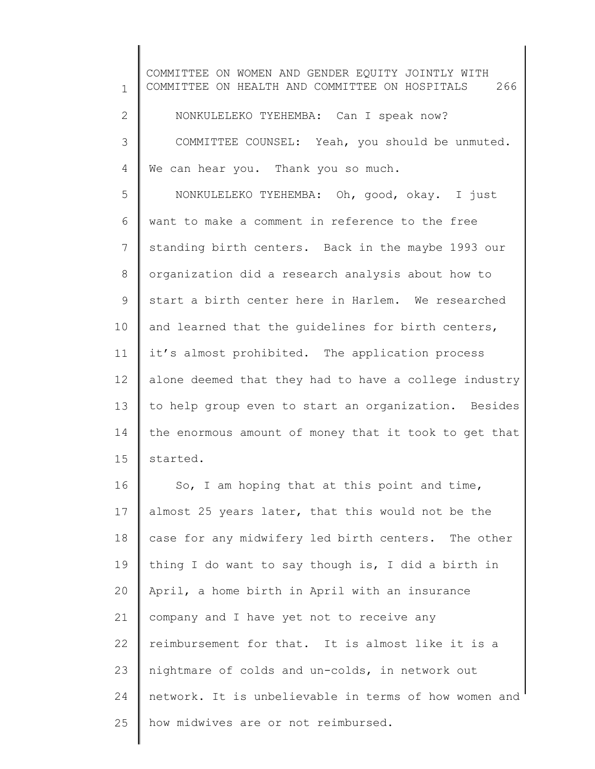1 2 3 4 5 6 7 8 9 10 11 12 13 14 15 16 17 18 19 20 21 22 23 24 25 COMMITTEE ON WOMEN AND GENDER EQUITY JOINTLY WITH COMMITTEE ON HEALTH AND COMMITTEE ON HOSPITALS 266 NONKULELEKO TYEHEMBA: Can I speak now? COMMITTEE COUNSEL: Yeah, you should be unmuted. We can hear you. Thank you so much. NONKULELEKO TYEHEMBA: Oh, good, okay. I just want to make a comment in reference to the free standing birth centers. Back in the maybe 1993 our organization did a research analysis about how to start a birth center here in Harlem. We researched and learned that the guidelines for birth centers, it's almost prohibited. The application process alone deemed that they had to have a college industry to help group even to start an organization. Besides the enormous amount of money that it took to get that started. So, I am hoping that at this point and time, almost 25 years later, that this would not be the case for any midwifery led birth centers. The other thing I do want to say though is, I did a birth in April, a home birth in April with an insurance company and I have yet not to receive any reimbursement for that. It is almost like it is a nightmare of colds and un-colds, in network out network. It is unbelievable in terms of how women and how midwives are or not reimbursed.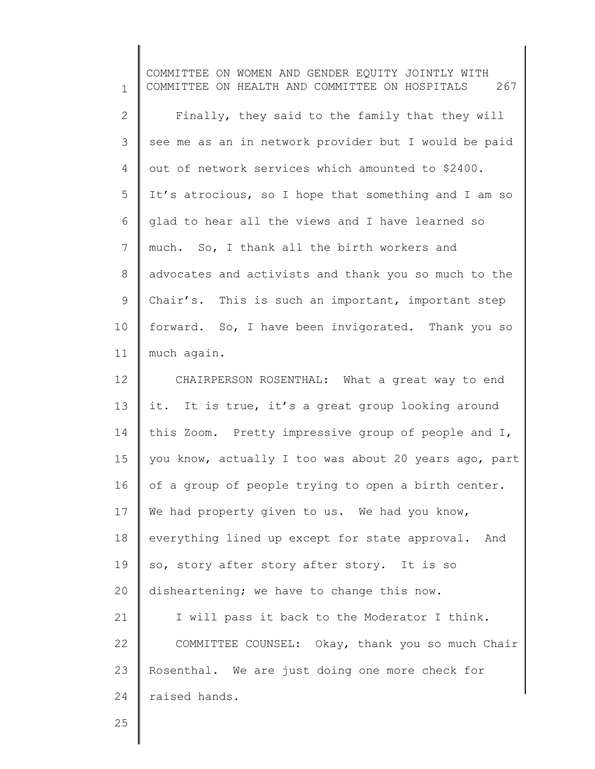1 2 3 4 5 6 7 8 9 10 11 12 13 14 15 16 17 18 19 20 21 22 23 24 COMMITTEE ON WOMEN AND GENDER EQUITY JOINTLY WITH COMMITTEE ON HEALTH AND COMMITTEE ON HOSPITALS 267 Finally, they said to the family that they will see me as an in network provider but I would be paid out of network services which amounted to \$2400. It's atrocious, so I hope that something and I am so glad to hear all the views and I have learned so much. So, I thank all the birth workers and advocates and activists and thank you so much to the Chair's. This is such an important, important step forward. So, I have been invigorated. Thank you so much again. CHAIRPERSON ROSENTHAL: What a great way to end it. It is true, it's a great group looking around this Zoom. Pretty impressive group of people and I, you know, actually I too was about 20 years ago, part of a group of people trying to open a birth center. We had property given to us. We had you know, everything lined up except for state approval. And so, story after story after story. It is so disheartening; we have to change this now. I will pass it back to the Moderator I think. COMMITTEE COUNSEL: Okay, thank you so much Chair Rosenthal. We are just doing one more check for raised hands.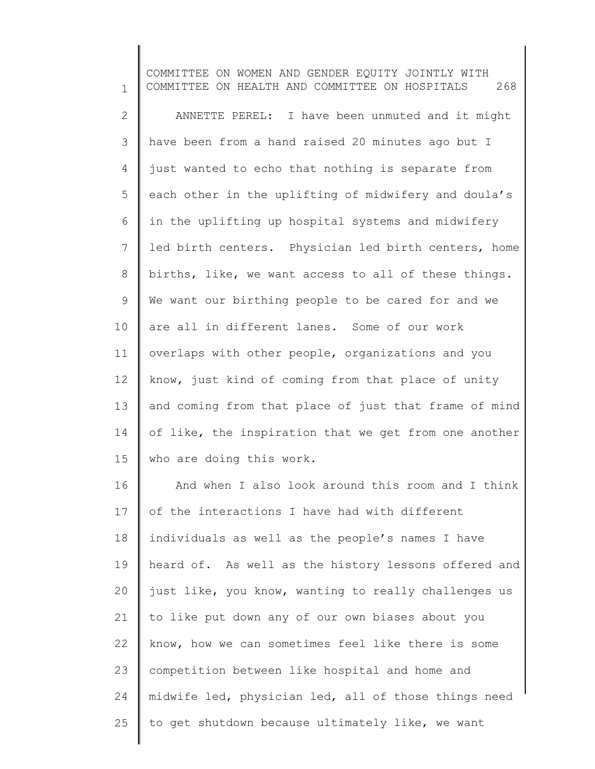1 2 3 4 5 6 7 8 9 10 11 12 13 14 15 16 17 18 19 20 21 22 23 24 25 COMMITTEE ON WOMEN AND GENDER EQUITY JOINTLY WITH COMMITTEE ON HEALTH AND COMMITTEE ON HOSPITALS 268 ANNETTE PEREL: I have been unmuted and it might have been from a hand raised 20 minutes ago but I just wanted to echo that nothing is separate from each other in the uplifting of midwifery and doula's in the uplifting up hospital systems and midwifery led birth centers. Physician led birth centers, home births, like, we want access to all of these things. We want our birthing people to be cared for and we are all in different lanes. Some of our work overlaps with other people, organizations and you know, just kind of coming from that place of unity and coming from that place of just that frame of mind of like, the inspiration that we get from one another who are doing this work. And when I also look around this room and I think of the interactions I have had with different individuals as well as the people's names I have heard of. As well as the history lessons offered and just like, you know, wanting to really challenges us to like put down any of our own biases about you know, how we can sometimes feel like there is some competition between like hospital and home and midwife led, physician led, all of those things need to get shutdown because ultimately like, we want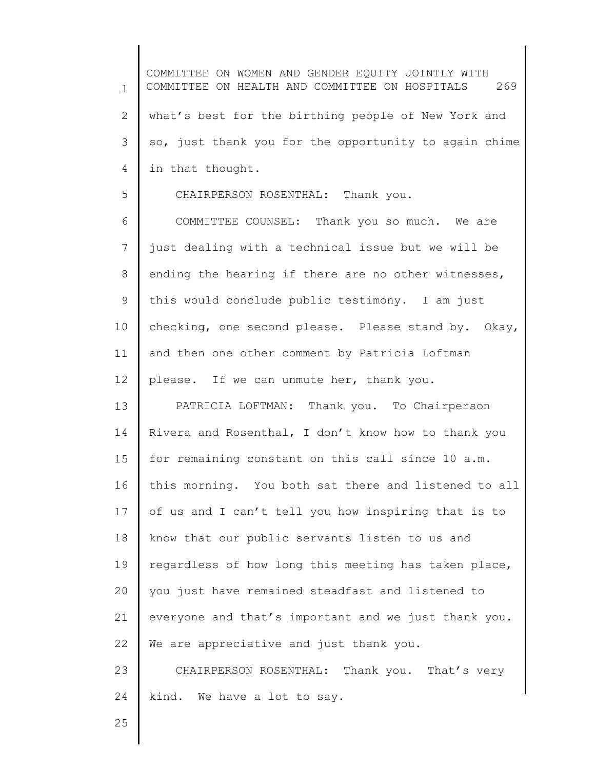1 2 3 4 5 6 7 8 9 10 11 12 13 14 15 16 17 18 19 20 21 22 23 24 25 COMMITTEE ON WOMEN AND GENDER EQUITY JOINTLY WITH COMMITTEE ON HEALTH AND COMMITTEE ON HOSPITALS 269 what's best for the birthing people of New York and so, just thank you for the opportunity to again chime in that thought. CHAIRPERSON ROSENTHAL: Thank you. COMMITTEE COUNSEL: Thank you so much. We are just dealing with a technical issue but we will be ending the hearing if there are no other witnesses, this would conclude public testimony. I am just checking, one second please. Please stand by. Okay, and then one other comment by Patricia Loftman please. If we can unmute her, thank you. PATRICIA LOFTMAN: Thank you. To Chairperson Rivera and Rosenthal, I don't know how to thank you for remaining constant on this call since 10 a.m. this morning. You both sat there and listened to all of us and I can't tell you how inspiring that is to know that our public servants listen to us and regardless of how long this meeting has taken place, you just have remained steadfast and listened to everyone and that's important and we just thank you. We are appreciative and just thank you. CHAIRPERSON ROSENTHAL: Thank you. That's very kind. We have a lot to say.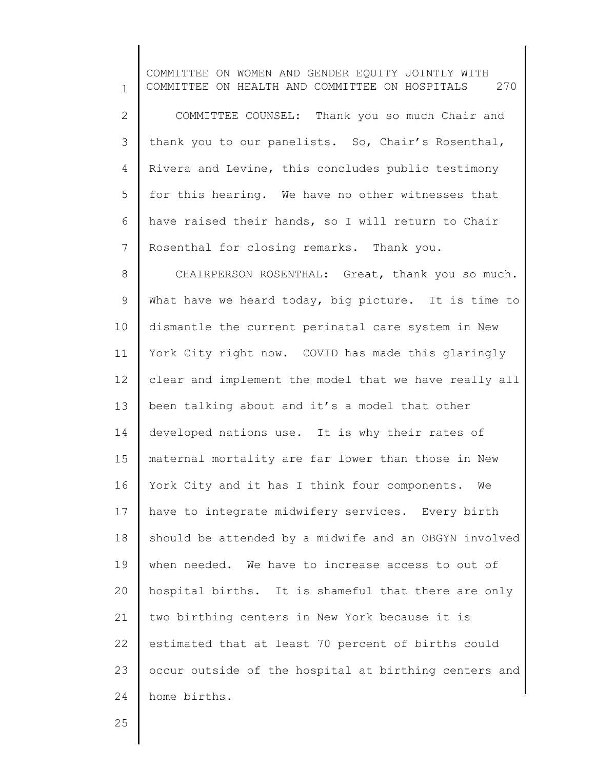1 2 3 4 5 6 7 8 9 10 11 12 13 14 15 16 17 18 19 20 21 22 23 24 COMMITTEE ON WOMEN AND GENDER EQUITY JOINTLY WITH COMMITTEE ON HEALTH AND COMMITTEE ON HOSPITALS 270 COMMITTEE COUNSEL: Thank you so much Chair and thank you to our panelists. So, Chair's Rosenthal, Rivera and Levine, this concludes public testimony for this hearing. We have no other witnesses that have raised their hands, so I will return to Chair Rosenthal for closing remarks. Thank you. CHAIRPERSON ROSENTHAL: Great, thank you so much. What have we heard today, big picture. It is time to dismantle the current perinatal care system in New York City right now. COVID has made this glaringly clear and implement the model that we have really all been talking about and it's a model that other developed nations use. It is why their rates of maternal mortality are far lower than those in New York City and it has I think four components. We have to integrate midwifery services. Every birth should be attended by a midwife and an OBGYN involved when needed. We have to increase access to out of hospital births. It is shameful that there are only two birthing centers in New York because it is estimated that at least 70 percent of births could occur outside of the hospital at birthing centers and home births.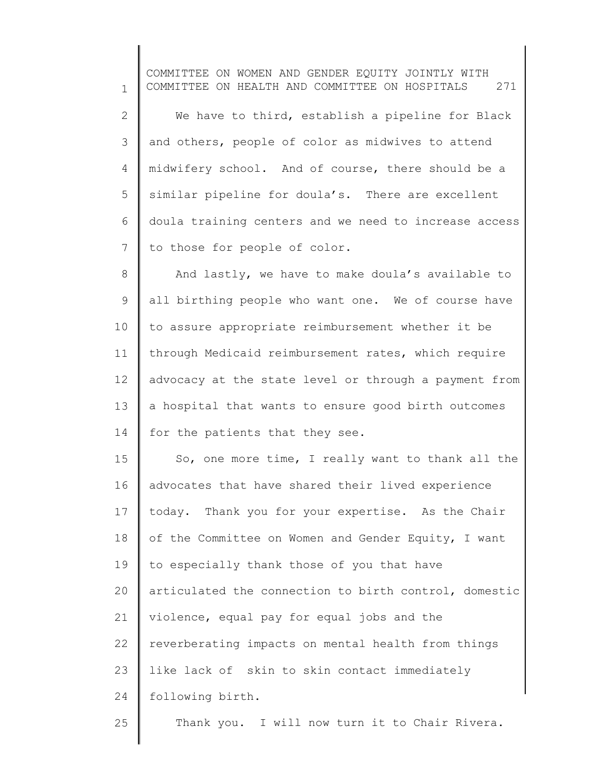1 2 3 4 5 6 7 8 9 10 11 12 13 14 15 16 17 18 19 20 21 22 COMMITTEE ON WOMEN AND GENDER EQUITY JOINTLY WITH COMMITTEE ON HEALTH AND COMMITTEE ON HOSPITALS 271 We have to third, establish a pipeline for Black and others, people of color as midwives to attend midwifery school. And of course, there should be a similar pipeline for doula's. There are excellent doula training centers and we need to increase access to those for people of color. And lastly, we have to make doula's available to all birthing people who want one. We of course have to assure appropriate reimbursement whether it be through Medicaid reimbursement rates, which require advocacy at the state level or through a payment from a hospital that wants to ensure good birth outcomes for the patients that they see. So, one more time, I really want to thank all the advocates that have shared their lived experience today. Thank you for your expertise. As the Chair of the Committee on Women and Gender Equity, I want to especially thank those of you that have articulated the connection to birth control, domestic violence, equal pay for equal jobs and the reverberating impacts on mental health from things

23 like lack of skin to skin contact immediately

24 following birth.

25

Thank you. I will now turn it to Chair Rivera.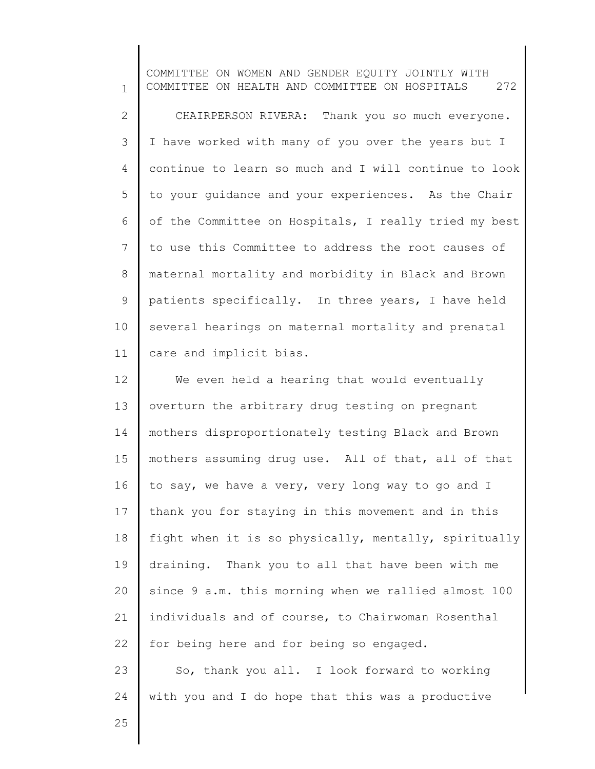1 2 3 4 5 6 7 8 9 10 11 COMMITTEE ON WOMEN AND GENDER EQUITY JOINTLY WITH COMMITTEE ON HEALTH AND COMMITTEE ON HOSPITALS 272 CHAIRPERSON RIVERA: Thank you so much everyone. I have worked with many of you over the years but I continue to learn so much and I will continue to look to your guidance and your experiences. As the Chair of the Committee on Hospitals, I really tried my best to use this Committee to address the root causes of maternal mortality and morbidity in Black and Brown patients specifically. In three years, I have held several hearings on maternal mortality and prenatal care and implicit bias.

12 13 14 15 16 17 18 19 20 21 22 We even held a hearing that would eventually overturn the arbitrary drug testing on pregnant mothers disproportionately testing Black and Brown mothers assuming drug use. All of that, all of that to say, we have a very, very long way to go and I thank you for staying in this movement and in this fight when it is so physically, mentally, spiritually draining. Thank you to all that have been with me since 9 a.m. this morning when we rallied almost 100 individuals and of course, to Chairwoman Rosenthal for being here and for being so engaged.

23 24 So, thank you all. I look forward to working with you and I do hope that this was a productive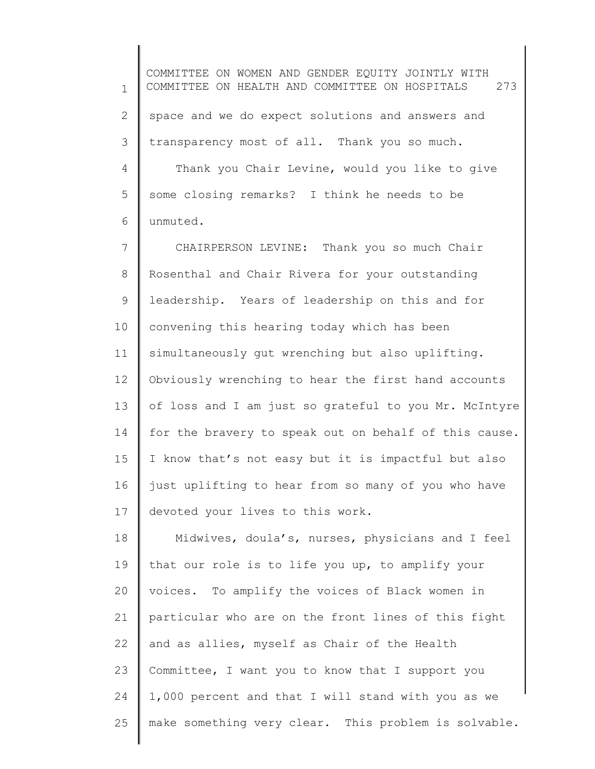1 2 3 4 5 6 COMMITTEE ON WOMEN AND GENDER EQUITY JOINTLY WITH COMMITTEE ON HEALTH AND COMMITTEE ON HOSPITALS 273 space and we do expect solutions and answers and transparency most of all. Thank you so much. Thank you Chair Levine, would you like to give some closing remarks? I think he needs to be unmuted.

7 8 9 10 11 12 13 14 15 16 17 CHAIRPERSON LEVINE: Thank you so much Chair Rosenthal and Chair Rivera for your outstanding leadership. Years of leadership on this and for convening this hearing today which has been simultaneously gut wrenching but also uplifting. Obviously wrenching to hear the first hand accounts of loss and I am just so grateful to you Mr. McIntyre for the bravery to speak out on behalf of this cause. I know that's not easy but it is impactful but also just uplifting to hear from so many of you who have devoted your lives to this work.

18 19 20 21 22 23 24 25 Midwives, doula's, nurses, physicians and I feel that our role is to life you up, to amplify your voices. To amplify the voices of Black women in particular who are on the front lines of this fight and as allies, myself as Chair of the Health Committee, I want you to know that I support you 1,000 percent and that I will stand with you as we make something very clear. This problem is solvable.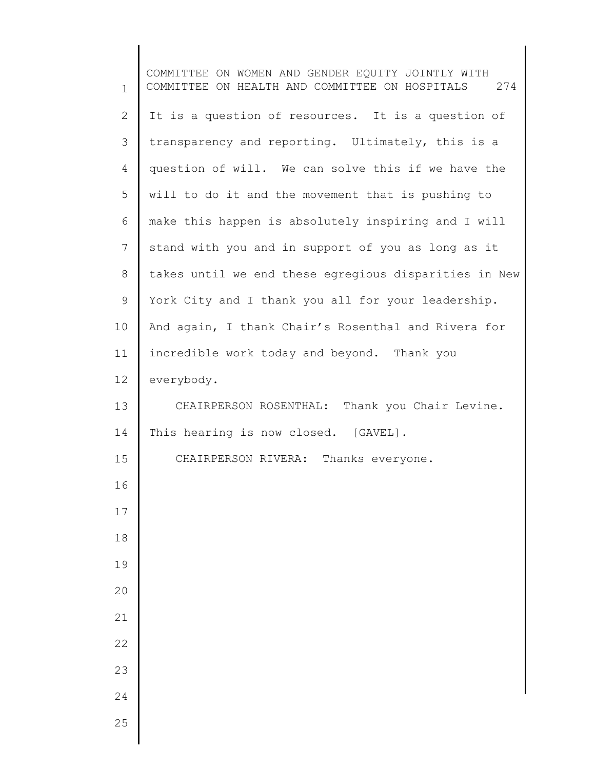| $\mathbf{1}$    | COMMITTEE ON WOMEN AND GENDER EQUITY JOINTLY WITH<br>COMMITTEE ON HEALTH AND COMMITTEE ON HOSPITALS 274 |
|-----------------|---------------------------------------------------------------------------------------------------------|
| $\mathbf{2}$    | It is a question of resources. It is a question of                                                      |
| 3               | transparency and reporting. Ultimately, this is a                                                       |
| $\overline{4}$  | question of will. We can solve this if we have the                                                      |
| 5               | will to do it and the movement that is pushing to                                                       |
| 6               | make this happen is absolutely inspiring and I will                                                     |
| $7\overline{ }$ | stand with you and in support of you as long as it                                                      |
| 8               | takes until we end these egregious disparities in New                                                   |
| 9               | York City and I thank you all for your leadership.                                                      |
| 10              | And again, I thank Chair's Rosenthal and Rivera for                                                     |
| 11              | incredible work today and beyond. Thank you                                                             |
| 12              | everybody.                                                                                              |
| 13              | CHAIRPERSON ROSENTHAL: Thank you Chair Levine.                                                          |
| 14              | This hearing is now closed. [GAVEL].                                                                    |
| 15              | CHAIRPERSON RIVERA: Thanks everyone.                                                                    |
| 16              |                                                                                                         |
| 17              |                                                                                                         |
| 18              |                                                                                                         |
| 19              |                                                                                                         |
| 20              |                                                                                                         |
| 21              |                                                                                                         |
| 22              |                                                                                                         |
| 23              |                                                                                                         |
| 24              |                                                                                                         |
| 25              |                                                                                                         |
|                 |                                                                                                         |